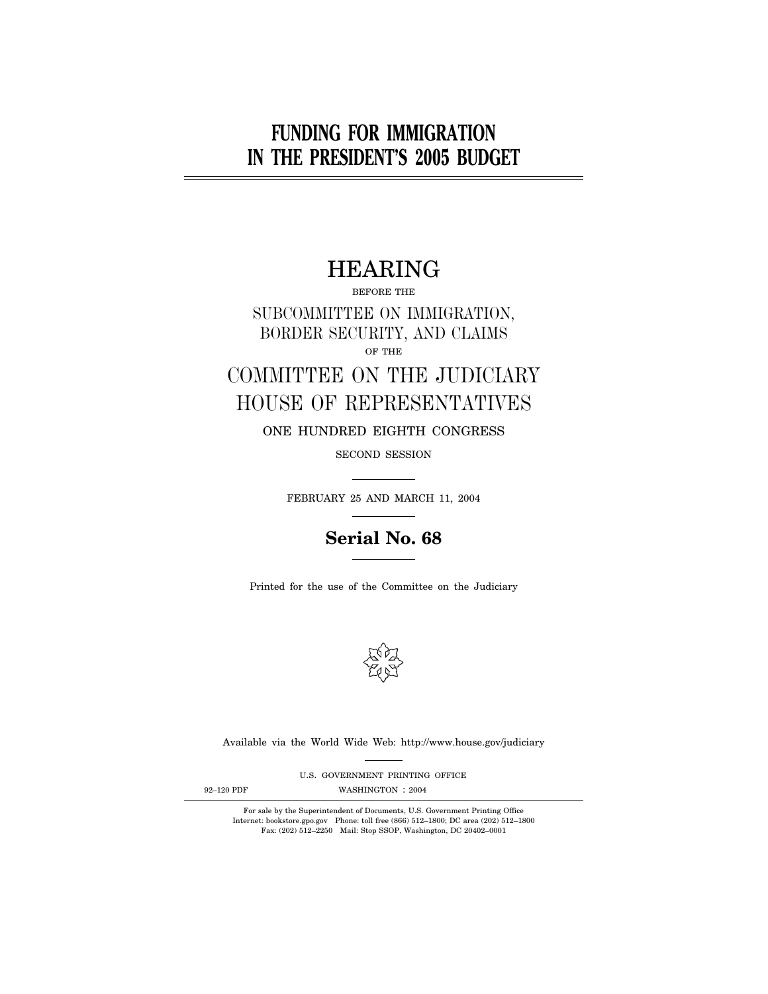# **FUNDING FOR IMMIGRATION IN THE PRESIDENT'S 2005 BUDGET**

# HEARING

BEFORE THE

SUBCOMMITTEE ON IMMIGRATION, BORDER SECURITY, AND CLAIMS OF THE

# COMMITTEE ON THE JUDICIARY HOUSE OF REPRESENTATIVES

ONE HUNDRED EIGHTH CONGRESS

SECOND SESSION

FEBRUARY 25 AND MARCH 11, 2004

## **Serial No. 68**

Printed for the use of the Committee on the Judiciary



Available via the World Wide Web: http://www.house.gov/judiciary

U.S. GOVERNMENT PRINTING OFFICE

92-120 PDF WASHINGTON : 2004

For sale by the Superintendent of Documents, U.S. Government Printing Office Internet: bookstore.gpo.gov Phone: toll free (866) 512–1800; DC area (202) 512–1800 Fax: (202) 512–2250 Mail: Stop SSOP, Washington, DC 20402–0001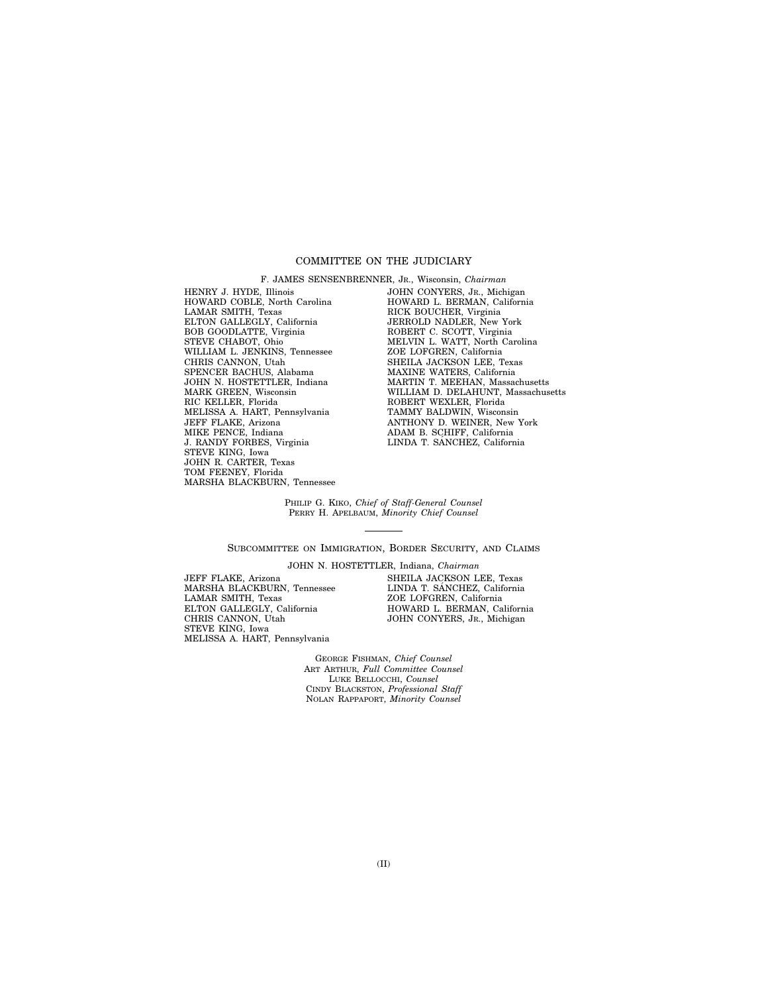## COMMITTEE ON THE JUDICIARY

HENRY J. HYDE, Illinois HOWARD COBLE, North Carolina LAMAR SMITH, Texas ELTON GALLEGLY, California BOB GOODLATTE, Virginia STEVE CHABOT, Ohio WILLIAM L. JENKINS, Tennessee CHRIS CANNON, Utah SPENCER BACHUS, Alabama JOHN N. HOSTETTLER, Indiana MARK GREEN, Wisconsin RIC KELLER, Florida MELISSA A. HART, Pennsylvania JEFF FLAKE, Arizona MIKE PENCE, Indiana J. RANDY FORBES, Virginia STEVE KING, Iowa JOHN R. CARTER, Texas TOM FEENEY, Florida MARSHA BLACKBURN, Tennessee

F. JAMES SENSENBRENNER, JR., Wisconsin, *Chairman*  JOHN CONYERS, JR., Michigan HOWARD L. BERMAN, California RICK BOUCHER, Virginia JERROLD NADLER, New York ROBERT C. SCOTT, Virginia MELVIN L. WATT, North Carolina ZOE LOFGREN, California SHEILA JACKSON LEE, Texas MAXINE WATERS, California MARTIN T. MEEHAN, Massachusetts WILLIAM D. DELAHUNT, Massachusetts ROBERT WEXLER, Florida TAMMY BALDWIN, Wisconsin ANTHONY D. WEINER, New York ADAM B. SCHIFF, California<br>LINDA T. SÁNCHEZ, California

PHILIP G. KIKO, *Chief of Staff-General Counsel*  PERRY H. APELBAUM, *Minority Chief Counsel* 

SUBCOMMITTEE ON IMMIGRATION, BORDER SECURITY, AND CLAIMS

JEFF FLAKE, Arizona MARSHA BLACKBURN, Tennessee LAMAR SMITH, Texas ELTON GALLEGLY, California CHRIS CANNON, Utah STEVE KING, Iowa MELISSA A. HART, Pennsylvania

JOHN N. HOSTETTLER, Indiana, *Chairman* SHEILA JACKSON LEE, Texas LINDA T. SÁNCHEZ, California ZOE LOFGREN, California HOWARD L. BERMAN, California JOHN CONYERS, JR., Michigan

GEORGE FISHMAN, *Chief Counsel*  ART ARTHUR, *Full Committee Counsel*  LUKE BELLOCCHI, *Counsel*  CINDY BLACKSTON, *Professional Staff*  NOLAN RAPPAPORT, *Minority Counsel*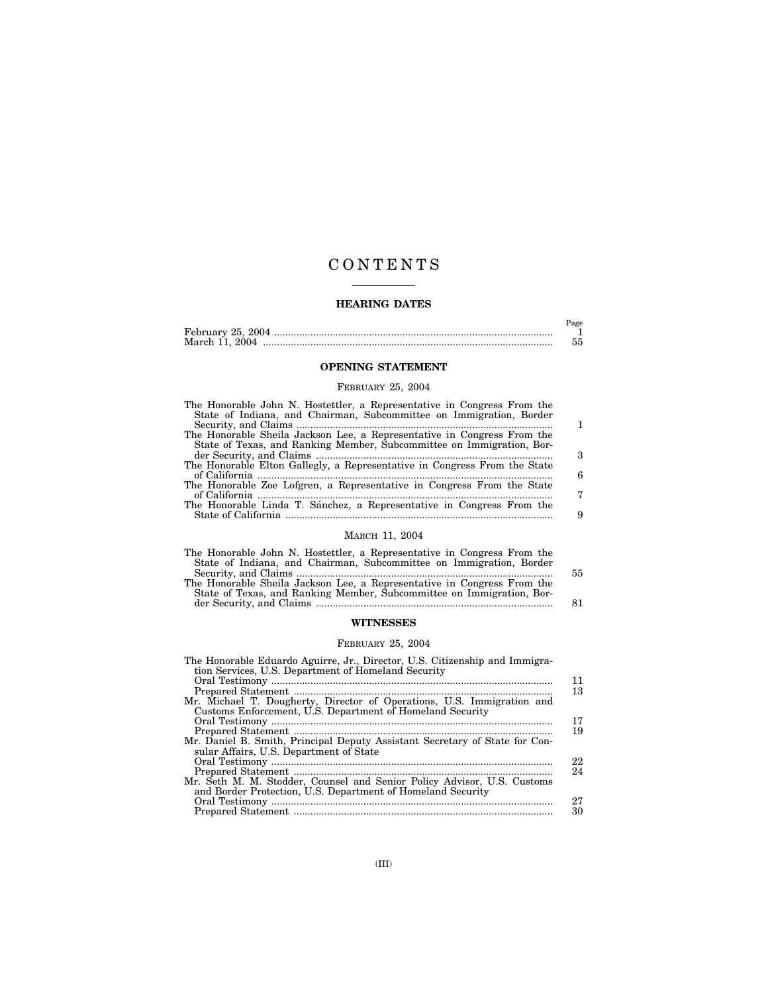## C O N T E N T S

## **HEARING DATES**

|                | Page |
|----------------|------|
|                |      |
| March 11, 2004 |      |

## **OPENING STATEMENT**

## FEBRUARY 25, 2004

| The Honorable John N. Hostettler, a Representative in Congress From the   |   |
|---------------------------------------------------------------------------|---|
| State of Indiana, and Chairman, Subcommittee on Immigration, Border       |   |
|                                                                           |   |
| The Honorable Sheila Jackson Lee, a Representative in Congress From the   |   |
| State of Texas, and Ranking Member, Subcommittee on Immigration, Bor-     |   |
|                                                                           | З |
| The Honorable Elton Gallegly, a Representative in Congress From the State |   |
|                                                                           | 6 |
| The Honorable Zoe Lofgren, a Representative in Congress From the State    |   |
|                                                                           | 7 |
| The Honorable Linda T. Sánchez, a Representative in Congress From the     |   |
|                                                                           | 9 |
|                                                                           |   |

## MARCH 11, 2004

| The Honorable John N. Hostettler, a Representative in Congress From the<br>State of Indiana, and Chairman, Subcommittee on Immigration, Border | 55 |
|------------------------------------------------------------------------------------------------------------------------------------------------|----|
| The Honorable Sheila Jackson Lee, a Representative in Congress From the                                                                        |    |
| State of Texas, and Ranking Member, Subcommittee on Immigration, Bor-                                                                          | 81 |

## **WITNESSES**

## FEBRUARY 25, 2004

| The Honorable Eduardo Aguirre, Jr., Director, U.S. Citizenship and Immigra- |    |
|-----------------------------------------------------------------------------|----|
| tion Services, U.S. Department of Homeland Security                         |    |
|                                                                             | 11 |
|                                                                             | 13 |
| Mr. Michael T. Dougherty, Director of Operations, U.S. Immigration and      |    |
| Customs Enforcement, U.S. Department of Homeland Security                   |    |
|                                                                             | 17 |
|                                                                             | 19 |
| Mr. Daniel B. Smith, Principal Deputy Assistant Secretary of State for Con- |    |
| sular Affairs, U.S. Department of State                                     |    |
|                                                                             | 22 |
|                                                                             | 24 |
| Mr. Seth M. M. Stodder, Counsel and Senior Policy Advisor, U.S. Customs     |    |
| and Border Protection, U.S. Department of Homeland Security                 |    |
|                                                                             | 27 |
|                                                                             | 30 |
|                                                                             |    |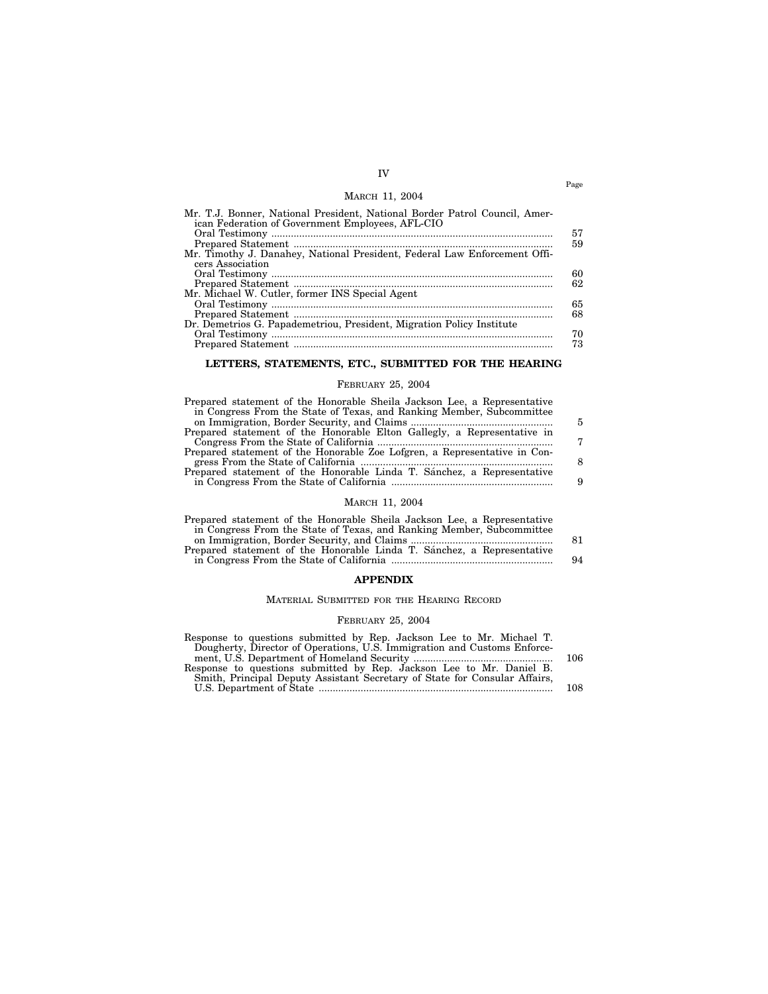## IV MARCH 11, 2004

| ican Federation of Government Employees, AFL-CIO                          |  |
|---------------------------------------------------------------------------|--|
| 57                                                                        |  |
| 59                                                                        |  |
| Mr. Timothy J. Danahey, National President, Federal Law Enforcement Offi- |  |
| cers Association                                                          |  |
| 60                                                                        |  |
| 62                                                                        |  |
| Mr. Michael W. Cutler, former INS Special Agent                           |  |
| 65                                                                        |  |
| 68                                                                        |  |
| Dr. Demetrios G. Papademetriou, President, Migration Policy Institute     |  |
| 70                                                                        |  |
| 73                                                                        |  |

## **LETTERS, STATEMENTS, ETC., SUBMITTED FOR THE HEARING**

## FEBRUARY 25, 2004

| Prepared statement of the Honorable Sheila Jackson Lee, a Representative  |   |
|---------------------------------------------------------------------------|---|
| in Congress From the State of Texas, and Ranking Member, Subcommittee     |   |
|                                                                           | 5 |
| Prepared statement of the Honorable Elton Gallegly, a Representative in   |   |
|                                                                           | 7 |
| Prepared statement of the Honorable Zoe Lofgren, a Representative in Con- |   |
|                                                                           | 8 |
| Prepared statement of the Honorable Linda T. Sanchez, a Representative    |   |
|                                                                           | 9 |
|                                                                           |   |

## MARCH 11, 2004

| Prepared statement of the Honorable Sheila Jackson Lee, a Representative |     |
|--------------------------------------------------------------------------|-----|
| in Congress From the State of Texas, and Ranking Member, Subcommittee    |     |
|                                                                          | 81. |
| Prepared statement of the Honorable Linda T. Sanchez, a Representative   |     |
|                                                                          | 94  |
|                                                                          |     |

## **APPENDIX**

## MATERIAL SUBMITTED FOR THE HEARING RECORD

## FEBRUARY 25, 2004

| Response to questions submitted by Rep. Jackson Lee to Mr. Michael T.      |      |
|----------------------------------------------------------------------------|------|
| Dougherty, Director of Operations, U.S. Immigration and Customs Enforce-   |      |
|                                                                            | -106 |
| Response to questions submitted by Rep. Jackson Lee to Mr. Daniel B.       |      |
| Smith, Principal Deputy Assistant Secretary of State for Consular Affairs, |      |
|                                                                            | 108  |

Page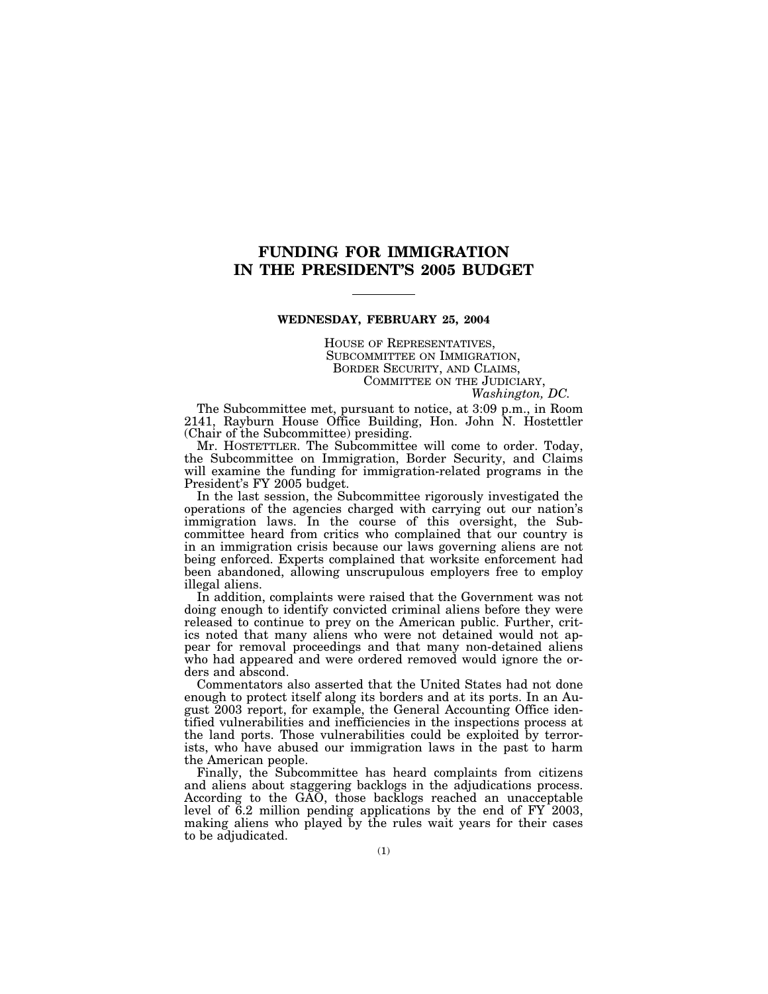## **FUNDING FOR IMMIGRATION IN THE PRESIDENT'S 2005 BUDGET**

#### **WEDNESDAY, FEBRUARY 25, 2004**

HOUSE OF REPRESENTATIVES, SUBCOMMITTEE ON IMMIGRATION, BORDER SECURITY, AND CLAIMS, COMMITTEE ON THE JUDICIARY,

*Washington, DC.*

The Subcommittee met, pursuant to notice, at 3:09 p.m., in Room 2141, Rayburn House Office Building, Hon. John N. Hostettler (Chair of the Subcommittee) presiding.

Mr. HOSTETTLER. The Subcommittee will come to order. Today, the Subcommittee on Immigration, Border Security, and Claims will examine the funding for immigration-related programs in the President's FY 2005 budget.

In the last session, the Subcommittee rigorously investigated the operations of the agencies charged with carrying out our nation's immigration laws. In the course of this oversight, the Subcommittee heard from critics who complained that our country is in an immigration crisis because our laws governing aliens are not being enforced. Experts complained that worksite enforcement had been abandoned, allowing unscrupulous employers free to employ illegal aliens.

In addition, complaints were raised that the Government was not doing enough to identify convicted criminal aliens before they were released to continue to prey on the American public. Further, critics noted that many aliens who were not detained would not appear for removal proceedings and that many non-detained aliens who had appeared and were ordered removed would ignore the orders and abscond.

Commentators also asserted that the United States had not done enough to protect itself along its borders and at its ports. In an August 2003 report, for example, the General Accounting Office identified vulnerabilities and inefficiencies in the inspections process at the land ports. Those vulnerabilities could be exploited by terrorists, who have abused our immigration laws in the past to harm the American people.

Finally, the Subcommittee has heard complaints from citizens and aliens about staggering backlogs in the adjudications process. According to the GAO, those backlogs reached an unacceptable level of 6.2 million pending applications by the end of FY 2003, making aliens who played by the rules wait years for their cases to be adjudicated.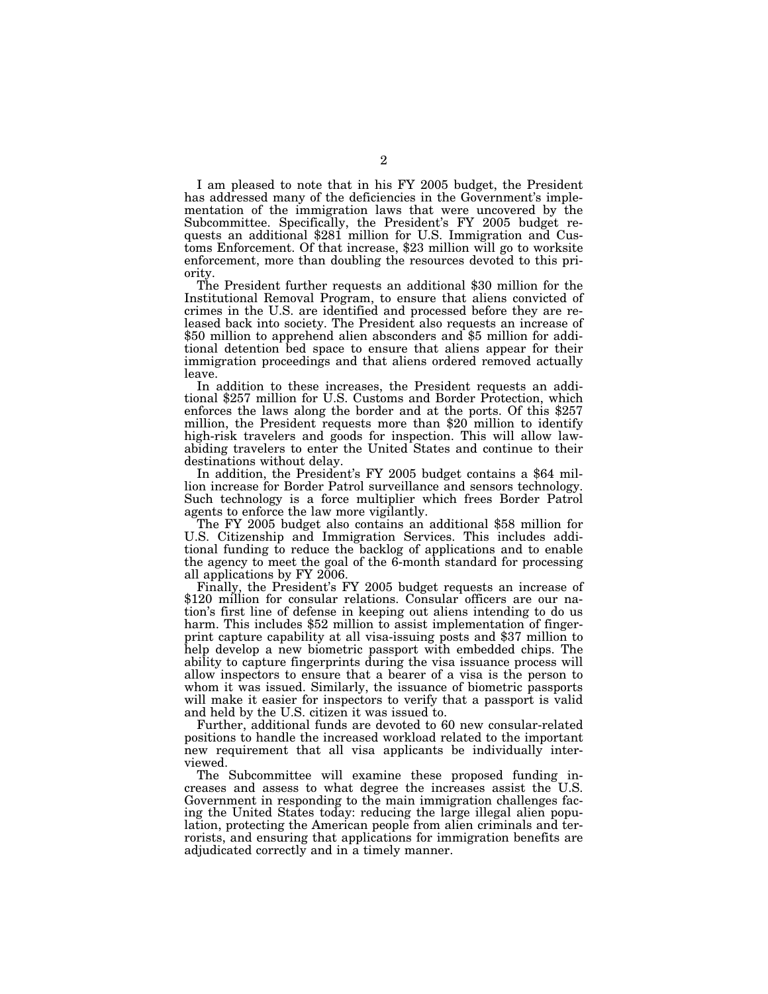I am pleased to note that in his FY 2005 budget, the President has addressed many of the deficiencies in the Government's implementation of the immigration laws that were uncovered by the Subcommittee. Specifically, the President's FY 2005 budget requests an additional \$281 million for U.S. Immigration and Customs Enforcement. Of that increase, \$23 million will go to worksite enforcement, more than doubling the resources devoted to this priority. The President further requests an additional \$30 million for the

Institutional Removal Program, to ensure that aliens convicted of crimes in the U.S. are identified and processed before they are released back into society. The President also requests an increase of \$50 million to apprehend alien absconders and \$5 million for additional detention bed space to ensure that aliens appear for their immigration proceedings and that aliens ordered removed actually leave.<br>In addition to these increases, the President requests an addi-

tional \$257 million for U.S. Customs and Border Protection, which enforces the laws along the border and at the ports. Of this \$257 million, the President requests more than \$20 million to identify high-risk travelers and goods for inspection. This will allow lawabiding travelers to enter the United States and continue to their destinations without delay.

In addition, the President's FY 2005 budget contains a \$64 million increase for Border Patrol surveillance and sensors technology. Such technology is a force multiplier which frees Border Patrol agents to enforce the law more vigilantly.

The FY 2005 budget also contains an additional \$58 million for U.S. Citizenship and Immigration Services. This includes additional funding to reduce the backlog of applications and to enable the agency to meet the goal of the 6-month standard for processing all applications by FY 2006.

Finally, the President's FY 2005 budget requests an increase of \$120 million for consular relations. Consular officers are our nation's first line of defense in keeping out aliens intending to do us harm. This includes \$52 million to assist implementation of fingerprint capture capability at all visa-issuing posts and \$37 million to help develop a new biometric passport with embedded chips. The ability to capture fingerprints during the visa issuance process will allow inspectors to ensure that a bearer of a visa is the person to whom it was issued. Similarly, the issuance of biometric passports will make it easier for inspectors to verify that a passport is valid and held by the U.S. citizen it was issued to.

Further, additional funds are devoted to 60 new consular-related positions to handle the increased workload related to the important new requirement that all visa applicants be individually interviewed.

The Subcommittee will examine these proposed funding increases and assess to what degree the increases assist the U.S. Government in responding to the main immigration challenges facing the United States today: reducing the large illegal alien population, protecting the American people from alien criminals and terrorists, and ensuring that applications for immigration benefits are adjudicated correctly and in a timely manner.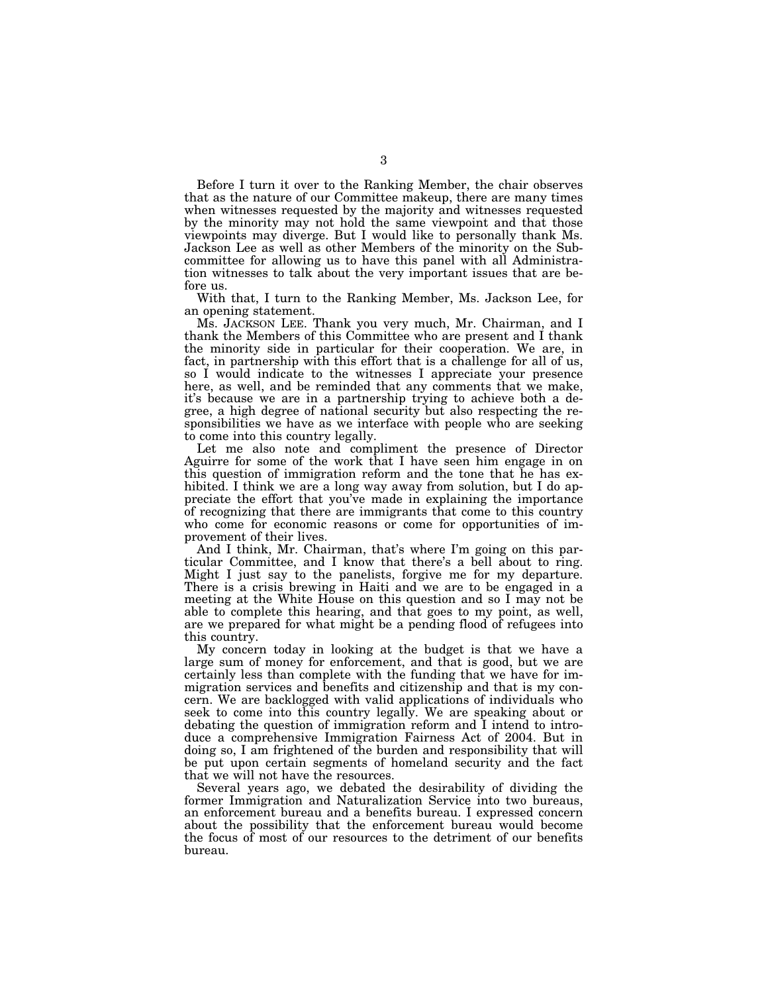Before I turn it over to the Ranking Member, the chair observes that as the nature of our Committee makeup, there are many times when witnesses requested by the majority and witnesses requested by the minority may not hold the same viewpoint and that those viewpoints may diverge. But I would like to personally thank Ms. Jackson Lee as well as other Members of the minority on the Subcommittee for allowing us to have this panel with all Administration witnesses to talk about the very important issues that are before us.

With that, I turn to the Ranking Member, Ms. Jackson Lee, for an opening statement.

Ms. JACKSON LEE. Thank you very much, Mr. Chairman, and I thank the Members of this Committee who are present and I thank the minority side in particular for their cooperation. We are, in fact, in partnership with this effort that is a challenge for all of us, so I would indicate to the witnesses I appreciate your presence here, as well, and be reminded that any comments that we make, it's because we are in a partnership trying to achieve both a degree, a high degree of national security but also respecting the responsibilities we have as we interface with people who are seeking to come into this country legally.

Let me also note and compliment the presence of Director Aguirre for some of the work that I have seen him engage in on this question of immigration reform and the tone that he has exhibited. I think we are a long way away from solution, but I do appreciate the effort that you've made in explaining the importance of recognizing that there are immigrants that come to this country who come for economic reasons or come for opportunities of improvement of their lives.

And I think, Mr. Chairman, that's where I'm going on this particular Committee, and I know that there's a bell about to ring. Might I just say to the panelists, forgive me for my departure. There is a crisis brewing in Haiti and we are to be engaged in a meeting at the White House on this question and so I may not be able to complete this hearing, and that goes to my point, as well, are we prepared for what might be a pending flood of refugees into this country.

My concern today in looking at the budget is that we have a large sum of money for enforcement, and that is good, but we are certainly less than complete with the funding that we have for immigration services and benefits and citizenship and that is my concern. We are backlogged with valid applications of individuals who seek to come into this country legally. We are speaking about or debating the question of immigration reform and I intend to introduce a comprehensive Immigration Fairness Act of 2004. But in doing so, I am frightened of the burden and responsibility that will be put upon certain segments of homeland security and the fact that we will not have the resources.

Several years ago, we debated the desirability of dividing the former Immigration and Naturalization Service into two bureaus, an enforcement bureau and a benefits bureau. I expressed concern about the possibility that the enforcement bureau would become the focus of most of our resources to the detriment of our benefits bureau.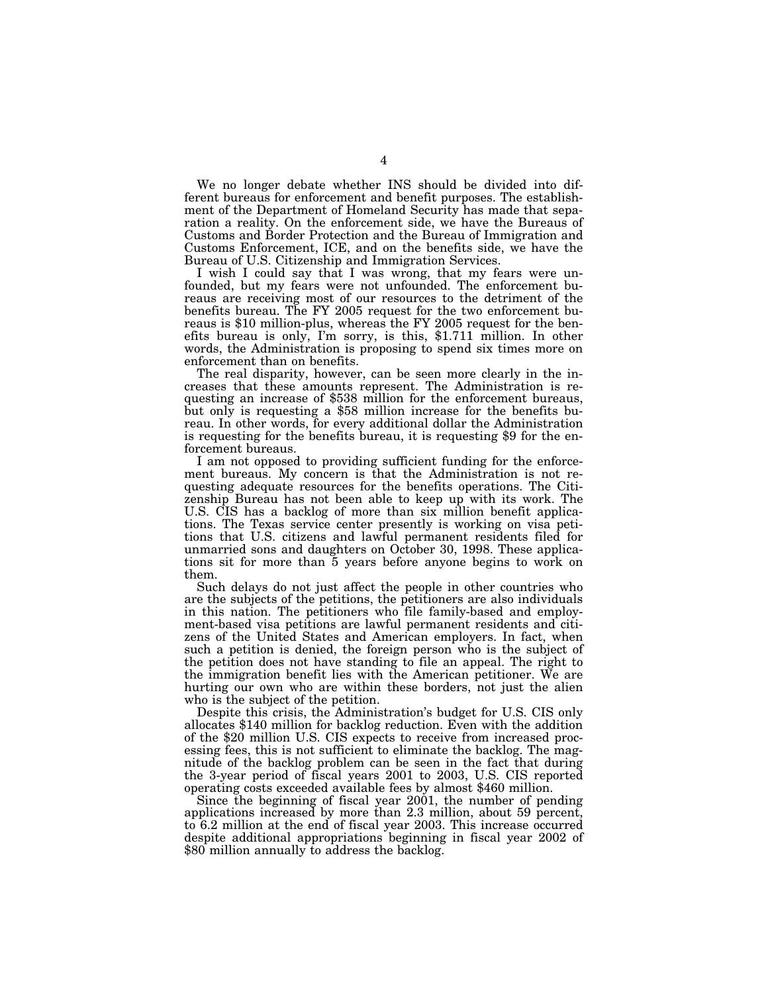We no longer debate whether INS should be divided into different bureaus for enforcement and benefit purposes. The establishment of the Department of Homeland Security has made that separation a reality. On the enforcement side, we have the Bureaus of Customs and Border Protection and the Bureau of Immigration and Customs Enforcement, ICE, and on the benefits side, we have the Bureau of U.S. Citizenship and Immigration Services.

I wish I could say that I was wrong, that my fears were unfounded, but my fears were not unfounded. The enforcement bureaus are receiving most of our resources to the detriment of the benefits bureau. The FY 2005 request for the two enforcement bureaus is \$10 million-plus, whereas the FY 2005 request for the benefits bureau is only, I'm sorry, is this, \$1.711 million. In other words, the Administration is proposing to spend six times more on enforcement than on benefits.

The real disparity, however, can be seen more clearly in the increases that these amounts represent. The Administration is requesting an increase of \$538 million for the enforcement bureaus, but only is requesting a \$58 million increase for the benefits bureau. In other words, for every additional dollar the Administration is requesting for the benefits bureau, it is requesting \$9 for the enforcement bureaus.

I am not opposed to providing sufficient funding for the enforcement bureaus. My concern is that the Administration is not requesting adequate resources for the benefits operations. The Citizenship Bureau has not been able to keep up with its work. The U.S. CIS has a backlog of more than six million benefit applications. The Texas service center presently is working on visa petitions that U.S. citizens and lawful permanent residents filed for unmarried sons and daughters on October 30, 1998. These applications sit for more than 5 years before anyone begins to work on them.

Such delays do not just affect the people in other countries who are the subjects of the petitions, the petitioners are also individuals in this nation. The petitioners who file family-based and employment-based visa petitions are lawful permanent residents and citizens of the United States and American employers. In fact, when such a petition is denied, the foreign person who is the subject of the petition does not have standing to file an appeal. The right to the immigration benefit lies with the American petitioner. We are hurting our own who are within these borders, not just the alien who is the subject of the petition.

Despite this crisis, the Administration's budget for U.S. CIS only allocates \$140 million for backlog reduction. Even with the addition of the \$20 million U.S. CIS expects to receive from increased processing fees, this is not sufficient to eliminate the backlog. The magnitude of the backlog problem can be seen in the fact that during the 3-year period of fiscal years 2001 to 2003, U.S. CIS reported operating costs exceeded available fees by almost \$460 million.

Since the beginning of fiscal year 2001, the number of pending applications increased by more than 2.3 million, about 59 percent, to 6.2 million at the end of fiscal year 2003. This increase occurred despite additional appropriations beginning in fiscal year 2002 of \$80 million annually to address the backlog.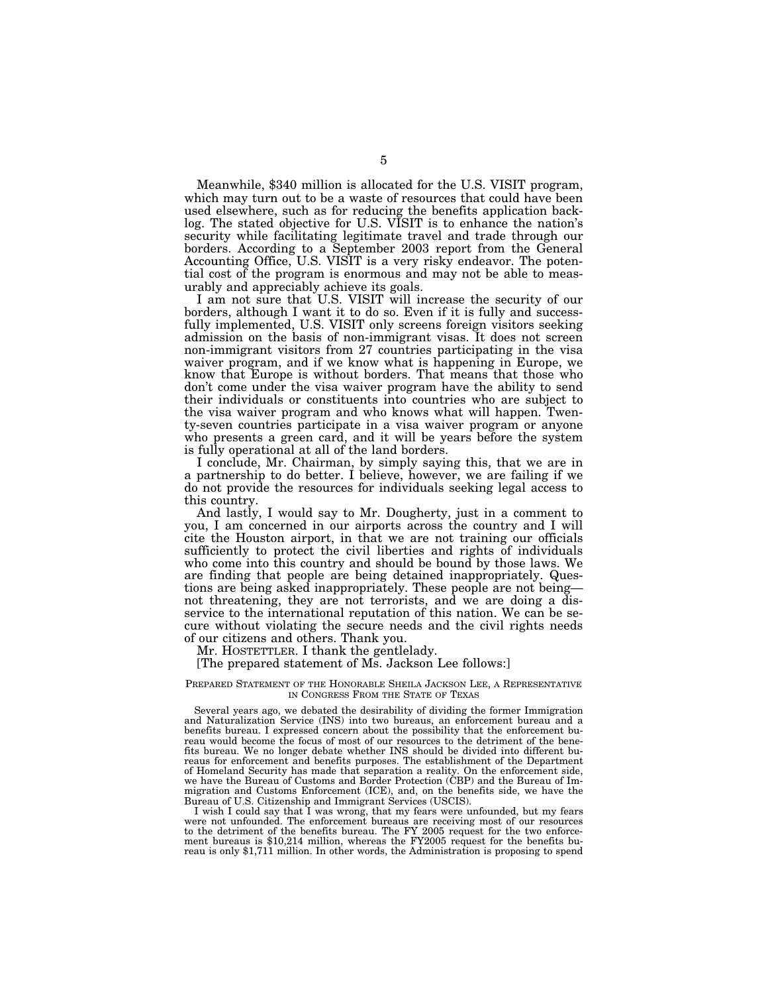Meanwhile, \$340 million is allocated for the U.S. VISIT program, which may turn out to be a waste of resources that could have been used elsewhere, such as for reducing the benefits application backlog. The stated objective for U.S. VISIT is to enhance the nation's security while facilitating legitimate travel and trade through our borders. According to a September 2003 report from the General Accounting Office, U.S. VISIT is a very risky endeavor. The potential cost of the program is enormous and may not be able to measurably and appreciably achieve its goals.

I am not sure that U.S. VISIT will increase the security of our borders, although I want it to do so. Even if it is fully and successfully implemented, U.S. VISIT only screens foreign visitors seeking admission on the basis of non-immigrant visas. It does not screen non-immigrant visitors from 27 countries participating in the visa waiver program, and if we know what is happening in Europe, we know that Europe is without borders. That means that those who don't come under the visa waiver program have the ability to send their individuals or constituents into countries who are subject to the visa waiver program and who knows what will happen. Twenty-seven countries participate in a visa waiver program or anyone who presents a green card, and it will be years before the system is fully operational at all of the land borders.

I conclude, Mr. Chairman, by simply saying this, that we are in a partnership to do better. I believe, however, we are failing if we do not provide the resources for individuals seeking legal access to this country.

And lastly, I would say to Mr. Dougherty, just in a comment to you, I am concerned in our airports across the country and I will cite the Houston airport, in that we are not training our officials sufficiently to protect the civil liberties and rights of individuals who come into this country and should be bound by those laws. We are finding that people are being detained inappropriately. Questions are being asked inappropriately. These people are not being not threatening, they are not terrorists, and we are doing a disservice to the international reputation of this nation. We can be secure without violating the secure needs and the civil rights needs of our citizens and others. Thank you.

Mr. HOSTETTLER. I thank the gentlelady.

[The prepared statement of Ms. Jackson Lee follows:]

#### PREPARED STATEMENT OF THE HONORABLE SHEILA JACKSON LEE, A REPRESENTATIVE IN CONGRESS FROM THE STATE OF TEXAS

Several years ago, we debated the desirability of dividing the former Immigration and Naturalization Service (INS) into two bureaus, an enforcement bureau and a benefits bureau. I expressed concern about the possibility that the enforcement bureau would become the focus of most of our resources to the detriment of the benefits bureau. We no longer debate whether INS should be divided into different bureaus for enforcement and benefits purposes. The establishment of the Department of Homeland Security has made that separation a reality. On the enforcement side, we have the Bureau of Customs and Border Protection (CBP) and the Bureau of Immigration and Customs Enforcement (ICE), and, on the benefits side, we have the Bureau of U.S. Citizenship and Immigrant Services (USCIS).

I wish I could say that I was wrong, that my fears were unfounded, but my fears were not unfounded. The enforcement bureaus are receiving most of our resources to the detriment of the benefits bureau. The FY 2005 request for the two enforcement bureaus is \$10,214 million, whereas the FY2005 request for the benefits bureau is only \$1,711 million. In other words, the Administration is proposing to spend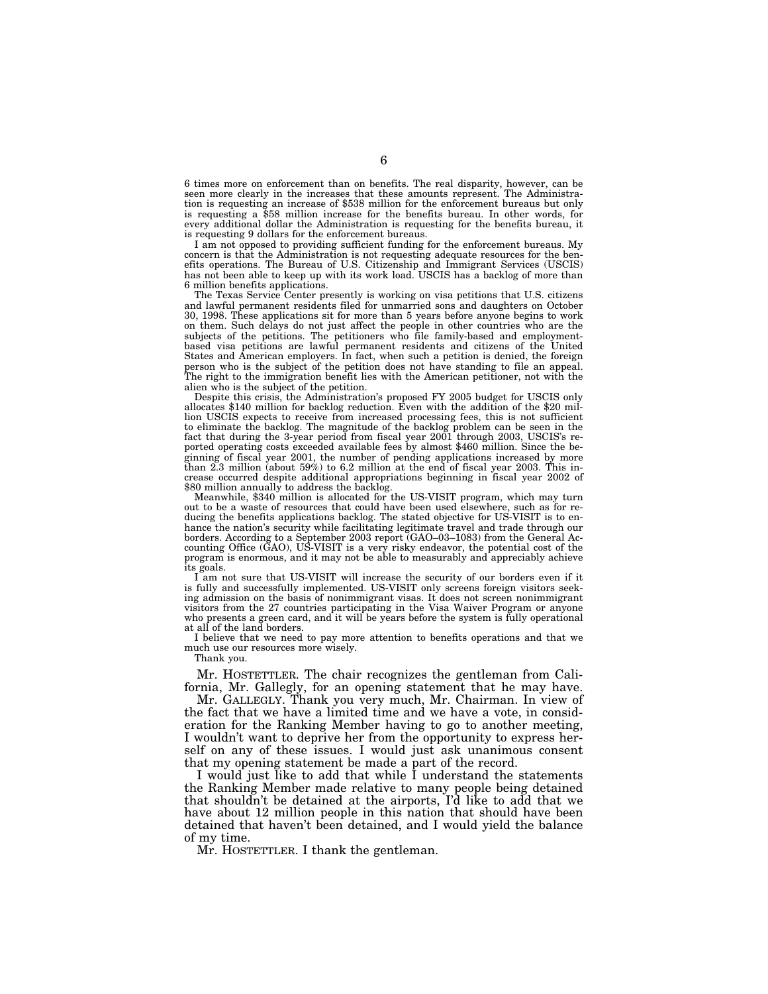6 times more on enforcement than on benefits. The real disparity, however, can be seen more clearly in the increases that these amounts represent. The Administration is requesting an increase of \$538 million for the enforcement bureaus but only is requesting a \$58 million increase for the benefits bureau. In other words, for every additional dollar the Administration is requesting for the benefits bureau, it is requesting 9 dollars for the enforcement bureaus.

I am not opposed to providing sufficient funding for the enforcement bureaus. My concern is that the Administration is not requesting adequate resources for the benefits operations. The Bureau of U.S. Citizenship and Immigrant Services (USCIS) has not been able to keep up with its work load. USCIS has a backlog of more than 6 million benefits applications.

The Texas Service Center presently is working on visa petitions that U.S. citizens and lawful permanent residents filed for unmarried sons and daughters on October 30, 1998. These applications sit for more than 5 years before anyone begins to work on them. Such delays do not just affect the people in other countries who are the subjects of the petitions. The petitioners who file family-based and employmentbased visa petitions are lawful permanent residents and citizens of the United States and American employers. In fact, when such a petition is denied, the foreign person who is the subject of the petition does not have standing to file an appeal. The right to the immigration benefit lies with the American petitioner, not with the alien who is the subject of the petition.

Despite this crisis, the Administration's proposed FY 2005 budget for USCIS only allocates \$140 million for backlog reduction. Even with the addition of the \$20 million USCIS expects to receive from increased processing fees, this is not sufficient to eliminate the backlog. The magnitude of the backlog problem can be seen in the fact that during the 3-year period from fiscal year 2001 through 2003, USCIS's reported operating costs exceeded available fees by almost \$460 million. Since the beginning of fiscal year 2001, the number of pending applications increased by more than 2.3 million (about 59%) to 6.2 million at the end of fiscal year 2003. This increase occurred despite additional appropriations beginning in fiscal year 2002 of \$80 million annually to address the backlog.

Meanwhile, \$340 million is allocated for the US-VISIT program, which may turn out to be a waste of resources that could have been used elsewhere, such as for reducing the benefits applications backlog. The stated objective for US-VISIT is to enhance the nation's security while facilitating legitimate travel and trade through our borders. According to a September 2003 report (GAO–03–1083) from the General Accounting Office (GAO), US-VISIT is a very risky endeavor, the potential cost of the program is enormous, and it may not be able to measurably and appreciably achieve its goals.

I am not sure that US-VISIT will increase the security of our borders even if it is fully and successfully implemented. US-VISIT only screens foreign visitors seeking admission on the basis of nonimmigrant visas. It does not screen nonimmigrant visitors from the 27 countries participating in the Visa Waiver Program or anyone who presents a green card, and it will be years before the system is fully operational at all of the land borders.

I believe that we need to pay more attention to benefits operations and that we much use our resources more wisely.

Thank you.

Mr. HOSTETTLER. The chair recognizes the gentleman from California, Mr. Gallegly, for an opening statement that he may have.

Mr. GALLEGLY. Thank you very much, Mr. Chairman. In view of the fact that we have a limited time and we have a vote, in consideration for the Ranking Member having to go to another meeting, I wouldn't want to deprive her from the opportunity to express herself on any of these issues. I would just ask unanimous consent that my opening statement be made a part of the record.

I would just like to add that while I understand the statements the Ranking Member made relative to many people being detained that shouldn't be detained at the airports, I'd like to add that we have about 12 million people in this nation that should have been detained that haven't been detained, and I would yield the balance of my time.

Mr. HOSTETTLER. I thank the gentleman.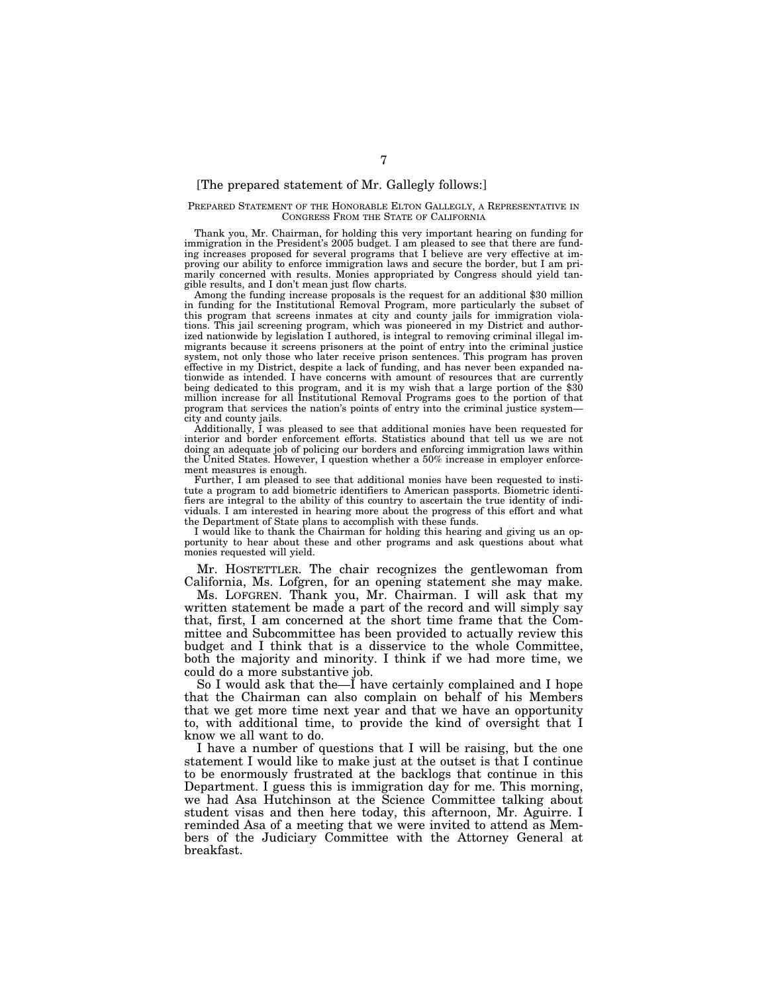### [The prepared statement of Mr. Gallegly follows:]

#### PREPARED STATEMENT OF THE HONORABLE ELTON GALLEGLY, A REPRESENTATIVE IN CONGRESS FROM THE STATE OF CALIFORNIA

Thank you, Mr. Chairman, for holding this very important hearing on funding for immigration in the President's 2005 budget. I am pleased to see that there are funding increases proposed for several programs that I believe are very effective at improving our ability to enforce immigration laws and secure the border, but I am primarily concerned with results. Monies appropriated by Congress should yield tangible results, and I don't mean just flow charts.

Among the funding increase proposals is the request for an additional \$30 million in funding for the Institutional Removal Program, more particularly the subset of this program that screens inmates at city and county jails for immigration violations. This jail screening program, which was pioneered in my District and authorized nationwide by legislation I authored, is integral to removing criminal illegal immigrants because it screens prisoners at the point of entry into the criminal justice system, not only those who later receive prison sentences. This program has proven effective in my District, despite a lack of funding, and has never been expanded nationwide as intended. I have concerns with amount of resources that are currently being dedicated to this program, and it is my wish that a large portion of the  $$30$ million increase for all Institutional Removal Programs goes to the portion of that program that services the nation's points of entry into the criminal justice system city and county jails.

Additionally, I was pleased to see that additional monies have been requested for interior and border enforcement efforts. Statistics abound that tell us we are not doing an adequate job of policing our borders and enforcing immigration laws within the United States. However, I question whether a 50% increase in employer enforcement measures is enough.

Further, I am pleased to see that additional monies have been requested to institute a program to add biometric identifiers to American passports. Biometric identifiers are integral to the ability of this country to ascertain the true identity of individuals. I am interested in hearing more about the progress of this effort and what the Department of State plans to accomplish with these funds.

I would like to thank the Chairman for holding this hearing and giving us an opportunity to hear about these and other programs and ask questions about what monies requested will yield.

Mr. HOSTETTLER. The chair recognizes the gentlewoman from California, Ms. Lofgren, for an opening statement she may make.

Ms. LOFGREN. Thank you, Mr. Chairman. I will ask that my written statement be made a part of the record and will simply say that, first, I am concerned at the short time frame that the Committee and Subcommittee has been provided to actually review this budget and I think that is a disservice to the whole Committee, both the majority and minority. I think if we had more time, we could do a more substantive job.

So I would ask that the—I have certainly complained and I hope that the Chairman can also complain on behalf of his Members that we get more time next year and that we have an opportunity to, with additional time, to provide the kind of oversight that I know we all want to do.

I have a number of questions that I will be raising, but the one statement I would like to make just at the outset is that I continue to be enormously frustrated at the backlogs that continue in this Department. I guess this is immigration day for me. This morning, we had Asa Hutchinson at the Science Committee talking about student visas and then here today, this afternoon, Mr. Aguirre. I reminded Asa of a meeting that we were invited to attend as Members of the Judiciary Committee with the Attorney General at breakfast.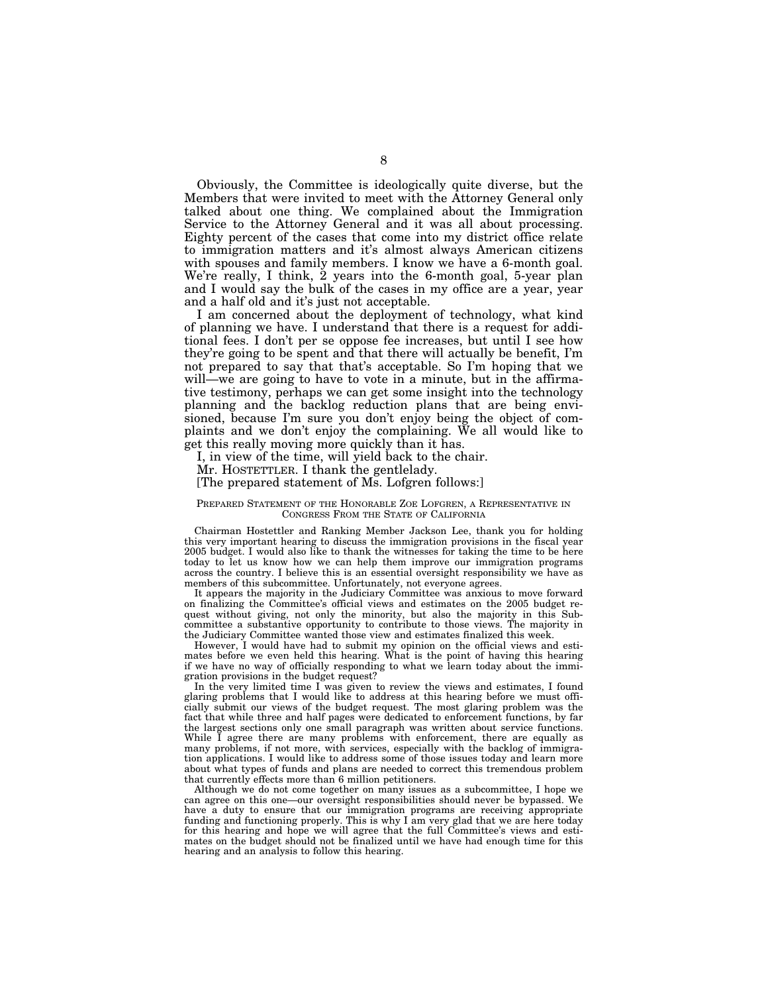Obviously, the Committee is ideologically quite diverse, but the Members that were invited to meet with the Attorney General only talked about one thing. We complained about the Immigration Service to the Attorney General and it was all about processing. Eighty percent of the cases that come into my district office relate to immigration matters and it's almost always American citizens with spouses and family members. I know we have a 6-month goal. We're really, I think, 2 years into the 6-month goal, 5-year plan and I would say the bulk of the cases in my office are a year, year and a half old and it's just not acceptable.

I am concerned about the deployment of technology, what kind of planning we have. I understand that there is a request for additional fees. I don't per se oppose fee increases, but until I see how they're going to be spent and that there will actually be benefit, I'm not prepared to say that that's acceptable. So I'm hoping that we will—we are going to have to vote in a minute, but in the affirmative testimony, perhaps we can get some insight into the technology planning and the backlog reduction plans that are being envisioned, because I'm sure you don't enjoy being the object of complaints and we don't enjoy the complaining. We all would like to get this really moving more quickly than it has.

I, in view of the time, will yield back to the chair.

Mr. HOSTETTLER. I thank the gentlelady.

### [The prepared statement of Ms. Lofgren follows:]

#### PREPARED STATEMENT OF THE HONORABLE ZOE LOFGREN, A REPRESENTATIVE IN CONGRESS FROM THE STATE OF CALIFORNIA

Chairman Hostettler and Ranking Member Jackson Lee, thank you for holding this very important hearing to discuss the immigration provisions in the fiscal year 2005 budget. I would also like to thank the witnesses for taking the time to be here today to let us know how we can help them improve our immigration programs across the country. I believe this is an essential oversight responsibility we have as members of this subcommittee. Unfortunately, not everyone agrees.

It appears the majority in the Judiciary Committee was anxious to move forward on finalizing the Committee's official views and estimates on the 2005 budget request without giving, not only the minority, but also the majority in this Subcommittee a substantive opportunity to contribute to those views. The majority in the Judiciary Committee wanted those view and estimates finalized this week.

However, I would have had to submit my opinion on the official views and estimates before we even held this hearing. What is the point of having this hearing if we have no way of officially responding to what we learn today about the immigration provisions in the budget request?

In the very limited time I was given to review the views and estimates, I found glaring problems that I would like to address at this hearing before we must officially submit our views of the budget request. The most glaring problem was the fact that while three and half pages were dedicated to enforcement functions, by far the largest sections only one small paragraph was written about service functions. While I agree there are many problems with enforcement, there are equally as many problems, if not more, with services, especially with the backlog of immigration applications. I would like to address some of those issues today and learn more about what types of funds and plans are needed to correct this tremendous problem that currently effects more than 6 million petitioners.

Although we do not come together on many issues as a subcommittee, I hope we can agree on this one—our oversight responsibilities should never be bypassed. We have a duty to ensure that our immigration programs are receiving appropriate funding and functioning properly. This is why I am very glad that we are here today for this hearing and hope we will agree that the full Committee's views and estimates on the budget should not be finalized until we have had enough time for this hearing and an analysis to follow this hearing.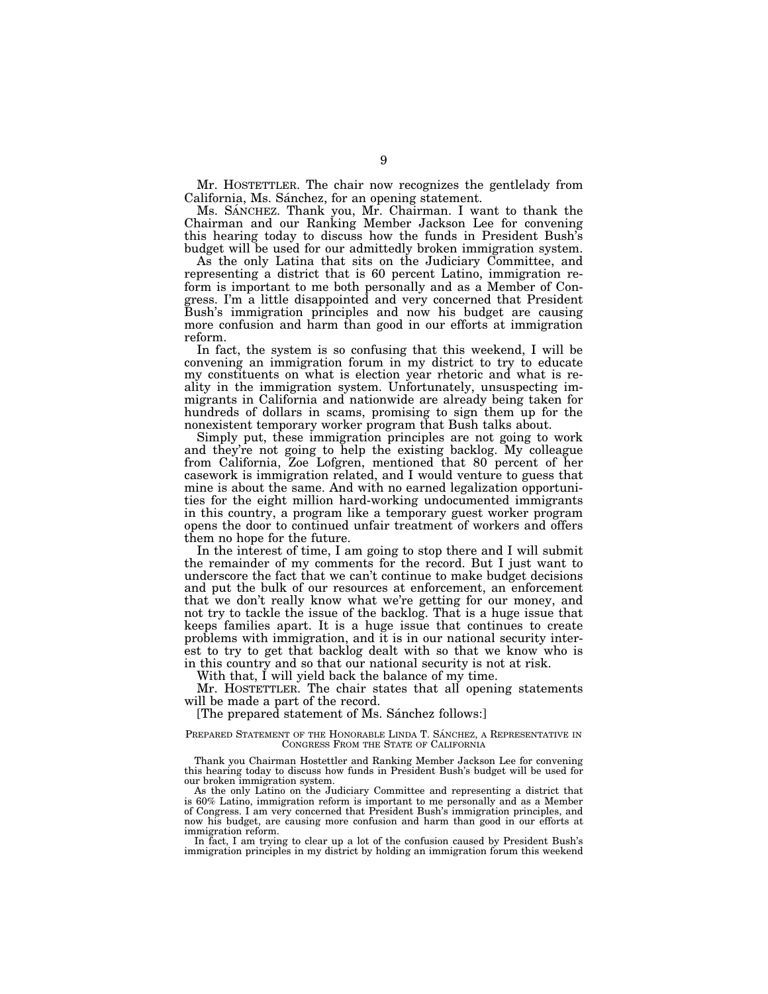Mr. HOSTETTLER. The chair now recognizes the gentlelady from California, Ms. Sánchez, for an opening statement.

Ms. SANCHEZ. Thank you, Mr. Chairman. I want to thank the Chairman and our Ranking Member Jackson Lee for convening this hearing today to discuss how the funds in President Bush's budget will be used for our admittedly broken immigration system.

As the only Latina that sits on the Judiciary Committee, and representing a district that is 60 percent Latino, immigration reform is important to me both personally and as a Member of Congress. I'm a little disappointed and very concerned that President Bush's immigration principles and now his budget are causing more confusion and harm than good in our efforts at immigration reform.

In fact, the system is so confusing that this weekend, I will be convening an immigration forum in my district to try to educate my constituents on what is election year rhetoric and what is reality in the immigration system. Unfortunately, unsuspecting immigrants in California and nationwide are already being taken for hundreds of dollars in scams, promising to sign them up for the nonexistent temporary worker program that Bush talks about.

Simply put, these immigration principles are not going to work and they're not going to help the existing backlog. My colleague from California, Zoe Lofgren, mentioned that 80 percent of her casework is immigration related, and I would venture to guess that mine is about the same. And with no earned legalization opportunities for the eight million hard-working undocumented immigrants in this country, a program like a temporary guest worker program opens the door to continued unfair treatment of workers and offers them no hope for the future.

In the interest of time, I am going to stop there and I will submit the remainder of my comments for the record. But I just want to underscore the fact that we can't continue to make budget decisions and put the bulk of our resources at enforcement, an enforcement that we don't really know what we're getting for our money, and not try to tackle the issue of the backlog. That is a huge issue that keeps families apart. It is a huge issue that continues to create problems with immigration, and it is in our national security interest to try to get that backlog dealt with so that we know who is in this country and so that our national security is not at risk.

With that, I will yield back the balance of my time.

Mr. HOSTETTLER. The chair states that all opening statements will be made a part of the record.

[The prepared statement of Ms. Sánchez follows:]

#### PREPARED STATEMENT OF THE HONORABLE LINDA T. SÁNCHEZ, A REPRESENTATIVE IN CONGRESS FROM THE STATE OF CALIFORNIA

Thank you Chairman Hostettler and Ranking Member Jackson Lee for convening this hearing today to discuss how funds in President Bush's budget will be used for our broken immigration system.

As the only Latino on the Judiciary Committee and representing a district that is 60% Latino, immigration reform is important to me personally and as a Member of Congress. I am very concerned that President Bush's immigration principles, and now his budget, are causing more confusion and harm than good in our efforts at immigration reform.

In fact, I am trying to clear up a lot of the confusion caused by President Bush's immigration principles in my district by holding an immigration forum this weekend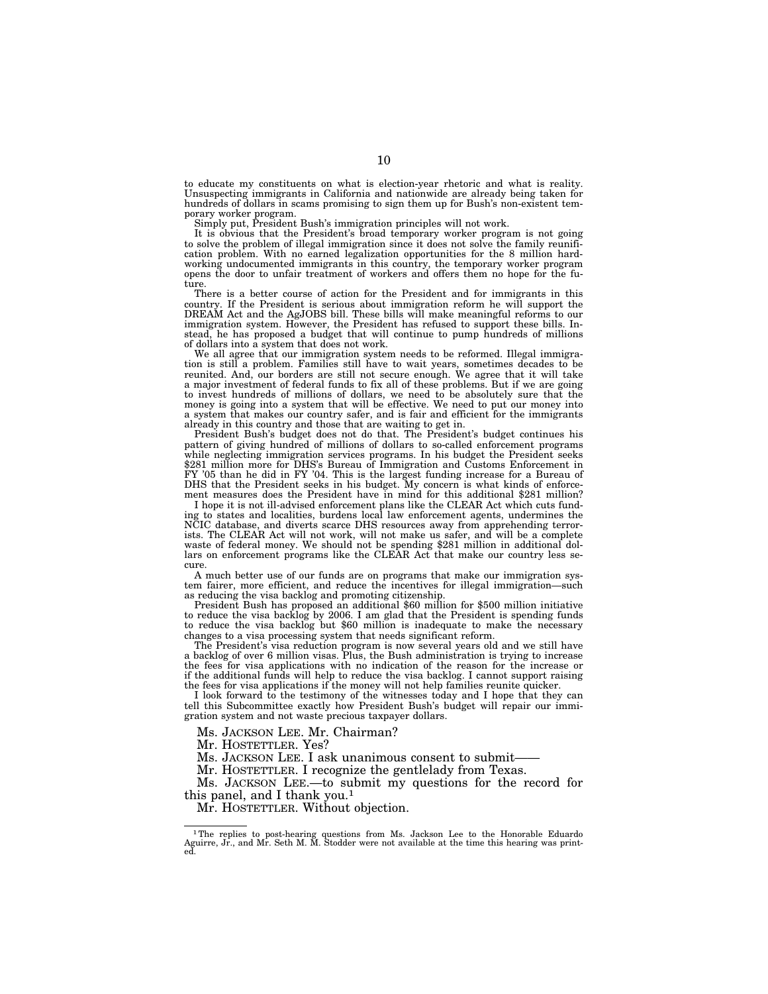to educate my constituents on what is election-year rhetoric and what is reality. Unsuspecting immigrants in California and nationwide are already being taken for hundreds of dollars in scams promising to sign them up for Bush's non-existent temporary worker program.

Simply put, President Bush's immigration principles will not work.

It is obvious that the President's broad temporary worker program is not going to solve the problem of illegal immigration since it does not solve the family reunification problem. With no earned legalization opportunities for the 8 million hardworking undocumented immigrants in this country, the temporary worker program opens the door to unfair treatment of workers and offers them no hope for the future.

There is a better course of action for the President and for immigrants in this country. If the President is serious about immigration reform he will support the DREAM Act and the AgJOBS bill. These bills will make meaningful reforms to our immigration system. However, the President has refused to support these bills. Instead, he has proposed a budget that will continue to pump hundreds of millions of dollars into a system that does not work.

We all agree that our immigration system needs to be reformed. Illegal immigration is still a problem. Families still have to wait years, sometimes decades to be reunited. And, our borders are still not secure enough. We agree that it will take a major investment of federal funds to fix all of these problems. But if we are going to invest hundreds of millions of dollars, we need to be absolutely sure that the money is going into a system that will be effective. We need to put our money into a system that makes our country safer, and is fair and efficient for the immigrants already in this country and those that are waiting to get in.

President Bush's budget does not do that. The President's budget continues his pattern of giving hundred of millions of dollars to so-called enforcement programs while neglecting immigration services programs. In his budget the President seeks \$281 million more for DHS's Bureau of Immigration and Customs Enforcement in FY '05 than he did in FY '04. This is the largest funding increase for a Bureau of DHS that the President seeks in his budget. My concern is what kinds of enforcement measures does the President have in mind for this additional \$281 million?

I hope it is not ill-advised enforcement plans like the CLEAR Act which cuts funding to states and localities, burdens local law enforcement agents, undermines the NCIC database, and diverts scarce DHS resources away from apprehending terrorists. The CLEAR Act will not work, will not make us safer, and will be a complete waste of federal money. We should not be spending \$281 million in additional dollars on enforcement programs like the CLEAR Act that make our country less secure.

A much better use of our funds are on programs that make our immigration system fairer, more efficient, and reduce the incentives for illegal immigration—such as reducing the visa backlog and promoting citizenship.

President Bush has proposed an additional \$60 million for \$500 million initiative to reduce the visa backlog by 2006. I am glad that the President is spending funds to reduce the visa backlog but \$60 million is inadequate to make the necessary changes to a visa processing system that needs significant reform.

The President's visa reduction program is now several years old and we still have a backlog of over 6 million visas. Plus, the Bush administration is trying to increase the fees for visa applications with no indication of the reason for the increase or if the additional funds will help to reduce the visa backlog. I cannot support raising the fees for visa applications if the money will not help families reunite quicker.

I look forward to the testimony of the witnesses today and I hope that they can tell this Subcommittee exactly how President Bush's budget will repair our immigration system and not waste precious taxpayer dollars.

Ms. JACKSON LEE. Mr. Chairman?

Mr. HOSTETTLER. Yes?

Ms. JACKSON LEE. I ask unanimous consent to submit—— Mr. HOSTETTLER. I recognize the gentlelady from Texas.

Ms. JACKSON LEE.—to submit my questions for the record for this panel, and I thank you.<sup>1</sup>

Mr. HOSTETTLER. Without objection.

<sup>1</sup>The replies to post-hearing questions from Ms. Jackson Lee to the Honorable Eduardo Aguirre, Jr., and Mr. Seth M. M. Stodder were not available at the time this hearing was print-ed.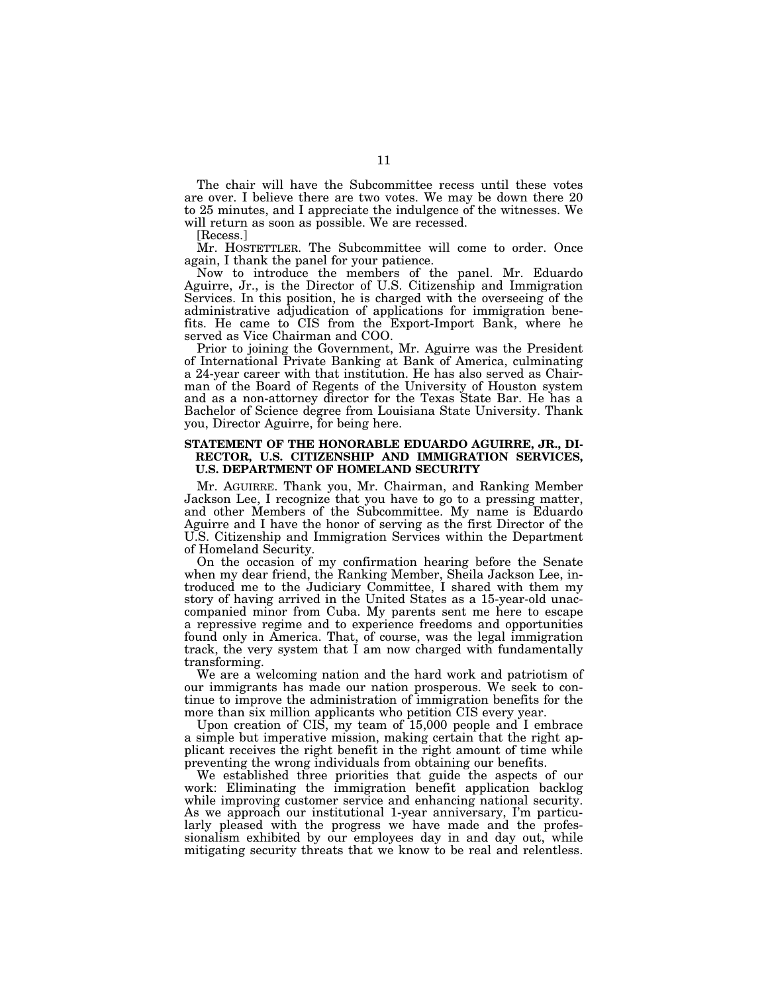The chair will have the Subcommittee recess until these votes are over. I believe there are two votes. We may be down there 20 to 25 minutes, and I appreciate the indulgence of the witnesses. We will return as soon as possible. We are recessed.

[Recess.]

Mr. HOSTETTLER. The Subcommittee will come to order. Once again, I thank the panel for your patience.

Now to introduce the members of the panel. Mr. Eduardo Aguirre, Jr., is the Director of U.S. Citizenship and Immigration Services. In this position, he is charged with the overseeing of the administrative adjudication of applications for immigration benefits. He came to CIS from the Export-Import Bank, where he served as Vice Chairman and COO.

Prior to joining the Government, Mr. Aguirre was the President of International Private Banking at Bank of America, culminating a 24-year career with that institution. He has also served as Chairman of the Board of Regents of the University of Houston system and as a non-attorney director for the Texas State Bar. He has a Bachelor of Science degree from Louisiana State University. Thank you, Director Aguirre, for being here.

### **STATEMENT OF THE HONORABLE EDUARDO AGUIRRE, JR., DI-RECTOR, U.S. CITIZENSHIP AND IMMIGRATION SERVICES, U.S. DEPARTMENT OF HOMELAND SECURITY**

Mr. AGUIRRE. Thank you, Mr. Chairman, and Ranking Member Jackson Lee, I recognize that you have to go to a pressing matter, and other Members of the Subcommittee. My name is Eduardo Aguirre and I have the honor of serving as the first Director of the U.S. Citizenship and Immigration Services within the Department of Homeland Security.

On the occasion of my confirmation hearing before the Senate when my dear friend, the Ranking Member, Sheila Jackson Lee, introduced me to the Judiciary Committee, I shared with them my story of having arrived in the United States as a 15-year-old unaccompanied minor from Cuba. My parents sent me here to escape a repressive regime and to experience freedoms and opportunities found only in America. That, of course, was the legal immigration track, the very system that I am now charged with fundamentally transforming.

We are a welcoming nation and the hard work and patriotism of our immigrants has made our nation prosperous. We seek to continue to improve the administration of immigration benefits for the more than six million applicants who petition CIS every year.

Upon creation of CIS, my team of 15,000 people and I embrace a simple but imperative mission, making certain that the right applicant receives the right benefit in the right amount of time while preventing the wrong individuals from obtaining our benefits.

We established three priorities that guide the aspects of our work: Eliminating the immigration benefit application backlog while improving customer service and enhancing national security. As we approach our institutional 1-year anniversary, I'm particularly pleased with the progress we have made and the professionalism exhibited by our employees day in and day out, while mitigating security threats that we know to be real and relentless.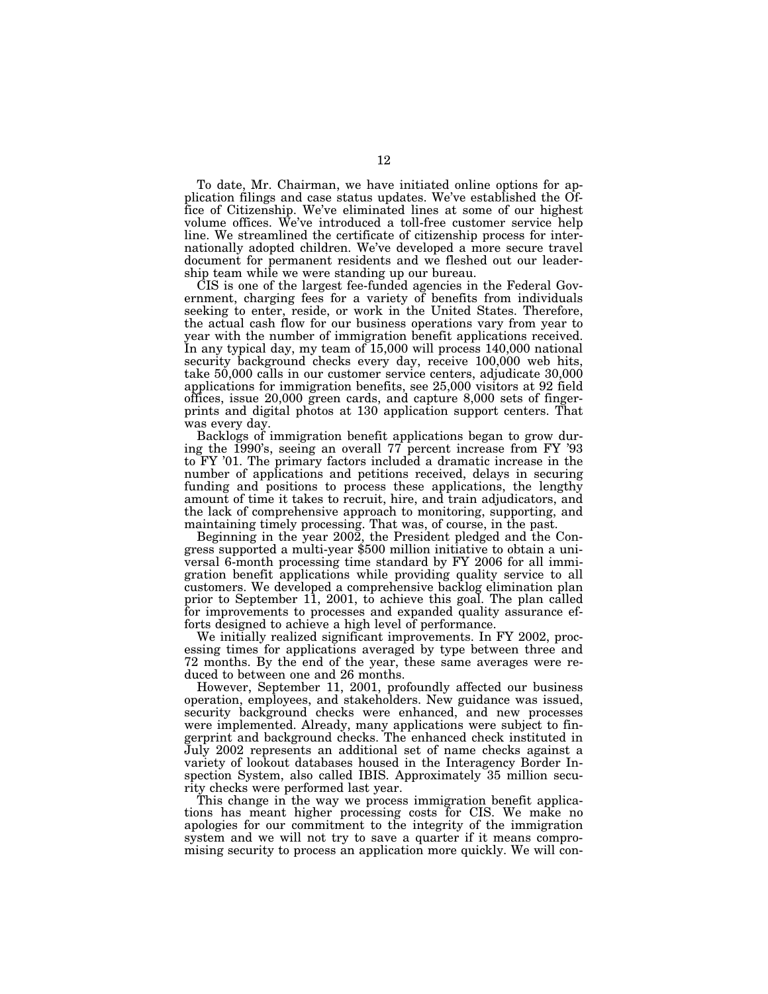To date, Mr. Chairman, we have initiated online options for application filings and case status updates. We've established the Office of Citizenship. We've eliminated lines at some of our highest volume offices. We've introduced a toll-free customer service help line. We streamlined the certificate of citizenship process for internationally adopted children. We've developed a more secure travel document for permanent residents and we fleshed out our leadership team while we were standing up our bureau.

CIS is one of the largest fee-funded agencies in the Federal Government, charging fees for a variety of benefits from individuals seeking to enter, reside, or work in the United States. Therefore, the actual cash flow for our business operations vary from year to year with the number of immigration benefit applications received. In any typical day, my team of 15,000 will process 140,000 national security background checks every day, receive 100,000 web hits, take 50,000 calls in our customer service centers, adjudicate 30,000 applications for immigration benefits, see 25,000 visitors at 92 field offices, issue 20,000 green cards, and capture 8,000 sets of fingerprints and digital photos at 130 application support centers. That was every day.

Backlogs of immigration benefit applications began to grow during the 1990's, seeing an overall 77 percent increase from FY '93 to FY '01. The primary factors included a dramatic increase in the number of applications and petitions received, delays in securing funding and positions to process these applications, the lengthy amount of time it takes to recruit, hire, and train adjudicators, and the lack of comprehensive approach to monitoring, supporting, and maintaining timely processing. That was, of course, in the past.

Beginning in the year 2002, the President pledged and the Con- gress supported a multi-year \$500 million initiative to obtain a universal 6-month processing time standard by FY 2006 for all immigration benefit applications while providing quality service to all customers. We developed a comprehensive backlog elimination plan prior to September 11, 2001, to achieve this goal. The plan called for improvements to processes and expanded quality assurance efforts designed to achieve a high level of performance.

We initially realized significant improvements. In FY 2002, processing times for applications averaged by type between three and 72 months. By the end of the year, these same averages were reduced to between one and 26 months.

However, September 11, 2001, profoundly affected our business operation, employees, and stakeholders. New guidance was issued, security background checks were enhanced, and new processes were implemented. Already, many applications were subject to fingerprint and background checks. The enhanced check instituted in July 2002 represents an additional set of name checks against a variety of lookout databases housed in the Interagency Border Inspection System, also called IBIS. Approximately 35 million security checks were performed last year.

This change in the way we process immigration benefit applications has meant higher processing costs for CIS. We make no apologies for our commitment to the integrity of the immigration system and we will not try to save a quarter if it means compromising security to process an application more quickly. We will con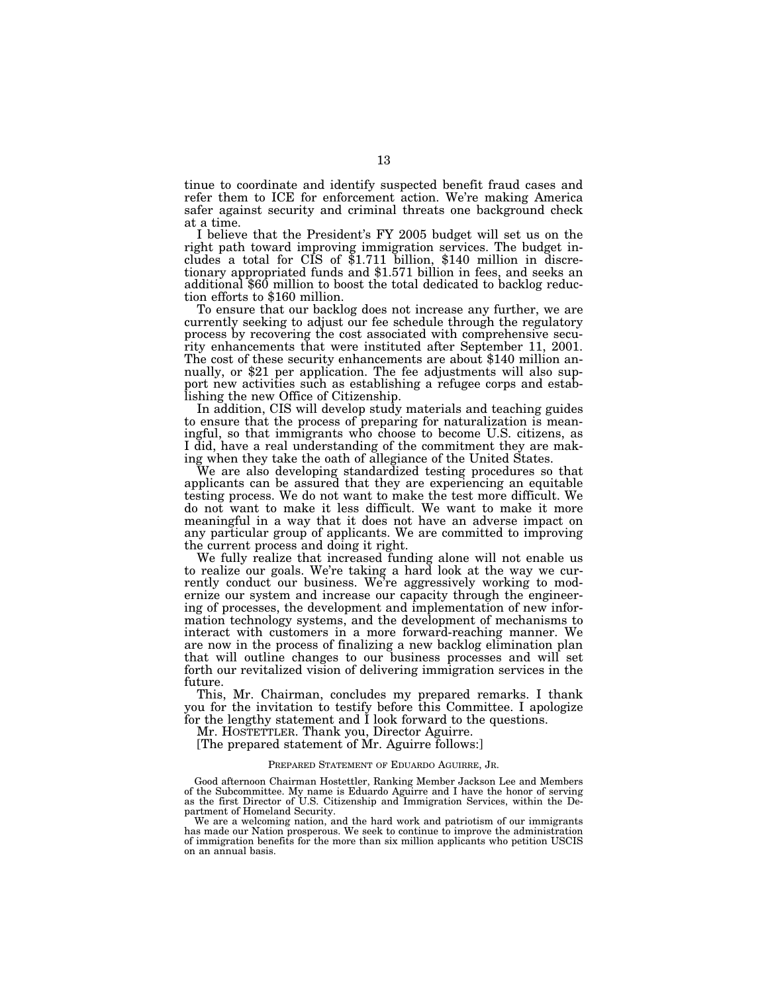tinue to coordinate and identify suspected benefit fraud cases and refer them to ICE for enforcement action. We're making America safer against security and criminal threats one background check at a time.

I believe that the President's FY 2005 budget will set us on the right path toward improving immigration services. The budget includes a total for CIS of \$1.711 billion, \$140 million in discretionary appropriated funds and \$1.571 billion in fees, and seeks an additional \$60 million to boost the total dedicated to backlog reduction efforts to \$160 million.

To ensure that our backlog does not increase any further, we are currently seeking to adjust our fee schedule through the regulatory process by recovering the cost associated with comprehensive security enhancements that were instituted after September 11, 2001. The cost of these security enhancements are about \$140 million annually, or \$21 per application. The fee adjustments will also support new activities such as establishing a refugee corps and establishing the new Office of Citizenship.

In addition, CIS will develop study materials and teaching guides to ensure that the process of preparing for naturalization is meaningful, so that immigrants who choose to become U.S. citizens, as I did, have a real understanding of the commitment they are making when they take the oath of allegiance of the United States.

We are also developing standardized testing procedures so that applicants can be assured that they are experiencing an equitable testing process. We do not want to make the test more difficult. We do not want to make it less difficult. We want to make it more meaningful in a way that it does not have an adverse impact on any particular group of applicants. We are committed to improving the current process and doing it right.

We fully realize that increased funding alone will not enable us to realize our goals. We're taking a hard look at the way we currently conduct our business. We're aggressively working to modernize our system and increase our capacity through the engineering of processes, the development and implementation of new information technology systems, and the development of mechanisms to interact with customers in a more forward-reaching manner. We are now in the process of finalizing a new backlog elimination plan that will outline changes to our business processes and will set forth our revitalized vision of delivering immigration services in the future.

This, Mr. Chairman, concludes my prepared remarks. I thank you for the invitation to testify before this Committee. I apologize for the lengthy statement and  $\dot{I}$  look forward to the questions.

Mr. HOSTETTLER. Thank you, Director Aguirre.

[The prepared statement of Mr. Aguirre follows:]

#### PREPARED STATEMENT OF EDUARDO AGUIRRE, JR.

Good afternoon Chairman Hostettler, Ranking Member Jackson Lee and Members of the Subcommittee. My name is Eduardo Aguirre and I have the honor of serving as the first Director of U.S. Citizenship and Immigration Services, within the Department of Homeland Security.

We are a welcoming nation, and the hard work and patriotism of our immigrants has made our Nation prosperous. We seek to continue to improve the administration of immigration benefits for the more than six million applicants who petition USCIS on an annual basis.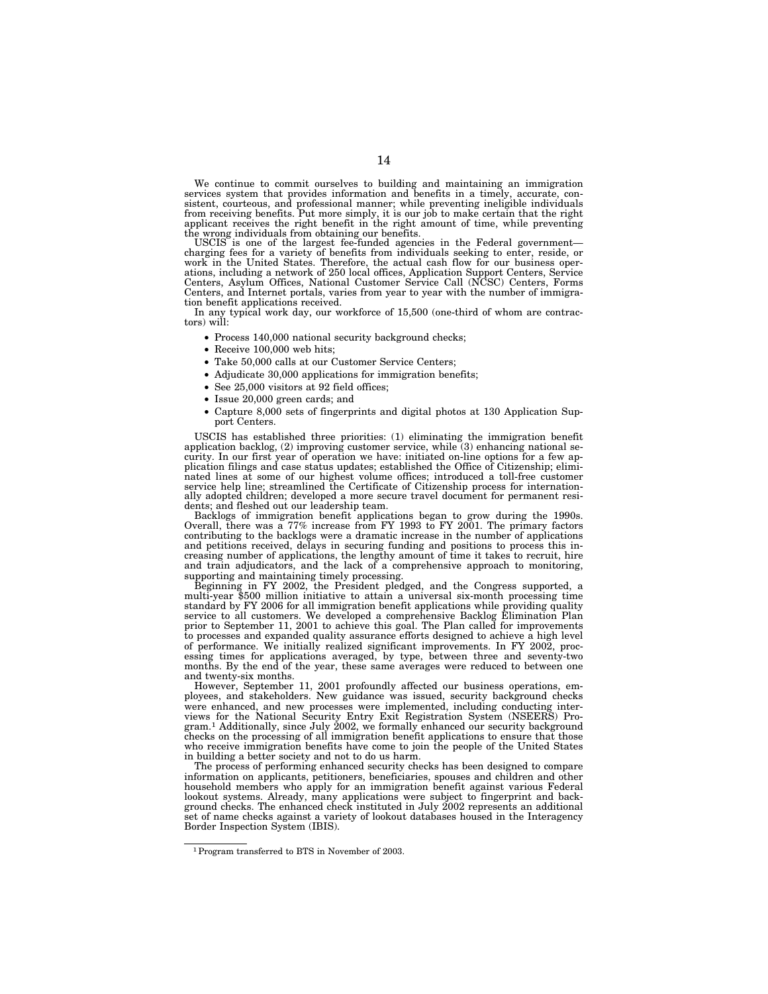We continue to commit ourselves to building and maintaining an immigration services system that provides information and benefits in a timely, accurate, consistent, courteous, and professional manner; while preventing ineligible individuals from receiving benefits. Put more simply, it is our job to make certain that the right applicant receives the right benefit in the right amount of time, while preventing

the wrong individuals from obtaining our benefits.<br>USCIS is one of the largest fee-funded agencies in the Federal government— USCIS is one of the largest fee-funded agencies in the Federal government—<br>charging fees for a variety of benefits from individuals seeking to enter, reside, or<br>work in the United States. Therefore, the actual cash flow fo Centers, and Internet portals, varies from year to year with the number of immigration benefit applications received.

In any typical work day, our workforce of 15,500 (one-third of whom are contrac-tors) will:

- Process 140,000 national security background checks;
- Receive 100,000 web hits;
- Take 50,000 calls at our Customer Service Centers;
- Adjudicate 30,000 applications for immigration benefits;
- See 25,000 visitors at 92 field offices;
- Issue 20,000 green cards; and
- Capture 8,000 sets of fingerprints and digital photos at 130 Application Support Centers.

USCIS has established three priorities: (1) eliminating the immigration benefit application backlog, (2) improving customer service, while (3) enhancing national security. In our first year of operation we have: initiated on-line options for a few application filings and case status updates; established the Office of Citizenship; eliminated lines at some of our highest volume offices; introduced a toll-free customer service help line; streamlined the Certificate of Citizenship process for internationally adopted children; developed a more secure travel document for permanent residents; and fleshed out our leadership team.

Backlogs of immigration benefit applications began to grow during the 1990s. Overall, there was a 77% increase from FY 1993 to FY 2001. The primary factors contributing to the backlogs were a dramatic increase in the number of applications and petitions received, delays in securing funding and positions to process this increasing number of applications, the lengthy amount of time it takes to recruit, hire and train adjudicators, and the lack of a comprehensive approach to monitoring, supporting and maintaining timely processing.

Beginning in FY 2002, the President pledged, and the Congress supported, a multi-year \$500 million initiative to attain a universal six-month processing time standard by FY 2006 for all immigration benefit applications while providing quality service to all customers. We developed a comprehensive Backlog Elimination Plan prior to September 11, 2001 to achieve this goal. The Plan called for improvements to processes and expanded quality assurance efforts designed to achieve a high level of performance. We initially realized significant improvements. In FY 2002, processing times for applications averaged, by type, between three and seventy-two months. By the end of the year, these same averages were reduced to between one and twenty-six months.

However, September 11, 2001 profoundly affected our business operations, employees, and stakeholders. New guidance was issued, security background checks were enhanced, and new processes were implemented, including conducting interviews for the National Security Entry Exit Registration System (NSEERS) Pro-gram.1 Additionally, since July 2002, we formally enhanced our security background checks on the processing of all immigration benefit applications to ensure that those who receive immigration benefits have come to join the people of the United States in building a better society and not to do us harm.

The process of performing enhanced security checks has been designed to compare information on applicants, petitioners, beneficiaries, spouses and children and other household members who apply for an immigration benefit against various Federal lookout systems. Already, many applications were subject to fingerprint and background checks. The enhanced check instituted in July 2002 represents an additional set of name checks against a variety of lookout databases housed in the Interagency Border Inspection System (IBIS).

<sup>1</sup>Program transferred to BTS in November of 2003.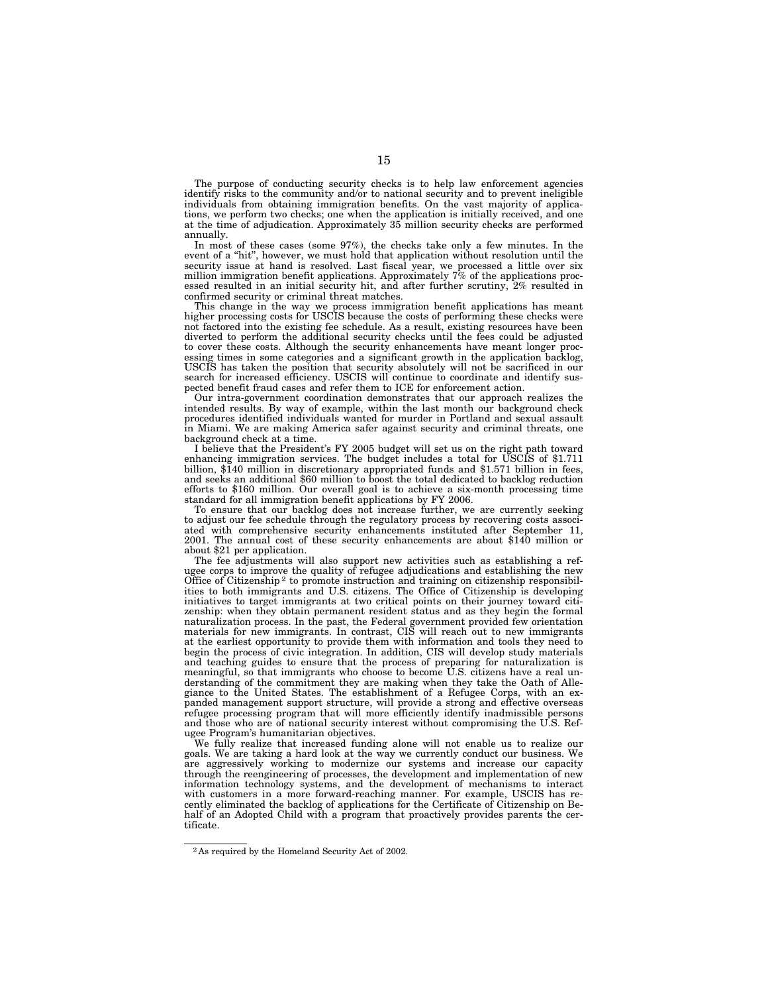The purpose of conducting security checks is to help law enforcement agencies identify risks to the community and/or to national security and to prevent ineligible individuals from obtaining immigration benefits. On the vast majority of applications, we perform two checks; one when the application is initially received, and one at the time of adjudication. Approximately 35 million security checks are performed annually.

In most of these cases (some 97%), the checks take only a few minutes. In the event of a "hit", however, we must hold that application without resolution until the security issue at hand is resolved. Last fiscal year, we processed a little over six million immigration benefit applications. Approximately 7% of the applications processed resulted in an initial security hit, and after further scrutiny, 2% resulted in confirmed security or criminal threat matches.

This change in the way we process immigration benefit applications has meant higher processing costs for USCIS because the costs of performing these checks were not factored into the existing fee schedule. As a result, existing resources have been diverted to perform the additional security checks until the fees could be adjusted to cover these costs. Although the security enhancements have meant longer processing times in some categories and a significant growth in the application backlog, USCIS has taken the position that security absolutely will not be sacrificed in our search for increased efficiency. USCIS will continue to coordinate and identify suspected benefit fraud cases and refer them to ICE for enforcement action.

Our intra-government coordination demonstrates that our approach realizes the intended results. By way of example, within the last month our background check procedures identified individuals wanted for murder in Portland and sexual assault in Miami. We are making America safer against security and criminal threats, one background check at a time.

I believe that the President's FY 2005 budget will set us on the right path toward enhancing immigration services. The budget includes a total for USCIS of \$1.711 billion, \$140 million in discretionary appropriated funds and \$1.571 billion in fees, and seeks an additional \$60 million to boost the total dedicated to backlog reduction efforts to \$160 million. Our overall goal is to achieve a six-month processing time standard for all immigration benefit applications by FY 2006.

To ensure that our backlog does not increase further, we are currently seeking to adjust our fee schedule through the regulatory process by recovering costs associated with comprehensive security enhancements instituted after September 11, 2001. The annual cost of these security enhancements are about \$140 million or about \$21 per application.

The fee adjustments will also support new activities such as establishing a refugee corps to improve the quality of refugee adjudications and establishing the new Office of Citizenship 2 to promote instruction and training on citizenship responsibilities to both immigrants and U.S. citizens. The Office of Citizenship is developing initiatives to target immigrants at two critical points on their journey toward citizenship: when they obtain permanent resident status and as they begin the formal naturalization process. In the past, the Federal government provided few orientation materials for new immigrants. In contrast, CIS will reach out to new immigrants at the earliest opportunity to provide them with information and tools they need to begin the process of civic integration. In addition, CIS will develop study materials and teaching guides to ensure that the process of preparing for naturalization is meaningful, so that immigrants who choose to become U.S. citizens have a real understanding of the commitment they are making when they take the Oath of Allegiance to the United States. The establishment of a Refugee Corps, with an expanded management support structure, will provide a strong and effective overseas refugee processing program that will more efficiently identify inadmissible persons and those who are of national security interest without compromising the U.S. Refugee Program's humanitarian objectives.

We fully realize that increased funding alone will not enable us to realize our goals. We are taking a hard look at the way we currently conduct our business. We are aggressively working to modernize our systems and increase our capacity through the reengineering of processes, the development and implementation of new information technology systems, and the development of mechanisms to interact with customers in a more forward-reaching manner. For example, USCIS has recently eliminated the backlog of applications for the Certificate of Citizenship on Behalf of an Adopted Child with a program that proactively provides parents the certificate.

<sup>2</sup> As required by the Homeland Security Act of 2002.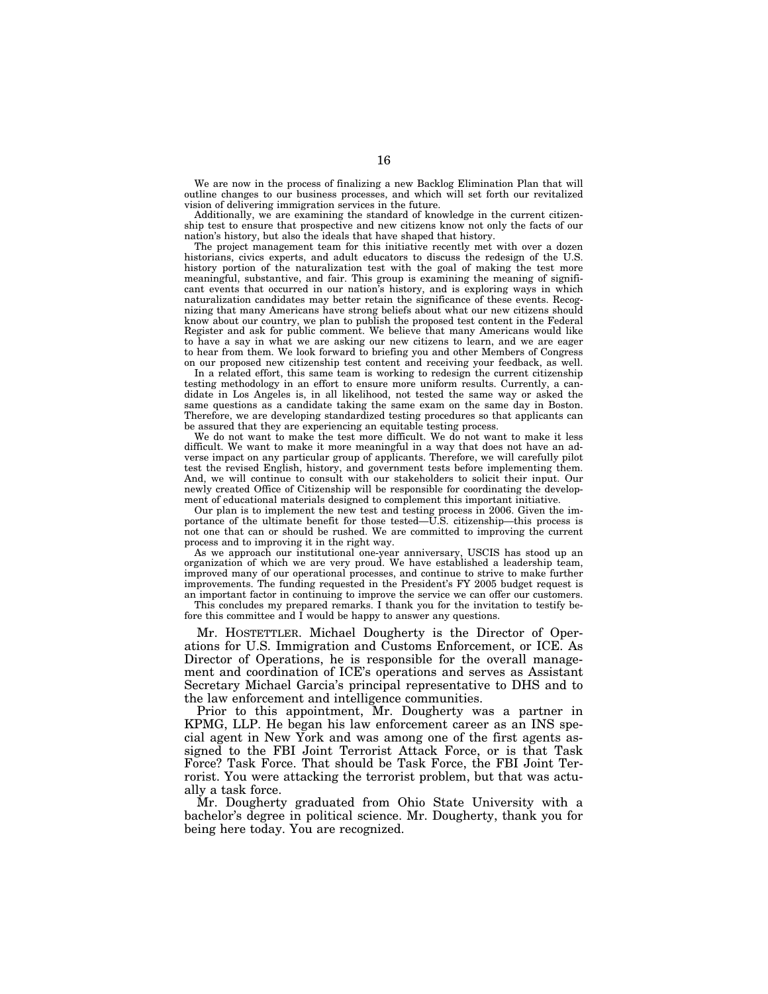We are now in the process of finalizing a new Backlog Elimination Plan that will outline changes to our business processes, and which will set forth our revitalized vision of delivering immigration services in the future.

Additionally, we are examining the standard of knowledge in the current citizenship test to ensure that prospective and new citizens know not only the facts of our nation's history, but also the ideals that have shaped that history.

The project management team for this initiative recently met with over a dozen historians, civics experts, and adult educators to discuss the redesign of the U.S. history portion of the naturalization test with the goal of making the test more meaningful, substantive, and fair. This group is examining the meaning of significant events that occurred in our nation's history, and is exploring ways in which naturalization candidates may better retain the significance of these events. Recognizing that many Americans have strong beliefs about what our new citizens should know about our country, we plan to publish the proposed test content in the Federal Register and ask for public comment. We believe that many Americans would like to have a say in what we are asking our new citizens to learn, and we are eager to hear from them. We look forward to briefing you and other Members of Congress on our proposed new citizenship test content and receiving your feedback, as well.

In a related effort, this same team is working to redesign the current citizenship testing methodology in an effort to ensure more uniform results. Currently, a candidate in Los Angeles is, in all likelihood, not tested the same way or asked the same questions as a candidate taking the same exam on the same day in Boston. Therefore, we are developing standardized testing procedures so that applicants can be assured that they are experiencing an equitable testing process.

We do not want to make the test more difficult. We do not want to make it less difficult. We want to make it more meaningful in a way that does not have an adverse impact on any particular group of applicants. Therefore, we will carefully pilot test the revised English, history, and government tests before implementing them. And, we will continue to consult with our stakeholders to solicit their input. Our newly created Office of Citizenship will be responsible for coordinating the development of educational materials designed to complement this important initiative.

Our plan is to implement the new test and testing process in 2006. Given the importance of the ultimate benefit for those tested—U.S. citizenship—this process is not one that can or should be rushed. We are committed to improving the current process and to improving it in the right way.

As we approach our institutional one-year anniversary, USCIS has stood up an organization of which we are very proud. We have established a leadership team, improved many of our operational processes, and continue to strive to make further improvements. The funding requested in the President's FY 2005 budget request is an important factor in continuing to improve the service we can offer our customers.

This concludes my prepared remarks. I thank you for the invitation to testify before this committee and I would be happy to answer any questions.

Mr. HOSTETTLER. Michael Dougherty is the Director of Operations for U.S. Immigration and Customs Enforcement, or ICE. As Director of Operations, he is responsible for the overall management and coordination of ICE's operations and serves as Assistant Secretary Michael Garcia's principal representative to DHS and to the law enforcement and intelligence communities.

Prior to this appointment, Mr. Dougherty was a partner in KPMG, LLP. He began his law enforcement career as an INS special agent in New York and was among one of the first agents assigned to the FBI Joint Terrorist Attack Force, or is that Task Force? Task Force. That should be Task Force, the FBI Joint Terrorist. You were attacking the terrorist problem, but that was actually a task force.

Mr. Dougherty graduated from Ohio State University with a bachelor's degree in political science. Mr. Dougherty, thank you for being here today. You are recognized.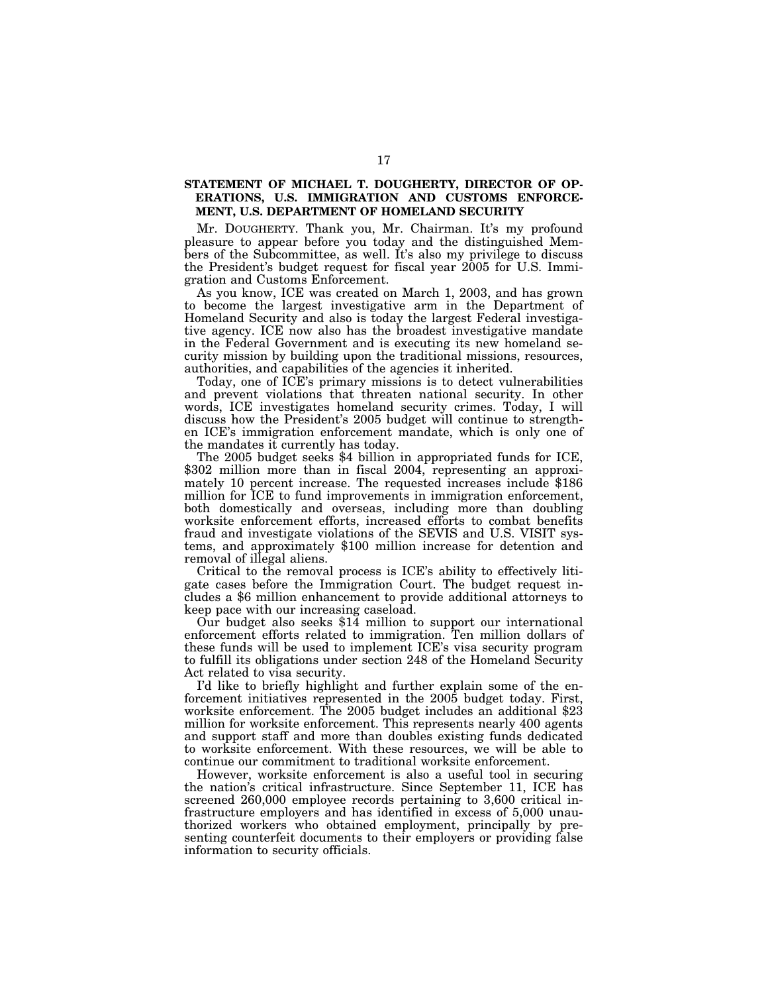## **STATEMENT OF MICHAEL T. DOUGHERTY, DIRECTOR OF OP-ERATIONS, U.S. IMMIGRATION AND CUSTOMS ENFORCE-MENT, U.S. DEPARTMENT OF HOMELAND SECURITY**

Mr. DOUGHERTY. Thank you, Mr. Chairman. It's my profound pleasure to appear before you today and the distinguished Members of the Subcommittee, as well. It's also my privilege to discuss the President's budget request for fiscal year 2005 for U.S. Immigration and Customs Enforcement.

As you know, ICE was created on March 1, 2003, and has grown to become the largest investigative arm in the Department of Homeland Security and also is today the largest Federal investigative agency. ICE now also has the broadest investigative mandate in the Federal Government and is executing its new homeland security mission by building upon the traditional missions, resources, authorities, and capabilities of the agencies it inherited.

Today, one of ICE's primary missions is to detect vulnerabilities and prevent violations that threaten national security. In other words, ICE investigates homeland security crimes. Today, I will discuss how the President's 2005 budget will continue to strengthen ICE's immigration enforcement mandate, which is only one of the mandates it currently has today.

The 2005 budget seeks \$4 billion in appropriated funds for ICE, \$302 million more than in fiscal 2004, representing an approximately 10 percent increase. The requested increases include \$186 million for ICE to fund improvements in immigration enforcement, both domestically and overseas, including more than doubling worksite enforcement efforts, increased efforts to combat benefits fraud and investigate violations of the SEVIS and U.S. VISIT systems, and approximately \$100 million increase for detention and removal of illegal aliens.

Critical to the removal process is ICE's ability to effectively litigate cases before the Immigration Court. The budget request includes a \$6 million enhancement to provide additional attorneys to keep pace with our increasing caseload.

Our budget also seeks \$14 million to support our international enforcement efforts related to immigration. Ten million dollars of these funds will be used to implement ICE's visa security program to fulfill its obligations under section 248 of the Homeland Security Act related to visa security.

I'd like to briefly highlight and further explain some of the enforcement initiatives represented in the 2005 budget today. First, worksite enforcement. The 2005 budget includes an additional \$23 million for worksite enforcement. This represents nearly 400 agents and support staff and more than doubles existing funds dedicated to worksite enforcement. With these resources, we will be able to continue our commitment to traditional worksite enforcement.

However, worksite enforcement is also a useful tool in securing the nation's critical infrastructure. Since September 11, ICE has screened 260,000 employee records pertaining to 3,600 critical infrastructure employers and has identified in excess of 5,000 unauthorized workers who obtained employment, principally by presenting counterfeit documents to their employers or providing false information to security officials.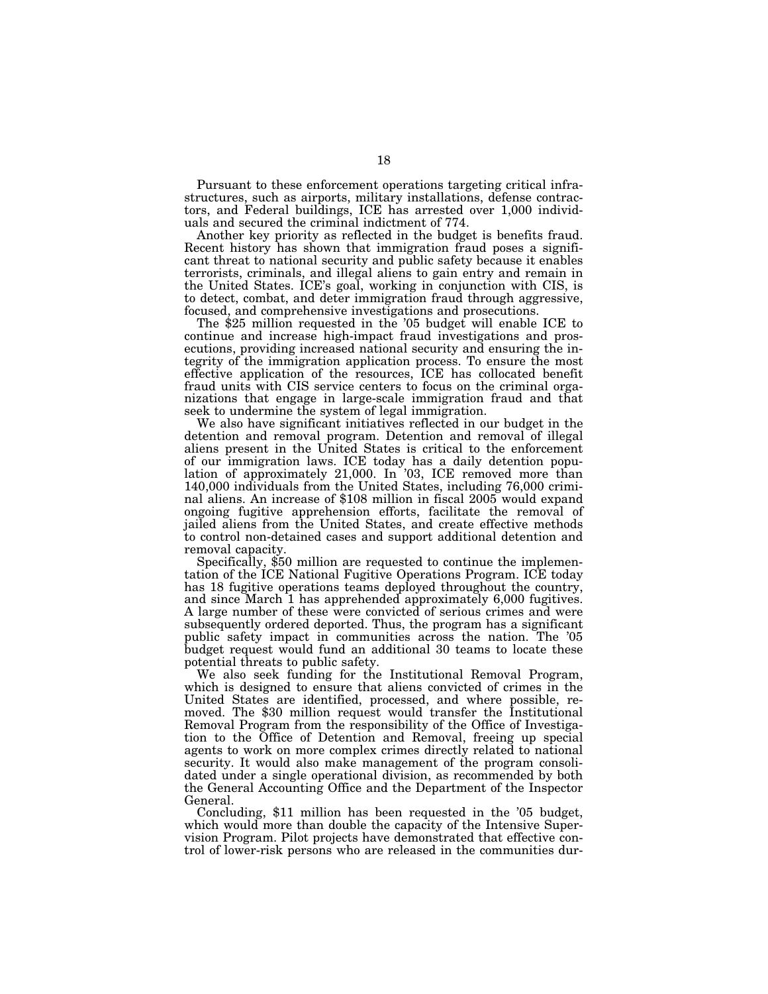Pursuant to these enforcement operations targeting critical infrastructures, such as airports, military installations, defense contractors, and Federal buildings, ICE has arrested over 1,000 individuals and secured the criminal indictment of 774.

Another key priority as reflected in the budget is benefits fraud. Recent history has shown that immigration fraud poses a significant threat to national security and public safety because it enables terrorists, criminals, and illegal aliens to gain entry and remain in the United States. ICE's goal, working in conjunction with CIS, is to detect, combat, and deter immigration fraud through aggressive,

The  $$25$  million requested in the '05 budget will enable ICE to continue and increase high-impact fraud investigations and prosecutions, providing increased national security and ensuring the integrity of the immigration application process. To ensure the most effective application of the resources, ICE has collocated benefit fraud units with CIS service centers to focus on the criminal organizations that engage in large-scale immigration fraud and that seek to undermine the system of legal immigration.

We also have significant initiatives reflected in our budget in the detention and removal program. Detention and removal of illegal aliens present in the United States is critical to the enforcement of our immigration laws. ICE today has a daily detention population of approximately 21,000. In '03, ICE removed more than 140,000 individuals from the United States, including 76,000 criminal aliens. An increase of \$108 million in fiscal 2005 would expand ongoing fugitive apprehension efforts, facilitate the removal of jailed aliens from the United States, and create effective methods to control non-detained cases and support additional detention and

removal capacity.<br>Specifically, \$50 million are requested to continue the implementation of the ICE National Fugitive Operations Program. ICE today has 18 fugitive operations teams deployed throughout the country, and since March 1 has apprehended approximately 6,000 fugitives. A large number of these were convicted of serious crimes and were subsequently ordered deported. Thus, the program has a significant public safety impact in communities across the nation. The '05 budget request would fund an additional 30 teams to locate these potential threats to public safety.

We also seek funding for the Institutional Removal Program, which is designed to ensure that aliens convicted of crimes in the United States are identified, processed, and where possible, removed. The \$30 million request would transfer the Institutional Removal Program from the responsibility of the Office of Investigation to the Office of Detention and Removal, freeing up special agents to work on more complex crimes directly related to national security. It would also make management of the program consolidated under a single operational division, as recommended by both the General Accounting Office and the Department of the Inspector General.

Concluding, \$11 million has been requested in the '05 budget, which would more than double the capacity of the Intensive Supervision Program. Pilot projects have demonstrated that effective control of lower-risk persons who are released in the communities dur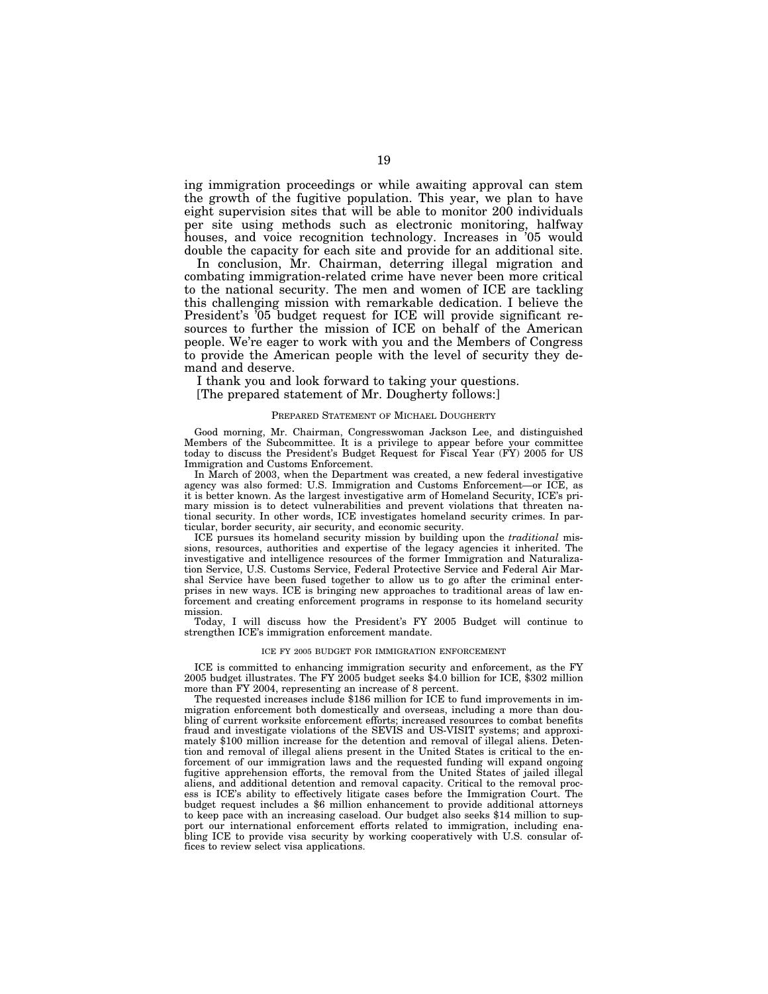ing immigration proceedings or while awaiting approval can stem the growth of the fugitive population. This year, we plan to have eight supervision sites that will be able to monitor 200 individuals per site using methods such as electronic monitoring, halfway houses, and voice recognition technology. Increases in '05 would double the capacity for each site and provide for an additional site.

In conclusion, Mr. Chairman, deterring illegal migration and combating immigration-related crime have never been more critical to the national security. The men and women of ICE are tackling this challenging mission with remarkable dedication. I believe the President's '05 budget request for ICE will provide significant resources to further the mission of ICE on behalf of the American people. We're eager to work with you and the Members of Congress to provide the American people with the level of security they demand and deserve.

I thank you and look forward to taking your questions.

[The prepared statement of Mr. Dougherty follows:]

#### PREPARED STATEMENT OF MICHAEL DOUGHERTY

Good morning, Mr. Chairman, Congresswoman Jackson Lee, and distinguished Members of the Subcommittee. It is a privilege to appear before your committee today to discuss the President's Budget Request for Fiscal Year (FY) 2005 for US Immigration and Customs Enforcement.

In March of 2003, when the Department was created, a new federal investigative agency was also formed: U.S. Immigration and Customs Enforcement—or ICE, as it is better known. As the largest investigative arm of Homeland Security, ICE's primary mission is to detect vulnerabilities and prevent violations that threaten national security. In other words, ICE investigates homeland security crimes. In particular, border security, air security, and economic security.

ICE pursues its homeland security mission by building upon the *traditional* missions, resources, authorities and expertise of the legacy agencies it inherited. The investigative and intelligence resources of the former Immigration and Naturalization Service, U.S. Customs Service, Federal Protective Service and Federal Air Marshal Service have been fused together to allow us to go after the criminal enterprises in new ways. ICE is bringing new approaches to traditional areas of law enforcement and creating enforcement programs in response to its homeland security mission.

Today, I will discuss how the President's FY 2005 Budget will continue to strengthen ICE's immigration enforcement mandate.

#### ICE FY 2005 BUDGET FOR IMMIGRATION ENFORCEMENT

ICE is committed to enhancing immigration security and enforcement, as the FY 2005 budget illustrates. The FY 2005 budget seeks \$4.0 billion for ICE, \$302 million more than FY 2004, representing an increase of 8 percent.

The requested increases include \$186 million for ICE to fund improvements in immigration enforcement both domestically and overseas, including a more than doubling of current worksite enforcement efforts; increased resources to combat benefits fraud and investigate violations of the SEVIS and US-VISIT systems; and approximately \$100 million increase for the detention and removal of illegal aliens. Detention and removal of illegal aliens present in the United States is critical to the enforcement of our immigration laws and the requested funding will expand ongoing fugitive apprehension efforts, the removal from the United States of jailed illegal aliens, and additional detention and removal capacity. Critical to the removal process is ICE's ability to effectively litigate cases before the Immigration Court. The budget request includes a \$6 million enhancement to provide additional attorneys to keep pace with an increasing caseload. Our budget also seeks \$14 million to support our international enforcement efforts related to immigration, including enabling ICE to provide visa security by working cooperatively with U.S. consular offices to review select visa applications.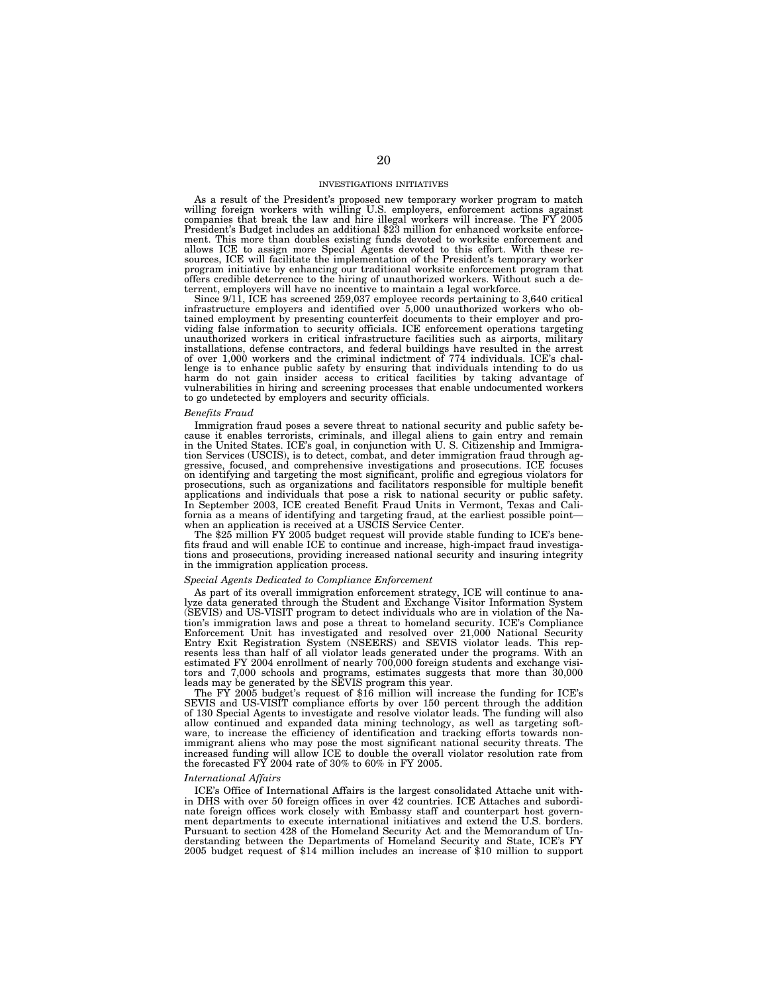#### INVESTIGATIONS INITIATIVES

As a result of the President's proposed new temporary worker program to match willing foreign workers with willing U.S. employers, enforcement actions against companies that break the law and hire illegal workers will increase. The FY 2005 President's Budget includes an additional \$23 million for enhanced worksite enforcement. This more than doubles existing funds devoted to worksite enforcement and allows ICE to assign more Special Agents devoted to this effort. With these resources, ICE will facilitate the implementation of the President's temporary worker program initiative by enhancing our traditional worksite enforcement program that offers credible deterrence to the hiring of unauthorized workers. Without such a deterrent, employers will have no incentive to maintain a legal workforce.

Since 9/11, ICE has screened 259,037 employee records pertaining to 3,640 critical infrastructure employers and identified over 5,000 unauthorized workers who obtained employment by presenting counterfeit documents to their employer and providing false information to security officials. ICE enforcement operations targeting unauthorized workers in critical infrastructure facilities such as airports, military installations, defense contractors, and federal buildings have resulted in the arrest of over 1,000 workers and the criminal indictment of 774 individuals. ICE's challenge is to enhance public safety by ensuring that individuals intending to do us<br>harm do not gain insider access to critical facilities by taking advantage of<br>vulnerabilities in hiring and screening processes that enable to go undetected by employers and security officials.

#### *Benefits Fraud*

Immigration fraud poses a severe threat to national security and public safety because it enables terrorists, criminals, and illegal aliens to gain entry and remain in the United States. ICE's goal, in conjunction with U. S. Citizenship and Immigra-tion Services (USCIS), is to detect, combat, and deter immigration fraud through aggressive, focused, and comprehensive investigations and prosecutions. ICE focuses on identifying and targeting the most significant, prolific and egregious violators for prosecutions, such as organizations and facilitators responsible for multiple benefit applications and individuals that pose a risk to national security or public safety. In September 2003, ICE created Benefit Fraud Units in Vermont, Texas and California as a means of identifying and targeting fraud, at the earliest possible point when an application is received at a USCIS Service Center.

The \$25 million FY 2005 budget request will provide stable funding to ICE's benefits fraud and will enable ICE to continue and increase, high-impact fraud investigations and prosecutions, providing increased national security and insuring integrity in the immigration application process.

#### *Special Agents Dedicated to Compliance Enforcement*

As part of its overall immigration enforcement strategy, ICE will continue to analyze data generated through the Student and Exchange Visitor Information System (SEVIS) and US-VISIT program to detect individuals who are in violation of the Nation's immigration laws and pose a threat to homeland security. ICE's Compliance Enforcement Unit has investigated and resolved over 21,000 National Security Entry Exit Registration System (NSEERS) and SEVIS violator leads. This represents less than half of all violator leads generated under the programs. With an estimated FY 2004 enrollment of nearly 700,000 foreign students and exchange visitors and 7,000 schools and programs, estimates suggests that more than 30,000 leads may be generated by the SEVIS program this year.

The FY 2005 budget's request of \$16 million will increase the funding for ICE's SEVIS and US-VISIT compliance efforts by over 150 percent through the addition of 130 Special Agents to investigate and resolve violator leads. The funding will also allow continued and expanded data mining technology, as well as targeting software, to increase the efficiency of identification and tracking efforts towards nonimmigrant aliens who may pose the most significant national security threats. The increased funding will allow ICE to double the overall violator resolution rate from the forecasted FY 2004 rate of 30% to 60% in FY 2005.

#### *International Affairs*

ICE's Office of International Affairs is the largest consolidated Attache unit within DHS with over 50 foreign offices in over 42 countries. ICE Attaches and subordinate foreign offices work closely with Embassy staff and counterpart host government departments to execute international initiatives and extend the U.S. borders. Pursuant to section 428 of the Homeland Security Act and the Memorandum of Understanding between the Departments of Homeland Security and State, ICE's FY 2005 budget request of \$14 million includes an increase of \$10 million to support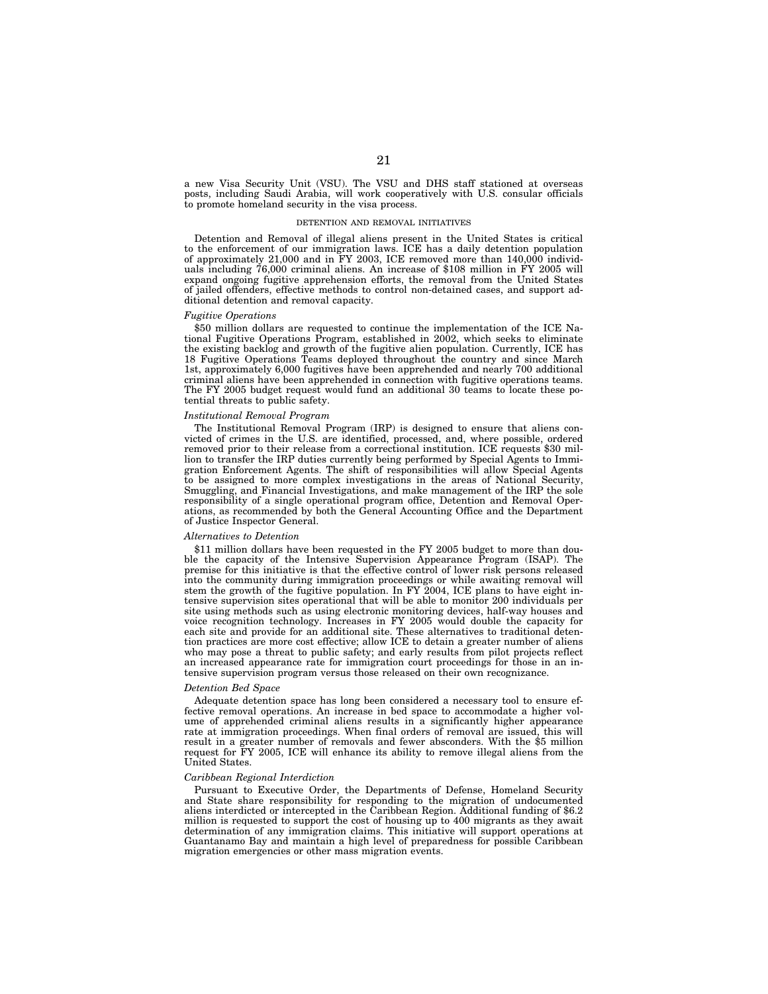a new Visa Security Unit (VSU). The VSU and DHS staff stationed at overseas posts, including Saudi Arabia, will work cooperatively with U.S. consular officials to promote homeland security in the visa process.

#### DETENTION AND REMOVAL INITIATIVES

Detention and Removal of illegal aliens present in the United States is critical to the enforcement of our immigration laws. ICE has a daily detention population of approximately 21,000 and in FY 2003, ICE removed more than 140,000 individuals including 76,000 criminal aliens. An increase of \$108 million in FY 2005 will expand ongoing fugitive apprehension efforts, the removal from the United States of jailed offenders, effective methods to control non-detained cases, and support additional detention and removal capacity.

#### *Fugitive Operations*

\$50 million dollars are requested to continue the implementation of the ICE National Fugitive Operations Program, established in 2002, which seeks to eliminate the existing backlog and growth of the fugitive alien population. Currently, ICE has 18 Fugitive Operations Teams deployed throughout the country and since March 1st, approximately 6,000 fugitives have been apprehended and nearly 700 additional criminal aliens have been apprehended in connection with fugitive operations teams. The FY 2005 budget request would fund an additional 30 teams to locate these potential threats to public safety.

#### *Institutional Removal Program*

The Institutional Removal Program (IRP) is designed to ensure that aliens convicted of crimes in the U.S. are identified, processed, and, where possible, ordered removed prior to their release from a correctional institution. ICE requests \$30 million to transfer the IRP duties currently being performed by Special Agents to Immigration Enforcement Agents. The shift of responsibilities will allow Special Agents to be assigned to more complex investigations in the areas of National Security, Smuggling, and Financial Investigations, and make management of the IRP the sole responsibility of a single operational program office, Detention and Removal Operations, as recommended by both the General Accounting Office and the Department of Justice Inspector General.

#### *Alternatives to Detention*

\$11 million dollars have been requested in the FY 2005 budget to more than double the capacity of the Intensive Supervision Appearance Program (ISAP). The premise for this initiative is that the effective control of lower risk persons released into the community during immigration proceedings or while awaiting removal will stem the growth of the fugitive population. In FY 2004, ICE plans to have eight intensive supervision sites operational that will be able to monitor 200 individuals per site using methods such as using electronic monitoring devices, half-way houses and voice recognition technology. Increases in FY 2005 would double the capacity for each site and provide for an additional site. These alternatives to traditional detention practices are more cost effective; allow ICE to detain a greater number of aliens who may pose a threat to public safety; and early results from pilot projects reflect an increased appearance rate for immigration court proceedings for those in an intensive supervision program versus those released on their own recognizance.

#### *Detention Bed Space*

Adequate detention space has long been considered a necessary tool to ensure effective removal operations. An increase in bed space to accommodate a higher volume of apprehended criminal aliens results in a significantly higher appearance rate at immigration proceedings. When final orders of removal are issued, this will result in a greater number of removals and fewer absconders. With the \$5 million request for FY 2005, ICE will enhance its ability to remove illegal aliens from the United States.

#### *Caribbean Regional Interdiction*

Pursuant to Executive Order, the Departments of Defense, Homeland Security and State share responsibility for responding to the migration of undocumented aliens interdicted or intercepted in the Caribbean Region. Additional funding of \$6.2 million is requested to support the cost of housing up to 400 migrants as they await determination of any immigration claims. This initiative will support operations at Guantanamo Bay and maintain a high level of preparedness for possible Caribbean migration emergencies or other mass migration events.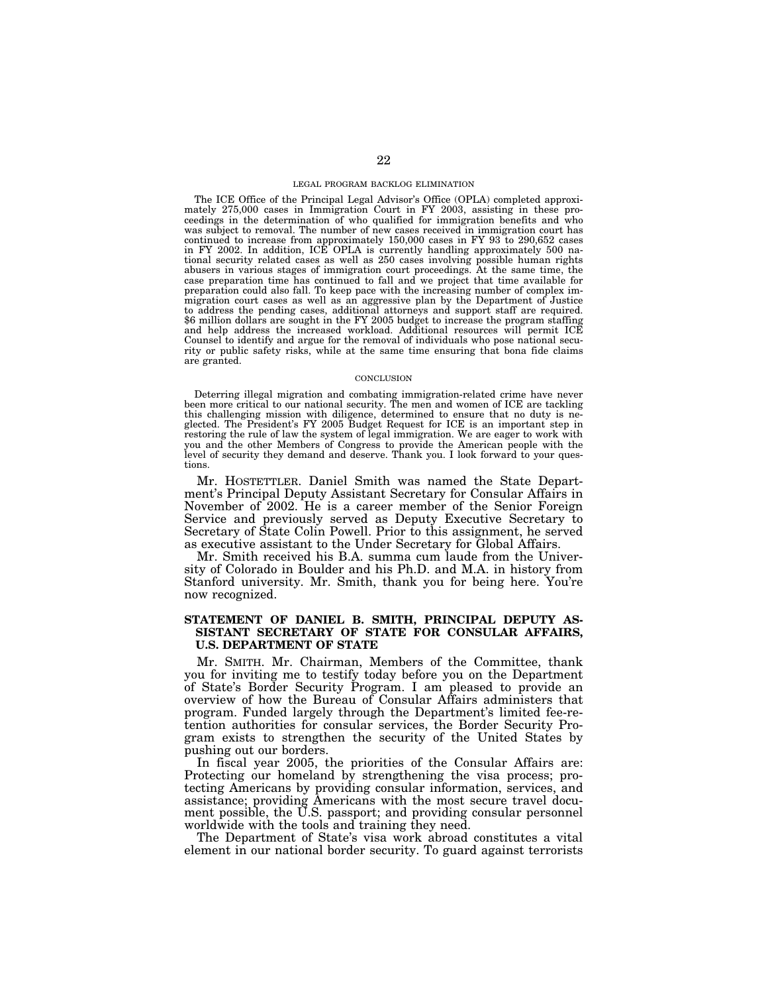#### LEGAL PROGRAM BACKLOG ELIMINATION

The ICE Office of the Principal Legal Advisor's Office (OPLA) completed approximately 275,000 cases in Immigration Court in FY 2003, assisting in these proceedings in the determination of who qualified for immigration benefits and who was subject to removal. The number of new cases received in immigration court has continued to increase from approximately 150,000 cases in FY 93 to 290,652 cases in FY 2002. In addition, ICE OPLA is currently handling approximately 500 national security related cases as well as 250 cases involving possible human rights abusers in various stages of immigration court proceedings. At the same time, the case preparation time has continued to fall and we project that time available for preparation could also fall. To keep pace with the increasing number of complex immigration court cases as well as an aggressive plan by the Department of Justice to address the pending cases, additional attorneys and support staff are required. \$6 million dollars are sought in the FY 2005 budget to increase the program staffing and help address the increased workload. Additional resources will permit ICE Counsel to identify and argue for the removal of individuals who pose national security or public safety risks, while at the same time ensuring that bona fide claims are granted.

#### **CONCLUSION**

Deterring illegal migration and combating immigration-related crime have never been more critical to our national security. The men and women of ICE are tackling this challenging mission with diligence, determined to ensure that no duty is neglected. The President's FY 2005 Budget Request for ICE is an important step in restoring the rule of law the system of legal immigration. We are eager to work with you and the other Members of Congress to provide the American people with the level of security they demand and deserve. Thank you. I look forward to your questions.

Mr. HOSTETTLER. Daniel Smith was named the State Department's Principal Deputy Assistant Secretary for Consular Affairs in November of 2002. He is a career member of the Senior Foreign Service and previously served as Deputy Executive Secretary to Secretary of State Colin Powell. Prior to this assignment, he served as executive assistant to the Under Secretary for Global Affairs.

Mr. Smith received his B.A. summa cum laude from the University of Colorado in Boulder and his Ph.D. and M.A. in history from Stanford university. Mr. Smith, thank you for being here. You're now recognized.

### **STATEMENT OF DANIEL B. SMITH, PRINCIPAL DEPUTY AS-SISTANT SECRETARY OF STATE FOR CONSULAR AFFAIRS, U.S. DEPARTMENT OF STATE**

Mr. SMITH. Mr. Chairman, Members of the Committee, thank you for inviting me to testify today before you on the Department of State's Border Security Program. I am pleased to provide an overview of how the Bureau of Consular Affairs administers that program. Funded largely through the Department's limited fee-retention authorities for consular services, the Border Security Program exists to strengthen the security of the United States by pushing out our borders.

In fiscal year 2005, the priorities of the Consular Affairs are: Protecting our homeland by strengthening the visa process; protecting Americans by providing consular information, services, and assistance; providing Americans with the most secure travel document possible, the U.S. passport; and providing consular personnel worldwide with the tools and training they need.

The Department of State's visa work abroad constitutes a vital element in our national border security. To guard against terrorists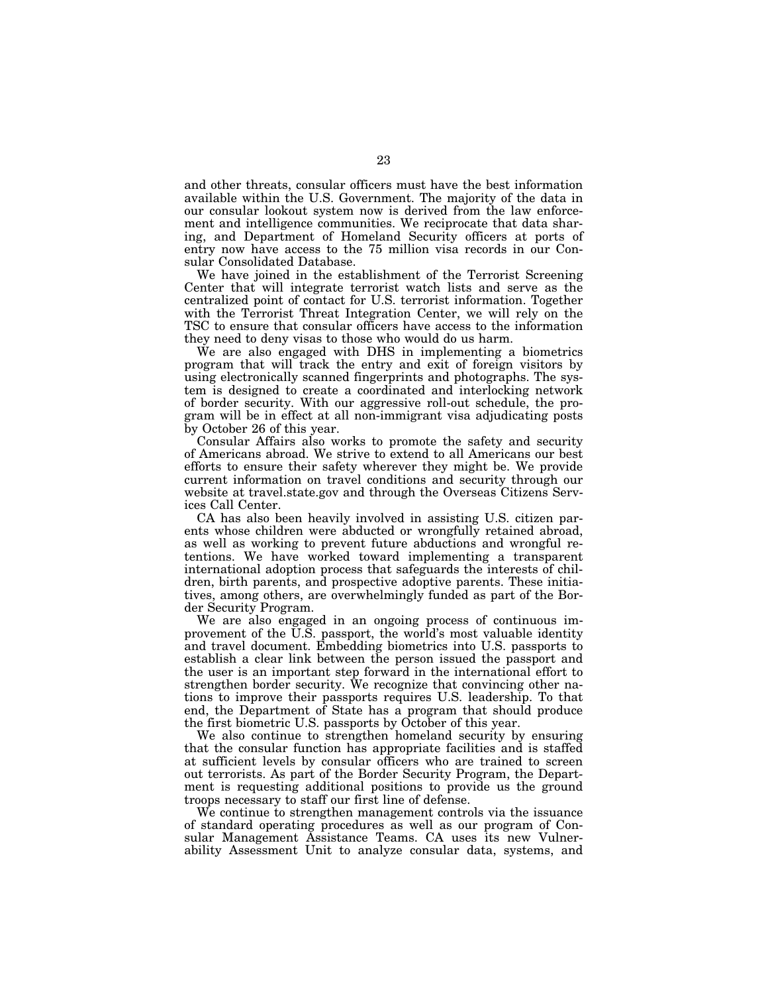and other threats, consular officers must have the best information available within the U.S. Government. The majority of the data in our consular lookout system now is derived from the law enforcement and intelligence communities. We reciprocate that data sharing, and Department of Homeland Security officers at ports of entry now have access to the 75 million visa records in our Consular Consolidated Database.

We have joined in the establishment of the Terrorist Screening Center that will integrate terrorist watch lists and serve as the centralized point of contact for U.S. terrorist information. Together with the Terrorist Threat Integration Center, we will rely on the TSC to ensure that consular officers have access to the information they need to deny visas to those who would do us harm.

We are also engaged with DHS in implementing a biometrics program that will track the entry and exit of foreign visitors by using electronically scanned fingerprints and photographs. The system is designed to create a coordinated and interlocking network of border security. With our aggressive roll-out schedule, the program will be in effect at all non-immigrant visa adjudicating posts by October 26 of this year.

Consular Affairs also works to promote the safety and security of Americans abroad. We strive to extend to all Americans our best efforts to ensure their safety wherever they might be. We provide current information on travel conditions and security through our website at travel.state.gov and through the Overseas Citizens Services Call Center.

CA has also been heavily involved in assisting U.S. citizen parents whose children were abducted or wrongfully retained abroad, as well as working to prevent future abductions and wrongful retentions. We have worked toward implementing a transparent international adoption process that safeguards the interests of children, birth parents, and prospective adoptive parents. These initiatives, among others, are overwhelmingly funded as part of the Border Security Program.

We are also engaged in an ongoing process of continuous improvement of the U.S. passport, the world's most valuable identity and travel document. Embedding biometrics into U.S. passports to establish a clear link between the person issued the passport and the user is an important step forward in the international effort to strengthen border security. We recognize that convincing other nations to improve their passports requires U.S. leadership. To that end, the Department of State has a program that should produce the first biometric U.S. passports by October of this year.

We also continue to strengthen homeland security by ensuring that the consular function has appropriate facilities and is staffed at sufficient levels by consular officers who are trained to screen out terrorists. As part of the Border Security Program, the Department is requesting additional positions to provide us the ground troops necessary to staff our first line of defense.

We continue to strengthen management controls via the issuance of standard operating procedures as well as our program of Consular Management Assistance Teams. CA uses its new Vulnerability Assessment Unit to analyze consular data, systems, and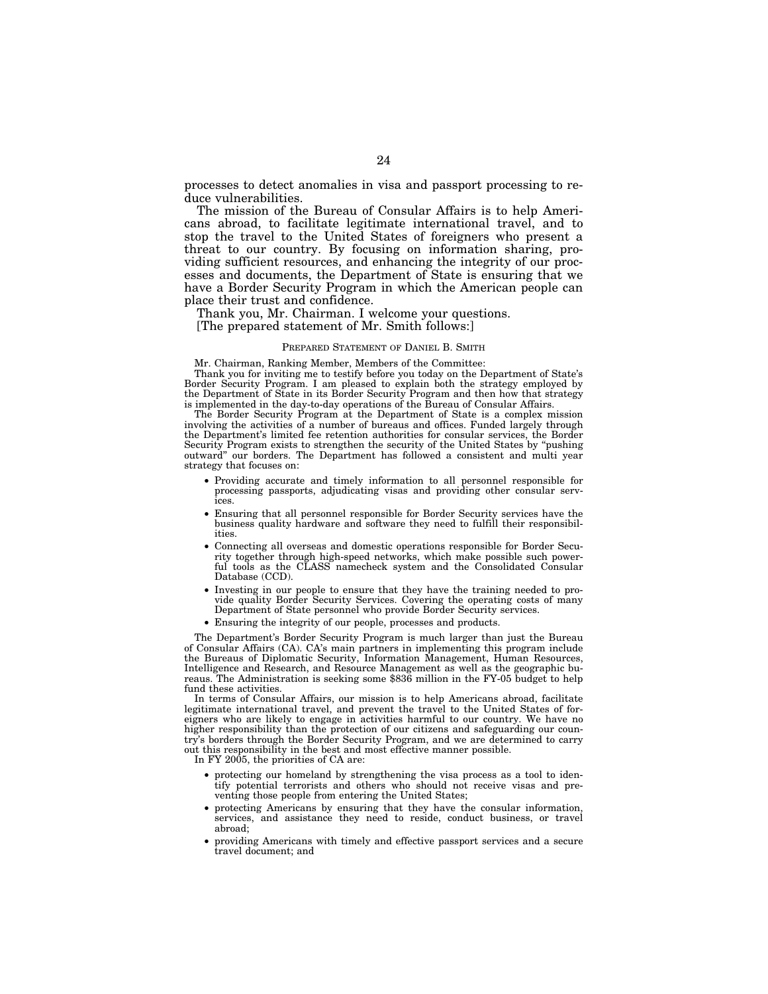processes to detect anomalies in visa and passport processing to reduce vulnerabilities.

The mission of the Bureau of Consular Affairs is to help Americans abroad, to facilitate legitimate international travel, and to stop the travel to the United States of foreigners who present a threat to our country. By focusing on information sharing, providing sufficient resources, and enhancing the integrity of our processes and documents, the Department of State is ensuring that we have a Border Security Program in which the American people can place their trust and confidence.

Thank you, Mr. Chairman. I welcome your questions.

[The prepared statement of Mr. Smith follows:]

#### PREPARED STATEMENT OF DANIEL B. SMITH

Mr. Chairman, Ranking Member, Members of the Committee:

Thank you for inviting me to testify before you today on the Department of State's Border Security Program. I am pleased to explain both the strategy employed by the Department of State in its Border Security Program and then how that strategy is implemented in the day-to-day operations of the Bureau of Consular Affairs.

The Border Security Program at the Department of State is a complex mission involving the activities of a number of bureaus and offices. Funded largely through the Department's limited fee retention authorities for consular services, the Border Security Program exists to strengthen the security of the United States by ''pushing outward'' our borders. The Department has followed a consistent and multi year strategy that focuses on:

- Providing accurate and timely information to all personnel responsible for processing passports, adjudicating visas and providing other consular services.
- Ensuring that all personnel responsible for Border Security services have the business quality hardware and software they need to fulfill their responsibilities.
- Connecting all overseas and domestic operations responsible for Border Security together through high-speed networks, which make possible such powerful tools as the CLASS namecheck system and the Consolidated Consular Database (CCD).
- Investing in our people to ensure that they have the training needed to provide quality Border Security Services. Covering the operating costs of many Department of State personnel who provide Border Security services.
- Ensuring the integrity of our people, processes and products.

The Department's Border Security Program is much larger than just the Bureau of Consular Affairs (CA). CA's main partners in implementing this program include the Bureaus of Diplomatic Security, Information Management, Human Resources, Intelligence and Research, and Resource Management as well as the geographic bureaus. The Administration is seeking some \$836 million in the FY-05 budget to help fund these activities.

In terms of Consular Affairs, our mission is to help Americans abroad, facilitate legitimate international travel, and prevent the travel to the United States of foreigners who are likely to engage in activities harmful to our country. We have no higher responsibility than the protection of our citizens and safeguarding our country's borders through the Border Security Program, and we are determined to carry out this responsibility in the best and most effective manner possible.

In FY 2005, the priorities of CA are:

- protecting our homeland by strengthening the visa process as a tool to identify potential terrorists and others who should not receive visas and preventing those people from entering the United States;
- protecting Americans by ensuring that they have the consular information, services, and assistance they need to reside, conduct business, or travel abroad;
- providing Americans with timely and effective passport services and a secure travel document; and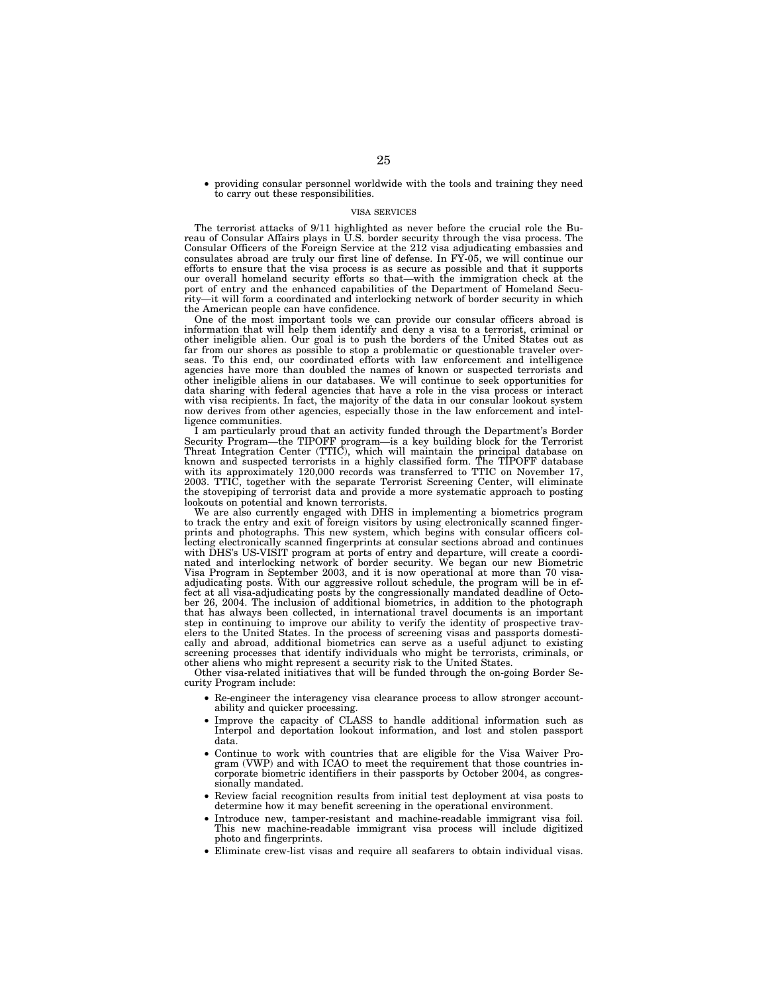• providing consular personnel worldwide with the tools and training they need to carry out these responsibilities.

#### VISA SERVICES

The terrorist attacks of 9/11 highlighted as never before the crucial role the Bureau of Consular Affairs plays in U.S. border security through the visa process. The Consular Officers of the Foreign Service at the 212 visa adjudicating embassies and consulates abroad are truly our first line of defense. In FY-05, we will continue our efforts to ensure that the visa process is as secure as possible and that it supports our overall homeland security efforts so that—with the immigration check at the port of entry and the enhanced capabilities of the Department of Homeland Security—it will form a coordinated and interlocking network of border security in which the American people can have confidence.

One of the most important tools we can provide our consular officers abroad is information that will help them identify and deny a visa to a terrorist, criminal or other ineligible alien. Our goal is to push the borders of the United States out as far from our shores as possible to stop a problematic or questionable traveler overseas. To this end, our coordinated efforts with law enforcement and intelligence agencies have more than doubled the names of known or suspected terrorists and other ineligible aliens in our databases. We will continue to seek opportunities for data sharing with federal agencies that have a role in the visa process or interact with visa recipients. In fact, the majority of the data in our consular lookout system now derives from other agencies, especially those in the law enforcement and intelligence communities.

I am particularly proud that an activity funded through the Department's Border Security Program—the TIPOFF program—is a key building block for the Terrorist Threat Integration Center (TTIC), which will maintain the principal database on known and suspected terrorists in a highly classified form. The TIPOFF database with its approximately 120,000 records was transferred to TTIC on November 17, 2003. TTIC, together with the separate Terrorist Screening Center, will eliminate the stovepiping of terrorist data and provide a more systematic approach to posting lookouts on potential and known terrorists.

We are also currently engaged with DHS in implementing a biometrics program to track the entry and exit of foreign visitors by using electronically scanned fingerprints and photographs. This new system, which begins with consular officers collecting electronically scanned fingerprints at consular sections abroad and continues with DHS's US-VISIT program at ports of entry and departure, will create a coordinated and interlocking network of border security. We began our new Biometric Visa Program in September 2003, and it is now operational at more than 70 visaadjudicating posts. With our aggressive rollout schedule, the program will be in effect at all visa-adjudicating posts by the congressionally mandated deadline of October 26, 2004. The inclusion of additional biometrics, in addition to the photograph that has always been collected, in international travel documents is an important step in continuing to improve our ability to verify the identity of prospective travelers to the United States. In the process of screening visas and passports domestically and abroad, additional biometrics can serve as a useful adjunct to existing screening processes that identify individuals who might be terrorists, criminals, or other aliens who might represent a security risk to the United States.

Other visa-related initiatives that will be funded through the on-going Border Security Program include:

- Re-engineer the interagency visa clearance process to allow stronger accountability and quicker processing.
- Improve the capacity of CLASS to handle additional information such as Interpol and deportation lookout information, and lost and stolen passport data.
- Continue to work with countries that are eligible for the Visa Waiver Program (VWP) and with ICAO to meet the requirement that those countries incorporate biometric identifiers in their passports by October 2004, as congressionally mandated.
- Review facial recognition results from initial test deployment at visa posts to determine how it may benefit screening in the operational environment.
- Introduce new, tamper-resistant and machine-readable immigrant visa foil. This new machine-readable immigrant visa process will include digitized photo and fingerprints.
- Eliminate crew-list visas and require all seafarers to obtain individual visas.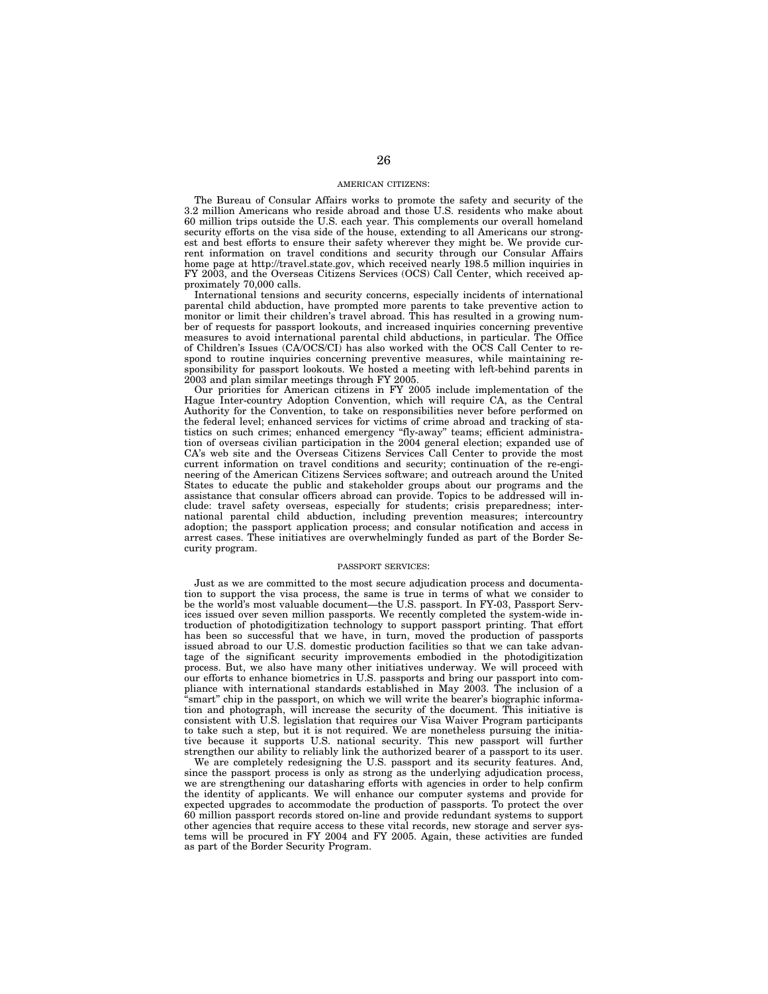#### AMERICAN CITIZENS:

The Bureau of Consular Affairs works to promote the safety and security of the 3.2 million Americans who reside abroad and those U.S. residents who make about 60 million trips outside the U.S. each year. This complements our overall homeland security efforts on the visa side of the house, extending to all Americans our strongest and best efforts to ensure their safety wherever they might be. We provide current information on travel conditions and security through our Consular Affairs home page at http://travel.state.gov, which received nearly 198.5 million inquiries in FY 2003, and the Overseas Citizens Services (OCS) Call Center, which received approximately 70,000 calls.

International tensions and security concerns, especially incidents of international parental child abduction, have prompted more parents to take preventive action to monitor or limit their children's travel abroad. This has resulted in a growing number of requests for passport lookouts, and increased inquiries concerning preventive measures to avoid international parental child abductions, in particular. The Office of Children's Issues (CA/OCS/CI) has also worked with the OCS Call Center to respond to routine inquiries concerning preventive measures, while maintaining responsibility for passport lookouts. We hosted a meeting with left-behind parents in 2003 and plan similar meetings through FY 2005.

Our priorities for American citizens in FY 2005 include implementation of the Hague Inter-country Adoption Convention, which will require CA, as the Central Authority for the Convention, to take on responsibilities never before performed on the federal level; enhanced services for victims of crime abroad and tracking of statistics on such crimes; enhanced emergency ''fly-away'' teams; efficient administration of overseas civilian participation in the 2004 general election; expanded use of CA's web site and the Overseas Citizens Services Call Center to provide the most current information on travel conditions and security; continuation of the re-engineering of the American Citizens Services software; and outreach around the United States to educate the public and stakeholder groups about our programs and the assistance that consular officers abroad can provide. Topics to be addressed will include: travel safety overseas, especially for students; crisis preparedness; international parental child abduction, including prevention measures; intercountry adoption; the passport application process; and consular notification and access in arrest cases. These initiatives are overwhelmingly funded as part of the Border Security program.

#### PASSPORT SERVICES:

Just as we are committed to the most secure adjudication process and documentation to support the visa process, the same is true in terms of what we consider to be the world's most valuable document—the U.S. passport. In FY-03, Passport Services issued over seven million passports. We recently completed the system-wide introduction of photodigitization technology to support passport printing. That effort has been so successful that we have, in turn, moved the production of passports issued abroad to our U.S. domestic production facilities so that we can take advantage of the significant security improvements embodied in the photodigitization process. But, we also have many other initiatives underway. We will proceed with our efforts to enhance biometrics in U.S. passports and bring our passport into compliance with international standards established in May 2003. The inclusion of a 'smart" chip in the passport, on which we will write the bearer's biographic information and photograph, will increase the security of the document. This initiative is consistent with U.S. legislation that requires our Visa Waiver Program participants to take such a step, but it is not required. We are nonetheless pursuing the initiative because it supports U.S. national security. This new passport will further strengthen our ability to reliably link the authorized bearer of a passport to its user.

We are completely redesigning the U.S. passport and its security features. And, since the passport process is only as strong as the underlying adjudication process, we are strengthening our datasharing efforts with agencies in order to help confirm the identity of applicants. We will enhance our computer systems and provide for expected upgrades to accommodate the production of passports. To protect the over 60 million passport records stored on-line and provide redundant systems to support other agencies that require access to these vital records, new storage and server systems will be procured in FY 2004 and FY 2005. Again, these activities are funded as part of the Border Security Program.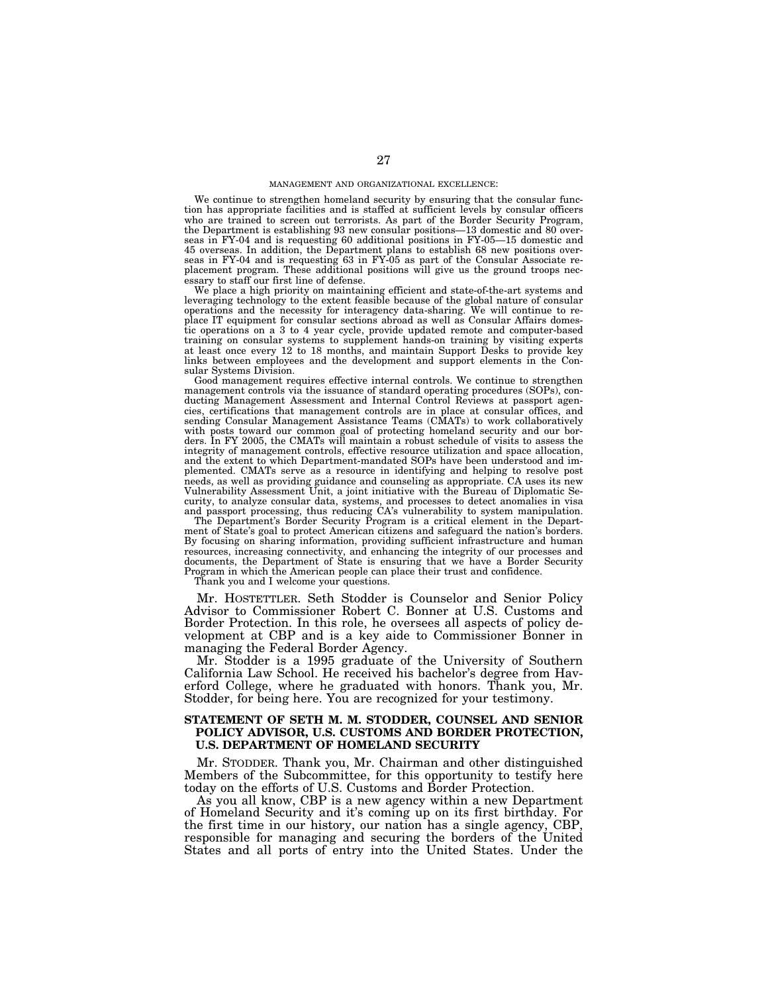We continue to strengthen homeland security by ensuring that the consular function has appropriate facilities and is staffed at sufficient levels by consular officers who are trained to screen out terrorists. As part of the Border Security Program, the Department is establishing 93 new consular positions—13 domestic and 80 overseas in FY-04 and is requesting 60 additional positions in FY-05—15 domestic and 45 overseas. In addition, the Department plans to establish 68 new positions overseas in FY-04 and is requesting 63 in FY-05 as part of the Consular Associate replacement program. These additional positions will give us the ground troops necessary to staff our first line of defense.

We place a high priority on maintaining efficient and state-of-the-art systems and leveraging technology to the extent feasible because of the global nature of consular operations and the necessity for interagency data-sharing. We will continue to replace IT equipment for consular sections abroad as well as Consular Affairs domestic operations on a 3 to 4 year cycle, provide updated remote and computer-based training on consular systems to supplement hands-on training by visiting experts at least once every 12 to 18 months, and maintain Support Desks to provide key links between employees and the development and support elements in the Consular Systems Division.

Good management requires effective internal controls. We continue to strengthen management controls via the issuance of standard operating procedures (SOPs), conducting Management Assessment and Internal Control Reviews at passport agencies, certifications that management controls are in place at consular offices, and sending Consular Management Assistance Teams (CMATs) to work collaboratively with posts toward our common goal of protecting homeland security and our borders. In FY 2005, the CMATs will maintain a robust schedule of visits to assess the integrity of management controls, effective resource utilization and space allocation, and the extent to which Department-mandated SOPs have been understood and implemented. CMATs serve as a resource in identifying and helping to resolve post needs, as well as providing guidance and counseling as appropriate. CA uses its new Vulnerability Assessment Unit, a joint initiative with the Bureau of Diplomatic Security, to analyze consular data, systems, and processes to detect anomalies in visa and passport processing, thus reducing CA's vulnerability to system manipulation.

The Department's Border Security Program is a critical element in the Department of State's goal to protect American citizens and safeguard the nation's borders. By focusing on sharing information, providing sufficient infrastructure and human resources, increasing connectivity, and enhancing the integrity of our processes and documents, the Department of State is ensuring that we have a Border Security Program in which the American people can place their trust and confidence.

Thank you and I welcome your questions.

Mr. HOSTETTLER. Seth Stodder is Counselor and Senior Policy Advisor to Commissioner Robert C. Bonner at U.S. Customs and Border Protection. In this role, he oversees all aspects of policy development at CBP and is a key aide to Commissioner Bonner in managing the Federal Border Agency.

Mr. Stodder is a 1995 graduate of the University of Southern California Law School. He received his bachelor's degree from Haverford College, where he graduated with honors. Thank you, Mr. Stodder, for being here. You are recognized for your testimony.

### **STATEMENT OF SETH M. M. STODDER, COUNSEL AND SENIOR POLICY ADVISOR, U.S. CUSTOMS AND BORDER PROTECTION, U.S. DEPARTMENT OF HOMELAND SECURITY**

Mr. STODDER. Thank you, Mr. Chairman and other distinguished Members of the Subcommittee, for this opportunity to testify here today on the efforts of U.S. Customs and Border Protection.

As you all know, CBP is a new agency within a new Department of Homeland Security and it's coming up on its first birthday. For the first time in our history, our nation has a single agency, CBP, responsible for managing and securing the borders of the United States and all ports of entry into the United States. Under the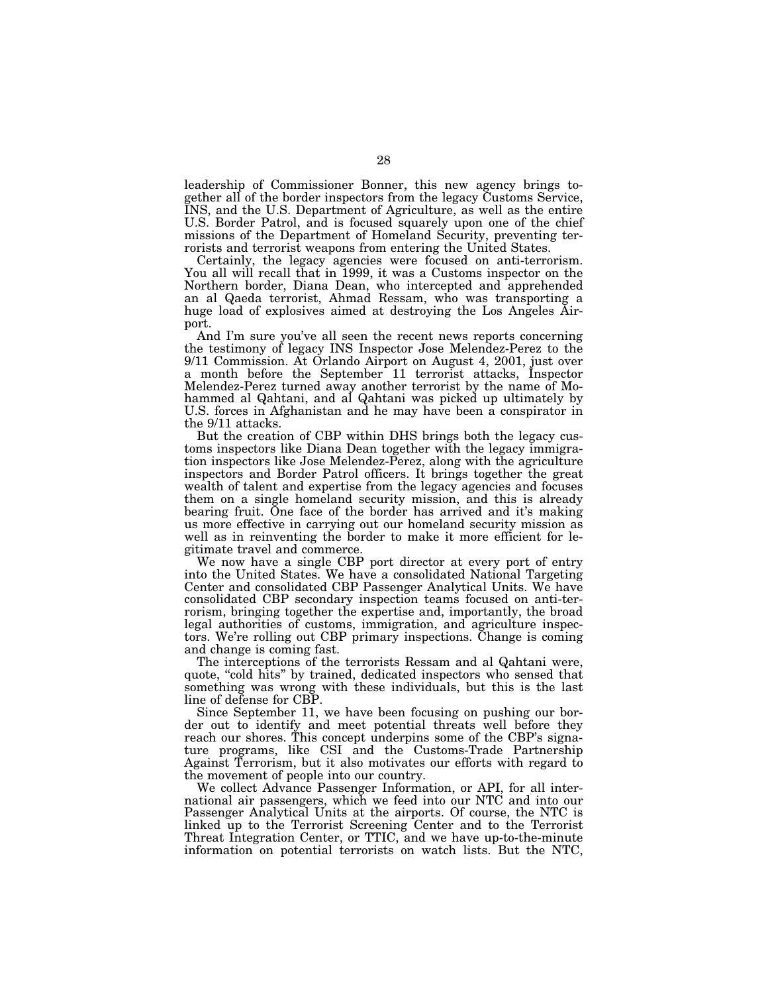leadership of Commissioner Bonner, this new agency brings together all of the border inspectors from the legacy Customs Service, INS, and the U.S. Department of Agriculture, as well as the entire U.S. Border Patrol, and is focused squarely upon one of the chief missions of the Department of Homeland Security, preventing terrorists and terrorist weapons from entering the United States.

Certainly, the legacy agencies were focused on anti-terrorism. You all will recall that in 1999, it was a Customs inspector on the Northern border, Diana Dean, who intercepted and apprehended an al Qaeda terrorist, Ahmad Ressam, who was transporting a huge load of explosives aimed at destroying the Los Angeles Airport.

And I'm sure you've all seen the recent news reports concerning the testimony of legacy INS Inspector Jose Melendez-Perez to the 9/11 Commission. At Orlando Airport on August 4, 2001, just over a month before the September 11 terrorist attacks, Inspector Melendez-Perez turned away another terrorist by the name of Mohammed al Qahtani, and al Qahtani was picked up ultimately by U.S. forces in Afghanistan and he may have been a conspirator in the 9/11 attacks.

But the creation of CBP within DHS brings both the legacy customs inspectors like Diana Dean together with the legacy immigration inspectors like Jose Melendez-Perez, along with the agriculture inspectors and Border Patrol officers. It brings together the great wealth of talent and expertise from the legacy agencies and focuses them on a single homeland security mission, and this is already bearing fruit. One face of the border has arrived and it's making us more effective in carrying out our homeland security mission as well as in reinventing the border to make it more efficient for legitimate travel and commerce.

We now have a single CBP port director at every port of entry into the United States. We have a consolidated National Targeting Center and consolidated CBP Passenger Analytical Units. We have consolidated CBP secondary inspection teams focused on anti-terrorism, bringing together the expertise and, importantly, the broad legal authorities of customs, immigration, and agriculture inspectors. We're rolling out CBP primary inspections. Change is coming and change is coming fast.

The interceptions of the terrorists Ressam and al Qahtani were, quote, "cold hits" by trained, dedicated inspectors who sensed that something was wrong with these individuals, but this is the last line of defense for CBP.

Since September 11, we have been focusing on pushing our border out to identify and meet potential threats well before they reach our shores. This concept underpins some of the CBP's signature programs, like CSI and the Customs-Trade Partnership Against Terrorism, but it also motivates our efforts with regard to the movement of people into our country.

We collect Advance Passenger Information, or API, for all international air passengers, which we feed into our NTC and into our Passenger Analytical Units at the airports. Of course, the NTC is linked up to the Terrorist Screening Center and to the Terrorist Threat Integration Center, or TTIC, and we have up-to-the-minute information on potential terrorists on watch lists. But the NTC,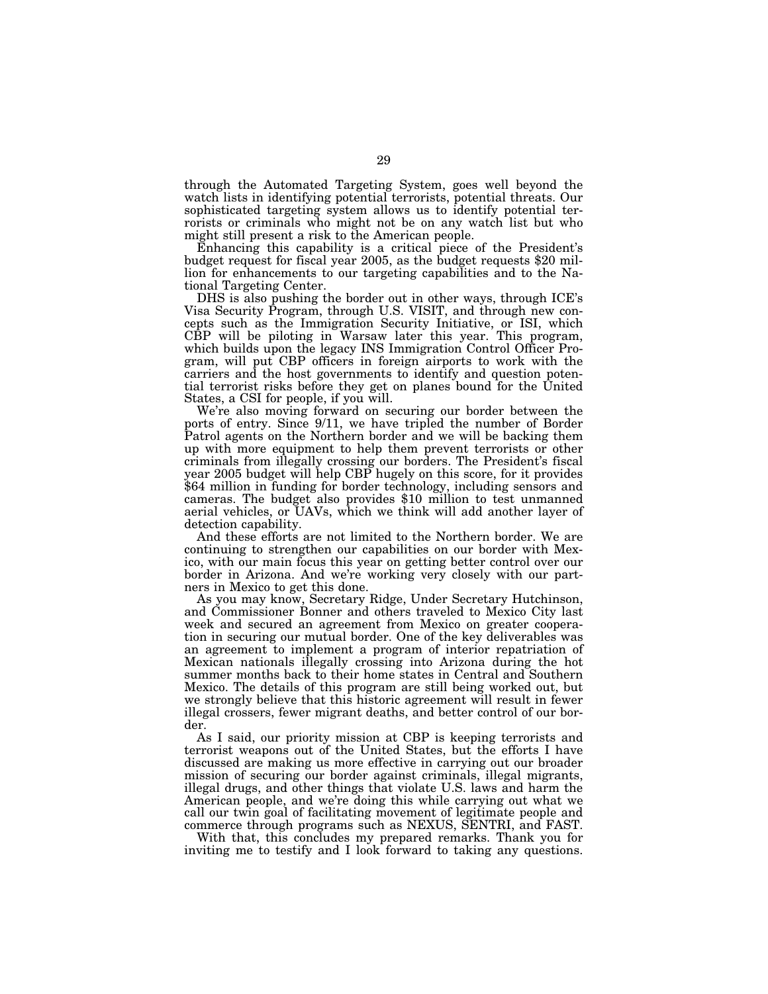through the Automated Targeting System, goes well beyond the watch lists in identifying potential terrorists, potential threats. Our sophisticated targeting system allows us to identify potential terrorists or criminals who might not be on any watch list but who might still present a risk to the American people.

Enhancing this capability is a critical piece of the President's budget request for fiscal year 2005, as the budget requests \$20 million for enhancements to our targeting capabilities and to the National Targeting Center.

DHS is also pushing the border out in other ways, through ICE's Visa Security Program, through U.S. VISIT, and through new concepts such as the Immigration Security Initiative, or ISI, which CBP will be piloting in Warsaw later this year. This program, which builds upon the legacy INS Immigration Control Officer Program, will put CBP officers in foreign airports to work with the carriers and the host governments to identify and question potential terrorist risks before they get on planes bound for the United States, a CSI for people, if you will.

We're also moving forward on securing our border between the ports of entry. Since 9/11, we have tripled the number of Border Patrol agents on the Northern border and we will be backing them up with more equipment to help them prevent terrorists or other criminals from illegally crossing our borders. The President's fiscal year 2005 budget will help CBP hugely on this score, for it provides \$64 million in funding for border technology, including sensors and cameras. The budget also provides \$10 million to test unmanned aerial vehicles, or UAVs, which we think will add another layer of detection capability.

And these efforts are not limited to the Northern border. We are continuing to strengthen our capabilities on our border with Mexico, with our main focus this year on getting better control over our border in Arizona. And we're working very closely with our partners in Mexico to get this done.

As you may know, Secretary Ridge, Under Secretary Hutchinson, and Commissioner Bonner and others traveled to Mexico City last week and secured an agreement from Mexico on greater cooperation in securing our mutual border. One of the key deliverables was an agreement to implement a program of interior repatriation of Mexican nationals illegally crossing into Arizona during the hot summer months back to their home states in Central and Southern Mexico. The details of this program are still being worked out, but we strongly believe that this historic agreement will result in fewer illegal crossers, fewer migrant deaths, and better control of our border.

As I said, our priority mission at CBP is keeping terrorists and terrorist weapons out of the United States, but the efforts I have discussed are making us more effective in carrying out our broader mission of securing our border against criminals, illegal migrants, illegal drugs, and other things that violate U.S. laws and harm the American people, and we're doing this while carrying out what we call our twin goal of facilitating movement of legitimate people and commerce through programs such as NEXUS, SENTRI, and FAST.

With that, this concludes my prepared remarks. Thank you for inviting me to testify and I look forward to taking any questions.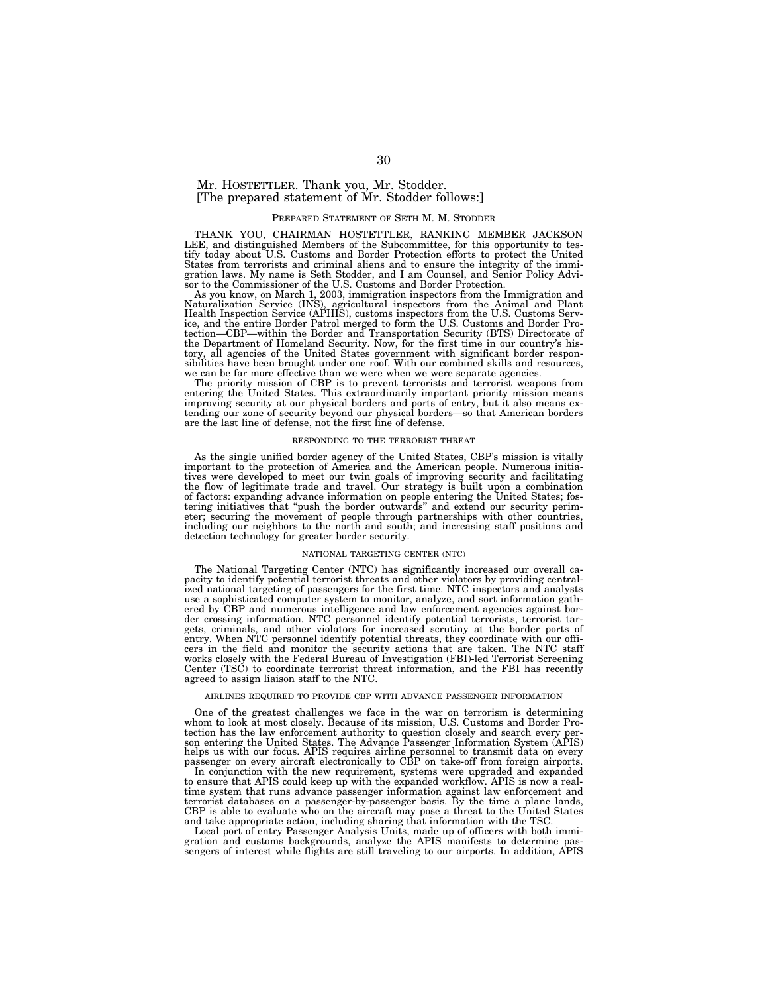## Mr. HOSTETTLER. Thank you, Mr. Stodder. [The prepared statement of Mr. Stodder follows:]

#### PREPARED STATEMENT OF SETH M. M. STODDER

THANK YOU, CHAIRMAN HOSTETTLER, RANKING MEMBER JACKSON LEE, and distinguished Members of the Subcommittee, for this opportunity to testify today about U.S. Customs and Border Protection efforts to protect the United States from terrorists and criminal aliens and to ensure the integrity of the immigration laws. My name is Seth Stodder, and I am Counsel, and Senior Policy Advisor to the Commissioner of the U.S. Customs and Border Protection.

As you know, on March 1, 2003, immigration inspectors from the Immigration and Naturalization Service (INS), agricultural inspectors from the Animal and Plant Health Inspection Service (APHIS), customs inspectors from the U.S. Customs Service, and the entire Border Patrol merged to form the U.S. Customs and Border Pro-tection—CBP—within the Border and Transportation Security (BTS) Directorate of the Department of Homeland Security. Now, for the first time in our country's history, all agencies of the United States government with significant border responsibilities have been brought under one roof. With our combined skills and resources, we can be far more effective than we were when we were separate agencies.

The priority mission of CBP is to prevent terrorists and terrorist weapons from entering the United States. This extraordinarily important priority mission means improving security at our physical borders and ports of entry, but it also means ex-tending our zone of security beyond our physical borders—so that American borders are the last line of defense, not the first line of defense.

#### RESPONDING TO THE TERRORIST THREAT

As the single unified border agency of the United States, CBP's mission is vitally important to the protection of America and the American people. Numerous initiatives were developed to meet our twin goals of improving security and facilitating the flow of legitimate trade and travel. Our strategy is built upon a combination of factors: expanding advance information on people entering the United States; fos-tering initiatives that ''push the border outwards'' and extend our security perimeter; securing the movement of people through partnerships with other countries, including our neighbors to the north and south; and increasing staff positions and detection technology for greater border security.

#### NATIONAL TARGETING CENTER (NTC)

The National Targeting Center (NTC) has significantly increased our overall capacity to identify potential terrorist threats and other violators by providing centralized national targeting of passengers for the first time. NTC inspectors and analysts use a sophisticated computer system to monitor, analyze, and sort information gathered by CBP and numerous intelligence and law enforcement agencies against border crossing information. NTC personnel identify potential terrorists, terrorist targets, criminals, and other violators for increased scrutiny at the border ports of entry. When NTC personnel identify potential threats, they coordinate with our officers in the field and monitor the security actions that are taken. The NTC staff works closely with the Federal Bureau of Investigation (FBI)-led Terrorist Screening Center (TSC) to coordinate terrorist threat information, and the FBI has recently agreed to assign liaison staff to the NTC.

#### AIRLINES REQUIRED TO PROVIDE CBP WITH ADVANCE PASSENGER INFORMATION

One of the greatest challenges we face in the war on terrorism is determining whom to look at most closely. Because of its mission, U.S. Customs and Border Protection has the law enforcement authority to question closely and search every person entering the United States. The Advance Passenger Information System (APIS) helps us with our focus. APIS requires airline personnel to transmit data on every passenger on every aircraft electronically to CBP on take-off from foreign airports.

In conjunction with the new requirement, systems were upgraded and expanded to ensure that APIS could keep up with the expanded workflow. APIS is now a realtime system that runs advance passenger information against law enforcement and terrorist databases on a passenger-by-passenger basis. By the time a plane lands, CBP is able to evaluate who on the aircraft may pose a threat to the United States and take appropriate action, including sharing that information with the TSC.

Local port of entry Passenger Analysis Units, made up of officers with both immi-gration and customs backgrounds, analyze the APIS manifests to determine passengers of interest while flights are still traveling to our airports. In addition, APIS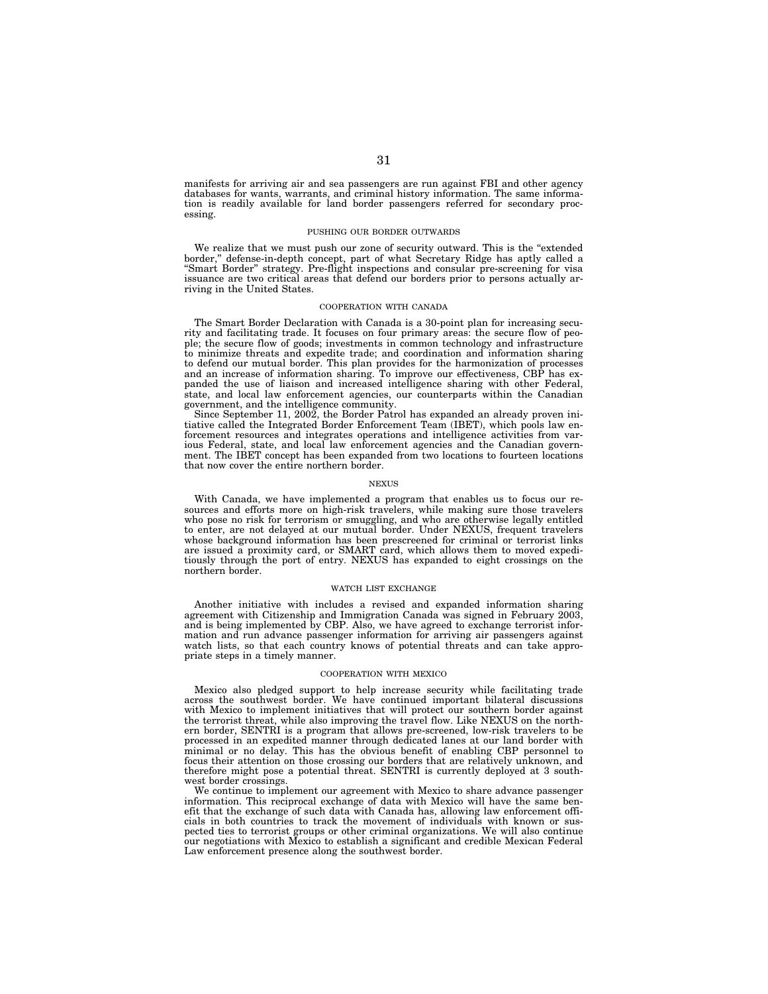manifests for arriving air and sea passengers are run against FBI and other agency databases for wants, warrants, and criminal history information. The same information is readily available for land border passengers referred for secondary processing.

#### PUSHING OUR BORDER OUTWARDS

We realize that we must push our zone of security outward. This is the "extended border,'' defense-in-depth concept, part of what Secretary Ridge has aptly called a ''Smart Border'' strategy. Pre-flight inspections and consular pre-screening for visa issuance are two critical areas that defend our borders prior to persons actually arriving in the United States.

#### COOPERATION WITH CANADA

The Smart Border Declaration with Canada is a 30-point plan for increasing security and facilitating trade. It focuses on four primary areas: the secure flow of people; the secure flow of goods; investments in common technology and infrastructure to minimize threats and expedite trade; and coordination and information sharing to defend our mutual border. This plan provides for the harmonization of processes and an increase of information sharing. To improve our effectiveness, CBP has expanded the use of liaison and increased intelligence sharing with other Federal, state, and local law enforcement agencies, our counterparts within the Canadian government, and the intelligence community.

Since September 11, 2002, the Border Patrol has expanded an already proven initiative called the Integrated Border Enforcement Team (IBET), which pools law enforcement resources and integrates operations and intelligence activities from various Federal, state, and local law enforcement agencies and the Canadian government. The IBET concept has been expanded from two locations to fourteen locations that now cover the entire northern border.

#### NEXUS

With Canada, we have implemented a program that enables us to focus our resources and efforts more on high-risk travelers, while making sure those travelers who pose no risk for terrorism or smuggling, and who are otherwise legally entitled to enter, are not delayed at our mutual border. Under NEXUS, frequent travelers whose background information has been prescreened for criminal or terrorist links are issued a proximity card, or SMART card, which allows them to moved expeditiously through the port of entry. NEXUS has expanded to eight crossings on the northern border.

#### WATCH LIST EXCHANGE

Another initiative with includes a revised and expanded information sharing agreement with Citizenship and Immigration Canada was signed in February 2003, and is being implemented by CBP. Also, we have agreed to exchange terrorist information and run advance passenger information for arriving air passengers against watch lists, so that each country knows of potential threats and can take appropriate steps in a timely manner.

#### COOPERATION WITH MEXICO

Mexico also pledged support to help increase security while facilitating trade across the southwest border. We have continued important bilateral discussions with Mexico to implement initiatives that will protect our southern border against the terrorist threat, while also improving the travel flow. Like NEXUS on the northern border, SENTRI is a program that allows pre-screened, low-risk travelers to be processed in an expedited manner through dedicated lanes at our land border with minimal or no delay. This has the obvious benefit of enabling CBP personnel to focus their attention on those crossing our borders that are relatively unknown, and therefore might pose a potential threat. SENTRI is currently deployed at 3 southwest border crossings.

We continue to implement our agreement with Mexico to share advance passenger information. This reciprocal exchange of data with Mexico will have the same benefit that the exchange of such data with Canada has, allowing law enforcement officials in both countries to track the movement of individuals with known or suspected ties to terrorist groups or other criminal organizations. We will also continue our negotiations with Mexico to establish a significant and credible Mexican Federal Law enforcement presence along the southwest border.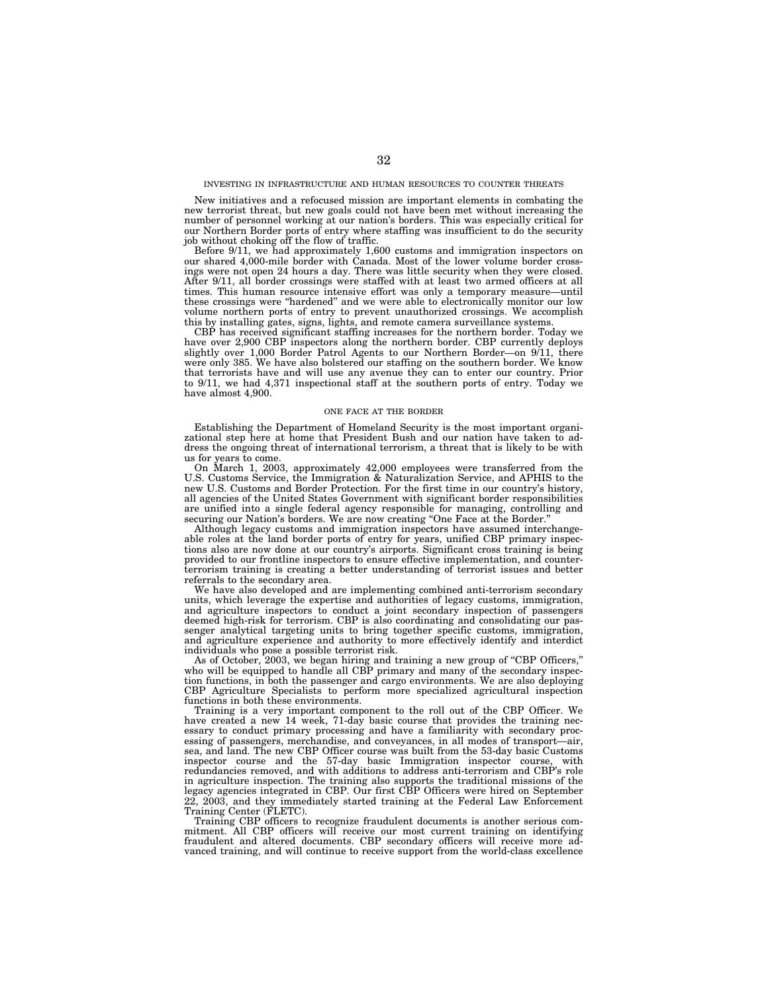#### INVESTING IN INFRASTRUCTURE AND HUMAN RESOURCES TO COUNTER THREATS

New initiatives and a refocused mission are important elements in combating the new terrorist threat, but new goals could not have been met without increasing the number of personnel working at our nation's borders. This was especially critical for our Northern Border ports of entry where staffing was insufficient to do the security job without choking off the flow of traffic.

Before 9/11, we had approximately 1,600 customs and immigration inspectors on our shared 4,000-mile border with Canada. Most of the lower volume border crossings were not open 24 hours a day. There was little security when they were closed. After 9/11, all border crossings were staffed with at least two armed officers at all times. This human resource intensive effort was only a temporary measure—until these crossings were ''hardened'' and we were able to electronically monitor our low volume northern ports of entry to prevent unauthorized crossings. We accomplish this by installing gates, signs, lights, and remote camera surveillance systems.

CBP has received significant staffing increases for the northern border. Today we have over 2,900 CBP inspectors along the northern border. CBP currently deploys slightly over 1,000 Border Patrol Agents to our Northern Border—on 9/11, there were only 385. We have also bolstered our staffing on the southern border. We know that terrorists have and will use any avenue they can to enter our country. Prior to 9/11, we had 4,371 inspectional staff at the southern ports of entry. Today we have almost 4,900.

#### ONE FACE AT THE BORDER

Establishing the Department of Homeland Security is the most important organizational step here at home that President Bush and our nation have taken to address the ongoing threat of international terrorism, a threat that is likely to be with us for years to come.

On March 1, 2003, approximately 42,000 employees were transferred from the U.S. Customs Service, the Immigration & Naturalization Service, and APHIS to the new U.S. Customs and Border Protection. For the first time in our country's history, all agencies of the United States Government with significant border responsibilities are unified into a single federal agency responsible for managing, controlling and securing our Nation's borders. We are now creating "One Face at the Border.'

Although legacy customs and immigration inspectors have assumed interchangeable roles at the land border ports of entry for years, unified CBP primary inspections also are now done at our country's airports. Significant cross training is being provided to our frontline inspectors to ensure effective implementation, and counterterrorism training is creating a better understanding of terrorist issues and better referrals to the secondary area.

We have also developed and are implementing combined anti-terrorism secondary units, which leverage the expertise and authorities of legacy customs, immigration, and agriculture inspectors to conduct a joint secondary inspection of passengers deemed high-risk for terrorism. CBP is also coordinating and consolidating our passenger analytical targeting units to bring together specific customs, immigration, and agriculture experience and authority to more effectively identify and interdict individuals who pose a possible terrorist risk.

As of October, 2003, we began hiring and training a new group of ''CBP Officers,'' who will be equipped to handle all CBP primary and many of the secondary inspection functions, in both the passenger and cargo environments. We are also deploying CBP Agriculture Specialists to perform more specialized agricultural inspection functions in both these environments.

Training is a very important component to the roll out of the CBP Officer. We have created a new 14 week, 71-day basic course that provides the training necessary to conduct primary processing and have a familiarity with secondary processing of passengers, merchandise, and conveyances, in all modes of transport—air, sea, and land. The new CBP Officer course was built from the 53-day basic Customs inspector course and the 57-day basic Immigration inspector course, with redundancies removed, and with additions to address anti-terrorism and CBP's role in agriculture inspection. The training also supports the traditional missions of the legacy agencies integrated in CBP. Our first CBP Officers were hired on September 22, 2003, and they immediately started training at the Federal Law Enforcement Training Center (FLETC).

Training CBP officers to recognize fraudulent documents is another serious commitment. All CBP officers will receive our most current training on identifying fraudulent and altered documents. CBP secondary officers will receive more advanced training, and will continue to receive support from the world-class excellence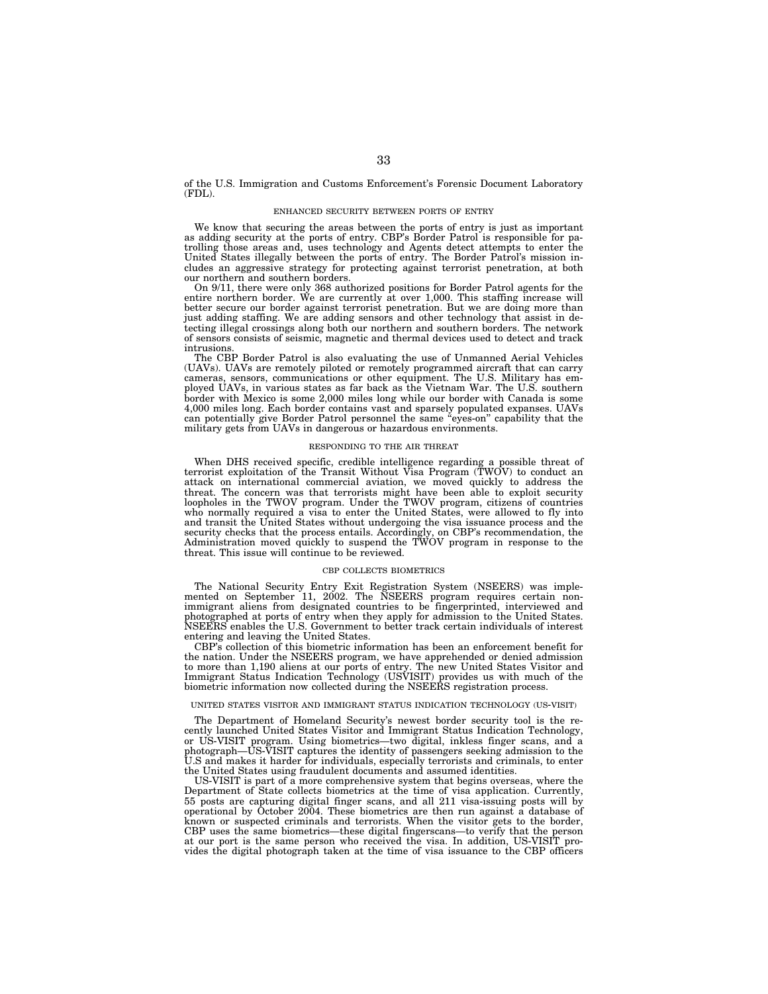of the U.S. Immigration and Customs Enforcement's Forensic Document Laboratory (FDL).

#### ENHANCED SECURITY BETWEEN PORTS OF ENTRY

We know that securing the areas between the ports of entry is just as important as adding security at the ports of entry. CBP's Border Patrol is responsible for patrolling those areas and, uses technology and Agents detect attempts to enter the United States illegally between the ports of entry. The Border Patrol's mission includes an aggressive strategy for protecting against terrorist penetration, at both our northern and southern borders.

On 9/11, there were only 368 authorized positions for Border Patrol agents for the entire northern border. We are currently at over 1,000. This staffing increase will better secure our border against terrorist penetration. But we are doing more than just adding staffing. We are adding sensors and other technology that assist in detecting illegal crossings along both our northern and southern borders. The network of sensors consists of seismic, magnetic and thermal devices used to detect and track intrusions.

The CBP Border Patrol is also evaluating the use of Unmanned Aerial Vehicles (UAVs). UAVs are remotely piloted or remotely programmed aircraft that can carry cameras, sensors, communications or other equipment. The U.S. Military has employed UAVs, in various states as far back as the Vietnam War. The U.S. southern border with Mexico is some 2,000 miles long while our border with Canada is some 4,000 miles long. Each border contains vast and sparsely populated expanses. UAVs can potentially give Border Patrol personnel the same ''eyes-on'' capability that the military gets from UAVs in dangerous or hazardous environments.

#### RESPONDING TO THE AIR THREAT

When DHS received specific, credible intelligence regarding a possible threat of terrorist exploitation of the Transit Without Visa Program (TWOV) to conduct an attack on international commercial aviation, we moved quickly to address the threat. The concern was that terrorists might have been able to exploit security loopholes in the TWOV program. Under the TWOV program, citizens of countries who normally required a visa to enter the United States, were allowed to fly into and transit the United States without undergoing the visa issuance process and the security checks that the process entails. Accordingly, on CBP's recommendation, the Administration moved quickly to suspend the TWOV program in response to the threat. This issue will continue to be reviewed.

#### CBP COLLECTS BIOMETRICS

The National Security Entry Exit Registration System (NSEERS) was implemented on September 11, 2002. The NSEERS program requires certain nonimmigrant aliens from designated countries to be fingerprinted, interviewed and photographed at ports of entry when they apply for admission to the United States. NSEERS enables the U.S. Government to better track certain individuals of interest entering and leaving the United States.

CBP's collection of this biometric information has been an enforcement benefit for the nation. Under the NSEERS program, we have apprehended or denied admission to more than 1,190 aliens at our ports of entry. The new United States Visitor and Immigrant Status Indication Technology (USVISIT) provides us with much of the biometric information now collected during the NSEERS registration process.

#### UNITED STATES VISITOR AND IMMIGRANT STATUS INDICATION TECHNOLOGY (US-VISIT)

The Department of Homeland Security's newest border security tool is the recently launched United States Visitor and Immigrant Status Indication Technology, or US-VISIT program. Using biometrics—two digital, inkless finger scans, and a photograph—US-VISIT captures the identity of passengers seeking admission to the U.S and makes it harder for individuals, especially terrorists and criminals, to enter the United States using fraudulent documents and assumed identities.

US-VISIT is part of a more comprehensive system that begins overseas, where the Department of State collects biometrics at the time of visa application. Currently, 55 posts are capturing digital finger scans, and all 211 visa-issuing posts will by operational by October 2004. These biometrics are then run against a database of known or suspected criminals and terrorists. When the visitor gets to the border, CBP uses the same biometrics—these digital fingerscans—to verify that the person at our port is the same person who received the visa. In addition, US-VISIT provides the digital photograph taken at the time of visa issuance to the CBP officers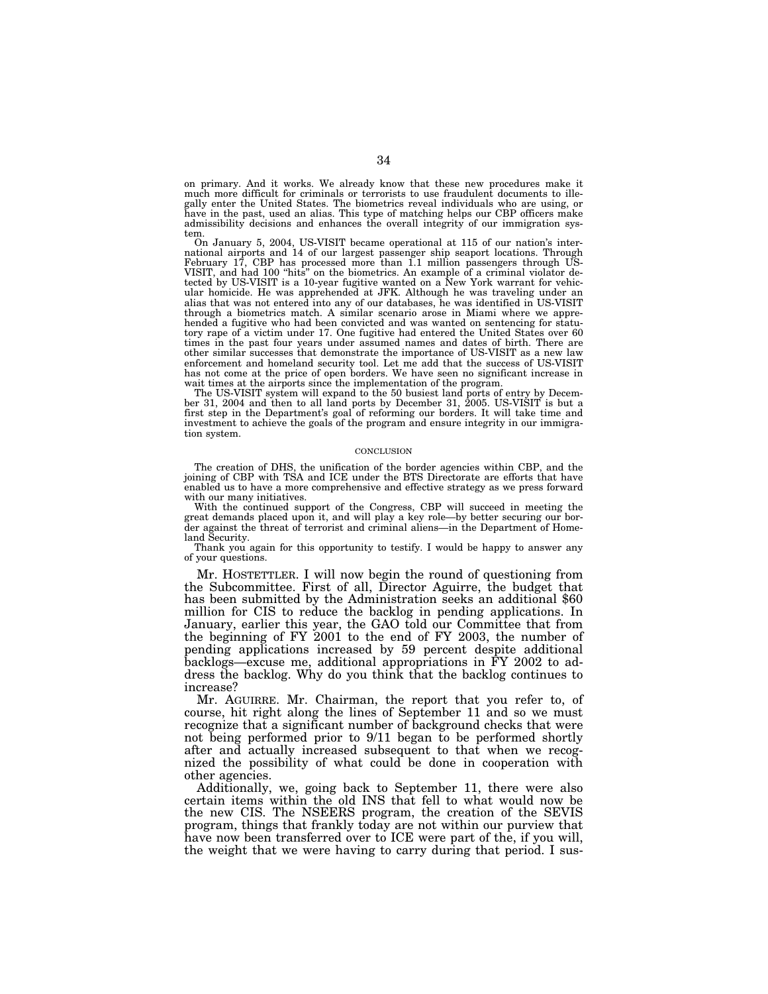on primary. And it works. We already know that these new procedures make it much more difficult for criminals or terrorists to use fraudulent documents to illegally enter the United States. The biometrics reveal individuals who are using, or have in the past, used an alias. This type of matching helps our CBP officers make admissibility decisions and enhances the overall integrity of our immigration system.

On January 5, 2004, US-VISIT became operational at 115 of our nation's international airports and 14 of our largest passenger ship seaport locations. Through<br>February 17, CBP has processed more than 1.1 million passengers through US-<br>VISIT, and had 100 "hits" on the biometrics. An example of a cri ular homicide. He was apprehended at JFK. Although he was traveling under an alias that was not entered into any of our databases, he was identified in US-VISIT through a biometrics match. A similar scenario arose in Miami where we apprehended a fugitive who had been convicted and was wanted on sentencing for statutory rape of a victim under 17. One fugitive had entered the United States over 60 times in the past four years under assumed names and dates of birth. There are other similar successes that demonstrate the importance of US-VISIT as a new law enforcement and homeland security tool. Let me add that the success of US-VISIT has not come at the price of open borders. We have seen no significant increase in wait times at the airports since the implementation of the program.

The US-VISIT system will expand to the 50 busiest land ports of entry by December 31, 2004 and then to all land ports by December 31, 2005. US-VISIT is but a first step in the Department's goal of reforming our borders. It will take time and investment to achieve the goals of the program and ensure integrity in our immigration system.

#### **CONCLUSION**

The creation of DHS, the unification of the border agencies within CBP, and the joining of CBP with TSA and ICE under the BTS Directorate are efforts that have enabled us to have a more comprehensive and effective strategy as we press forward with our many initiatives.

With the continued support of the Congress, CBP will succeed in meeting the great demands placed upon it, and will play a key role—by better securing our border against the threat of terrorist and criminal aliens—in the Department of Homeland Security.

Thank you again for this opportunity to testify. I would be happy to answer any of your questions.

Mr. HOSTETTLER. I will now begin the round of questioning from the Subcommittee. First of all, Director Aguirre, the budget that has been submitted by the Administration seeks an additional \$60 million for CIS to reduce the backlog in pending applications. In January, earlier this year, the GAO told our Committee that from the beginning of FY 2001 to the end of FY 2003, the number of pending applications increased by 59 percent despite additional backlogs—excuse me, additional appropriations in FY 2002 to address the backlog. Why do you think that the backlog continues to increase?

Mr. AGUIRRE. Mr. Chairman, the report that you refer to, of course, hit right along the lines of September 11 and so we must recognize that a significant number of background checks that were not being performed prior to 9/11 began to be performed shortly after and actually increased subsequent to that when we recognized the possibility of what could be done in cooperation with other agencies.

Additionally, we, going back to September 11, there were also certain items within the old INS that fell to what would now be the new CIS. The NSEERS program, the creation of the SEVIS program, things that frankly today are not within our purview that have now been transferred over to ICE were part of the, if you will, the weight that we were having to carry during that period. I sus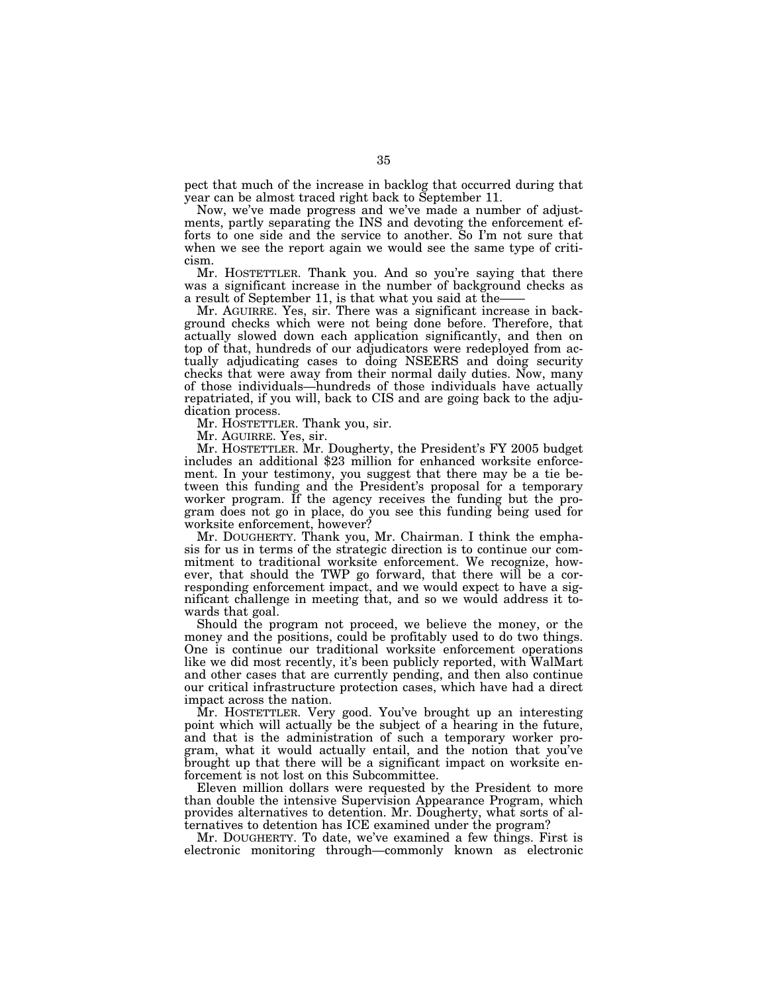pect that much of the increase in backlog that occurred during that year can be almost traced right back to September 11.

Now, we've made progress and we've made a number of adjustments, partly separating the INS and devoting the enforcement efforts to one side and the service to another. So I'm not sure that when we see the report again we would see the same type of criticism.

Mr. HOSTETTLER. Thank you. And so you're saying that there was a significant increase in the number of background checks as

Mr. AGUIRRE. Yes, sir. There was a significant increase in background checks which were not being done before. Therefore, that actually slowed down each application significantly, and then on top of that, hundreds of our adjudicators were redeployed from actually adjudicating cases to doing NSEERS and doing security checks that were away from their normal daily duties. Now, many of those individuals—hundreds of those individuals have actually repatriated, if you will, back to CIS and are going back to the adjudication process.

Mr. HOSTETTLER. Thank you, sir.

Mr. AGUIRRE. Yes, sir.<br>Mr. HOSTETTLER. Mr. Dougherty, the President's FY 2005 budget includes an additional \$23 million for enhanced worksite enforcement. In your testimony, you suggest that there may be a tie between this funding and the President's proposal for a temporary worker program. If the agency receives the funding but the program does not go in place, do you see this funding being used for worksite enforcement, however?

Mr. DOUGHERTY. Thank you, Mr. Chairman. I think the emphasis for us in terms of the strategic direction is to continue our commitment to traditional worksite enforcement. We recognize, however, that should the TWP go forward, that there will be a corresponding enforcement impact, and we would expect to have a significant challenge in meeting that, and so we would address it towards that goal.

Should the program not proceed, we believe the money, or the money and the positions, could be profitably used to do two things. One is continue our traditional worksite enforcement operations like we did most recently, it's been publicly reported, with WalMart and other cases that are currently pending, and then also continue our critical infrastructure protection cases, which have had a direct impact across the nation.

Mr. HOSTETTLER. Very good. You've brought up an interesting point which will actually be the subject of a hearing in the future, and that is the administration of such a temporary worker program, what it would actually entail, and the notion that you've brought up that there will be a significant impact on worksite enforcement is not lost on this Subcommittee.

Eleven million dollars were requested by the President to more than double the intensive Supervision Appearance Program, which provides alternatives to detention. Mr. Dougherty, what sorts of alternatives to detention has ICE examined under the program?

Mr. DOUGHERTY. To date, we've examined a few things. First is electronic monitoring through—commonly known as electronic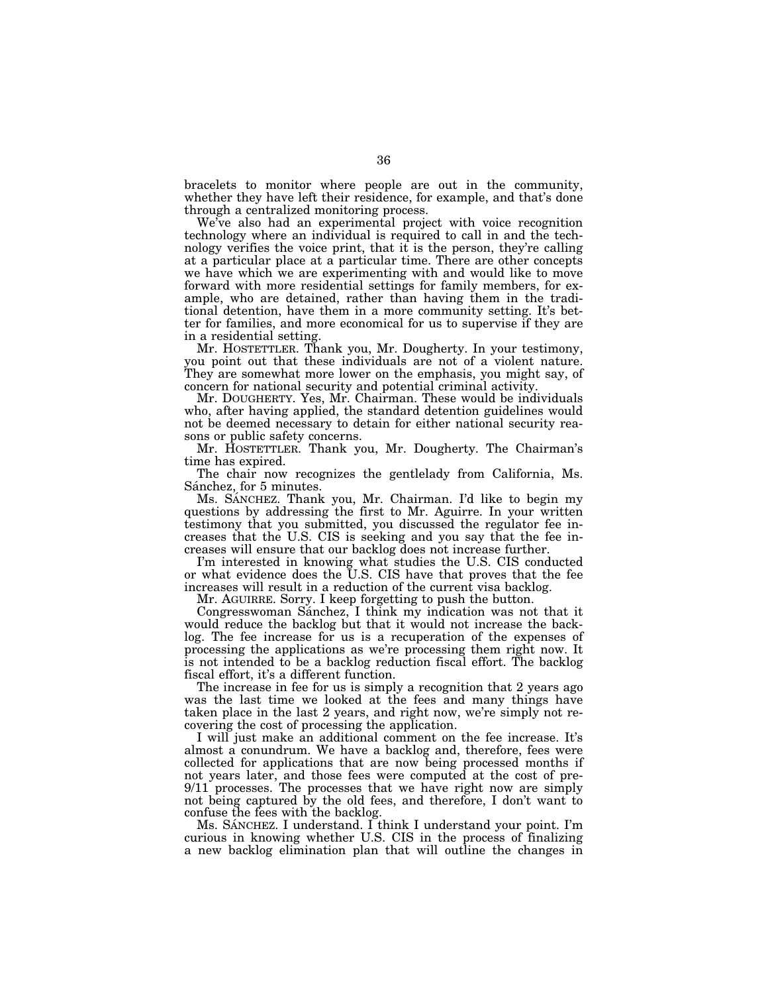bracelets to monitor where people are out in the community, whether they have left their residence, for example, and that's done through a centralized monitoring process.

We've also had an experimental project with voice recognition technology where an individual is required to call in and the technology verifies the voice print, that it is the person, they're calling at a particular place at a particular time. There are other concepts we have which we are experimenting with and would like to move forward with more residential settings for family members, for example, who are detained, rather than having them in the traditional detention, have them in a more community setting. It's better for families, and more economical for us to supervise if they are in a residential setting.

Mr. HOSTETTLER. Thank you, Mr. Dougherty. In your testimony, you point out that these individuals are not of a violent nature. They are somewhat more lower on the emphasis, you might say, of concern for national security and potential criminal activity.

Mr. DOUGHERTY. Yes, Mr. Chairman. These would be individuals who, after having applied, the standard detention guidelines would not be deemed necessary to detain for either national security reasons or public safety concerns.

Mr. HOSTETTLER. Thank you, Mr. Dougherty. The Chairman's time has expired.

The chair now recognizes the gentlelady from California, Ms. Sánchez, for 5 minutes.

Ms. SANCHEZ. Thank you, Mr. Chairman. I'd like to begin my questions by addressing the first to Mr. Aguirre. In your written testimony that you submitted, you discussed the regulator fee increases that the U.S. CIS is seeking and you say that the fee increases will ensure that our backlog does not increase further.

I'm interested in knowing what studies the U.S. CIS conducted or what evidence does the U.S. CIS have that proves that the fee increases will result in a reduction of the current visa backlog.

Mr. AGUIRRE. Sorry. I keep forgetting to push the button.

Congresswoman Sánchez, I think my indication was not that it would reduce the backlog but that it would not increase the backlog. The fee increase for us is a recuperation of the expenses of processing the applications as we're processing them right now. It is not intended to be a backlog reduction fiscal effort. The backlog fiscal effort, it's a different function.

The increase in fee for us is simply a recognition that 2 years ago was the last time we looked at the fees and many things have taken place in the last 2 years, and right now, we're simply not recovering the cost of processing the application.

I will just make an additional comment on the fee increase. It's almost a conundrum. We have a backlog and, therefore, fees were collected for applications that are now being processed months if not years later, and those fees were computed at the cost of pre-9/11 processes. The processes that we have right now are simply not being captured by the old fees, and therefore, I don't want to confuse the fees with the backlog.

Ms. SÁNCHEZ. I understand. I think I understand your point. I'm curious in knowing whether U.S. CIS in the process of finalizing a new backlog elimination plan that will outline the changes in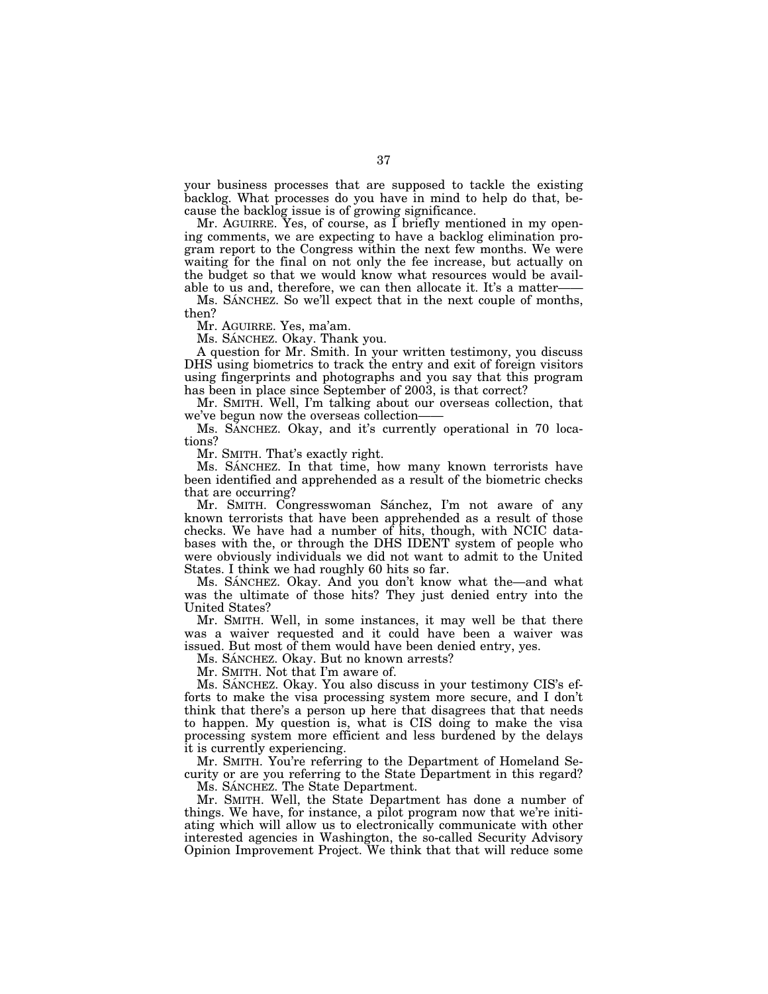your business processes that are supposed to tackle the existing backlog. What processes do you have in mind to help do that, because the backlog issue is of growing significance.

Mr. AGUIRRE. Yes, of course, as I briefly mentioned in my opening comments, we are expecting to have a backlog elimination program report to the Congress within the next few months. We were waiting for the final on not only the fee increase, but actually on the budget so that we would know what resources would be available to us and, therefore, we can then allocate it. It's a matter-

Ms. SANCHEZ. So we'll expect that in the next couple of months, then?

Mr. AGUIRRE. Yes, ma'am.

Ms. SÁNCHEZ. Okay. Thank you.

A question for Mr. Smith. In your written testimony, you discuss DHS using biometrics to track the entry and exit of foreign visitors using fingerprints and photographs and you say that this program has been in place since September of 2003, is that correct?

Mr. SMITH. Well, I'm talking about our overseas collection, that we've begun now the overseas collection-

Ms. SANCHEZ. Okay, and it's currently operational in 70 locations?

Mr. SMITH. That's exactly right.

Ms. SANCHEZ. In that time, how many known terrorists have been identified and apprehended as a result of the biometric checks that are occurring?

Mr. SMITH. Congresswoman Sánchez, I'm not aware of any known terrorists that have been apprehended as a result of those checks. We have had a number of hits, though, with NCIC databases with the, or through the DHS IDENT system of people who were obviously individuals we did not want to admit to the United States. I think we had roughly 60 hits so far.

Ms. SANCHEZ. Okay. And you don't know what the—and what was the ultimate of those hits? They just denied entry into the United States?

Mr. SMITH. Well, in some instances, it may well be that there was a waiver requested and it could have been a waiver was issued. But most of them would have been denied entry, yes.

Ms. SÁNCHEZ. Okay. But no known arrests?

Mr. SMITH. Not that I'm aware of.

Ms. SANCHEZ. Okay. You also discuss in your testimony CIS's efforts to make the visa processing system more secure, and I don't think that there's a person up here that disagrees that that needs to happen. My question is, what is CIS doing to make the visa processing system more efficient and less burdened by the delays it is currently experiencing.

Mr. SMITH. You're referring to the Department of Homeland Security or are you referring to the State Department in this regard?

Ms. SÁNCHEZ. The State Department.

Mr. SMITH. Well, the State Department has done a number of things. We have, for instance, a pilot program now that we're initiating which will allow us to electronically communicate with other interested agencies in Washington, the so-called Security Advisory Opinion Improvement Project. We think that that will reduce some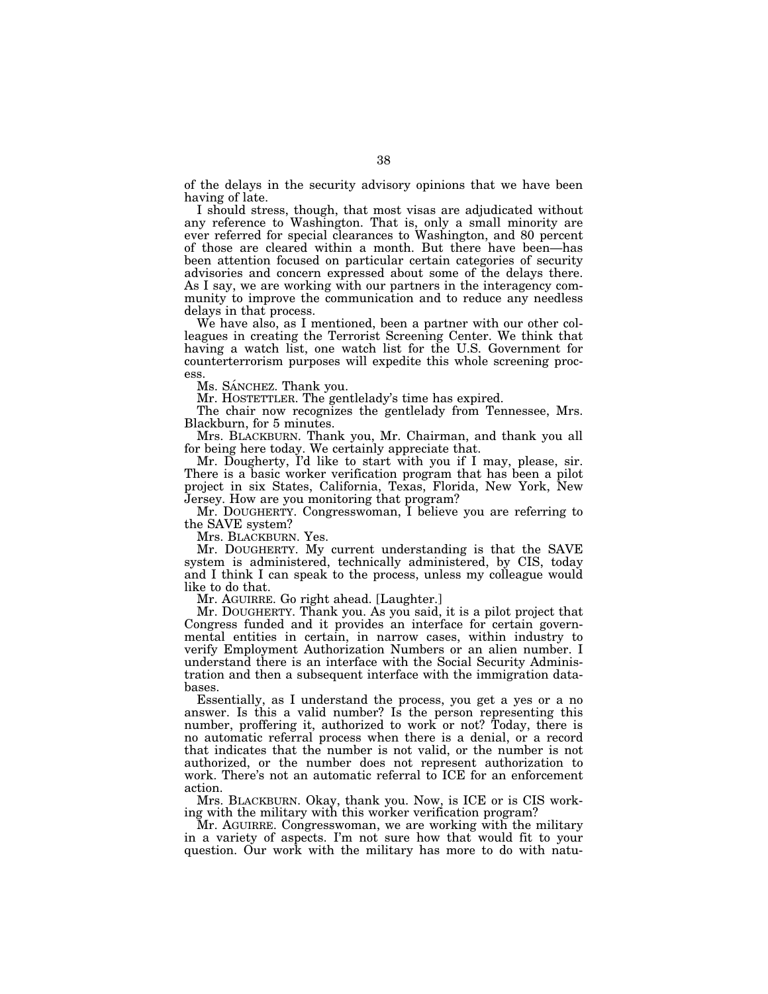of the delays in the security advisory opinions that we have been having of late.

I should stress, though, that most visas are adjudicated without any reference to Washington. That is, only a small minority are ever referred for special clearances to Washington, and 80 percent of those are cleared within a month. But there have been—has been attention focused on particular certain categories of security advisories and concern expressed about some of the delays there. As I say, we are working with our partners in the interagency community to improve the communication and to reduce any needless delays in that process.

We have also, as I mentioned, been a partner with our other colleagues in creating the Terrorist Screening Center. We think that having a watch list, one watch list for the U.S. Government for counterterrorism purposes will expedite this whole screening process.

Ms. SÁNCHEZ. Thank you.

Mr. HOSTETTLER. The gentlelady's time has expired.

The chair now recognizes the gentlelady from Tennessee, Mrs. Blackburn, for 5 minutes.

Mrs. BLACKBURN. Thank you, Mr. Chairman, and thank you all for being here today. We certainly appreciate that.

Mr. Dougherty, I'd like to start with you if I may, please, sir. There is a basic worker verification program that has been a pilot project in six States, California, Texas, Florida, New York, New Jersey. How are you monitoring that program?

Mr. DOUGHERTY. Congresswoman, I believe you are referring to the SAVE system?

Mrs. BLACKBURN. Yes.

Mr. DOUGHERTY. My current understanding is that the SAVE system is administered, technically administered, by CIS, today and I think I can speak to the process, unless my colleague would like to do that.

Mr. AGUIRRE. Go right ahead. [Laughter.]

Mr. DOUGHERTY. Thank you. As you said, it is a pilot project that Congress funded and it provides an interface for certain governmental entities in certain, in narrow cases, within industry to verify Employment Authorization Numbers or an alien number. I understand there is an interface with the Social Security Administration and then a subsequent interface with the immigration databases.

Essentially, as I understand the process, you get a yes or a no answer. Is this a valid number? Is the person representing this number, proffering it, authorized to work or not? Today, there is no automatic referral process when there is a denial, or a record that indicates that the number is not valid, or the number is not authorized, or the number does not represent authorization to work. There's not an automatic referral to ICE for an enforcement action.

Mrs. BLACKBURN. Okay, thank you. Now, is ICE or is CIS working with the military with this worker verification program?

Mr. AGUIRRE. Congresswoman, we are working with the military in a variety of aspects. I'm not sure how that would fit to your question. Our work with the military has more to do with natu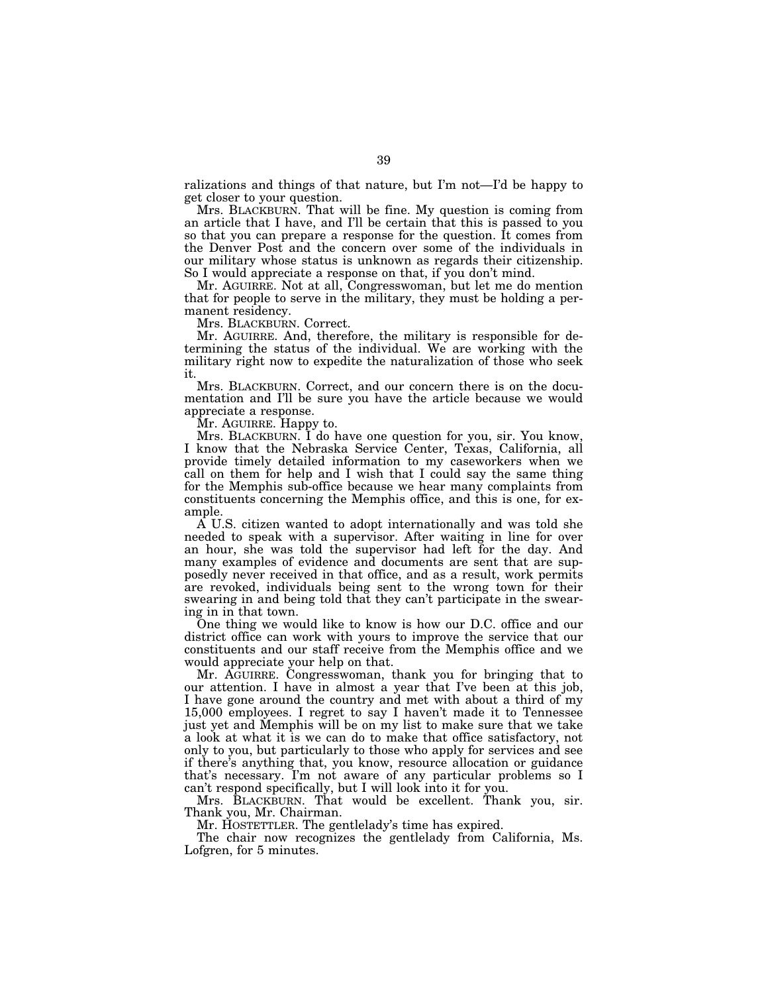ralizations and things of that nature, but I'm not—I'd be happy to get closer to your question.

Mrs. BLACKBURN. That will be fine. My question is coming from an article that I have, and I'll be certain that this is passed to you so that you can prepare a response for the question. It comes from the Denver Post and the concern over some of the individuals in our military whose status is unknown as regards their citizenship. So I would appreciate a response on that, if you don't mind.

Mr. AGUIRRE. Not at all, Congresswoman, but let me do mention that for people to serve in the military, they must be holding a permanent residency.

Mrs. BLACKBURN. Correct.

Mr. AGUIRRE. And, therefore, the military is responsible for determining the status of the individual. We are working with the military right now to expedite the naturalization of those who seek it.

Mrs. BLACKBURN. Correct, and our concern there is on the documentation and I'll be sure you have the article because we would appreciate a response.

Mr. AGUIRRE. Happy to.

Mrs. BLACKBURN. I do have one question for you, sir. You know I know that the Nebraska Service Center, Texas, California, all provide timely detailed information to my caseworkers when we call on them for help and I wish that I could say the same thing for the Memphis sub-office because we hear many complaints from constituents concerning the Memphis office, and this is one, for example.

A U.S. citizen wanted to adopt internationally and was told she needed to speak with a supervisor. After waiting in line for over an hour, she was told the supervisor had left for the day. And many examples of evidence and documents are sent that are supposedly never received in that office, and as a result, work permits are revoked, individuals being sent to the wrong town for their swearing in and being told that they can't participate in the swearing in in that town.

One thing we would like to know is how our D.C. office and our district office can work with yours to improve the service that our constituents and our staff receive from the Memphis office and we would appreciate your help on that.

Mr. AGUIRRE. Congresswoman, thank you for bringing that to our attention. I have in almost a year that I've been at this job, I have gone around the country and met with about a third of my 15,000 employees. I regret to say I haven't made it to Tennessee just yet and Memphis will be on my list to make sure that we take a look at what it is we can do to make that office satisfactory, not only to you, but particularly to those who apply for services and see if there's anything that, you know, resource allocation or guidance that's necessary. I'm not aware of any particular problems so I can't respond specifically, but I will look into it for you.

Mrs. BLACKBURN. That would be excellent. Thank you, sir. Thank you, Mr. Chairman.

Mr. HOSTETTLER. The gentlelady's time has expired.

The chair now recognizes the gentlelady from California, Ms. Lofgren, for 5 minutes.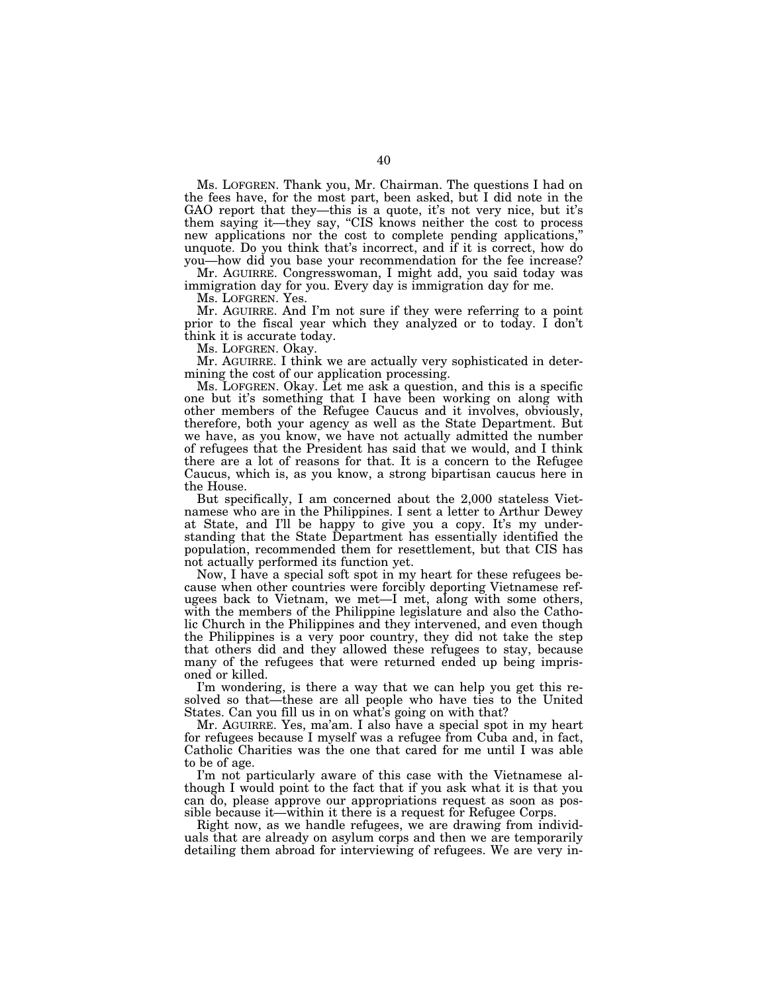Ms. LOFGREN. Thank you, Mr. Chairman. The questions I had on the fees have, for the most part, been asked, but I did note in the GAO report that they—this is a quote, it's not very nice, but it's them saying it—they say, "CIS knows neither the cost to process new applications nor the cost to complete pending applications," unquote. Do you think that's incorrect, and if it is correct, how do you—how did you base your recommendation for the fee increase?

Mr. AGUIRRE. Congresswoman, I might add, you said today was immigration day for you. Every day is immigration day for me.

Ms. LOFGREN. Yes.

Mr. AGUIRRE. And I'm not sure if they were referring to a point prior to the fiscal year which they analyzed or to today. I don't think it is accurate today.

Ms. LOFGREN. Okay.

Mr. AGUIRRE. I think we are actually very sophisticated in determining the cost of our application processing.

Ms. LOFGREN. Okay. Let me ask a question, and this is a specific one but it's something that I have been working on along with other members of the Refugee Caucus and it involves, obviously, therefore, both your agency as well as the State Department. But we have, as you know, we have not actually admitted the number of refugees that the President has said that we would, and I think there are a lot of reasons for that. It is a concern to the Refugee Caucus, which is, as you know, a strong bipartisan caucus here in the House.

But specifically, I am concerned about the 2,000 stateless Vietnamese who are in the Philippines. I sent a letter to Arthur Dewey at State, and I'll be happy to give you a copy. It's my understanding that the State Department has essentially identified the population, recommended them for resettlement, but that CIS has not actually performed its function yet.

Now, I have a special soft spot in my heart for these refugees because when other countries were forcibly deporting Vietnamese refugees back to Vietnam, we met—I met, along with some others, with the members of the Philippine legislature and also the Catholic Church in the Philippines and they intervened, and even though the Philippines is a very poor country, they did not take the step that others did and they allowed these refugees to stay, because many of the refugees that were returned ended up being imprisoned or killed.

I'm wondering, is there a way that we can help you get this resolved so that—these are all people who have ties to the United States. Can you fill us in on what's going on with that?

Mr. AGUIRRE. Yes, ma'am. I also have a special spot in my heart for refugees because I myself was a refugee from Cuba and, in fact, Catholic Charities was the one that cared for me until I was able to be of age.

I'm not particularly aware of this case with the Vietnamese although I would point to the fact that if you ask what it is that you can do, please approve our appropriations request as soon as possible because it—within it there is a request for Refugee Corps.

Right now, as we handle refugees, we are drawing from individuals that are already on asylum corps and then we are temporarily detailing them abroad for interviewing of refugees. We are very in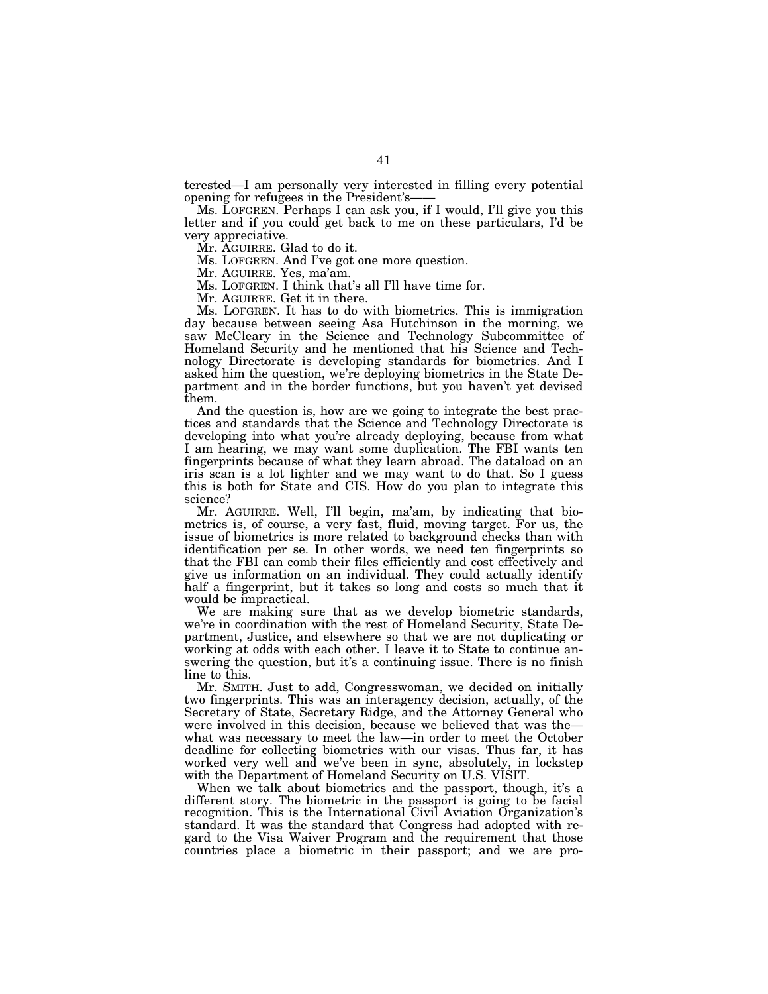terested—I am personally very interested in filling every potential

Ms. LOFGREN. Perhaps I can ask you, if I would, I'll give you this letter and if you could get back to me on these particulars, I'd be very appreciative.

Mr. AGUIRRE. Glad to do it.

Ms. LOFGREN. And I've got one more question.

Mr. AGUIRRE. Yes, ma'am.

Ms. LOFGREN. I think that's all I'll have time for.

Mr. AGUIRRE. Get it in there.

Ms. LOFGREN. It has to do with biometrics. This is immigration day because between seeing Asa Hutchinson in the morning, we saw McCleary in the Science and Technology Subcommittee of Homeland Security and he mentioned that his Science and Technology Directorate is developing standards for biometrics. And I asked him the question, we're deploying biometrics in the State Department and in the border functions, but you haven't yet devised them.

And the question is, how are we going to integrate the best practices and standards that the Science and Technology Directorate is developing into what you're already deploying, because from what I am hearing, we may want some duplication. The FBI wants ten fingerprints because of what they learn abroad. The dataload on an iris scan is a lot lighter and we may want to do that. So I guess this is both for State and CIS. How do you plan to integrate this science?

Mr. AGUIRRE. Well, I'll begin, ma'am, by indicating that biometrics is, of course, a very fast, fluid, moving target. For us, the issue of biometrics is more related to background checks than with identification per se. In other words, we need ten fingerprints so that the FBI can comb their files efficiently and cost effectively and give us information on an individual. They could actually identify half a fingerprint, but it takes so long and costs so much that it would be impractical.

We are making sure that as we develop biometric standards, we're in coordination with the rest of Homeland Security, State Department, Justice, and elsewhere so that we are not duplicating or working at odds with each other. I leave it to State to continue answering the question, but it's a continuing issue. There is no finish line to this.

Mr. SMITH. Just to add, Congresswoman, we decided on initially two fingerprints. This was an interagency decision, actually, of the Secretary of State, Secretary Ridge, and the Attorney General who were involved in this decision, because we believed that was the what was necessary to meet the law—in order to meet the October deadline for collecting biometrics with our visas. Thus far, it has worked very well and we've been in sync, absolutely, in lockstep with the Department of Homeland Security on U.S. VISIT.

When we talk about biometrics and the passport, though, it's a different story. The biometric in the passport is going to be facial recognition. This is the International Civil Aviation Organization's standard. It was the standard that Congress had adopted with regard to the Visa Waiver Program and the requirement that those countries place a biometric in their passport; and we are pro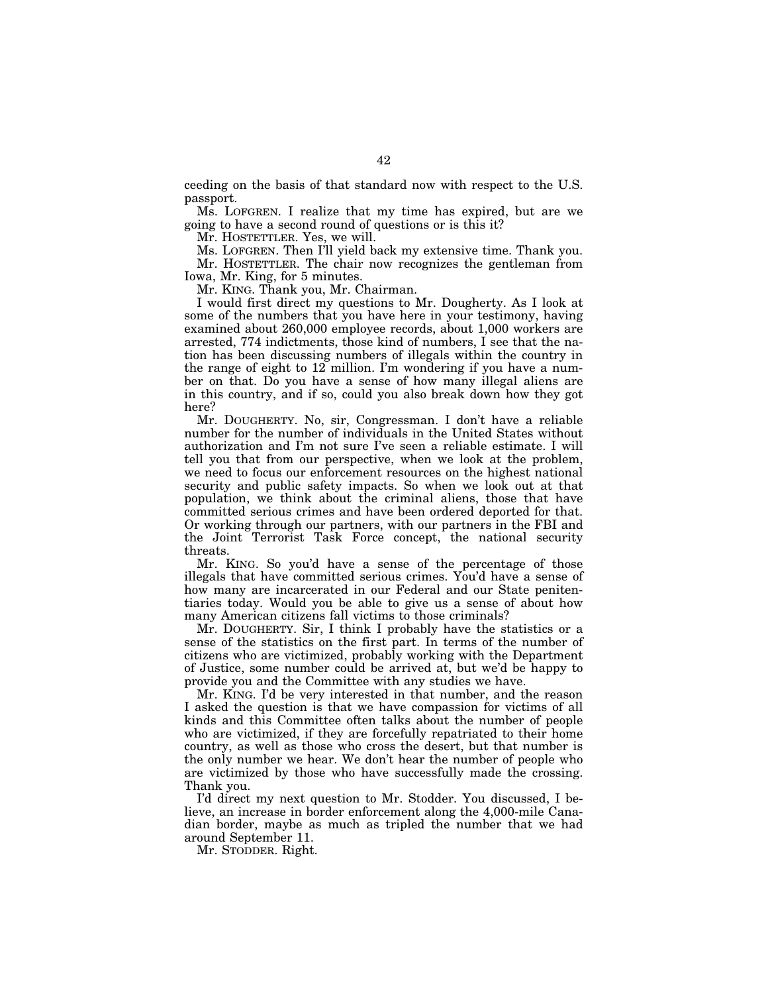ceeding on the basis of that standard now with respect to the U.S. passport.

Ms. LOFGREN. I realize that my time has expired, but are we going to have a second round of questions or is this it?

Mr. HOSTETTLER. Yes, we will.

Ms. LOFGREN. Then I'll yield back my extensive time. Thank you. Mr. HOSTETTLER. The chair now recognizes the gentleman from Iowa, Mr. King, for 5 minutes.

Mr. KING. Thank you, Mr. Chairman.

I would first direct my questions to Mr. Dougherty. As I look at some of the numbers that you have here in your testimony, having examined about 260,000 employee records, about 1,000 workers are arrested, 774 indictments, those kind of numbers, I see that the nation has been discussing numbers of illegals within the country in the range of eight to  $12$  million. I'm wondering if you have a number on that. Do you have a sense of how many illegal aliens are in this country, and if so, could you also break down how they got here?

Mr. DOUGHERTY. No, sir, Congressman. I don't have a reliable number for the number of individuals in the United States without authorization and I'm not sure I've seen a reliable estimate. I will tell you that from our perspective, when we look at the problem, we need to focus our enforcement resources on the highest national security and public safety impacts. So when we look out at that population, we think about the criminal aliens, those that have committed serious crimes and have been ordered deported for that. Or working through our partners, with our partners in the FBI and the Joint Terrorist Task Force concept, the national security threats.

Mr. KING. So you'd have a sense of the percentage of those illegals that have committed serious crimes. You'd have a sense of how many are incarcerated in our Federal and our State penitentiaries today. Would you be able to give us a sense of about how many American citizens fall victims to those criminals?

Mr. DOUGHERTY. Sir, I think I probably have the statistics or a sense of the statistics on the first part. In terms of the number of citizens who are victimized, probably working with the Department of Justice, some number could be arrived at, but we'd be happy to provide you and the Committee with any studies we have.

Mr. KING. I'd be very interested in that number, and the reason I asked the question is that we have compassion for victims of all kinds and this Committee often talks about the number of people who are victimized, if they are forcefully repatriated to their home country, as well as those who cross the desert, but that number is the only number we hear. We don't hear the number of people who are victimized by those who have successfully made the crossing. Thank you.

I'd direct my next question to Mr. Stodder. You discussed, I believe, an increase in border enforcement along the 4,000-mile Canadian border, maybe as much as tripled the number that we had around September 11.

Mr. STODDER. Right.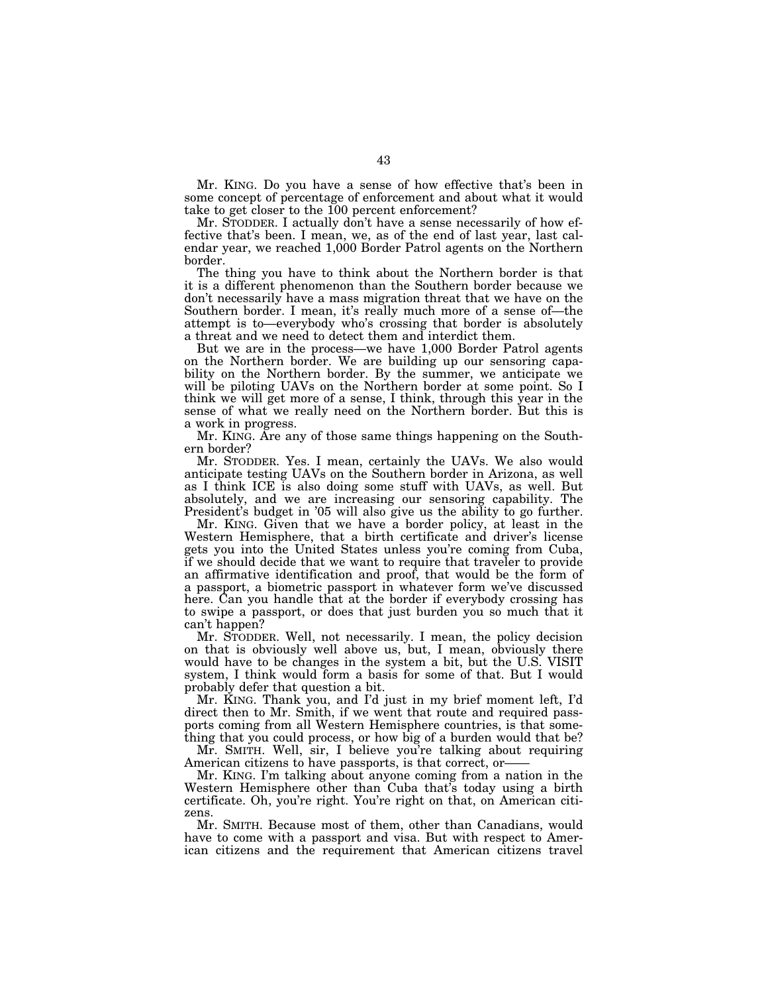Mr. KING. Do you have a sense of how effective that's been in some concept of percentage of enforcement and about what it would take to get closer to the 100 percent enforcement?

Mr. STODDER. I actually don't have a sense necessarily of how effective that's been. I mean, we, as of the end of last year, last calendar year, we reached 1,000 Border Patrol agents on the Northern border.

The thing you have to think about the Northern border is that it is a different phenomenon than the Southern border because we don't necessarily have a mass migration threat that we have on the Southern border. I mean, it's really much more of a sense of—the attempt is to—everybody who's crossing that border is absolutely a threat and we need to detect them and interdict them.

But we are in the process—we have 1,000 Border Patrol agents on the Northern border. We are building up our sensoring capability on the Northern border. By the summer, we anticipate we will be piloting UAVs on the Northern border at some point. So I think we will get more of a sense, I think, through this year in the sense of what we really need on the Northern border. But this is a work in progress.

Mr. KING. Are any of those same things happening on the Southern border?

Mr. STODDER. Yes. I mean, certainly the UAVs. We also would anticipate testing UAVs on the Southern border in Arizona, as well as I think ICE is also doing some stuff with UAVs, as well. But absolutely, and we are increasing our sensoring capability. The President's budget in '05 will also give us the ability to go further.

Mr. KING. Given that we have a border policy, at least in the Western Hemisphere, that a birth certificate and driver's license gets you into the United States unless you're coming from Cuba, if we should decide that we want to require that traveler to provide an affirmative identification and proof, that would be the form of a passport, a biometric passport in whatever form we've discussed here. Can you handle that at the border if everybody crossing has to swipe a passport, or does that just burden you so much that it can't happen?

Mr. STODDER. Well, not necessarily. I mean, the policy decision on that is obviously well above us, but, I mean, obviously there would have to be changes in the system a bit, but the U.S. VISIT system, I think would form a basis for some of that. But I would probably defer that question a bit.

Mr. KING. Thank you, and I'd just in my brief moment left, I'd direct then to Mr. Smith, if we went that route and required passports coming from all Western Hemisphere countries, is that something that you could process, or how big of a burden would that be?

Mr. SMITH. Well, sir, I believe you're talking about requiring American citizens to have passports, is that correct, or——

Mr. KING. I'm talking about anyone coming from a nation in the Western Hemisphere other than Cuba that's today using a birth certificate. Oh, you're right. You're right on that, on American citizens.

Mr. SMITH. Because most of them, other than Canadians, would have to come with a passport and visa. But with respect to American citizens and the requirement that American citizens travel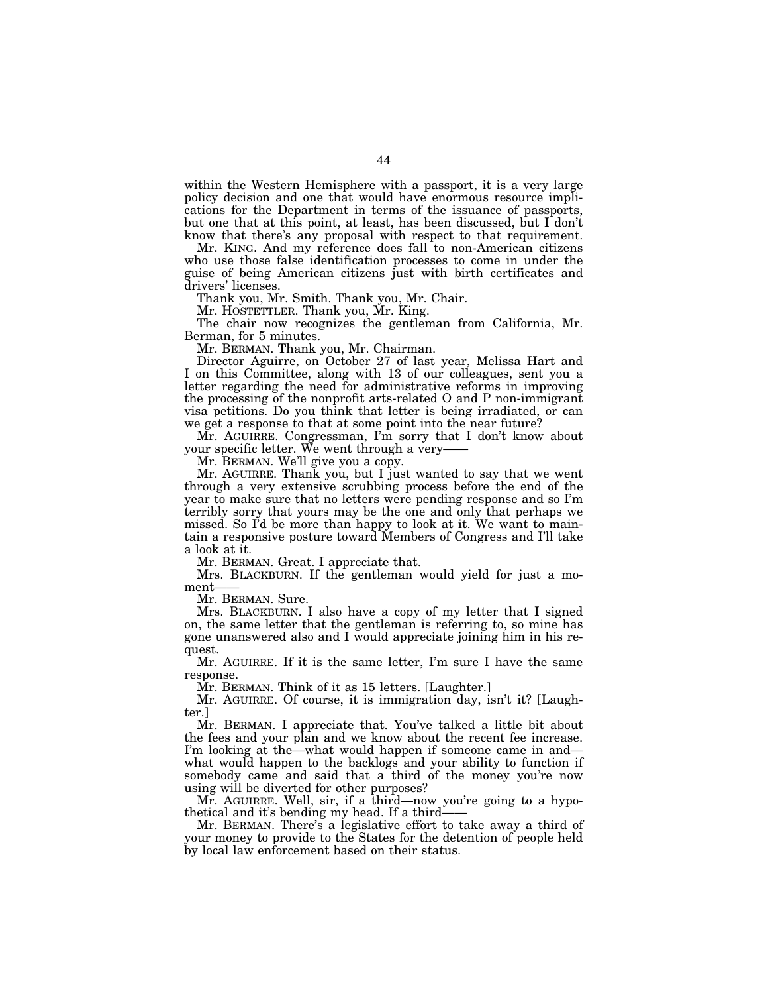within the Western Hemisphere with a passport, it is a very large policy decision and one that would have enormous resource implications for the Department in terms of the issuance of passports, but one that at this point, at least, has been discussed, but I don't know that there's any proposal with respect to that requirement.

Mr. KING. And my reference does fall to non-American citizens who use those false identification processes to come in under the guise of being American citizens just with birth certificates and drivers' licenses.

Thank you, Mr. Smith. Thank you, Mr. Chair.

Mr. HOSTETTLER. Thank you, Mr. King.

The chair now recognizes the gentleman from California, Mr. Berman, for 5 minutes.

Mr. BERMAN. Thank you, Mr. Chairman.

Director Aguirre, on October 27 of last year, Melissa Hart and I on this Committee, along with 13 of our colleagues, sent you a letter regarding the need for administrative reforms in improving the processing of the nonprofit arts-related O and P non-immigrant visa petitions. Do you think that letter is being irradiated, or can we get a response to that at some point into the near future?

Mr. AGUIRRE. Congressman, I'm sorry that I don't know about your specific letter. We went through a very—— Mr. BERMAN. We'll give you a copy.

Mr. AGUIRRE. Thank you, but I just wanted to say that we went through a very extensive scrubbing process before the end of the year to make sure that no letters were pending response and so I'm terribly sorry that yours may be the one and only that perhaps we missed. So I'd be more than happy to look at it. We want to maintain a responsive posture toward Members of Congress and I'll take a look at it.

Mr. BERMAN. Great. I appreciate that.

Mrs. BLACKBURN. If the gentleman would yield for just a moment——<br>Mr. BERMAN. Sure.

Mrs. BLACKBURN. I also have a copy of my letter that I signed on, the same letter that the gentleman is referring to, so mine has gone unanswered also and I would appreciate joining him in his request.

Mr. AGUIRRE. If it is the same letter, I'm sure I have the same response.

Mr. BERMAN. Think of it as 15 letters. [Laughter.]

Mr. AGUIRRE. Of course, it is immigration day, isn't it? [Laughter.]

Mr. BERMAN. I appreciate that. You've talked a little bit about the fees and your plan and we know about the recent fee increase. I'm looking at the—what would happen if someone came in and what would happen to the backlogs and your ability to function if somebody came and said that a third of the money you're now using will be diverted for other purposes?

Mr. AGUIRRE. Well, sir, if a third—now you're going to a hypo-<br>thetical and it's bending my head. If a third—

Mr. BERMAN. There's a legislative effort to take away a third of your money to provide to the States for the detention of people held by local law enforcement based on their status.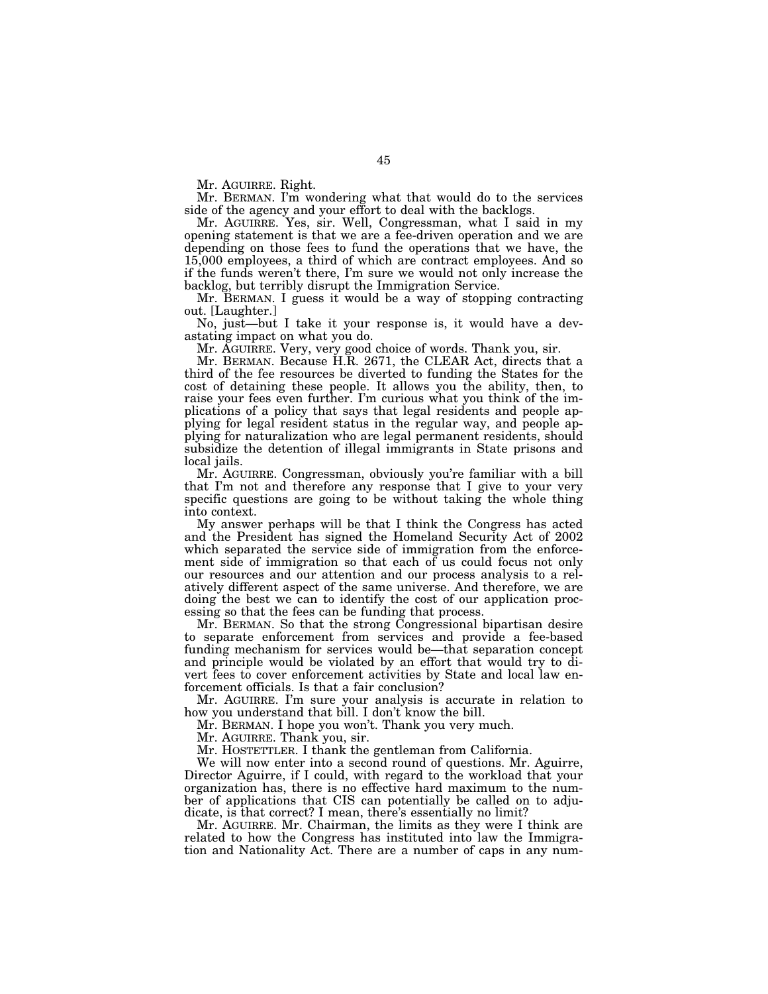Mr. AGUIRRE. Right.

Mr. BERMAN. I'm wondering what that would do to the services side of the agency and your effort to deal with the backlogs.

Mr. AGUIRRE. Yes, sir. Well, Congressman, what I said in my opening statement is that we are a fee-driven operation and we are depending on those fees to fund the operations that we have, the 15,000 employees, a third of which are contract employees. And so if the funds weren't there, I'm sure we would not only increase the backlog, but terribly disrupt the Immigration Service.

Mr. BERMAN. I guess it would be a way of stopping contracting out. [Laughter.]

No, just—but I take it your response is, it would have a devastating impact on what you do.

Mr. AGUIRRE. Very, very good choice of words. Thank you, sir.

Mr. BERMAN. Because H.R. 2671, the CLEAR Act, directs that a third of the fee resources be diverted to funding the States for the cost of detaining these people. It allows you the ability, then, to raise your fees even further. I'm curious what you think of the implications of a policy that says that legal residents and people applying for legal resident status in the regular way, and people applying for naturalization who are legal permanent residents, should subsidize the detention of illegal immigrants in State prisons and local jails.

Mr. AGUIRRE. Congressman, obviously you're familiar with a bill that I'm not and therefore any response that I give to your very specific questions are going to be without taking the whole thing into context.

My answer perhaps will be that I think the Congress has acted and the President has signed the Homeland Security Act of 2002 which separated the service side of immigration from the enforcement side of immigration so that each of us could focus not only our resources and our attention and our process analysis to a relatively different aspect of the same universe. And therefore, we are doing the best we can to identify the cost of our application processing so that the fees can be funding that process.

Mr. BERMAN. So that the strong Congressional bipartisan desire to separate enforcement from services and provide a fee-based funding mechanism for services would be—that separation concept and principle would be violated by an effort that would try to divert fees to cover enforcement activities by State and local law enforcement officials. Is that a fair conclusion?

Mr. AGUIRRE. I'm sure your analysis is accurate in relation to how you understand that bill. I don't know the bill.

Mr. BERMAN. I hope you won't. Thank you very much.

Mr. AGUIRRE. Thank you, sir.

Mr. HOSTETTLER. I thank the gentleman from California.

We will now enter into a second round of questions. Mr. Aguirre, Director Aguirre, if I could, with regard to the workload that your organization has, there is no effective hard maximum to the number of applications that CIS can potentially be called on to adjudicate, is that correct? I mean, there's essentially no limit?

Mr. AGUIRRE. Mr. Chairman, the limits as they were I think are related to how the Congress has instituted into law the Immigration and Nationality Act. There are a number of caps in any num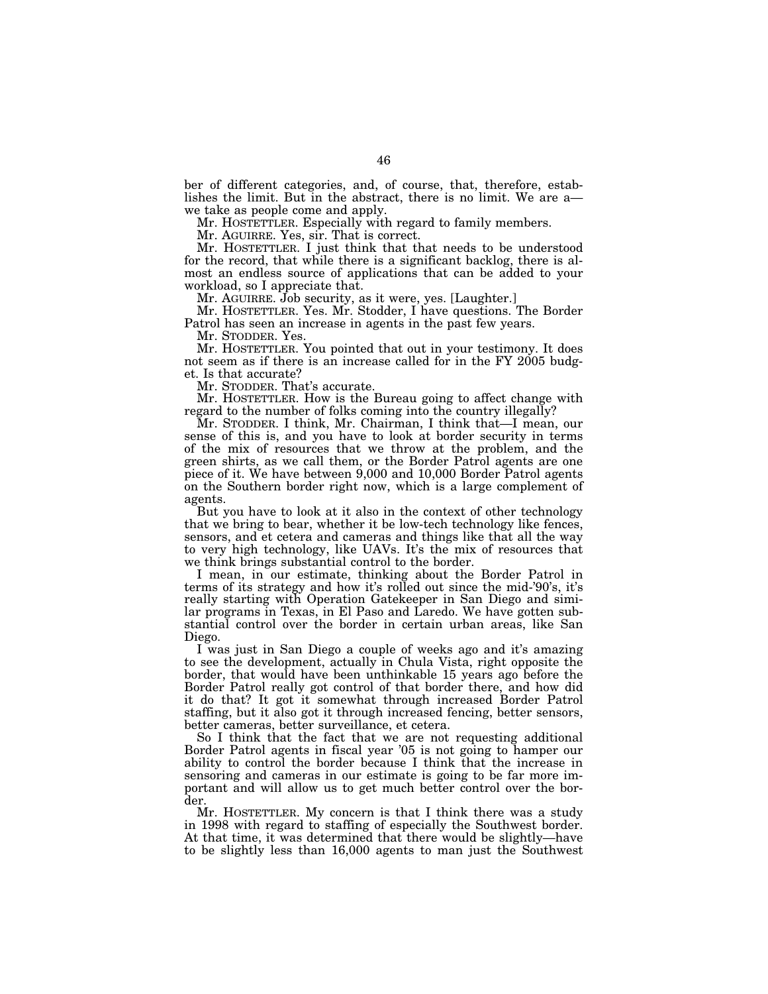ber of different categories, and, of course, that, therefore, establishes the limit. But in the abstract, there is no limit. We are a— we take as people come and apply.

Mr. HOSTETTLER. Especially with regard to family members.

Mr. AGUIRRE. Yes, sir. That is correct.

Mr. HOSTETTLER. I just think that that needs to be understood for the record, that while there is a significant backlog, there is almost an endless source of applications that can be added to your workload, so I appreciate that.

Mr. AGUIRRE. Job security, as it were, yes. [Laughter.]

Mr. HOSTETTLER. Yes. Mr. Stodder, I have questions. The Border Patrol has seen an increase in agents in the past few years.

Mr. STODDER. Yes.

Mr. HOSTETTLER. You pointed that out in your testimony. It does not seem as if there is an increase called for in the FY 2005 budget. Is that accurate?

Mr. STODDER. That's accurate.

Mr. HOSTETTLER. How is the Bureau going to affect change with regard to the number of folks coming into the country illegally?

Mr. STODDER. I think, Mr. Chairman, I think that—I mean, our sense of this is, and you have to look at border security in terms of the mix of resources that we throw at the problem, and the green shirts, as we call them, or the Border Patrol agents are one piece of it. We have between 9,000 and 10,000 Border Patrol agents on the Southern border right now, which is a large complement of agents.

But you have to look at it also in the context of other technology that we bring to bear, whether it be low-tech technology like fences, sensors, and et cetera and cameras and things like that all the way to very high technology, like UAVs. It's the mix of resources that we think brings substantial control to the border.

I mean, in our estimate, thinking about the Border Patrol in terms of its strategy and how it's rolled out since the mid-'90's, it's really starting with Operation Gatekeeper in San Diego and similar programs in Texas, in El Paso and Laredo. We have gotten substantial control over the border in certain urban areas, like San Diego.

I was just in San Diego a couple of weeks ago and it's amazing to see the development, actually in Chula Vista, right opposite the border, that would have been unthinkable 15 years ago before the Border Patrol really got control of that border there, and how did it do that? It got it somewhat through increased Border Patrol staffing, but it also got it through increased fencing, better sensors, better cameras, better surveillance, et cetera.

So I think that the fact that we are not requesting additional Border Patrol agents in fiscal year '05 is not going to hamper our ability to control the border because I think that the increase in sensoring and cameras in our estimate is going to be far more important and will allow us to get much better control over the border.

Mr. HOSTETTLER. My concern is that I think there was a study in 1998 with regard to staffing of especially the Southwest border. At that time, it was determined that there would be slightly—have to be slightly less than 16,000 agents to man just the Southwest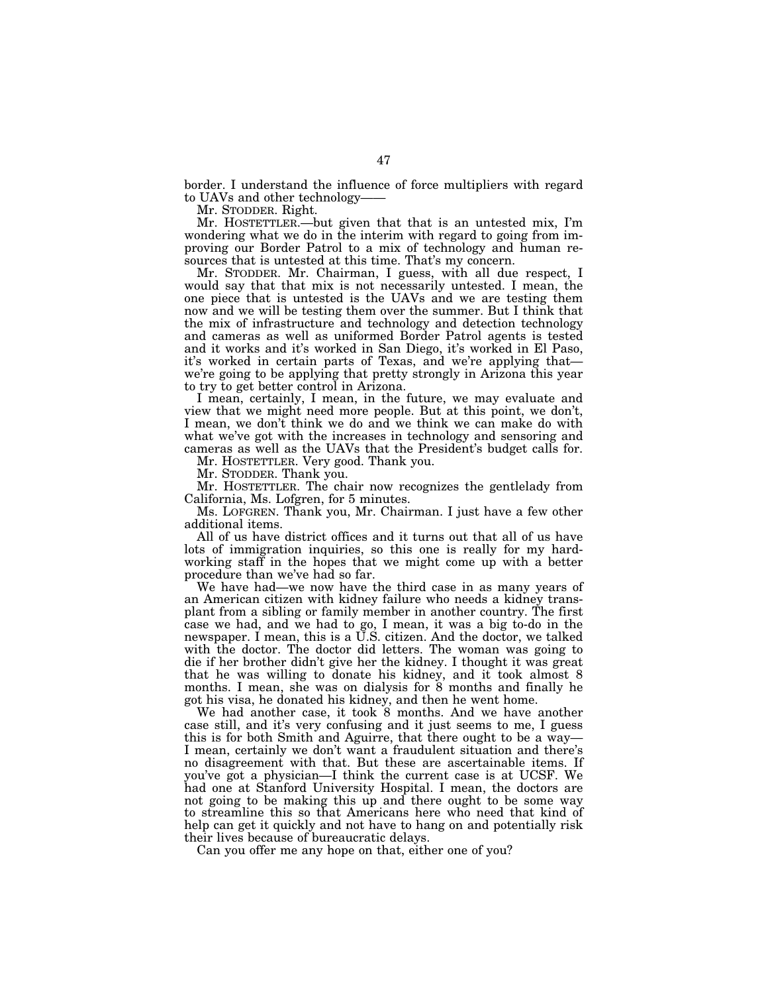border. I understand the influence of force multipliers with regard to UAVs and other technology-<br>Mr. STODDER. Right.

Mr. HOSTETTLER.—but given that that is an untested mix, I'm wondering what we do in the interim with regard to going from improving our Border Patrol to a mix of technology and human resources that is untested at this time. That's my concern.

Mr. STODDER. Mr. Chairman, I guess, with all due respect, I would say that that mix is not necessarily untested. I mean, the one piece that is untested is the UAVs and we are testing them now and we will be testing them over the summer. But I think that the mix of infrastructure and technology and detection technology and cameras as well as uniformed Border Patrol agents is tested and it works and it's worked in San Diego, it's worked in El Paso, we're going to be applying that pretty strongly in Arizona this year to try to get better control in Arizona.

I mean, certainly, I mean, in the future, we may evaluate and view that we might need more people. But at this point, we don't, I mean, we don't think we do and we think we can make do with what we've got with the increases in technology and sensoring and cameras as well as the UAVs that the President's budget calls for.

Mr. HOSTETTLER. Very good. Thank you.

Mr. STODDER. Thank you.

Mr. HOSTETTLER. The chair now recognizes the gentlelady from California, Ms. Lofgren, for 5 minutes.

Ms. LOFGREN. Thank you, Mr. Chairman. I just have a few other additional items.

All of us have district offices and it turns out that all of us have lots of immigration inquiries, so this one is really for my hardworking staff in the hopes that we might come up with a better procedure than we've had so far.

We have had—we now have the third case in as many years of an American citizen with kidney failure who needs a kidney transplant from a sibling or family member in another country. The first case we had, and we had to go, I mean, it was a big to-do in the newspaper. I mean, this is a U.S. citizen. And the doctor, we talked with the doctor. The doctor did letters. The woman was going to die if her brother didn't give her the kidney. I thought it was great that he was willing to donate his kidney, and it took almost 8 months. I mean, she was on dialysis for 8 months and finally he got his visa, he donated his kidney, and then he went home.

We had another case, it took 8 months. And we have another case still, and it's very confusing and it just seems to me, I guess this is for both Smith and Aguirre, that there ought to be a way— I mean, certainly we don't want a fraudulent situation and there's no disagreement with that. But these are ascertainable items. If you've got a physician—I think the current case is at UCSF. We had one at Stanford University Hospital. I mean, the doctors are not going to be making this up and there ought to be some way to streamline this so that Americans here who need that kind of help can get it quickly and not have to hang on and potentially risk their lives because of bureaucratic delays.

Can you offer me any hope on that, either one of you?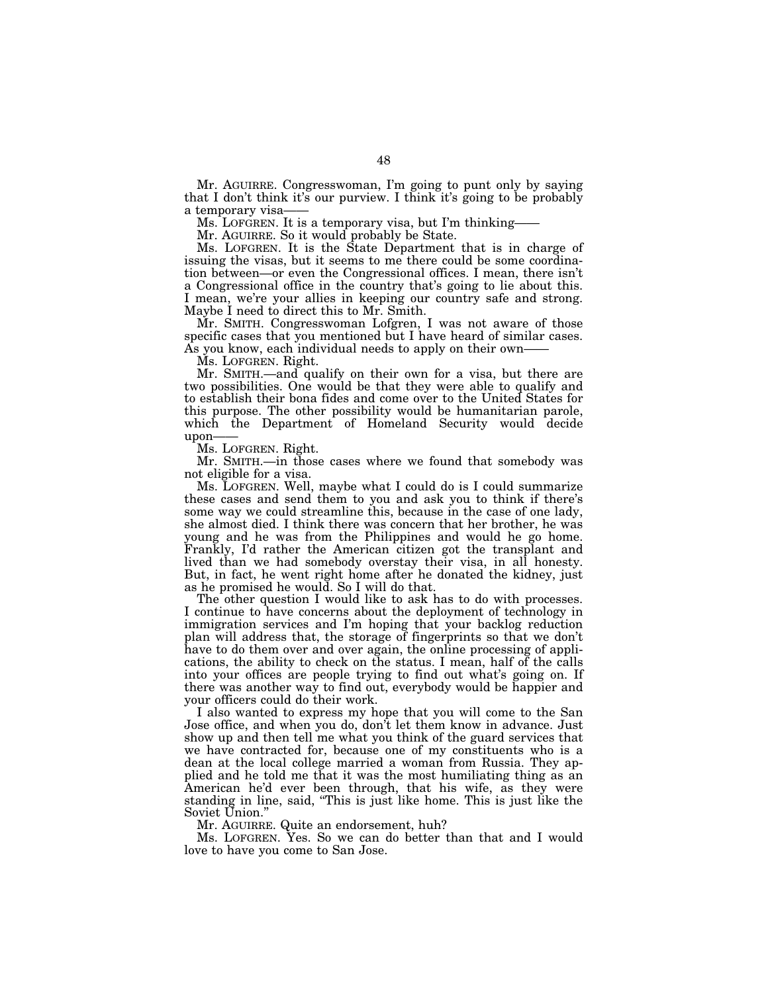Mr. AGUIRRE. Congresswoman, I'm going to punt only by saying that I don't think it's our purview. I think it's going to be probably a temporary visa—— Ms. LOFGREN. It is a temporary visa, but I'm thinking—— Mr. AGUIRRE. So it would probably be State.

Ms. LOFGREN. It is the State Department that is in charge of issuing the visas, but it seems to me there could be some coordination between—or even the Congressional offices. I mean, there isn't a Congressional office in the country that's going to lie about this. I mean, we're your allies in keeping our country safe and strong. Maybe I need to direct this to Mr. Smith.

Mr. SMITH. Congresswoman Lofgren, I was not aware of those specific cases that you mentioned but I have heard of similar cases. As you know, each individual needs to apply on their own-

Ms. LOFGREN. Right.

Mr. SMITH.—and qualify on their own for a visa, but there are two possibilities. One would be that they were able to qualify and to establish their bona fides and come over to the United States for this purpose. The other possibility would be humanitarian parole, which the Department of Homeland Security would decide upon——

Ms. LOFGREN. Right.

Mr. SMITH.—in those cases where we found that somebody was not eligible for a visa.

Ms. LOFGREN. Well, maybe what I could do is I could summarize these cases and send them to you and ask you to think if there's some way we could streamline this, because in the case of one lady, she almost died. I think there was concern that her brother, he was young and he was from the Philippines and would he go home. Frankly, I'd rather the American citizen got the transplant and lived than we had somebody overstay their visa, in all honesty. But, in fact, he went right home after he donated the kidney, just as he promised he would. So I will do that.

The other question I would like to ask has to do with processes. I continue to have concerns about the deployment of technology in immigration services and I'm hoping that your backlog reduction plan will address that, the storage of fingerprints so that we don't have to do them over and over again, the online processing of applications, the ability to check on the status. I mean, half of the calls into your offices are people trying to find out what's going on. If there was another way to find out, everybody would be happier and your officers could do their work.

I also wanted to express my hope that you will come to the San Jose office, and when you do, don't let them know in advance. Just show up and then tell me what you think of the guard services that we have contracted for, because one of my constituents who is a dean at the local college married a woman from Russia. They applied and he told me that it was the most humiliating thing as an American he'd ever been through, that his wife, as they were standing in line, said, ''This is just like home. This is just like the Soviet Union.''

Mr. AGUIRRE. Quite an endorsement, huh?

Ms. LOFGREN. Yes. So we can do better than that and I would love to have you come to San Jose.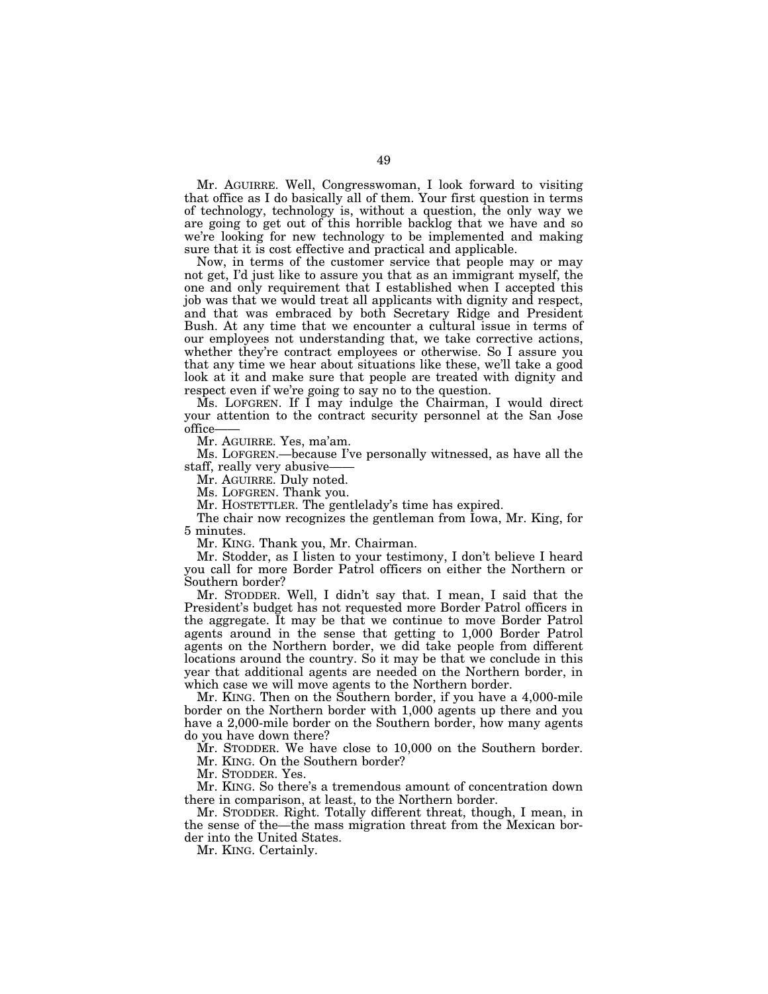Mr. AGUIRRE. Well, Congresswoman, I look forward to visiting that office as I do basically all of them. Your first question in terms of technology, technology is, without a question, the only way we are going to get out of this horrible backlog that we have and so we're looking for new technology to be implemented and making sure that it is cost effective and practical and applicable.

Now, in terms of the customer service that people may or may not get, I'd just like to assure you that as an immigrant myself, the one and only requirement that I established when I accepted this job was that we would treat all applicants with dignity and respect, and that was embraced by both Secretary Ridge and President Bush. At any time that we encounter a cultural issue in terms of our employees not understanding that, we take corrective actions, whether they're contract employees or otherwise. So I assure you that any time we hear about situations like these, we'll take a good look at it and make sure that people are treated with dignity and respect even if we're going to say no to the question.

Ms. LOFGREN. If I may indulge the Chairman, I would direct your attention to the contract security personnel at the San Jose office——

Mr. AGUIRRE. Yes, ma'am.

Ms. LOFGREN.—because I've personally witnessed, as have all the staff, really very abusive-

Mr. AGUIRRE. Duly noted.

Ms. LOFGREN. Thank you.

Mr. HOSTETTLER. The gentlelady's time has expired.

The chair now recognizes the gentleman from Iowa, Mr. King, for 5 minutes.

Mr. KING. Thank you, Mr. Chairman.

Mr. Stodder, as I listen to your testimony, I don't believe I heard you call for more Border Patrol officers on either the Northern or Southern border?

Mr. STODDER. Well, I didn't say that. I mean, I said that the President's budget has not requested more Border Patrol officers in the aggregate. It may be that we continue to move Border Patrol agents around in the sense that getting to 1,000 Border Patrol agents on the Northern border, we did take people from different locations around the country. So it may be that we conclude in this year that additional agents are needed on the Northern border, in which case we will move agents to the Northern border.

Mr. KING. Then on the Southern border, if you have a 4,000-mile border on the Northern border with 1,000 agents up there and you have a 2,000-mile border on the Southern border, how many agents do you have down there?

Mr. STODDER. We have close to 10,000 on the Southern border. Mr. KING. On the Southern border?

Mr. STODDER. Yes.

Mr. KING. So there's a tremendous amount of concentration down there in comparison, at least, to the Northern border.

Mr. STODDER. Right. Totally different threat, though, I mean, in the sense of the—the mass migration threat from the Mexican border into the United States.

Mr. KING. Certainly.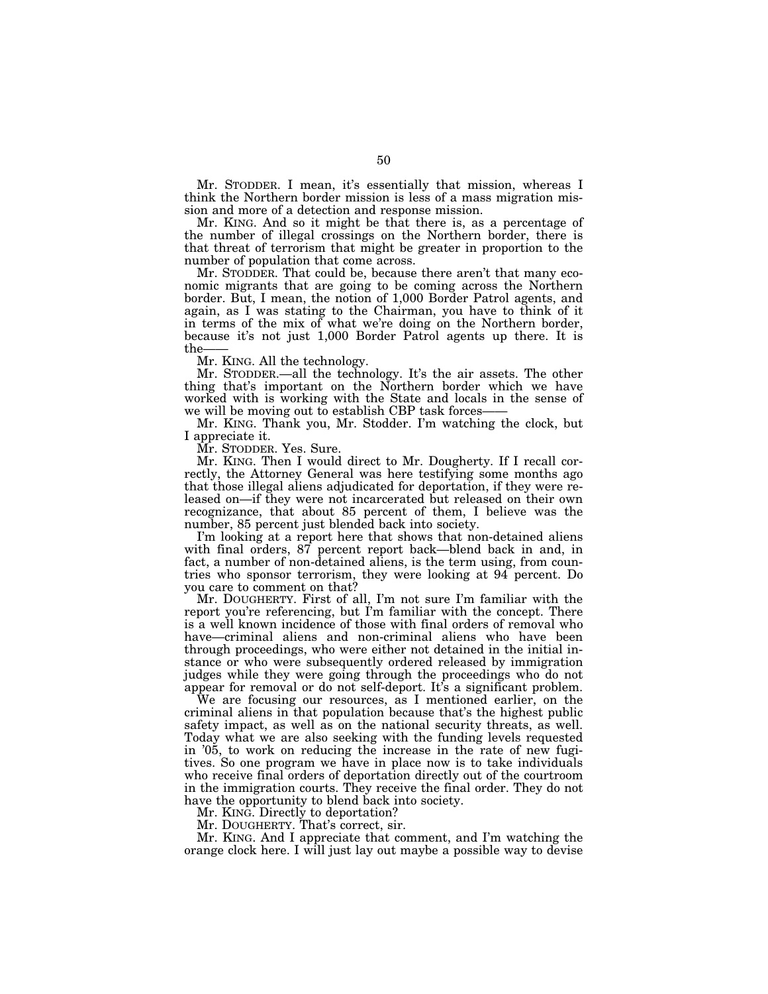Mr. STODDER. I mean, it's essentially that mission, whereas I think the Northern border mission is less of a mass migration mission and more of a detection and response mission.

Mr. KING. And so it might be that there is, as a percentage of the number of illegal crossings on the Northern border, there is that threat of terrorism that might be greater in proportion to the number of population that come across.

Mr. STODDER. That could be, because there aren't that many economic migrants that are going to be coming across the Northern border. But, I mean, the notion of 1,000 Border Patrol agents, and again, as I was stating to the Chairman, you have to think of it in terms of the mix of what we're doing on the Northern border, because it's not just 1,000 Border Patrol agents up there. It is the——

Mr. KING. All the technology.

Mr. STODDER.—all the technology. It's the air assets. The other thing that's important on the Northern border which we have worked with is working with the State and locals in the sense of we will be moving out to establish CBP task forces-

Mr. KING. Thank you, Mr. Stodder. I'm watching the clock, but I appreciate it.

Mr. STODDER. Yes. Sure.

Mr. KING. Then I would direct to Mr. Dougherty. If I recall correctly, the Attorney General was here testifying some months ago that those illegal aliens adjudicated for deportation, if they were released on—if they were not incarcerated but released on their own recognizance, that about 85 percent of them, I believe was the number, 85 percent just blended back into society.

I'm looking at a report here that shows that non-detained aliens with final orders, 87 percent report back—blend back in and, in fact, a number of non-detained aliens, is the term using, from countries who sponsor terrorism, they were looking at 94 percent. Do you care to comment on that?

Mr. DOUGHERTY. First of all, I'm not sure I'm familiar with the report you're referencing, but I'm familiar with the concept. There is a well known incidence of those with final orders of removal who have—criminal aliens and non-criminal aliens who have been through proceedings, who were either not detained in the initial instance or who were subsequently ordered released by immigration judges while they were going through the proceedings who do not appear for removal or do not self-deport. It's a significant problem.

We are focusing our resources, as I mentioned earlier, on the criminal aliens in that population because that's the highest public safety impact, as well as on the national security threats, as well. Today what we are also seeking with the funding levels requested in '05, to work on reducing the increase in the rate of new fugitives. So one program we have in place now is to take individuals who receive final orders of deportation directly out of the courtroom in the immigration courts. They receive the final order. They do not have the opportunity to blend back into society.

Mr. KING. Directly to deportation?

Mr. DOUGHERTY. That's correct, sir.

Mr. KING. And I appreciate that comment, and I'm watching the orange clock here. I will just lay out maybe a possible way to devise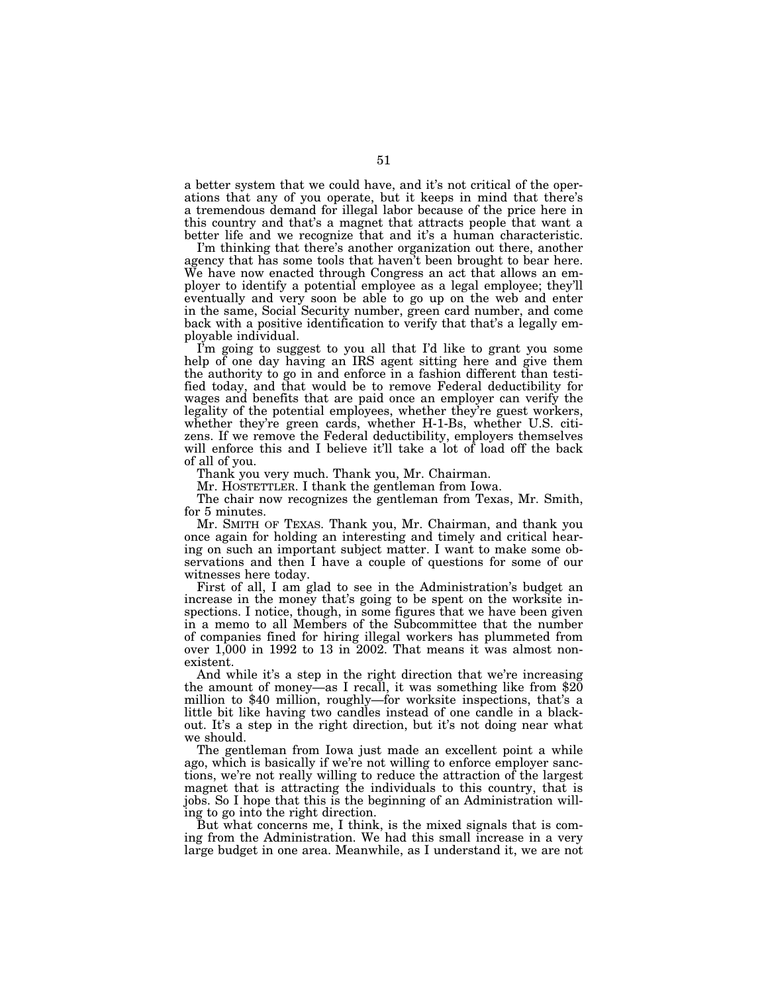a better system that we could have, and it's not critical of the operations that any of you operate, but it keeps in mind that there's a tremendous demand for illegal labor because of the price here in this country and that's a magnet that attracts people that want a better life and we recognize that and it's a human characteristic.

I'm thinking that there's another organization out there, another agency that has some tools that haven't been brought to bear here. We have now enacted through Congress an act that allows an employer to identify a potential employee as a legal employee; they'll eventually and very soon be able to go up on the web and enter in the same, Social Security number, green card number, and come back with a positive identification to verify that that's a legally employable individual.

I'm going to suggest to you all that I'd like to grant you some help of one day having an IRS agent sitting here and give them the authority to go in and enforce in a fashion different than testified today, and that would be to remove Federal deductibility for wages and benefits that are paid once an employer can verify the legality of the potential employees, whether they're guest workers, whether they're green cards, whether H-1-Bs, whether U.S. citizens. If we remove the Federal deductibility, employers themselves will enforce this and I believe it'll take a lot of load off the back of all of you.

Thank you very much. Thank you, Mr. Chairman.

Mr. HOSTETTLER. I thank the gentleman from Iowa.

The chair now recognizes the gentleman from Texas, Mr. Smith, for 5 minutes.

Mr. SMITH OF TEXAS. Thank you, Mr. Chairman, and thank you once again for holding an interesting and timely and critical hearing on such an important subject matter. I want to make some observations and then I have a couple of questions for some of our witnesses here today.

First of all, I am glad to see in the Administration's budget an increase in the money that's going to be spent on the worksite inspections. I notice, though, in some figures that we have been given in a memo to all Members of the Subcommittee that the number of companies fined for hiring illegal workers has plummeted from over 1,000 in 1992 to 13 in 2002. That means it was almost nonexistent.

And while it's a step in the right direction that we're increasing the amount of money—as I recall, it was something like from \$20 million to \$40 million, roughly—for worksite inspections, that's a little bit like having two candles instead of one candle in a blackout. It's a step in the right direction, but it's not doing near what we should.

The gentleman from Iowa just made an excellent point a while ago, which is basically if we're not willing to enforce employer sanctions, we're not really willing to reduce the attraction of the largest magnet that is attracting the individuals to this country, that is jobs. So I hope that this is the beginning of an Administration willing to go into the right direction.

But what concerns me, I think, is the mixed signals that is coming from the Administration. We had this small increase in a very large budget in one area. Meanwhile, as I understand it, we are not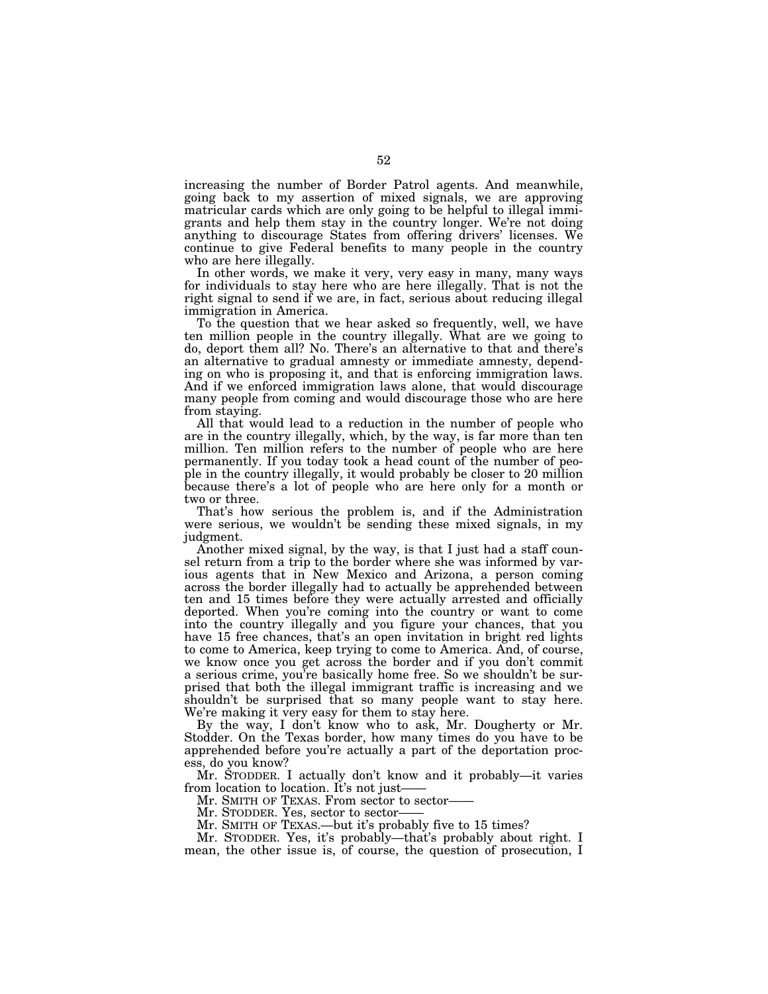increasing the number of Border Patrol agents. And meanwhile, going back to my assertion of mixed signals, we are approving matricular cards which are only going to be helpful to illegal immigrants and help them stay in the country longer. We're not doing anything to discourage States from offering drivers' licenses. We continue to give Federal benefits to many people in the country who are here illegally.

In other words, we make it very, very easy in many, many ways for individuals to stay here who are here illegally. That is not the right signal to send if we are, in fact, serious about reducing illegal immigration in America.

To the question that we hear asked so frequently, well, we have ten million people in the country illegally. What are we going to do, deport them all? No. There's an alternative to that and there's an alternative to gradual amnesty or immediate amnesty, depending on who is proposing it, and that is enforcing immigration laws. And if we enforced immigration laws alone, that would discourage many people from coming and would discourage those who are here from staying.

All that would lead to a reduction in the number of people who are in the country illegally, which, by the way, is far more than ten million. Ten million refers to the number of people who are here permanently. If you today took a head count of the number of people in the country illegally, it would probably be closer to 20 million because there's a lot of people who are here only for a month or two or three.

That's how serious the problem is, and if the Administration were serious, we wouldn't be sending these mixed signals, in my judgment.

Another mixed signal, by the way, is that I just had a staff counsel return from a trip to the border where she was informed by various agents that in New Mexico and Arizona, a person coming across the border illegally had to actually be apprehended between ten and 15 times before they were actually arrested and officially deported. When you're coming into the country or want to come into the country illegally and you figure your chances, that you have 15 free chances, that's an open invitation in bright red lights to come to America, keep trying to come to America. And, of course, we know once you get across the border and if you don't commit a serious crime, you're basically home free. So we shouldn't be surprised that both the illegal immigrant traffic is increasing and we shouldn't be surprised that so many people want to stay here. We're making it very easy for them to stay here.

By the way, I don't know who to ask, Mr. Dougherty or Mr. Stodder. On the Texas border, how many times do you have to be apprehended before you're actually a part of the deportation process, do you know?

Mr. STODDER. I actually don't know and it probably—it varies from location to location. It's not just——<br>Mr. SMITH OF TEXAS. From sector to sector——

Mr. STODDER. Yes, sector to sector——<br>Mr. SMITH OF TEXAS.—but it's probably five to 15 times?

Mr. STODDER. Yes, it's probably—that's probably about right. I mean, the other issue is, of course, the question of prosecution, I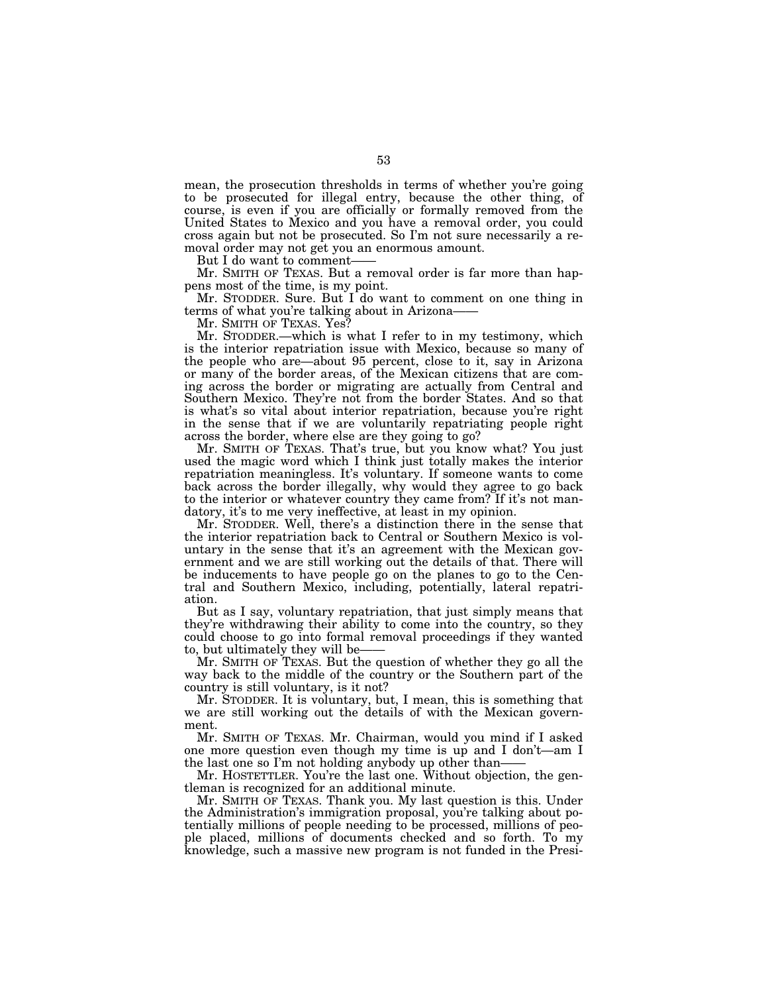mean, the prosecution thresholds in terms of whether you're going to be prosecuted for illegal entry, because the other thing, of course, is even if you are officially or formally removed from the United States to Mexico and you have a removal order, you could cross again but not be prosecuted. So I'm not sure necessarily a removal order may not get you an enormous amount.

But I do want to comment——<br>Mr. SMITH OF TEXAS. But a removal order is far more than happens most of the time, is my point.

Mr. STODDER. Sure. But I do want to comment on one thing in terms of what you're talking about in Arizona–<br>Mr. SMITH OF TEXAS. Yes?

Mr. STODDER.—which is what I refer to in my testimony, which is the interior repatriation issue with Mexico, because so many of the people who are—about 95 percent, close to it, say in Arizona or many of the border areas, of the Mexican citizens that are coming across the border or migrating are actually from Central and Southern Mexico. They're not from the border States. And so that is what's so vital about interior repatriation, because you're right in the sense that if we are voluntarily repatriating people right across the border, where else are they going to go?

Mr. SMITH OF TEXAS. That's true, but you know what? You just used the magic word which I think just totally makes the interior repatriation meaningless. It's voluntary. If someone wants to come back across the border illegally, why would they agree to go back to the interior or whatever country they came from? If it's not mandatory, it's to me very ineffective, at least in my opinion.

Mr. STODDER. Well, there's a distinction there in the sense that the interior repatriation back to Central or Southern Mexico is voluntary in the sense that it's an agreement with the Mexican government and we are still working out the details of that. There will be inducements to have people go on the planes to go to the Central and Southern Mexico, including, potentially, lateral repatriation.

But as I say, voluntary repatriation, that just simply means that they're withdrawing their ability to come into the country, so they could choose to go into formal removal proceedings if they wanted to, but ultimately they will be-

Mr. SMITH OF TEXAS. But the question of whether they go all the way back to the middle of the country or the Southern part of the country is still voluntary, is it not?

Mr. STODDER. It is voluntary, but, I mean, this is something that we are still working out the details of with the Mexican government.

Mr. SMITH OF TEXAS. Mr. Chairman, would you mind if I asked one more question even though my time is up and I don't—am I the last one so I'm not holding anybody up other than——

Mr. HOSTETTLER. You're the last one. Without objection, the gentleman is recognized for an additional minute.

Mr. SMITH OF TEXAS. Thank you. My last question is this. Under the Administration's immigration proposal, you're talking about potentially millions of people needing to be processed, millions of people placed, millions of documents checked and so forth. To my knowledge, such a massive new program is not funded in the Presi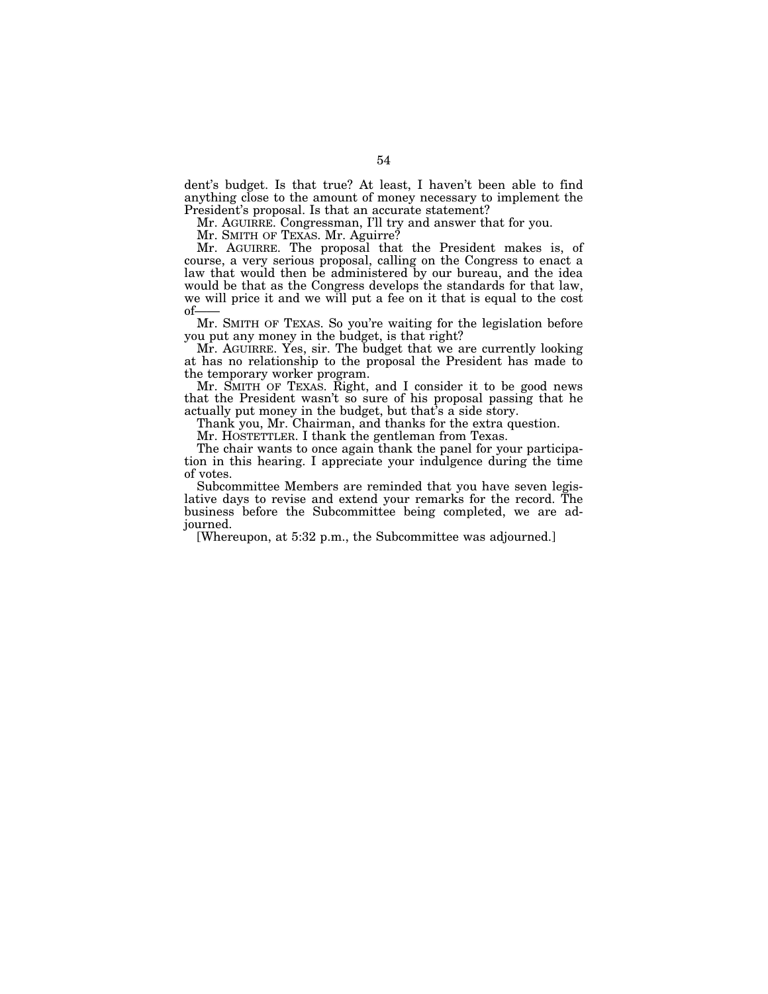dent's budget. Is that true? At least, I haven't been able to find anything close to the amount of money necessary to implement the President's proposal. Is that an accurate statement?

Mr. AGUIRRE. Congressman, I'll try and answer that for you.

Mr. SMITH OF TEXAS. Mr. Aguirre?

Mr. AGUIRRE. The proposal that the President makes is, of course, a very serious proposal, calling on the Congress to enact a law that would then be administered by our bureau, and the idea would be that as the Congress develops the standards for that law, we will price it and we will put a fee on it that is equal to the cost of——

Mr. SMITH OF TEXAS. So you're waiting for the legislation before you put any money in the budget, is that right?

Mr. AGUIRRE. Yes, sir. The budget that we are currently looking at has no relationship to the proposal the President has made to the temporary worker program.

Mr. SMITH OF TEXAS. Right, and I consider it to be good news that the President wasn't so sure of his proposal passing that he actually put money in the budget, but that's a side story.

Thank you, Mr. Chairman, and thanks for the extra question.

Mr. HOSTETTLER. I thank the gentleman from Texas.

The chair wants to once again thank the panel for your participation in this hearing. I appreciate your indulgence during the time of votes.

Subcommittee Members are reminded that you have seven legislative days to revise and extend your remarks for the record. The business before the Subcommittee being completed, we are adjourned.

[Whereupon, at 5:32 p.m., the Subcommittee was adjourned.]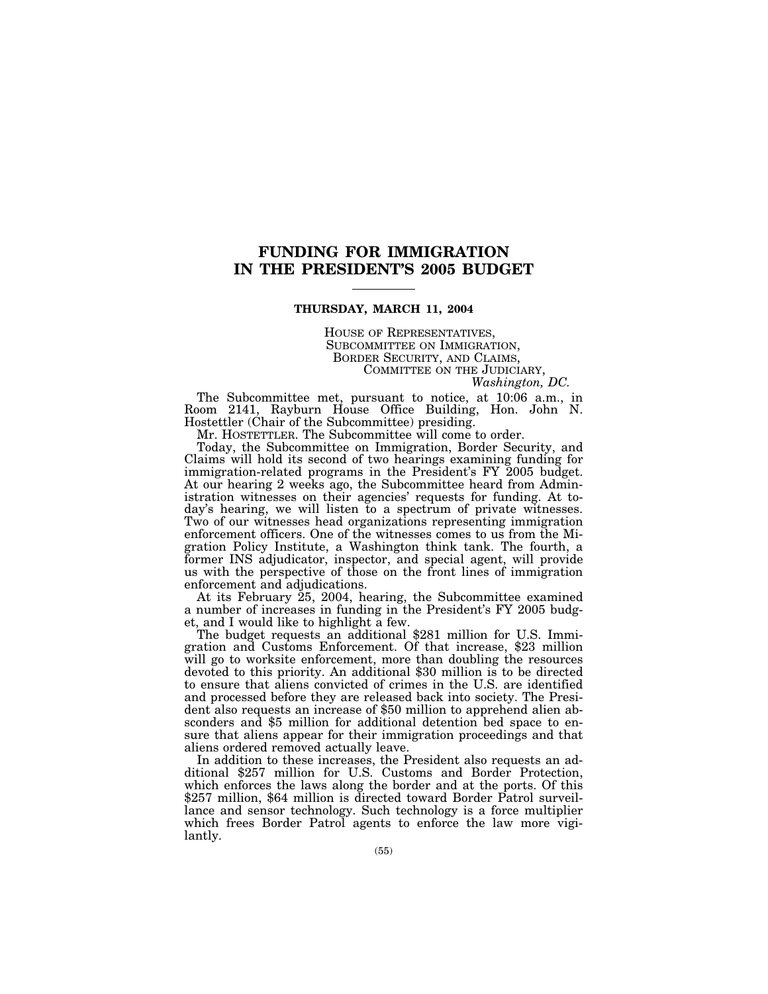# **FUNDING FOR IMMIGRATION IN THE PRESIDENT'S 2005 BUDGET**

### **THURSDAY, MARCH 11, 2004**

HOUSE OF REPRESENTATIVES,<br>SUBCOMMITTEE ON IMMIGRATION,<br>BORDER SECURITY, AND CLAIMS,<br>COMMITTEE ON THE JUDICIARY,<br>*Washington, DC.* 

The Subcommittee met, pursuant to notice, at 10:06 a.m., in Room 2141, Rayburn House Office Building, Hon. John N. Hostettler (Chair of the Subcommittee) presiding.

Mr. HOSTETTLER. The Subcommittee will come to order.

Today, the Subcommittee on Immigration, Border Security, and Claims will hold its second of two hearings examining funding for immigration-related programs in the President's FY 2005 budget. At our hearing 2 weeks ago, the Subcommittee heard from Administration witnesses on their agencies' requests for funding. At today's hearing, we will listen to a spectrum of private witnesses. Two of our witnesses head organizations representing immigration enforcement officers. One of the witnesses comes to us from the Migration Policy Institute, a Washington think tank. The fourth, a former INS adjudicator, inspector, and special agent, will provide us with the perspective of those on the front lines of immigration enforcement and adjudications.

At its February 25, 2004, hearing, the Subcommittee examined a number of increases in funding in the President's FY 2005 budg-

The budget requests an additional \$281 million for U.S. Immigration and Customs Enforcement. Of that increase, \$23 million will go to worksite enforcement, more than doubling the resources devoted to this priority. An additional \$30 million is to be directed to ensure that aliens convicted of crimes in the U.S. are identified and processed before they are released back into society. The President also requests an increase of \$50 million to apprehend alien absconders and \$5 million for additional detention bed space to ensure that aliens appear for their immigration proceedings and that

aliens ordered removed actually leave.<br>In addition to these increases, the President also requests an additional \$257 million for U.S. Customs and Border Protection, which enforces the laws along the border and at the ports. Of this \$257 million, \$64 million is directed toward Border Patrol surveillance and sensor technology. Such technology is a force multiplier which frees Border Patrol agents to enforce the law more vigilantly.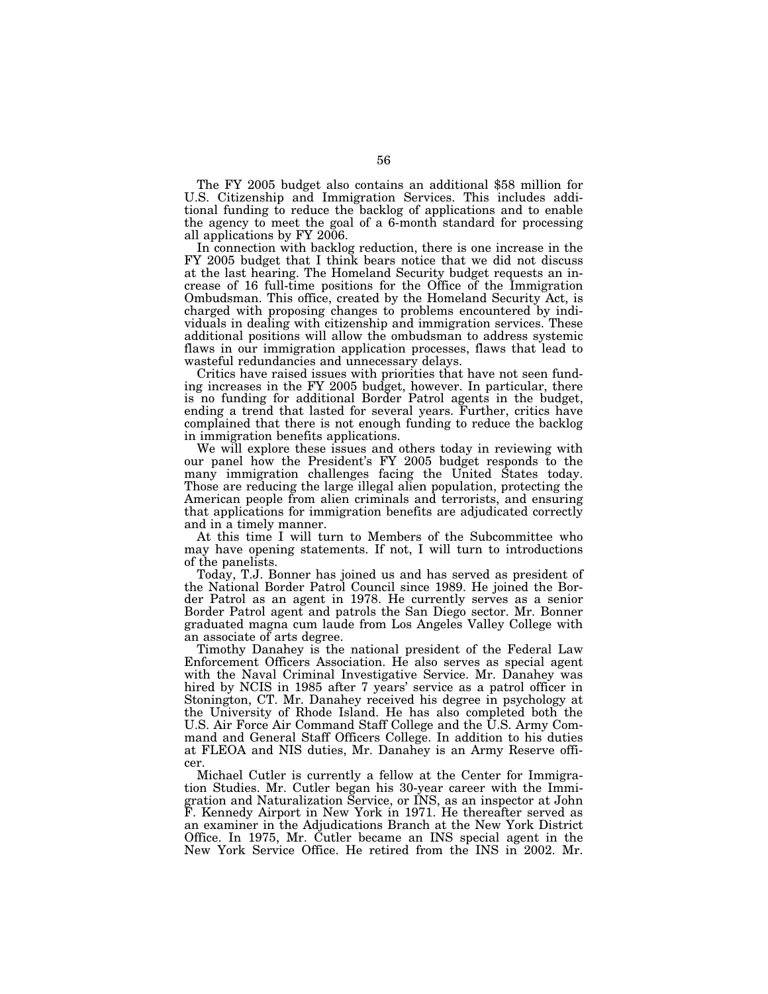The FY 2005 budget also contains an additional \$58 million for U.S. Citizenship and Immigration Services. This includes additional funding to reduce the backlog of applications and to enable the agency to meet the goal of a 6-month standard for processing all applications by FY 2006.

In connection with backlog reduction, there is one increase in the FY 2005 budget that I think bears notice that we did not discuss at the last hearing. The Homeland Security budget requests an increase of 16 full-time positions for the Office of the Immigration Ombudsman. This office, created by the Homeland Security Act, is charged with proposing changes to problems encountered by individuals in dealing with citizenship and immigration services. These additional positions will allow the ombudsman to address systemic flaws in our immigration application processes, flaws that lead to wasteful redundancies and unnecessary delays.

Critics have raised issues with priorities that have not seen funding increases in the FY 2005 budget, however. In particular, there is no funding for additional Border Patrol agents in the budget, ending a trend that lasted for several years. Further, critics have complained that there is not enough funding to reduce the backlog in immigration benefits applications.

We will explore these issues and others today in reviewing with our panel how the President's FY 2005 budget responds to the many immigration challenges facing the United States today. Those are reducing the large illegal alien population, protecting the American people from alien criminals and terrorists, and ensuring that applications for immigration benefits are adjudicated correctly and in a timely manner.

At this time I will turn to Members of the Subcommittee who may have opening statements. If not, I will turn to introductions of the panelists.

Today, T.J. Bonner has joined us and has served as president of the National Border Patrol Council since 1989. He joined the Border Patrol as an agent in 1978. He currently serves as a senior Border Patrol agent and patrols the San Diego sector. Mr. Bonner graduated magna cum laude from Los Angeles Valley College with an associate of arts degree.

Timothy Danahey is the national president of the Federal Law Enforcement Officers Association. He also serves as special agent with the Naval Criminal Investigative Service. Mr. Danahey was hired by NCIS in 1985 after 7 years' service as a patrol officer in Stonington, CT. Mr. Danahey received his degree in psychology at the University of Rhode Island. He has also completed both the U.S. Air Force Air Command Staff College and the U.S. Army Command and General Staff Officers College. In addition to his duties at FLEOA and NIS duties, Mr. Danahey is an Army Reserve officer.

Michael Cutler is currently a fellow at the Center for Immigration Studies. Mr. Cutler began his 30-year career with the Immigration and Naturalization Service, or INS, as an inspector at John F. Kennedy Airport in New York in 1971. He thereafter served as an examiner in the Adjudications Branch at the New York District Office. In 1975, Mr. Cutler became an INS special agent in the New York Service Office. He retired from the INS in 2002. Mr.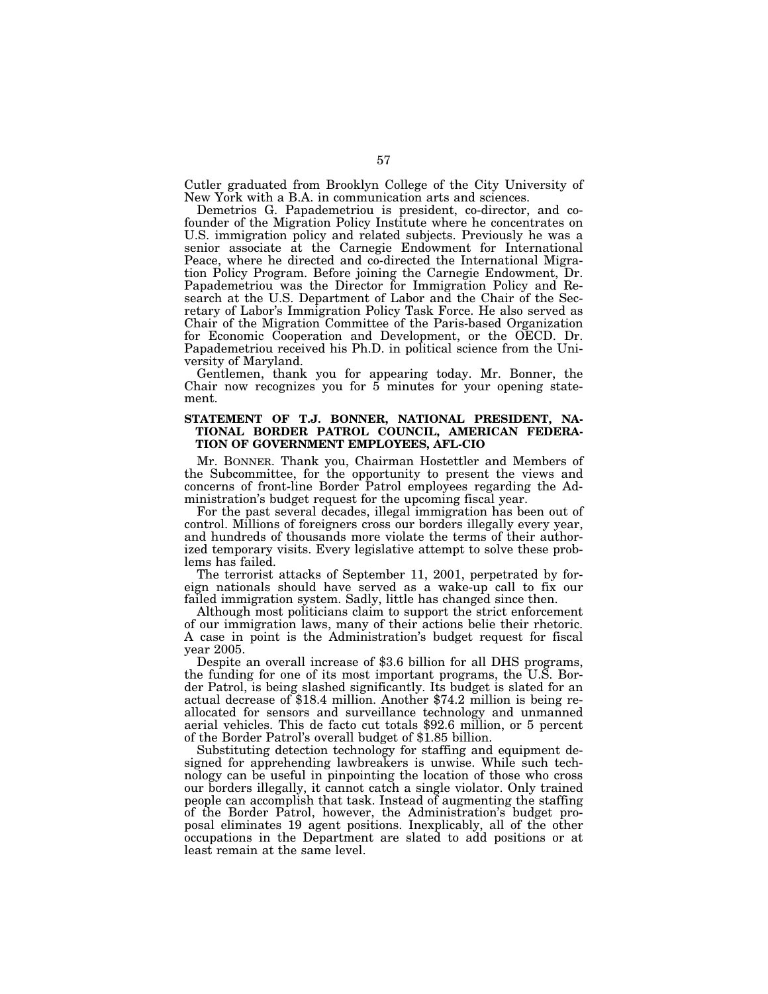Cutler graduated from Brooklyn College of the City University of New York with a B.A. in communication arts and sciences.

Demetrios G. Papademetriou is president, co-director, and cofounder of the Migration Policy Institute where he concentrates on U.S. immigration policy and related subjects. Previously he was a senior associate at the Carnegie Endowment for International Peace, where he directed and co-directed the International Migration Policy Program. Before joining the Carnegie Endowment, Dr. Papademetriou was the Director for Immigration Policy and Research at the U.S. Department of Labor and the Chair of the Secretary of Labor's Immigration Policy Task Force. He also served as Chair of the Migration Committee of the Paris-based Organization for Economic Cooperation and Development, or the OECD. Dr. Papademetriou received his Ph.D. in political science from the University of Maryland.

Gentlemen, thank you for appearing today. Mr. Bonner, the Chair now recognizes you for 5 minutes for your opening statement.

### **STATEMENT OF T.J. BONNER, NATIONAL PRESIDENT, NA-TIONAL BORDER PATROL COUNCIL, AMERICAN FEDERA-TION OF GOVERNMENT EMPLOYEES, AFL-CIO**

Mr. BONNER. Thank you, Chairman Hostettler and Members of the Subcommittee, for the opportunity to present the views and concerns of front-line Border Patrol employees regarding the Administration's budget request for the upcoming fiscal year.

For the past several decades, illegal immigration has been out of control. Millions of foreigners cross our borders illegally every year, and hundreds of thousands more violate the terms of their authorized temporary visits. Every legislative attempt to solve these problems has failed.

The terrorist attacks of September 11, 2001, perpetrated by foreign nationals should have served as a wake-up call to fix our failed immigration system. Sadly, little has changed since then.

Although most politicians claim to support the strict enforcement of our immigration laws, many of their actions belie their rhetoric. A case in point is the Administration's budget request for fiscal

Despite an overall increase of \$3.6 billion for all DHS programs, the funding for one of its most important programs, the U.S. Border Patrol, is being slashed significantly. Its budget is slated for an actual decrease of \$18.4 million. Another \$74.2 million is being reallocated for sensors and surveillance technology and unmanned aerial vehicles. This de facto cut totals \$92.6 million, or 5 percent of the Border Patrol's overall budget of \$1.85 billion.

Substituting detection technology for staffing and equipment designed for apprehending lawbreakers is unwise. While such technology can be useful in pinpointing the location of those who cross our borders illegally, it cannot catch a single violator. Only trained people can accomplish that task. Instead of augmenting the staffing of the Border Patrol, however, the Administration's budget proposal eliminates 19 agent positions. Inexplicably, all of the other occupations in the Department are slated to add positions or at least remain at the same level.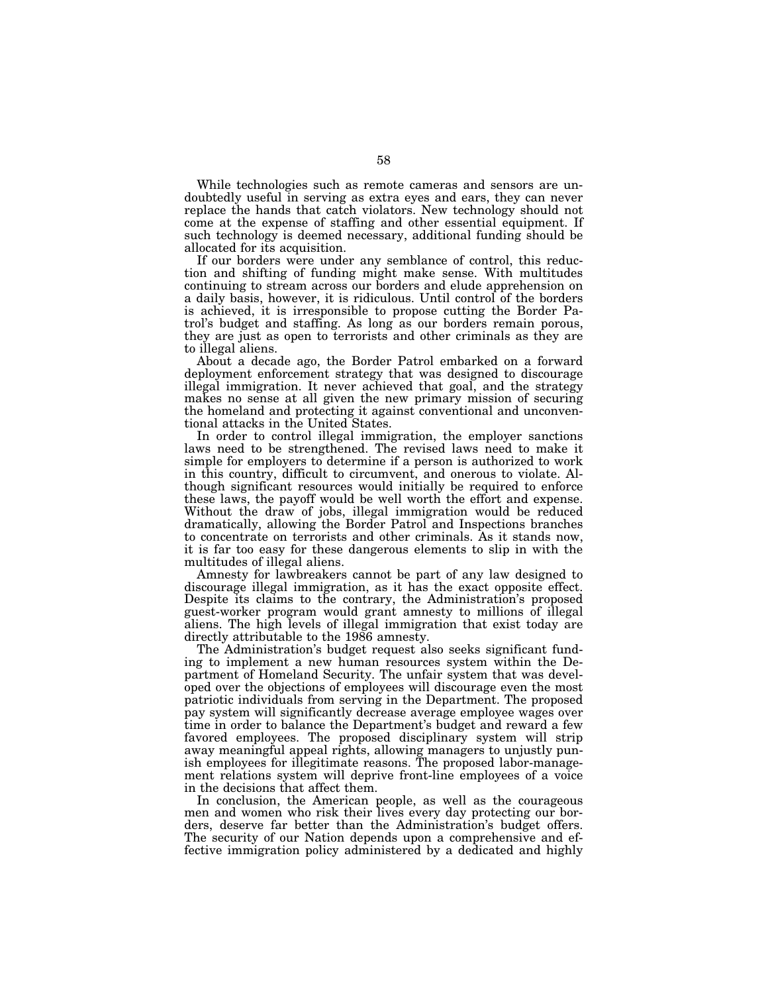While technologies such as remote cameras and sensors are undoubtedly useful in serving as extra eyes and ears, they can never replace the hands that catch violators. New technology should not come at the expense of staffing and other essential equipment. If such technology is deemed necessary, additional funding should be allocated for its acquisition.

If our borders were under any semblance of control, this reduction and shifting of funding might make sense. With multitudes continuing to stream across our borders and elude apprehension on a daily basis, however, it is ridiculous. Until control of the borders is achieved, it is irresponsible to propose cutting the Border Patrol's budget and staffing. As long as our borders remain porous, they are just as open to terrorists and other criminals as they are to illegal aliens.

About a decade ago, the Border Patrol embarked on a forward deployment enforcement strategy that was designed to discourage illegal immigration. It never achieved that goal, and the strategy makes no sense at all given the new primary mission of securing the homeland and protecting it against conventional and unconventional attacks in the United States.

In order to control illegal immigration, the employer sanctions laws need to be strengthened. The revised laws need to make it simple for employers to determine if a person is authorized to work in this country, difficult to circumvent, and onerous to violate. Although significant resources would initially be required to enforce these laws, the payoff would be well worth the effort and expense. Without the draw of jobs, illegal immigration would be reduced dramatically, allowing the Border Patrol and Inspections branches to concentrate on terrorists and other criminals. As it stands now, it is far too easy for these dangerous elements to slip in with the multitudes of illegal aliens.

Amnesty for lawbreakers cannot be part of any law designed to discourage illegal immigration, as it has the exact opposite effect. Despite its claims to the contrary, the Administration's proposed guest-worker program would grant amnesty to millions of illegal aliens. The high levels of illegal immigration that exist today are directly attributable to the 1986 amnesty.

The Administration's budget request also seeks significant funding to implement a new human resources system within the Department of Homeland Security. The unfair system that was developed over the objections of employees will discourage even the most patriotic individuals from serving in the Department. The proposed pay system will significantly decrease average employee wages over time in order to balance the Department's budget and reward a few favored employees. The proposed disciplinary system will strip away meaningful appeal rights, allowing managers to unjustly punish employees for illegitimate reasons. The proposed labor-management relations system will deprive front-line employees of a voice in the decisions that affect them.

In conclusion, the American people, as well as the courageous men and women who risk their lives every day protecting our borders, deserve far better than the Administration's budget offers. The security of our Nation depends upon a comprehensive and effective immigration policy administered by a dedicated and highly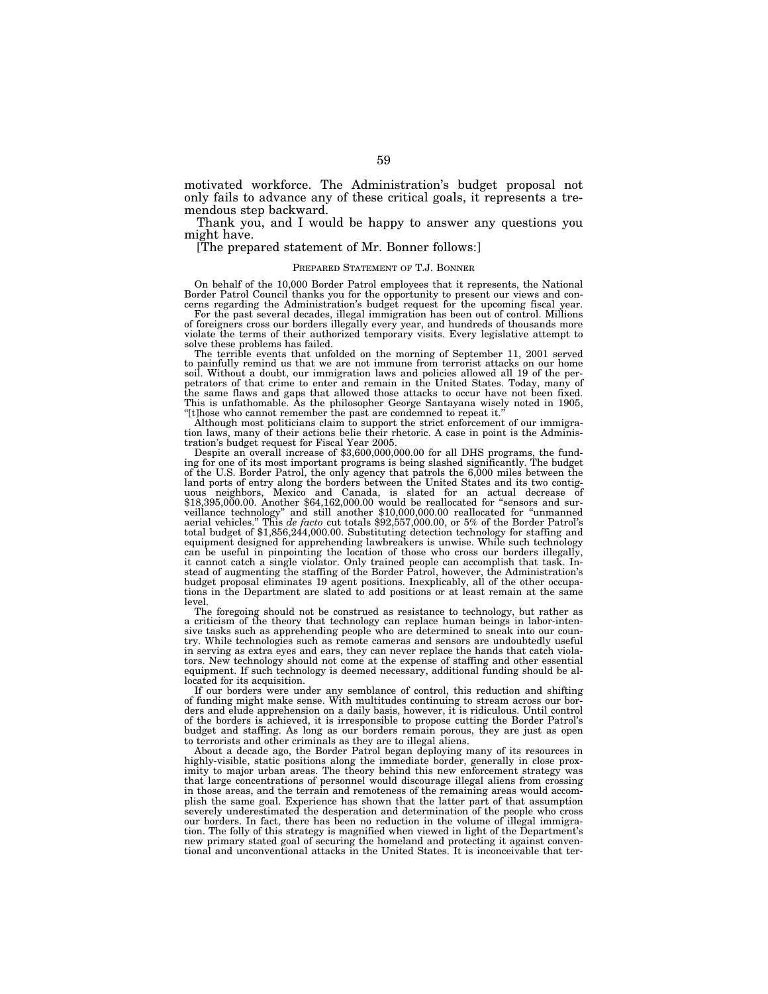motivated workforce. The Administration's budget proposal not only fails to advance any of these critical goals, it represents a tremendous step backward.

Thank you, and I would be happy to answer any questions you might have.

[The prepared statement of Mr. Bonner follows:]

#### PREPARED STATEMENT OF T.J. BONNER

On behalf of the 10,000 Border Patrol employees that it represents, the National Border Patrol Council thanks you for the opportunity to present our views and concerns regarding the Administration's budget request for the upcoming fiscal year.

For the past several decades, illegal immigration has been out of control. Millions of foreigners cross our borders illegally every year, and hundreds of thousands more violate the terms of their authorized temporary visits. Every legislative attempt to solve these problems has failed.

The terrible events that unfolded on the morning of September 11, 2001 served to painfully remind us that we are not immune from terrorist attacks on our home soil. Without a doubt, our immigration laws and policies allowed all 19 of the perpetrators of that crime to enter and remain in the United States. Today, many of the same flaws and gaps that allowed those attacks to occur have not been fixed. This is unfathomable. As the philosopher George Santayana wisely noted in 1905, "[t]hose who cannot remember the past are condemned to repeat it."

Although most politicians claim to support the strict enforcement of our immigration laws, many of their actions belie their rhetoric. A case in point is the Administration's budget request for Fiscal Year 2005.

tration's budget request for Fiscal Year 2005. Despite an overall increase of \$3,600,000,000.00 for all DHS programs, the fund-ing for one of its most important programs is being slashed significantly. The budget of the U.S. Border Patrol, the only agency that patrols the 6,000 miles between the land ports of entry along the borders between the United States and its two contiguous neighbors, Mexico and Canada, is slated for an actual decrease of \$18,395,000.00. Another \$64,162,000.00 would be reallocated for ''sensors and surveillance technology'' and still another \$10,000,000.00 reallocated for ''unmanned aerial vehicles.'' This *de facto* cut totals \$92,557,000.00, or 5% of the Border Patrol's total budget of \$1,856,244,000.00. Substituting detection technology for staffing and equipment designed for apprehending lawbreakers is unwise. While such technology can be useful in pinpointing the location of those who cross our borders illegally, it cannot catch a single violator. Only trained people can accomplish that task. Instead of augmenting the staffing of the Border Patrol, however, the Administration's<br>budget proposal eliminates 19 agent positions. Inexpli budget proposal eliminates 19 agent positions. Inexplicably, all of the other occupations in the Department are slated to add positions or at least remain at the same level.

The foregoing should not be construed as resistance to technology, but rather as a criticism of the theory that technology can replace human beings in labor-intensive tasks such as apprehending people who are determined to sneak into our country. While technologies such as remote cameras and sensors are undoubtedly useful in serving as extra eyes and ears, they can never replace the hands that catch violators. New technology should not come at the expense of staffing and other essential equipment. If such technology is deemed necessary, additional funding should be allocated for its acquisition.

If our borders were under any semblance of control, this reduction and shifting of funding might make sense. With multitudes continuing to stream across our borders and elude apprehension on a daily basis, however, it is ridiculous. Until control of the borders is achieved, it is irresponsible to propose cutting the Border Patrol's budget and staffing. As long as our borders remain porous, they are just as open to terrorists and other criminals as they are to illegal aliens.

About a decade ago, the Border Patrol began deploying many of its resources in highly-visible, static positions along the immediate border, generally in close proximity to major urban areas. The theory behind this new enforcement strategy was that large concentrations of personnel would discourage illegal aliens from crossing in those areas, and the terrain and remoteness of the remaining areas would accomplish the same goal. Experience has shown that the latter part of that assumption severely underestimated the desperation and determination of the people who cross our borders. In fact, there has been no reduction in the volume of illegal immigration. The folly of this strategy is magnified when viewed in light of the Department's new primary stated goal of securing the homeland and protecting it against conventional and unconventional attacks in the United States. It is inconceivable that ter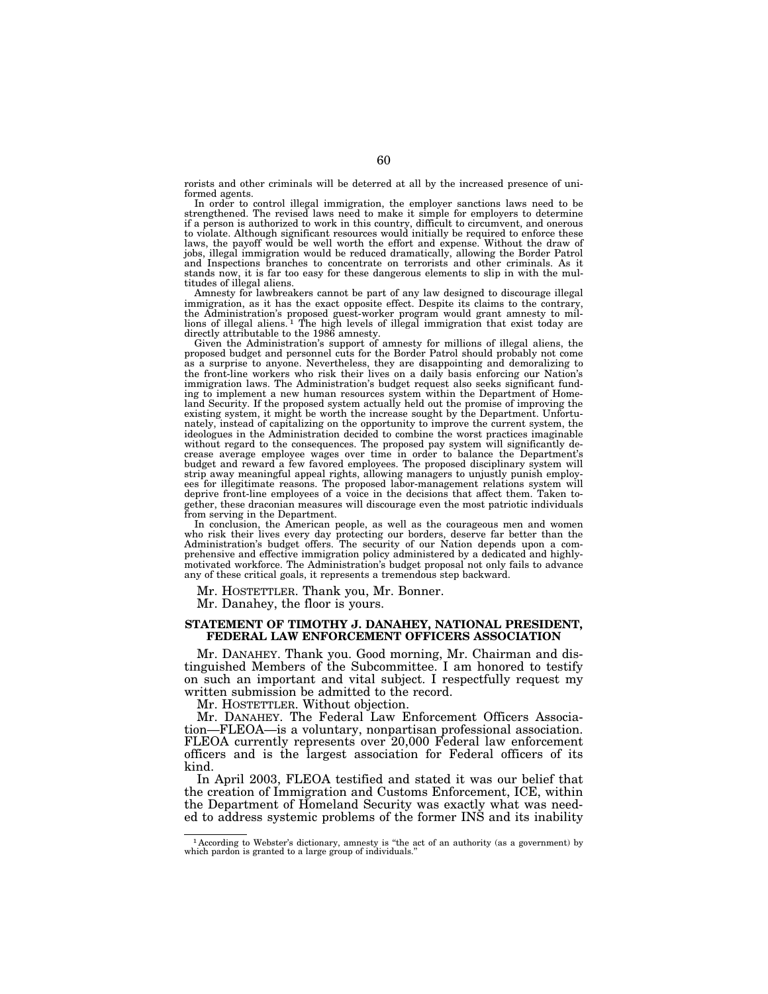rorists and other criminals will be deterred at all by the increased presence of uniformed agents.

In order to control illegal immigration, the employer sanctions laws need to be strengthened. The revised laws need to make it simple for employers to determine if a person is authorized to work in this country, difficult to circumvent, and onerous to violate. Although significant resources would initially be required to enforce these laws, the payoff would be well worth the effort and expense. Without the draw of jobs, illegal immigration would be reduced dramatically, allowing the Border Patrol and Inspections branches to concentrate on terrorists and other criminals. As it stands now, it is far too easy for these dangerous elements to slip in with the multitudes of illegal aliens.

Amnesty for lawbreakers cannot be part of any law designed to discourage illegal immigration, as it has the exact opposite effect. Despite its claims to the contrary, the Administration's proposed guest-worker program would grant amnesty to mil-lions of illegal aliens. 1 The high levels of illegal immigration that exist today are directly attributable to the 1986 amnesty.

Given the Administration's support of amnesty for millions of illegal aliens, the proposed budget and personnel cuts for the Border Patrol should probably not come as a surprise to anyone. Nevertheless, they are disappointing and demoralizing to the front-line workers who risk their lives on a daily basis enforcing our Nation's immigration laws. The Administration's budget request also seeks significant funding to implement a new human resources system within the Department of Homeland Security. If the proposed system actually held out the promise of improving the existing system, it might be worth the increase sought by the Department. Unfortunately, instead of capitalizing on the opportunity to improve the current system, the ideologues in the Administration decided to combine the worst practices imaginable without regard to the consequences. The proposed pay system will significantly decrease average employee wages over time in order to balance the Department's budget and reward a few favored employees. The proposed disciplinary system will strip away meaningful appeal rights, allowing managers to unjustly punish employees for illegitimate reasons. The proposed labor-management relations system will deprive front-line employees of a voice in the decisions that affect them. Taken together, these draconian measures will discourage even the most patriotic individuals from serving in the Department.

In conclusion, the American people, as well as the courageous men and women who risk their lives every day protecting our borders, deserve far better than the Administration's budget offers. The security of our Nation depends upon a comprehensive and effective immigration policy administered by a dedicated and highlymotivated workforce. The Administration's budget proposal not only fails to advance any of these critical goals, it represents a tremendous step backward.

Mr. HOSTETTLER. Thank you, Mr. Bonner.

Mr. Danahey, the floor is yours.

### **STATEMENT OF TIMOTHY J. DANAHEY, NATIONAL PRESIDENT, FEDERAL LAW ENFORCEMENT OFFICERS ASSOCIATION**

Mr. DANAHEY. Thank you. Good morning, Mr. Chairman and distinguished Members of the Subcommittee. I am honored to testify on such an important and vital subject. I respectfully request my written submission be admitted to the record.

Mr. HOSTETTLER. Without objection.

Mr. DANAHEY. The Federal Law Enforcement Officers Association—FLEOA—is a voluntary, nonpartisan professional association. FLEOA currently represents over 20,000 Federal law enforcement officers and is the largest association for Federal officers of its kind.

In April 2003, FLEOA testified and stated it was our belief that the creation of Immigration and Customs Enforcement, ICE, within the Department of Homeland Security was exactly what was needed to address systemic problems of the former INS and its inability

<sup>1</sup> According to Webster's dictionary, amnesty is ''the act of an authority (as a government) by which pardon is granted to a large group of individuals.''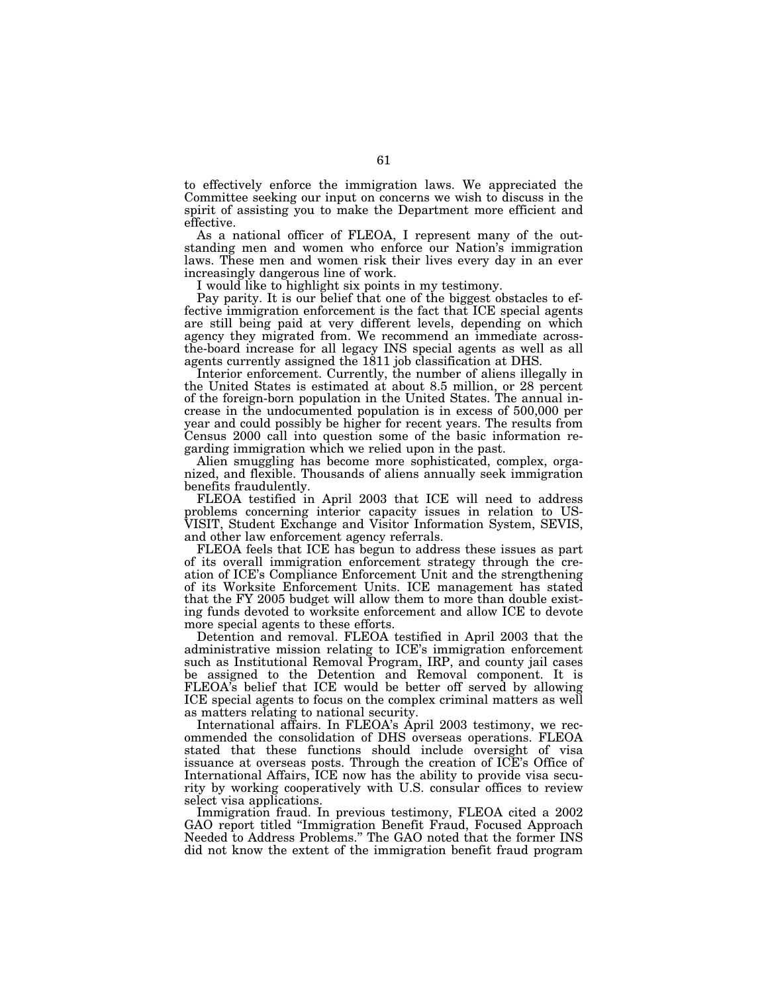to effectively enforce the immigration laws. We appreciated the Committee seeking our input on concerns we wish to discuss in the spirit of assisting you to make the Department more efficient and effective.

As a national officer of FLEOA, I represent many of the outstanding men and women who enforce our Nation's immigration laws. These men and women risk their lives every day in an ever increasingly dangerous line of work.

I would like to highlight six points in my testimony.

Pay parity. It is our belief that one of the biggest obstacles to effective immigration enforcement is the fact that ICE special agents are still being paid at very different levels, depending on which agency they migrated from. We recommend an immediate acrossthe-board increase for all legacy INS special agents as well as all agents currently assigned the 1811 job classification at DHS.

Interior enforcement. Currently, the number of aliens illegally in the United States is estimated at about 8.5 million, or 28 percent of the foreign-born population in the United States. The annual increase in the undocumented population is in excess of 500,000 per year and could possibly be higher for recent years. The results from Census 2000 call into question some of the basic information regarding immigration which we relied upon in the past.

Alien smuggling has become more sophisticated, complex, organized, and flexible. Thousands of aliens annually seek immigration benefits fraudulently.

FLEOA testified in April 2003 that ICE will need to address problems concerning interior capacity issues in relation to US-VISIT, Student Exchange and Visitor Information System, SEVIS, and other law enforcement agency referrals.

FLEOA feels that ICE has begun to address these issues as part of its overall immigration enforcement strategy through the creation of ICE's Compliance Enforcement Unit and the strengthening of its Worksite Enforcement Units. ICE management has stated that the FY 2005 budget will allow them to more than double existing funds devoted to worksite enforcement and allow ICE to devote more special agents to these efforts.

Detention and removal. FLEOA testified in April 2003 that the administrative mission relating to ICE's immigration enforcement such as Institutional Removal Program, IRP, and county jail cases be assigned to the Detention and Removal component. It is FLEOA's belief that ICE would be better off served by allowing ICE special agents to focus on the complex criminal matters as well as matters relating to national security.

International affairs. In FLEOA's April 2003 testimony, we recommended the consolidation of DHS overseas operations. FLEOA stated that these functions should include oversight of visa issuance at overseas posts. Through the creation of ICE's Office of International Affairs, ICE now has the ability to provide visa security by working cooperatively with U.S. consular offices to review select visa applications.

Immigration fraud. In previous testimony, FLEOA cited a 2002 GAO report titled ''Immigration Benefit Fraud, Focused Approach Needed to Address Problems.'' The GAO noted that the former INS did not know the extent of the immigration benefit fraud program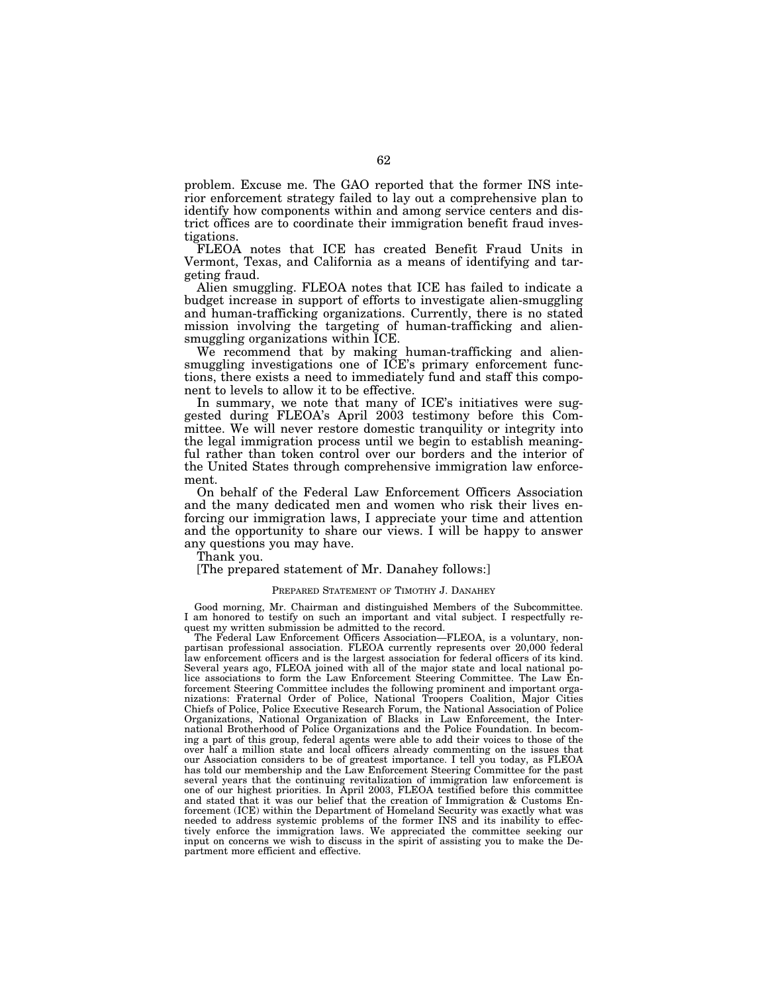problem. Excuse me. The GAO reported that the former INS interior enforcement strategy failed to lay out a comprehensive plan to identify how components within and among service centers and district offices are to coordinate their immigration benefit fraud investigations.

FLEOA notes that ICE has created Benefit Fraud Units in Vermont, Texas, and California as a means of identifying and targeting fraud.

Alien smuggling. FLEOA notes that ICE has failed to indicate a budget increase in support of efforts to investigate alien-smuggling and human-trafficking organizations. Currently, there is no stated mission involving the targeting of human-trafficking and aliensmuggling organizations within ICE.

We recommend that by making human-trafficking and aliensmuggling investigations one of ICE's primary enforcement functions, there exists a need to immediately fund and staff this component to levels to allow it to be effective.

In summary, we note that many of ICE's initiatives were suggested during FLEOA's April 2003 testimony before this Committee. We will never restore domestic tranquility or integrity into the legal immigration process until we begin to establish meaningful rather than token control over our borders and the interior of the United States through comprehensive immigration law enforcement.

On behalf of the Federal Law Enforcement Officers Association and the many dedicated men and women who risk their lives enforcing our immigration laws, I appreciate your time and attention and the opportunity to share our views. I will be happy to answer any questions you may have.

Thank you.

[The prepared statement of Mr. Danahey follows:]

#### PREPARED STATEMENT OF TIMOTHY J. DANAHEY

Good morning, Mr. Chairman and distinguished Members of the Subcommittee. I am honored to testify on such an important and vital subject. I respectfully request my written submission be admitted to the record.

The Federal Law Enforcement Officers Association—FLEOA, is a voluntary, nonpartisan professional association. FLEOA currently represents over 20,000 federal law enforcement officers and is the largest association for federal officers of its kind. Several years ago, FLEOA joined with all of the major state and local national police associations to form the Law Enforcement Steering Committee. The Law Enforcement Steering Committee includes the following prominent and important organizations: Fraternal Order of Police, National Troopers Coalition, Major Cities Chiefs of Police, Police Executive Research Forum, the National Association of Police Organizations, National Organization of Blacks in Law Enforcement, the International Brotherhood of Police Organizations and the Police Foundation. In becoming a part of this group, federal agents were able to add their voices to those of the over half a million state and local officers already commenting on the issues that our Association considers to be of greatest importance. I tell you today, as FLEOA has told our membership and the Law Enforcement Steering Committee for the past several years that the continuing revitalization of immigration law enforcement is one of our highest priorities. In April 2003, FLEOA testified before this committee and stated that it was our belief that the creation of Immigration & Customs Enforcement (ICE) within the Department of Homeland Security was exactly what was needed to address systemic problems of the former INS and its inability to effectively enforce the immigration laws. We appreciated the committee seeking our input on concerns we wish to discuss in the spirit of assisting you to make the Department more efficient and effective.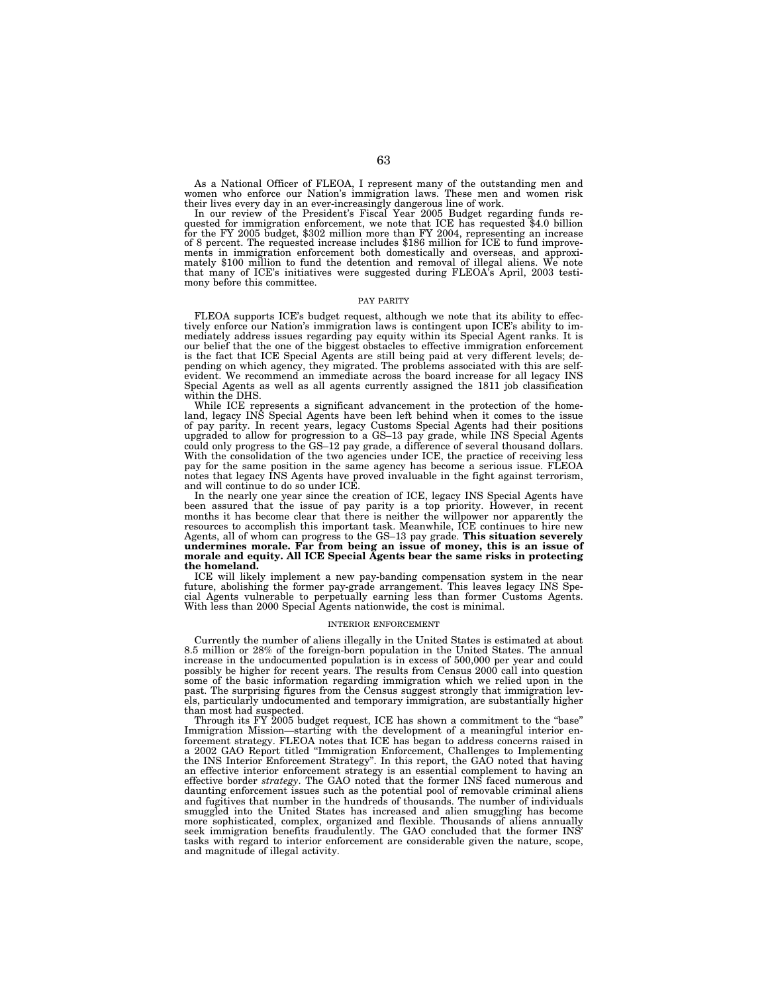As a National Officer of FLEOA, I represent many of the outstanding men and women who enforce our Nation's immigration laws. These men and women risk

their lives every day in an ever-increasingly dangerous line of work.<br>In our review of the President's Fiscal Year 2005 Budget regarding funds re-<br>quested for immigration enforcement, we note that ICE has requested \$4.0 bi of 8 percent. The requested increase includes \$186 million for ICE to fund improvements in immigration enforcement both domestically and overseas, and approximately \$100 million to fund the detention and removal of illegal mony before this committee.

#### PAY PARITY

FLEOA supports ICE's budget request, although we note that its ability to effectively enforce our Nation's immigration laws is contingent upon ICE's ability to immediately address issues regarding pay equity within its Special Agent ranks. It is our belief that the one of the biggest obstacles to effective immigration enforcement is the fact that ICE Special Agents are still being paid at very different levels; de-pending on which agency, they migrated. The problems associated with this are selfevident. We recommend an immediate across the board increase for all legacy INS Special Agents as well as all agents currently assigned the 1811 job classification within the DHS.

While ICE represents a significant advancement in the protection of the homeland, legacy INS Special Agents have been left behind when it comes to the issue of pay parity. In recent years, legacy Customs Special Agents had their positions upgraded to allow for progression to a GS–13 pay grade, while INS Special Agents could only progress to the GS–12 pay grade, a difference of several thousand dollars. With the consolidation of the two agencies under ICE, the practice of receiving less pay for the same position in the same agency has become a serious issue. FLEOA notes that legacy INS Agents have proved invaluable in the fight against terrorism, and will continue to do so under ICE.

In the nearly one year since the creation of ICE, legacy INS Special Agents have been assured that the issue of pay parity is a top priority. However, in recent months it has become clear that there is neither the willpower nor apparently the resources to accomplish this important task. Meanwhile, ICE continues to hire new Agents, all of whom can progress to the GS–13 pay grade. **This situation severely undermines morale. Far from being an issue of money, this is an issue of morale and equity. All ICE Special Agents bear the same risks in protecting the homeland.** 

ICE will likely implement a new pay-banding compensation system in the near future, abolishing the former pay-grade arrangement. This leaves legacy INS Special Agents vulnerable to perpetually earning less than former Customs Agents. With less than 2000 Special Agents nationwide, the cost is minimal.

#### INTERIOR ENFORCEMENT

Currently the number of aliens illegally in the United States is estimated at about 8.5 million or 28% of the foreign-born population in the United States. The annual increase in the undocumented population is in excess of 500,000 per year and could possibly be higher for recent years. The results from Census 2000 call into question some of the basic information regarding immigration which we relied upon in the past. The surprising figures from the Census suggest strongly that immigration levels, particularly undocumented and temporary immigration, are substantially higher than most had suspected.

Through its FY 2005 budget request, ICE has shown a commitment to the ''base'' Immigration Mission—starting with the development of a meaningful interior enforcement strategy. FLEOA notes that ICE has began to address concerns raised in a 2002 GAO Report titled ''Immigration Enforcement, Challenges to Implementing the INS Interior Enforcement Strategy''. In this report, the GAO noted that having an effective interior enforcement strategy is an essential complement to having an effective border *strategy*. The GAO noted that the former INS faced numerous and daunting enforcement issues such as the potential pool of removable criminal aliens and fugitives that number in the hundreds of thousands. The number of individuals smuggled into the United States has increased and alien smuggling has become more sophisticated, complex, organized and flexible. Thousands of aliens annually seek immigration benefits fraudulently. The GAO concluded that the former INS' tasks with regard to interior enforcement are considerable given the nature, scope, and magnitude of illegal activity.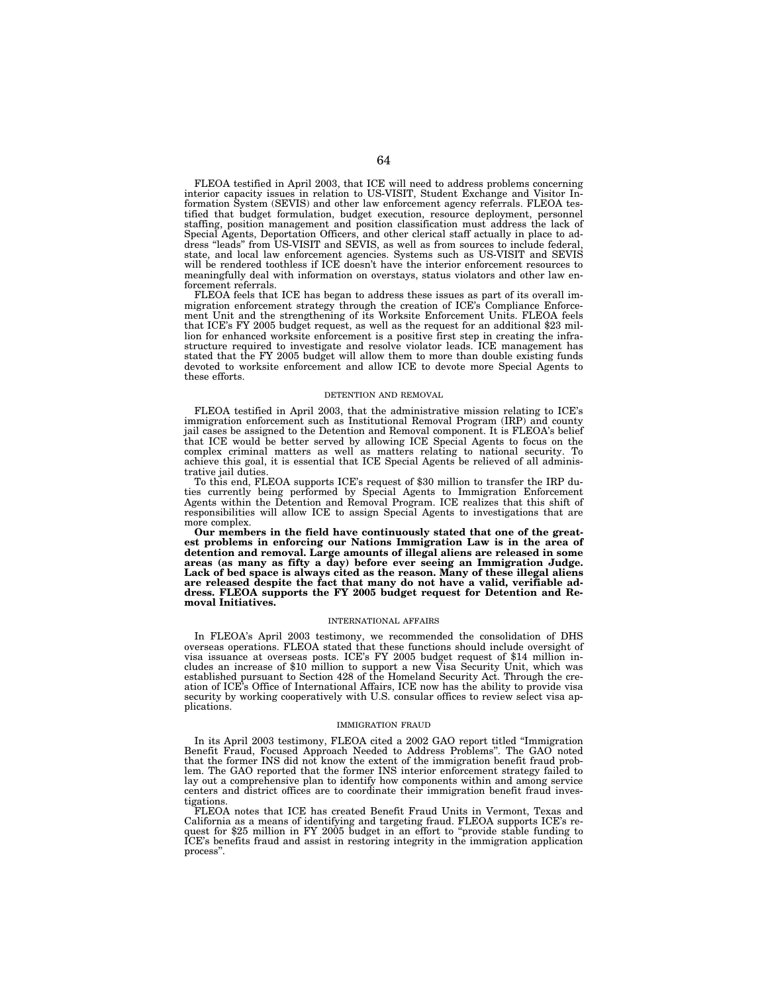FLEOA testified in April 2003, that ICE will need to address problems concerning interior capacity issues in relation to US-VISIT, Student Exchange and Visitor Information System (SEVIS) and other law enforcement agency referrals. FLEOA testified that budget formulation, budget execution, resource deployment, personnel staffing, position management and position classification must address the lack of Special Agents, Deportation Officers, and other clerical staff actually in place to address ''leads'' from US-VISIT and SEVIS, as well as from sources to include federal, state, and local law enforcement agencies. Systems such as US-VISIT and SEVIS will be rendered toothless if ICE doesn't have the interior enforcement resources to meaningfully deal with information on overstays, status violators and other law enforcement referrals.

FLEOA feels that ICE has began to address these issues as part of its overall immigration enforcement strategy through the creation of ICE's Compliance Enforcement Unit and the strengthening of its Worksite Enforcement Units. FLEOA feels that ICE's FY 2005 budget request, as well as the request for an additional \$23 million for enhanced worksite enforcement is a positive first step in creating the infrastructure required to investigate and resolve violator leads. ICE management has stated that the FY 2005 budget will allow them to more than double existing funds devoted to worksite enforcement and allow ICE to devote more Special Agents to these efforts.

#### DETENTION AND REMOVAL

FLEOA testified in April 2003, that the administrative mission relating to ICE's immigration enforcement such as Institutional Removal Program (IRP) and county jail cases be assigned to the Detention and Removal component. It is FLEOA's belief that ICE would be better served by allowing ICE Special Agents to focus on the complex criminal matters as well as matters relating to national security. To achieve this goal, it is essential that ICE Special Agents be relieved of all administrative jail duties.

To this end, FLEOA supports ICE's request of \$30 million to transfer the IRP duties currently being performed by Special Agents to Immigration Enforcement Agents within the Detention and Removal Program. ICE realizes that this shift of responsibilities will allow ICE to assign Special Agents to investigations that are more complex.

**Our members in the field have continuously stated that one of the greatest problems in enforcing our Nations Immigration Law is in the area of detention and removal. Large amounts of illegal aliens are released in some areas (as many as fifty a day) before ever seeing an Immigration Judge. Lack of bed space is always cited as the reason. Many of these illegal aliens are released despite the fact that many do not have a valid, verifiable address. FLEOA supports the FY 2005 budget request for Detention and Removal Initiatives.** 

#### INTERNATIONAL AFFAIRS

In FLEOA's April 2003 testimony, we recommended the consolidation of DHS overseas operations. FLEOA stated that these functions should include oversight of visa issuance at overseas posts. ICE's FY 2005 budget request of \$14 million includes an increase of \$10 million to support a new Visa Security Unit, which was established pursuant to Section 428 of the Homeland Security Act. Through the creation of ICE's Office of International Affairs, ICE now has the ability to provide visa security by working cooperatively with U.S. consular offices to review select visa applications.

#### IMMIGRATION FRAUD

In its April 2003 testimony, FLEOA cited a 2002 GAO report titled ''Immigration Benefit Fraud, Focused Approach Needed to Address Problems''. The GAO noted that the former INS did not know the extent of the immigration benefit fraud problem. The GAO reported that the former INS interior enforcement strategy failed to lay out a comprehensive plan to identify how components within and among service centers and district offices are to coordinate their immigration benefit fraud investigations.

FLEOA notes that ICE has created Benefit Fraud Units in Vermont, Texas and California as a means of identifying and targeting fraud. FLEOA supports ICE's request for \$25 million in FY 2005 budget in an effort to "provide stable funding to ICE's benefits fraud and assist in restoring integrity in the immigration application process''.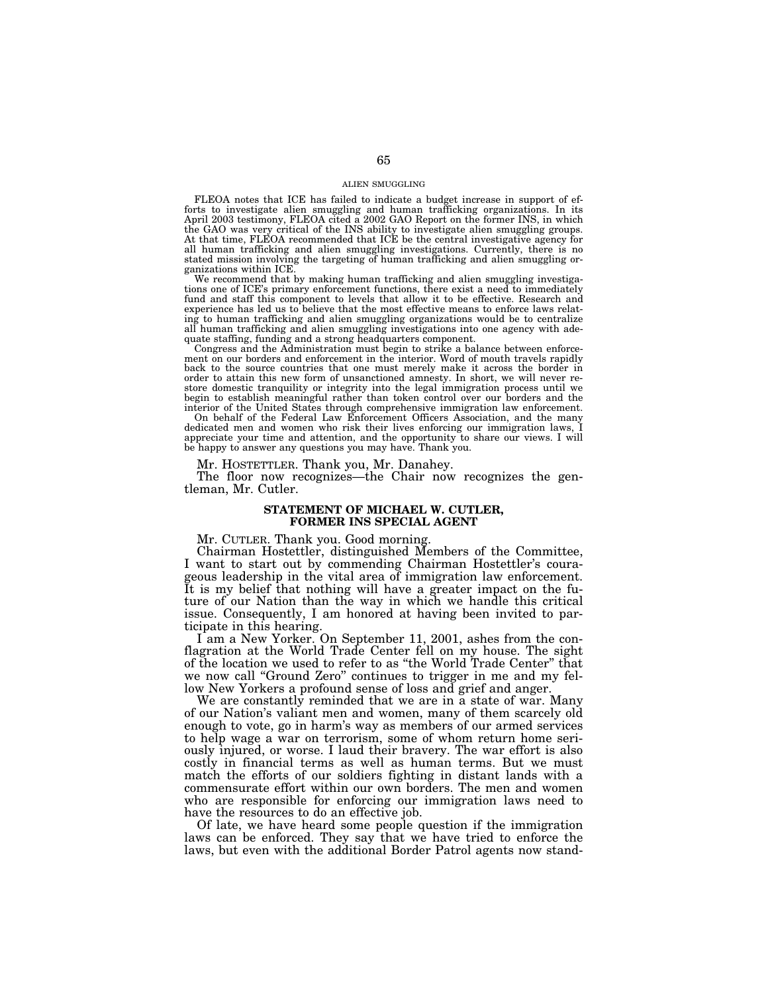#### ALIEN SMUGGLING

FLEOA notes that ICE has failed to indicate a budget increase in support of efforts to investigate alien smuggling and human trafficking organizations. In its April 2003 testimony, FLEOA cited a 2002 GAO Report on the form At that time, FLEOA recommended that ICE be the central investigative agency for all human trafficking and alien smuggling investigations. Currently, there is no stated mission involving the targeting of human trafficking and alien smuggling organizations within ICE.

We recommend that by making human trafficking and alien smuggling investigations one of ICE's primary enforcement functions, there exist a need to immediately fund and staff this component to levels that allow it to be effective. Research and experience has led us to believe that the most effective means to enforce laws relating to human trafficking and alien smuggling organizations would be to centralize all human trafficking and alien smuggling investigations into one agency with ade-

quate staffing, funding and a strong headquarters component. Congress and the Administration must begin to strike a balance between enforcement on our borders and enforcement in the interior. Word of mouth travels rapidly back to the source countries that one must merely make it across the border in order to attain this new form of unsanctioned amnesty. In short, we will never restore domestic tranquility or integrity into the legal immigration process until we begin to establish meaningful rather than token control over our borders and the interior of the United States through comprehensive immigration law enforcement.

On behalf of the Federal Law Enforcement Officers Association, and the many dedicated men and women who risk their lives enforcing our immigration laws, I appreciate your time and attention, and the opportunity to share our views. I will be happy to answer any questions you may have. Thank you.

## Mr. HOSTETTLER. Thank you, Mr. Danahey.

The floor now recognizes—the Chair now recognizes the gentleman, Mr. Cutler.

### **STATEMENT OF MICHAEL W. CUTLER, FORMER INS SPECIAL AGENT**

### Mr. CUTLER. Thank you. Good morning.

Chairman Hostettler, distinguished Members of the Committee, I want to start out by commending Chairman Hostettler's courageous leadership in the vital area of immigration law enforcement. It is my belief that nothing will have a greater impact on the future of our Nation than the way in which we handle this critical issue. Consequently, I am honored at having been invited to participate in this hearing.

I am a New Yorker. On September 11, 2001, ashes from the conflagration at the World Trade Center fell on my house. The sight of the location we used to refer to as ''the World Trade Center'' that we now call ''Ground Zero'' continues to trigger in me and my fellow New Yorkers a profound sense of loss and grief and anger.

We are constantly reminded that we are in a state of war. Many of our Nation's valiant men and women, many of them scarcely old enough to vote, go in harm's way as members of our armed services to help wage a war on terrorism, some of whom return home seriously injured, or worse. I laud their bravery. The war effort is also costly in financial terms as well as human terms. But we must match the efforts of our soldiers fighting in distant lands with a commensurate effort within our own borders. The men and women who are responsible for enforcing our immigration laws need to have the resources to do an effective job.

Of late, we have heard some people question if the immigration laws can be enforced. They say that we have tried to enforce the laws, but even with the additional Border Patrol agents now stand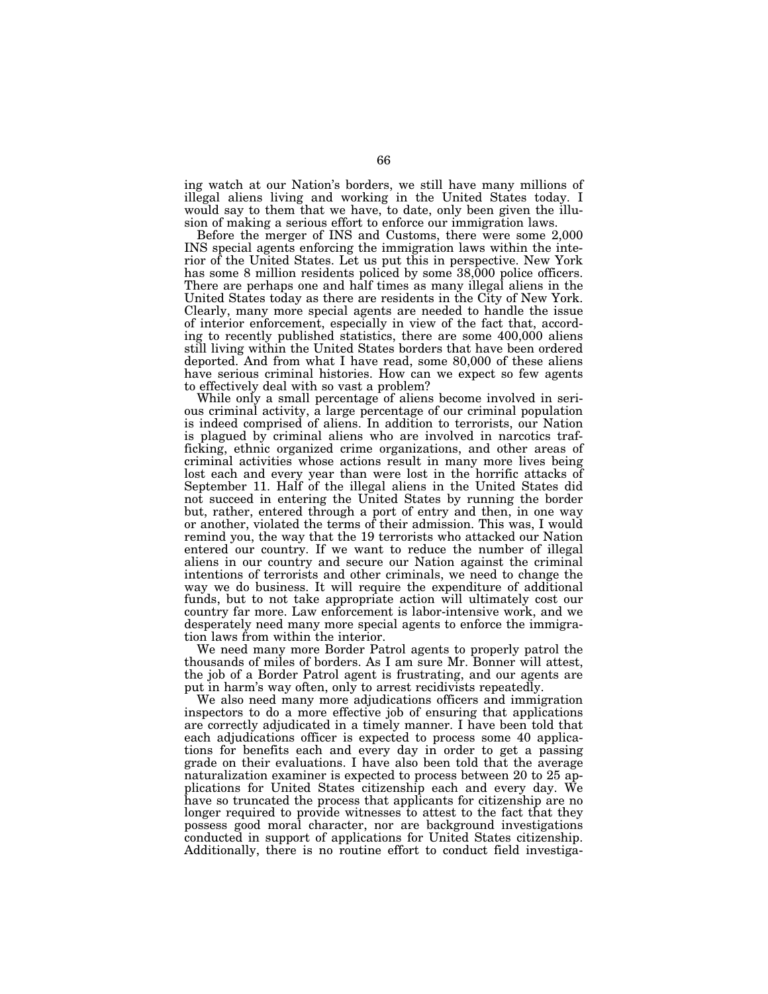ing watch at our Nation's borders, we still have many millions of illegal aliens living and working in the United States today. I would say to them that we have, to date, only been given the illusion of making a serious effort to enforce our immigration laws.

Before the merger of INS and Customs, there were some 2,000 INS special agents enforcing the immigration laws within the interior of the United States. Let us put this in perspective. New York has some 8 million residents policed by some 38,000 police officers. There are perhaps one and half times as many illegal aliens in the United States today as there are residents in the City of New York. Clearly, many more special agents are needed to handle the issue of interior enforcement, especially in view of the fact that, according to recently published statistics, there are some 400,000 aliens still living within the United States borders that have been ordered deported. And from what I have read, some 80,000 of these aliens have serious criminal histories. How can we expect so few agents to effectively deal with so vast a problem?

While only a small percentage of aliens become involved in serious criminal activity, a large percentage of our criminal population is indeed comprised of aliens. In addition to terrorists, our Nation is plagued by criminal aliens who are involved in narcotics trafficking, ethnic organized crime organizations, and other areas of criminal activities whose actions result in many more lives being lost each and every year than were lost in the horrific attacks of September 11. Half of the illegal aliens in the United States did not succeed in entering the United States by running the border but, rather, entered through a port of entry and then, in one way or another, violated the terms of their admission. This was, I would remind you, the way that the 19 terrorists who attacked our Nation entered our country. If we want to reduce the number of illegal aliens in our country and secure our Nation against the criminal intentions of terrorists and other criminals, we need to change the way we do business. It will require the expenditure of additional funds, but to not take appropriate action will ultimately cost our country far more. Law enforcement is labor-intensive work, and we desperately need many more special agents to enforce the immigration laws from within the interior.

We need many more Border Patrol agents to properly patrol the thousands of miles of borders. As I am sure Mr. Bonner will attest, the job of a Border Patrol agent is frustrating, and our agents are put in harm's way often, only to arrest recidivists repeatedly.

We also need many more adjudications officers and immigration inspectors to do a more effective job of ensuring that applications are correctly adjudicated in a timely manner. I have been told that each adjudications officer is expected to process some 40 applications for benefits each and every day in order to get a passing grade on their evaluations. I have also been told that the average naturalization examiner is expected to process between 20 to 25 applications for United States citizenship each and every day. We have so truncated the process that applicants for citizenship are no longer required to provide witnesses to attest to the fact that they possess good moral character, nor are background investigations conducted in support of applications for United States citizenship. Additionally, there is no routine effort to conduct field investiga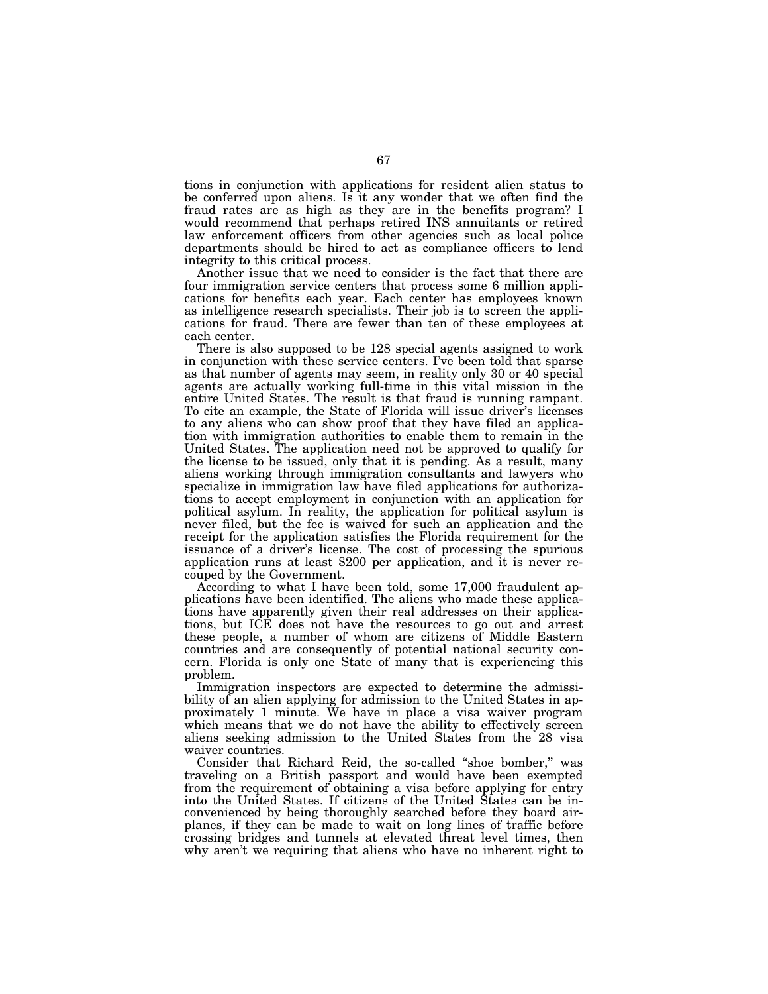tions in conjunction with applications for resident alien status to be conferred upon aliens. Is it any wonder that we often find the fraud rates are as high as they are in the benefits program? I would recommend that perhaps retired INS annuitants or retired law enforcement officers from other agencies such as local police departments should be hired to act as compliance officers to lend integrity to this critical process.

Another issue that we need to consider is the fact that there are four immigration service centers that process some 6 million applications for benefits each year. Each center has employees known as intelligence research specialists. Their job is to screen the applications for fraud. There are fewer than ten of these employees at each center.

There is also supposed to be 128 special agents assigned to work in conjunction with these service centers. I've been told that sparse as that number of agents may seem, in reality only 30 or 40 special agents are actually working full-time in this vital mission in the entire United States. The result is that fraud is running rampant. To cite an example, the State of Florida will issue driver's licenses to any aliens who can show proof that they have filed an application with immigration authorities to enable them to remain in the United States. The application need not be approved to qualify for the license to be issued, only that it is pending. As a result, many aliens working through immigration consultants and lawyers who specialize in immigration law have filed applications for authorizations to accept employment in conjunction with an application for political asylum. In reality, the application for political asylum is never filed, but the fee is waived for such an application and the receipt for the application satisfies the Florida requirement for the issuance of a driver's license. The cost of processing the spurious application runs at least \$200 per application, and it is never recouped by the Government.

According to what I have been told, some 17,000 fraudulent applications have been identified. The aliens who made these applications have apparently given their real addresses on their applications, but ICE does not have the resources to go out and arrest these people, a number of whom are citizens of Middle Eastern countries and are consequently of potential national security concern. Florida is only one State of many that is experiencing this problem.

Immigration inspectors are expected to determine the admissibility of an alien applying for admission to the United States in approximately 1 minute. We have in place a visa waiver program which means that we do not have the ability to effectively screen aliens seeking admission to the United States from the 28 visa waiver countries.

Consider that Richard Reid, the so-called ''shoe bomber,'' was traveling on a British passport and would have been exempted from the requirement of obtaining a visa before applying for entry into the United States. If citizens of the United States can be inconvenienced by being thoroughly searched before they board airplanes, if they can be made to wait on long lines of traffic before crossing bridges and tunnels at elevated threat level times, then why aren't we requiring that aliens who have no inherent right to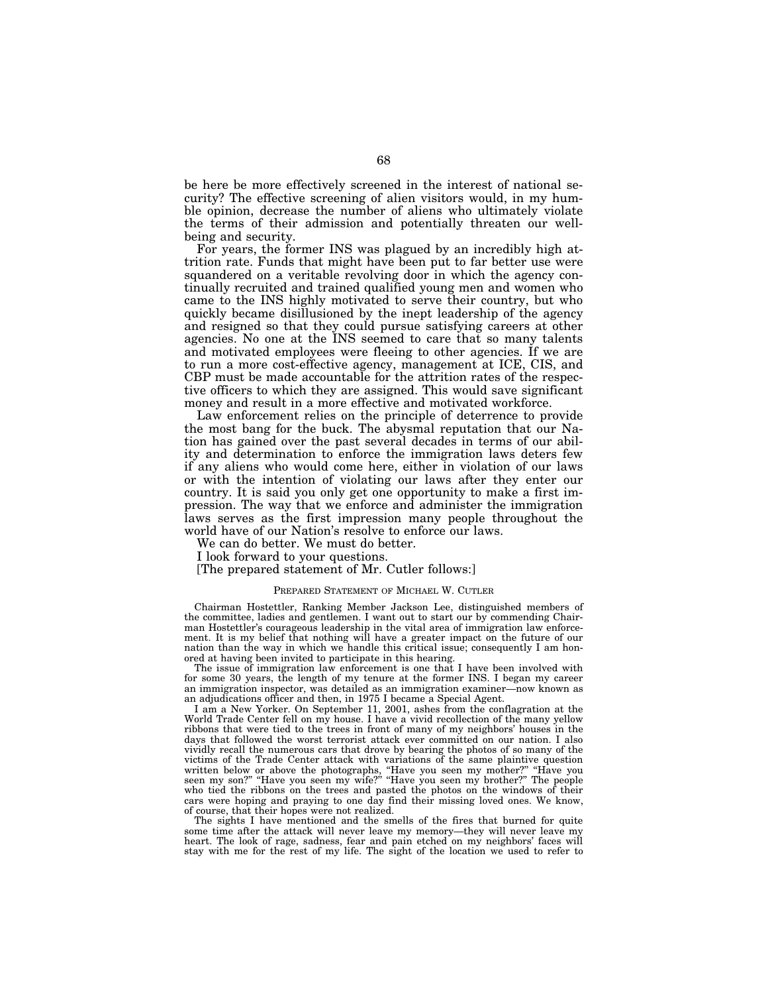be here be more effectively screened in the interest of national security? The effective screening of alien visitors would, in my humble opinion, decrease the number of aliens who ultimately violate the terms of their admission and potentially threaten our wellbeing and security.

For years, the former INS was plagued by an incredibly high attrition rate. Funds that might have been put to far better use were squandered on a veritable revolving door in which the agency continually recruited and trained qualified young men and women who came to the INS highly motivated to serve their country, but who quickly became disillusioned by the inept leadership of the agency and resigned so that they could pursue satisfying careers at other agencies. No one at the INS seemed to care that so many talents and motivated employees were fleeing to other agencies. If we are to run a more cost-effective agency, management at ICE, CIS, and CBP must be made accountable for the attrition rates of the respective officers to which they are assigned. This would save significant money and result in a more effective and motivated workforce.

Law enforcement relies on the principle of deterrence to provide the most bang for the buck. The abysmal reputation that our Nation has gained over the past several decades in terms of our ability and determination to enforce the immigration laws deters few if any aliens who would come here, either in violation of our laws or with the intention of violating our laws after they enter our country. It is said you only get one opportunity to make a first impression. The way that we enforce and administer the immigration laws serves as the first impression many people throughout the world have of our Nation's resolve to enforce our laws.

We can do better. We must do better.

I look forward to your questions.

[The prepared statement of Mr. Cutler follows:]

#### PREPARED STATEMENT OF MICHAEL W. CUTLER

Chairman Hostettler, Ranking Member Jackson Lee, distinguished members of the committee, ladies and gentlemen. I want out to start our by commending Chairman Hostettler's courageous leadership in the vital area of immigration law enforcement. It is my belief that nothing will have a greater impact on the future of our nation than the way in which we handle this critical issue; consequently I am honored at having been invited to participate in this hearing.

The issue of immigration law enforcement is one that I have been involved with for some 30 years, the length of my tenure at the former INS. I began my career<br>an immigration inspector, was detailed as an immigration examiner—now known as an immigration inspector, was detailed as an immigration examineran adjudications officer and then, in 1975 I became a Special Agent.

I am a New Yorker. On September 11, 2001, ashes from the conflagration at the World Trade Center fell on my house. I have a vivid recollection of the many yellow ribbons that were tied to the trees in front of many of my neighbors' houses in the days that followed the worst terrorist attack ever committed on our nation. I also vividly recall the numerous cars that drove by bearing the photos of so many of the victims of the Trade Center attack with variations of the same plaintive question written below or above the photographs, "Have you seen my mother?" "Have you seen my son?" "Have you seen my wife?" "Have you seen my brother?" The people who tied the ribbons on the trees and pasted the photos on the windows of their cars were hoping and praying to one day find their missing loved ones. We know, of course, that their hopes were not realized.

The sights I have mentioned and the smells of the fires that burned for quite some time after the attack will never leave my memory—they will never leave my heart. The look of rage, sadness, fear and pain etched on my neighbors' faces will stay with me for the rest of my life. The sight of the location we used to refer to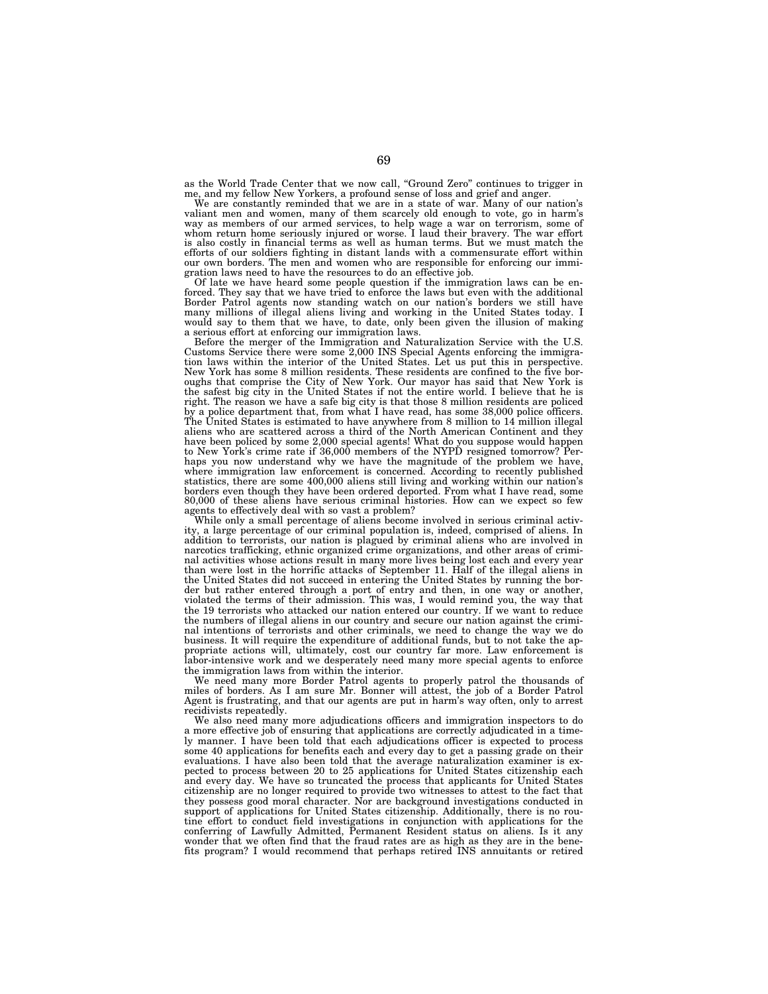as the World Trade Center that we now call, ''Ground Zero'' continues to trigger in me, and my fellow New Yorkers, a profound sense of loss and grief and anger. We are constantly reminded that we are in a state of war. Many of our nation's

We are constantly reminded that we are in a state of war. Many of our nation's valiant men and women, many of them scarcely old enough to vote, go in harm's way as members of our armed services, to help wage a war on terro is also costly in financial terms as well as human terms. But we must match the efforts of our soldiers fighting in distant lands with a commensurate effort within our own borders. The men and women who are responsible for enforcing our immigration laws need to have the resources to do an effective job.

Of late we have heard some people question if the immigration laws can be enforced. They say that we have tried to enforce the laws but even with the additional Border Patrol agents now standing watch on our nation's borders we still have many millions of illegal aliens living and working in the United States today. I would say to them that we have, to date, only been given the illusion of making a serious effort at enforcing our immigration laws.

Before the merger of the Immigration and Naturalization Service with the U.S. Customs Service there were some 2,000 INS Special Agents enforcing the immigra-tion laws within the interior of the United States. Let us put this in perspective. New York has some 8 million residents. These residents are confined to the five bor-oughs that comprise the City of New York. Our mayor has said that New York is the safest big city in the United States if not the entire world. I believe that he is right. The reason we have a safe big city is that those 8 million residents are policed by a police department that, from what I have read, has some 38,000 police officers. The United States is estimated to have anywhere from 8 million to 14 million illegal aliens who are scattered across a third of the North American Continent and they have been policed by some 2,000 special agents! What do you suppose would happen to New York's crime rate if 36,000 members of the NYPD resigned tomorrow? Perhaps you now understand why we have the magnitude of the problem we have, where immigration law enforcement is concerned. According to recently published statistics, there are some 400,000 aliens still living and working within our nation's borders even though they have been ordered deported. From what I have read, some 80,000 of these aliens have serious criminal histories. How can we expect so few agents to effectively deal with so vast a problem?

While only a small percentage of aliens become involved in serious criminal activity, a large percentage of our criminal population is, indeed, comprised of aliens. In addition to terrorists, our nation is plagued by criminal aliens who are involved in narcotics trafficking, ethnic organized crime organizations, and other areas of criminal activities whose actions result in many more lives being lost each and every year than were lost in the horrific attacks of September 11. Half of the illegal aliens in the United States did not succeed in entering the United States by running the border but rather entered through a port of entry and then, in one way or another, violated the terms of their admission. This was, I would remind you, the way that the 19 terrorists who attacked our nation entered our country. If we want to reduce the numbers of illegal aliens in our country and secure our nation against the criminal intentions of terrorists and other criminals, we need to change the way we do business. It will require the expenditure of additional funds, but to not take the appropriate actions will, ultimately, cost our country far more. Law enforcement is labor-intensive work and we desperately need many more special agents to enforce the immigration laws from within the interior.

We need many more Border Patrol agents to properly patrol the thousands of miles of borders. As I am sure Mr. Bonner will attest, the job of a Border Patrol Agent is frustrating, and that our agents are put in harm's way often, only to arrest recidivists repeatedly.

We also need many more adjudications officers and immigration inspectors to do a more effective job of ensuring that applications are correctly adjudicated in a timely manner. I have been told that each adjudications officer is expected to process some 40 applications for benefits each and every day to get a passing grade on their evaluations. I have also been told that the average naturalization examiner is expected to process between 20 to 25 applications for United States citizenship each and every day. We have so truncated the process that applicants for United States citizenship are no longer required to provide two witnesses to attest to the fact that they possess good moral character. Nor are background investigations conducted in support of applications for United States citizenship. Additionally, there is no routine effort to conduct field investigations in conjunction with applications for the conferring of Lawfully Admitted, Permanent Resident status on aliens. Is it any wonder that we often find that the fraud rates are as high as they are in the benefits program? I would recommend that perhaps retired INS annuitants or retired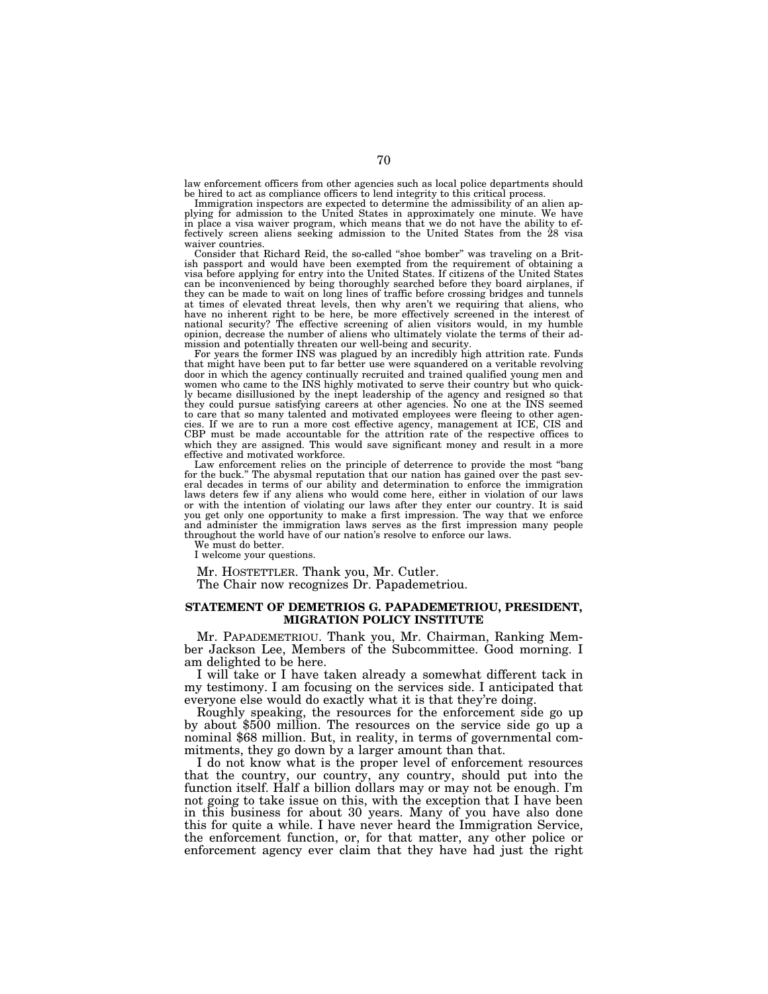law enforcement officers from other agencies such as local police departments should be hired to act as compliance officers to lend integrity to this critical process.

Immigration inspectors are expected to determine the admissibility of an alien applying for admission to the United States in approximately one minute. We have in place a visa waiver program, which means that we do not have the ability to effectively screen aliens seeking admission to the United States from the 28 visa waiver countries

Consider that Richard Reid, the so-called ''shoe bomber'' was traveling on a British passport and would have been exempted from the requirement of obtaining a visa before applying for entry into the United States. If citizens of the United States can be inconvenienced by being thoroughly searched before they board airplanes, if they can be made to wait on long lines of traffic before crossing bridges and tunnels at times of elevated threat levels, then why aren't we requiring that aliens, who have no inherent right to be here, be more effectively screened in the interest of national security? The effective screening of alien visitors would, in my humble opinion, decrease the number of aliens who ultimately violate the terms of their admission and potentially threaten our well-being and security.

For years the former INS was plagued by an incredibly high attrition rate. Funds that might have been put to far better use were squandered on a veritable revolving door in which the agency continually recruited and trained qualified young men and women who came to the INS highly motivated to serve their country but who quickly became disillusioned by the inept leadership of the agency and resigned so that they could pursue satisfying careers at other agencies. No one at the INS seemed to care that so many talented and motivated employees were fleeing to other agencies. If we are to run a more cost effective agency, management at ICE, CIS and CBP must be made accountable for the attrition rate of the respective offices to which they are assigned. This would save significant money and result in a more effective and motivated workforce.

Law enforcement relies on the principle of deterrence to provide the most ''bang for the buck." The abysmal reputation that our nation has gained over the past several decades in terms of our ability and determination to enforce the immigration laws deters few if any aliens who would come here, either in violation of our laws or with the intention of violating our laws after they enter our country. It is said you get only one opportunity to make a first impression. The way that we enforce and administer the immigration laws serves as the first impression many people throughout the world have of our nation's resolve to enforce our laws.

We must do better. I welcome your questions.

Mr. HOSTETTLER. Thank you, Mr. Cutler.

The Chair now recognizes Dr. Papademetriou.

# **STATEMENT OF DEMETRIOS G. PAPADEMETRIOU, PRESIDENT, MIGRATION POLICY INSTITUTE**

Mr. PAPADEMETRIOU. Thank you, Mr. Chairman, Ranking Member Jackson Lee, Members of the Subcommittee. Good morning. I am delighted to be here.

I will take or I have taken already a somewhat different tack in my testimony. I am focusing on the services side. I anticipated that everyone else would do exactly what it is that they're doing.

Roughly speaking, the resources for the enforcement side go up by about \$500 million. The resources on the service side go up a nominal \$68 million. But, in reality, in terms of governmental commitments, they go down by a larger amount than that.

I do not know what is the proper level of enforcement resources that the country, our country, any country, should put into the function itself. Half a billion dollars may or may not be enough. I'm not going to take issue on this, with the exception that I have been in this business for about 30 years. Many of you have also done this for quite a while. I have never heard the Immigration Service, the enforcement function, or, for that matter, any other police or enforcement agency ever claim that they have had just the right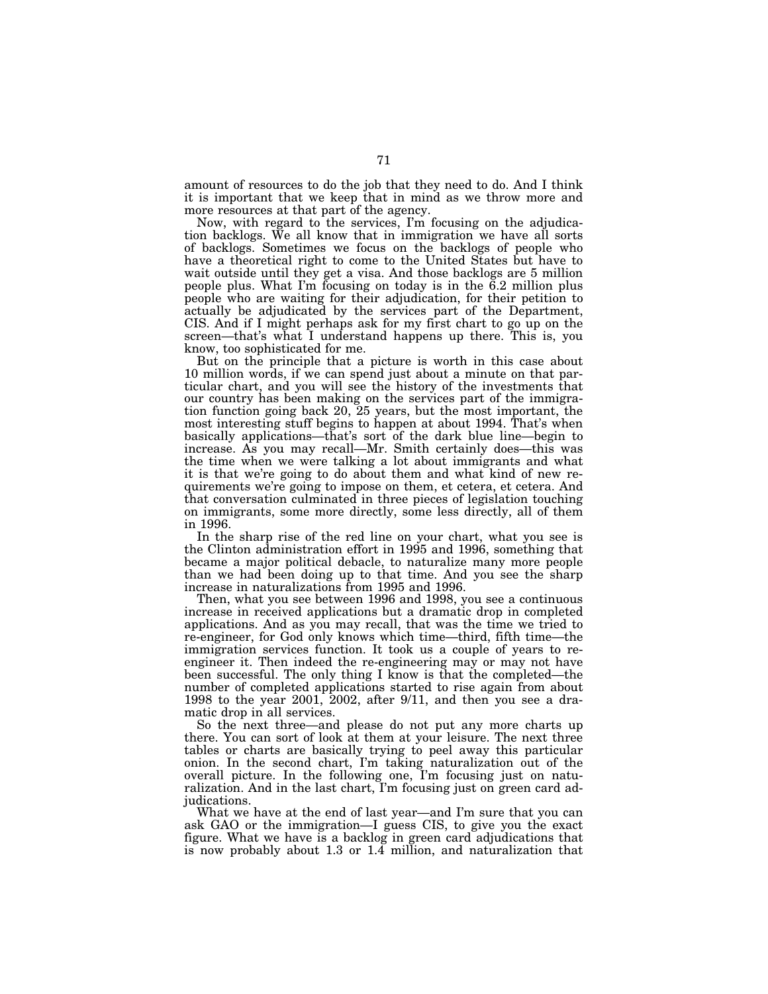amount of resources to do the job that they need to do. And I think it is important that we keep that in mind as we throw more and more resources at that part of the agency.

Now, with regard to the services, I'm focusing on the adjudication backlogs. We all know that in immigration we have all sorts of backlogs. Sometimes we focus on the backlogs of people who have a theoretical right to come to the United States but have to wait outside until they get a visa. And those backlogs are 5 million people plus. What I'm focusing on today is in the 6.2 million plus people who are waiting for their adjudication, for their petition to actually be adjudicated by the services part of the Department, CIS. And if I might perhaps ask for my first chart to go up on the screen—that's what I understand happens up there. This is, you know, too sophisticated for me.

But on the principle that a picture is worth in this case about 10 million words, if we can spend just about a minute on that particular chart, and you will see the history of the investments that our country has been making on the services part of the immigration function going back 20, 25 years, but the most important, the most interesting stuff begins to happen at about 1994. That's when basically applications—that's sort of the dark blue line—begin to increase. As you may recall—Mr. Smith certainly does—this was the time when we were talking a lot about immigrants and what it is that we're going to do about them and what kind of new requirements we're going to impose on them, et cetera, et cetera. And that conversation culminated in three pieces of legislation touching on immigrants, some more directly, some less directly, all of them in 1996.

In the sharp rise of the red line on your chart, what you see is the Clinton administration effort in 1995 and 1996, something that became a major political debacle, to naturalize many more people than we had been doing up to that time. And you see the sharp increase in naturalizations from 1995 and 1996.

Then, what you see between 1996 and 1998, you see a continuous increase in received applications but a dramatic drop in completed applications. And as you may recall, that was the time we tried to re-engineer, for God only knows which time—third, fifth time—the immigration services function. It took us a couple of years to reengineer it. Then indeed the re-engineering may or may not have been successful. The only thing I know is that the completed—the number of completed applications started to rise again from about 1998 to the year 2001, 2002, after 9/11, and then you see a dramatic drop in all services.

So the next three—and please do not put any more charts up there. You can sort of look at them at your leisure. The next three tables or charts are basically trying to peel away this particular onion. In the second chart, I'm taking naturalization out of the overall picture. In the following one, I'm focusing just on naturalization. And in the last chart, I'm focusing just on green card adjudications.

What we have at the end of last year—and I'm sure that you can ask GAO or the immigration—I guess CIS, to give you the exact figure. What we have is a backlog in green card adjudications that is now probably about 1.3 or 1.4 million, and naturalization that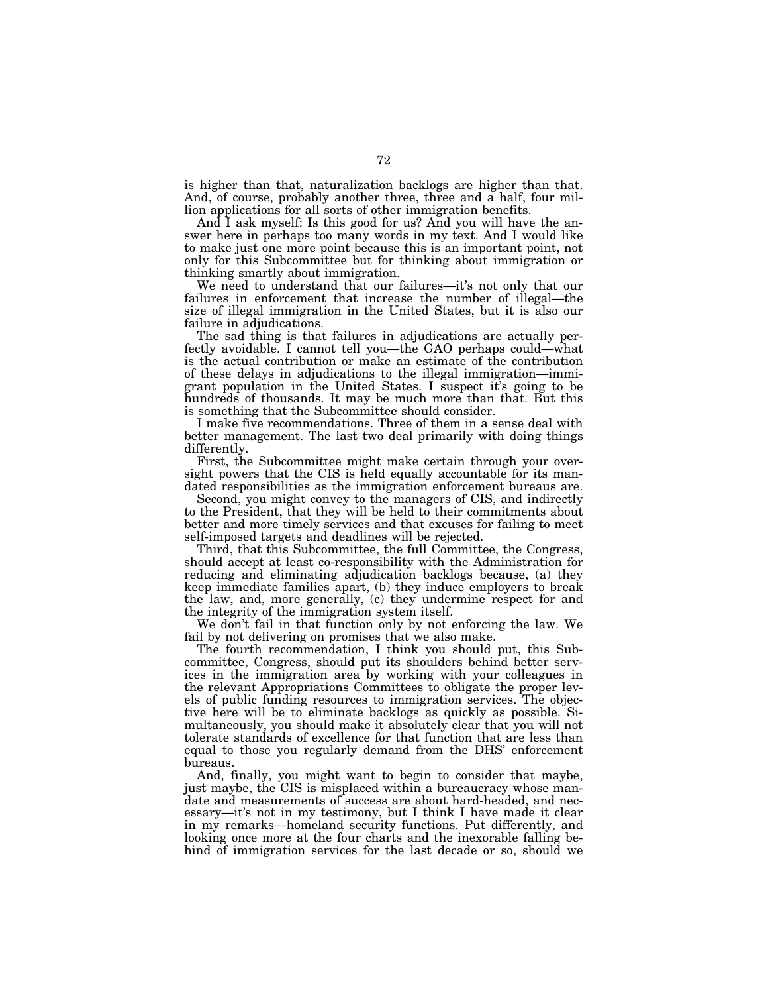is higher than that, naturalization backlogs are higher than that. And, of course, probably another three, three and a half, four million applications for all sorts of other immigration benefits.

And I ask myself: Is this good for us? And you will have the answer here in perhaps too many words in my text. And I would like to make just one more point because this is an important point, not only for this Subcommittee but for thinking about immigration or thinking smartly about immigration.

We need to understand that our failures—it's not only that our failures in enforcement that increase the number of illegal—the size of illegal immigration in the United States, but it is also our failure in adjudications.

The sad thing is that failures in adjudications are actually perfectly avoidable. I cannot tell you—the GAO perhaps could—what is the actual contribution or make an estimate of the contribution of these delays in adjudications to the illegal immigration—immigrant population in the United States. I suspect it's going to be hundreds of thousands. It may be much more than that. But this is something that the Subcommittee should consider.

I make five recommendations. Three of them in a sense deal with better management. The last two deal primarily with doing things differently.

First, the Subcommittee might make certain through your oversight powers that the CIS is held equally accountable for its mandated responsibilities as the immigration enforcement bureaus are.

Second, you might convey to the managers of CIS, and indirectly to the President, that they will be held to their commitments about better and more timely services and that excuses for failing to meet self-imposed targets and deadlines will be rejected.

Third, that this Subcommittee, the full Committee, the Congress, should accept at least co-responsibility with the Administration for reducing and eliminating adjudication backlogs because, (a) they keep immediate families apart, (b) they induce employers to break the law, and, more generally, (c) they undermine respect for and the integrity of the immigration system itself.

We don't fail in that function only by not enforcing the law. We fail by not delivering on promises that we also make.

The fourth recommendation, I think you should put, this Subcommittee, Congress, should put its shoulders behind better services in the immigration area by working with your colleagues in the relevant Appropriations Committees to obligate the proper levels of public funding resources to immigration services. The objective here will be to eliminate backlogs as quickly as possible. Simultaneously, you should make it absolutely clear that you will not tolerate standards of excellence for that function that are less than equal to those you regularly demand from the DHS' enforcement bureaus.

And, finally, you might want to begin to consider that maybe, just maybe, the CIS is misplaced within a bureaucracy whose mandate and measurements of success are about hard-headed, and necessary—it's not in my testimony, but I think I have made it clear in my remarks—homeland security functions. Put differently, and looking once more at the four charts and the inexorable falling behind of immigration services for the last decade or so, should we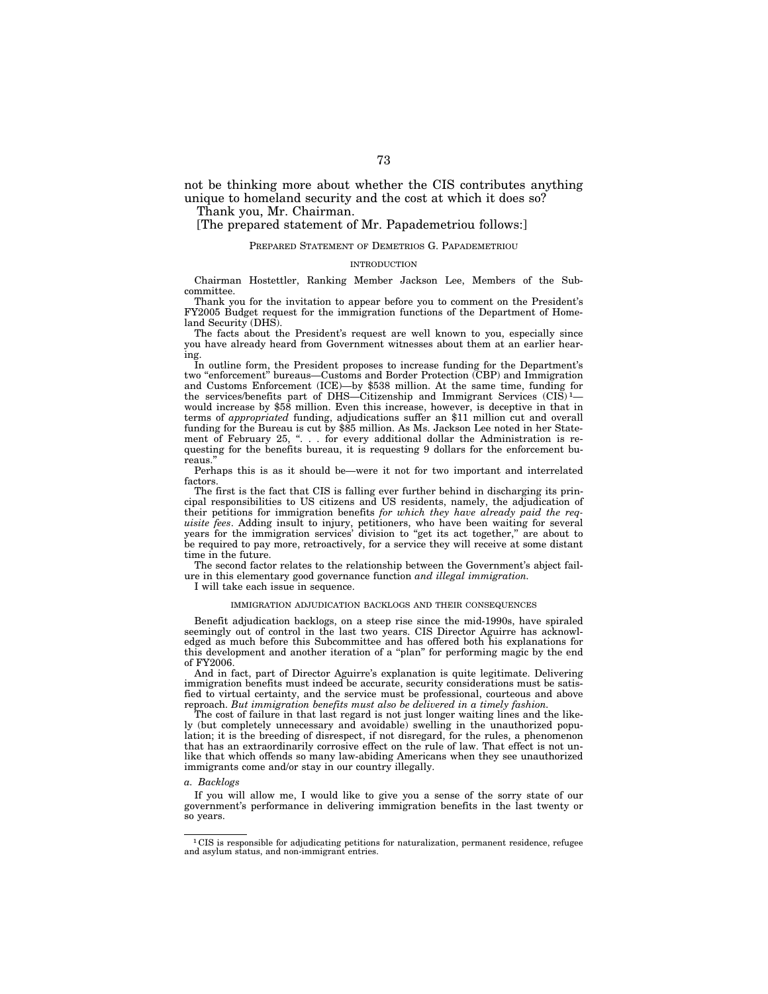not be thinking more about whether the CIS contributes anything unique to homeland security and the cost at which it does so?

Thank you, Mr. Chairman.

# [The prepared statement of Mr. Papademetriou follows:]

### PREPARED STATEMENT OF DEMETRIOS G. PAPADEMETRIOU

### INTRODUCTION

Chairman Hostettler, Ranking Member Jackson Lee, Members of the Subcommittee.

Thank you for the invitation to appear before you to comment on the President's FY2005 Budget request for the immigration functions of the Department of Homeland Security (DHS).

The facts about the President's request are well known to you, especially since you have already heard from Government witnesses about them at an earlier hearing.

In outline form, the President proposes to increase funding for the Department's two ''enforcement'' bureaus—Customs and Border Protection (CBP) and Immigration and Customs Enforcement (ICE)—by \$538 million. At the same time, funding for the services/benefits part of DHS—Citizenship and Immigrant Services  $(CIS)^1$  would increase by \$58 million. Even this increase, however, is deceptive in that in terms of *appropriated* funding, adjudications suffer an \$11 million cut and overall funding for the Bureau is cut by \$85 million. As Ms. Jackson Lee noted in her Statement of February 25, ". . . for every additional dollar the Administration is requesting for the benefits bureau, it is requesting 9 dollars for the enforcement bureaus.''

Perhaps this is as it should be—were it not for two important and interrelated factors.

The first is the fact that CIS is falling ever further behind in discharging its principal responsibilities to US citizens and US residents, namely, the adjudication of their petitions for immigration benefits *for which they have already paid the requisite fees*. Adding insult to injury, petitioners, who have been waiting for several years for the immigration services' division to ''get its act together,'' are about to be required to pay more, retroactively, for a service they will receive at some distant time in the future.

The second factor relates to the relationship between the Government's abject failure in this elementary good governance function *and illegal immigration.* 

I will take each issue in sequence.

### IMMIGRATION ADJUDICATION BACKLOGS AND THEIR CONSEQUENCES

Benefit adjudication backlogs, on a steep rise since the mid-1990s, have spiraled seemingly out of control in the last two years. CIS Director Aguirre has acknowledged as much before this Subcommittee and has offered both his explanations for this development and another iteration of a ''plan'' for performing magic by the end of FY2006.

And in fact, part of Director Aguirre's explanation is quite legitimate. Delivering immigration benefits must indeed be accurate, security considerations must be satisfied to virtual certainty, and the service must be professional, courteous and above reproach. *But immigration benefits must also be delivered in a timely fashion.* 

The cost of failure in that last regard is not just longer waiting lines and the likely (but completely unnecessary and avoidable) swelling in the unauthorized population; it is the breeding of disrespect, if not disregard, for the rules, a phenomenon that has an extraordinarily corrosive effect on the rule of law. That effect is not unlike that which offends so many law-abiding Americans when they see unauthorized immigrants come and/or stay in our country illegally.

# *a. Backlogs*

If you will allow me, I would like to give you a sense of the sorry state of our government's performance in delivering immigration benefits in the last twenty or so years.

 $\rm ^1CIS$  is responsible for adjudicating petitions for naturalization, permanent residence, refugee and asylum status, and non-immigrant entries.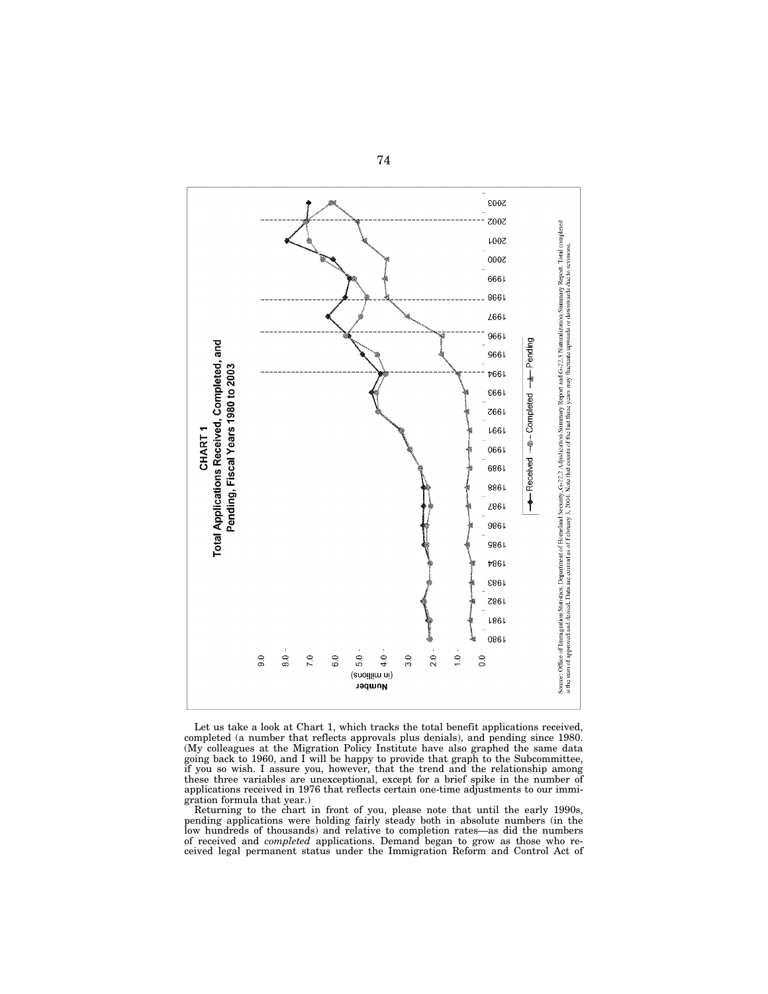

Let us take a look at Chart 1, which tracks the total benefit applications received, completed (a number that reflects approvals plus denials), and pending since 1980. (My colleagues at the Migration Policy Institute have also graphed the same data going back to 1960, and I will be happy to provide that graph to the Subcommittee, if you so wish. I assure you, however, that the trend and the relationship among these three variables are unexceptional, except for a brief spike in the number of applications received in 1976 that reflects certain one-time adjustments to our immigration formula that year.)

Returning to the chart in front of you, please note that until the early 1990s, pending applications were holding fairly steady both in absolute numbers (in the low hundreds of thousands) and relative to completion rates—as did the numbers of received and *completed* applications. Demand began to grow as those who received legal permanent status under the Immigration Reform and Control Act of

74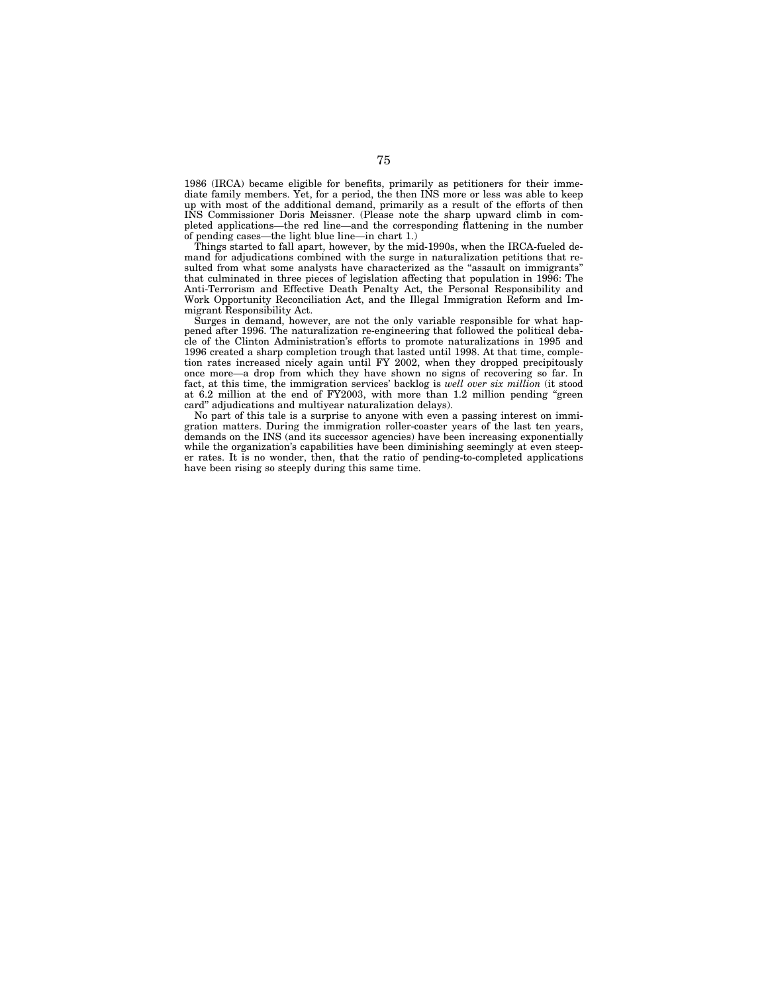1986 (IRCA) became eligible for benefits, primarily as petitioners for their immediate family members. Yet, for a period, the then INS more or less was able to keep up with most of the additional demand, primarily as a result of the efforts of then INS Commissioner Doris Meissner. (Please note the sharp upward climb in completed applications—the red line—and the corresponding flattening in the number of pending cases—the light blue line—in chart 1.)

Things started to fall apart, however, by the mid-1990s, when the IRCA-fueled demand for adjudications combined with the surge in naturalization petitions that resulted from what some analysts have characterized as the "assault on immigrants" that culminated in three pieces of legislation affecting that population in 1996: The Anti-Terrorism and Effective Death Penalty Act, the Personal Responsibility and Work Opportunity Reconciliation Act, and the Illegal Immigration Reform and Immigrant Responsibility Act.

Surges in demand, however, are not the only variable responsible for what happened after 1996. The naturalization re-engineering that followed the political debacle of the Clinton Administration's efforts to promote naturalizations in 1995 and 1996 created a sharp completion trough that lasted until 1998. At that time, completion rates increased nicely again until FY 2002, when they dropped precipitously once more—a drop from which they have shown no signs of recovering so far. In fact, at this time, the immigration services' backlog is *well over six million* (it stood at 6.2 million at the end of FY2003, with more than 1.2 million pending ''green card'' adjudications and multiyear naturalization delays).

No part of this tale is a surprise to anyone with even a passing interest on immigration matters. During the immigration roller-coaster years of the last ten years, demands on the INS (and its successor agencies) have been increasing exponentially while the organization's capabilities have been diminishing seemingly at even steeper rates. It is no wonder, then, that the ratio of pending-to-completed applications have been rising so steeply during this same time.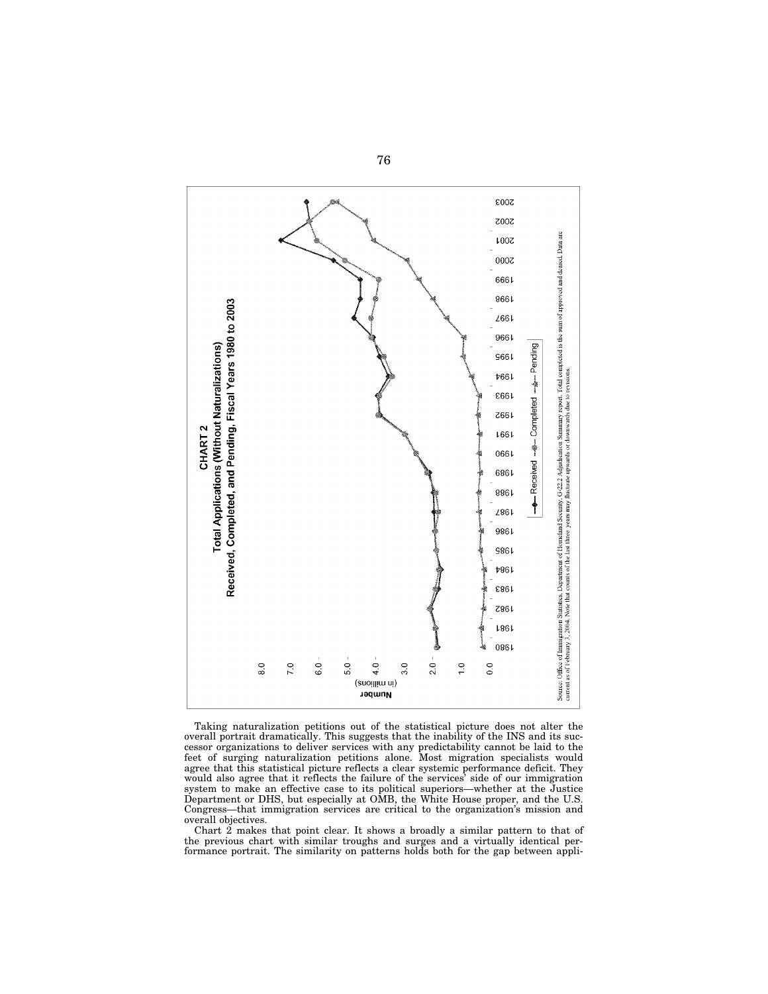

Taking naturalization petitions out of the statistical picture does not alter the overall portrait dramatically. This suggests that the inability of the INS and its successor organizations to deliver services with any predictability cannot be laid to the feet of surging naturalization petitions alone. Most migration specialists would agree that this statistical picture reflects a clear systemic performance deficit. They would also agree that it reflects the failure of the services' side of our immigration system to make an effective case to its political superiors—whether at the Justice Department or DHS, but especially at OMB, the White House proper, and the U.S. Congress—that immigration services are critical to the organization's mission and overall objectives.

Chart 2 makes that point clear. It shows a broadly a similar pattern to that of the previous chart with similar troughs and surges and a virtually identical performance portrait. The similarity on patterns holds both for the gap between appli-

76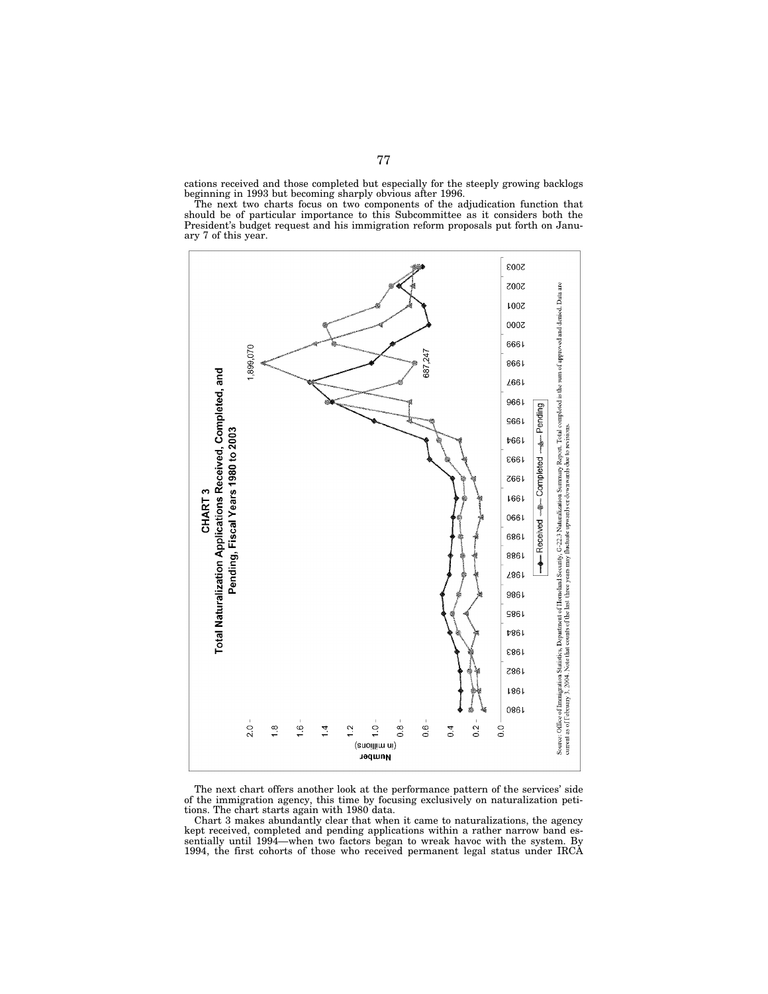cations received and those completed but especially for the steeply growing backlogs beginning in 1993 but becoming sharply obvious after 1996.

The next two charts focus on two components of the adjudication function that should be of particular importance to this Subcommittee as it considers both the President's budget request and his immigration reform proposals put forth on January 7 of this year.



The next chart offers another look at the performance pattern of the services' side of the immigration agency, this time by focusing exclusively on naturalization petitions. The chart starts again with 1980 data.

Chart 3 makes abundantly clear that when it came to naturalizations, the agency kept received, completed and pending applications within a rather narrow band essentially until 1994—when two factors began to wreak havoc with the system. By 1994, the first cohorts of those who received permanent legal status under IRCA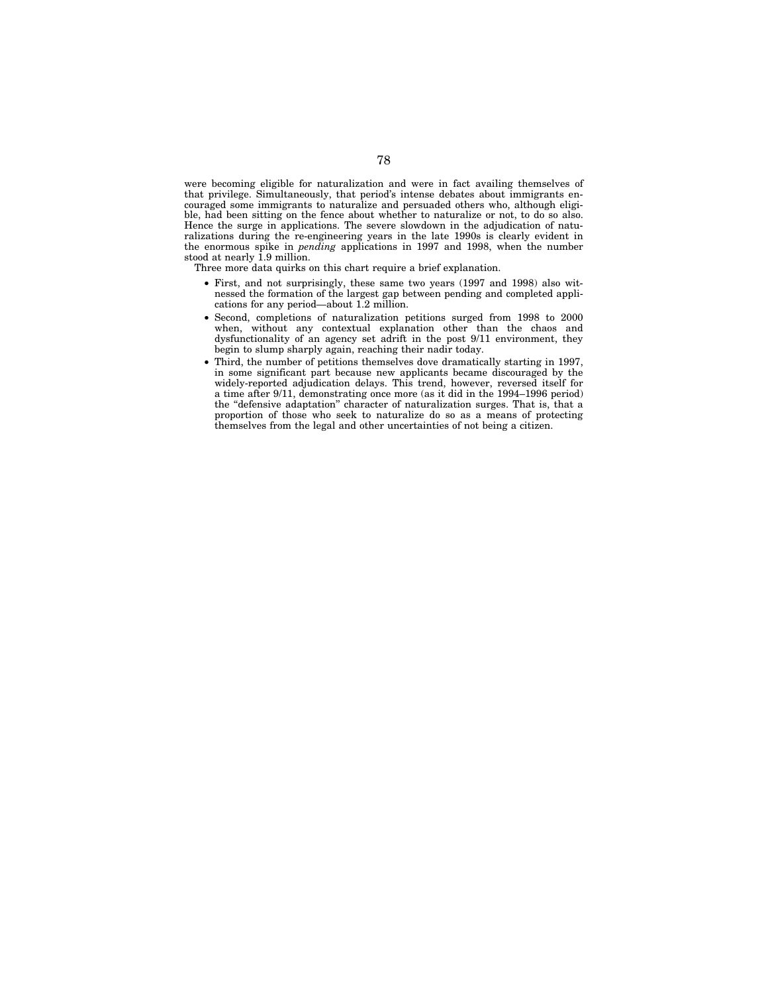were becoming eligible for naturalization and were in fact availing themselves of that privilege. Simultaneously, that period's intense debates about immigrants encouraged some immigrants to naturalize and persuaded others who, although eligible, had been sitting on the fence about whether to naturalize or not, to do so also. Hence the surge in applications. The severe slowdown in the adjudication of naturalizations during the re-engineering years in the late 1990s is clearly evident in the enormous spike in *pending* applications in 1997 and 1998, when the number stood at nearly 1.9 million.

Three more data quirks on this chart require a brief explanation.

- First, and not surprisingly, these same two years (1997 and 1998) also witnessed the formation of the largest gap between pending and completed applications for any period—about 1.2 million.
- Second, completions of naturalization petitions surged from 1998 to 2000 when, without any contextual explanation other than the chaos and dysfunctionality of an agency set adrift in the post 9/11 environment, they begin to slump sharply again, reaching their nadir today.
- Third, the number of petitions themselves dove dramatically starting in 1997, in some significant part because new applicants became discouraged by the widely-reported adjudication delays. This trend, however, reversed itself for a time after 9/11, demonstrating once more (as it did in the 1994–1996 period) the ''defensive adaptation'' character of naturalization surges. That is, that a proportion of those who seek to naturalize do so as a means of protecting themselves from the legal and other uncertainties of not being a citizen.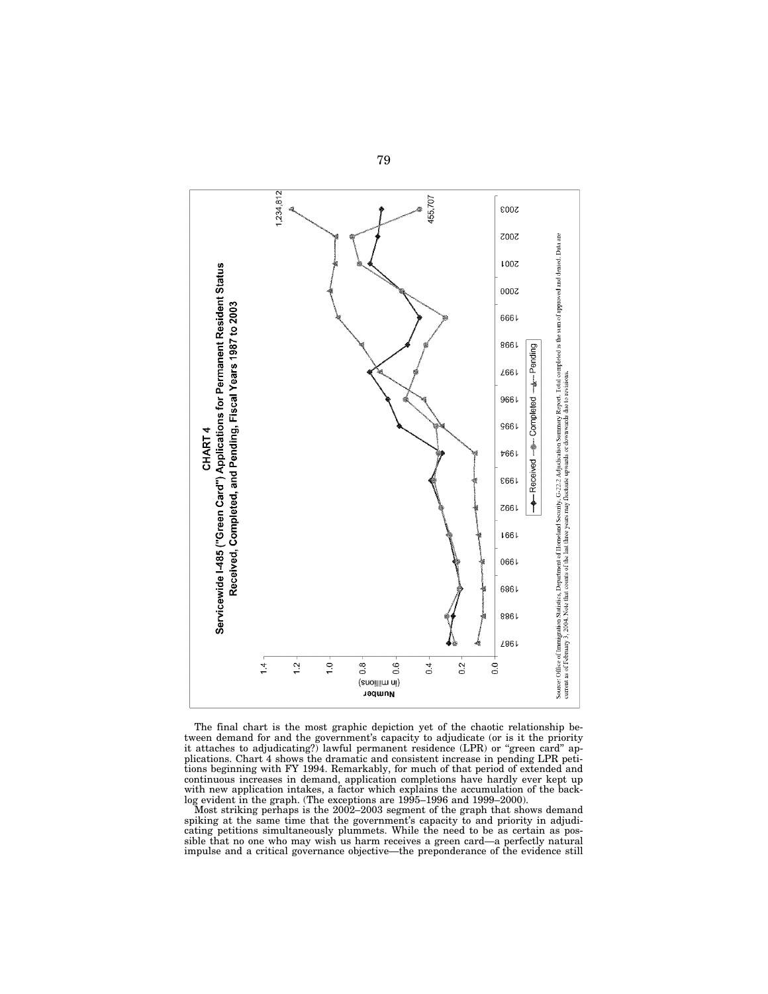

The final chart is the most graphic depiction yet of the chaotic relationship between demand for and the government's capacity to adjudicate (or is it the priority it attaches to adjudicating?) lawful permanent residence (LPR) or "green card" applications. Chart 4 shows the dramatic and consistent increase in pending LPR petitions beginning with FY 1994. Remarkably, for much of that period of extended and continuous increases in demand, application completions have hardly ever kept up with new application intakes, a factor which explains the accumulation of the backlog evident in the graph. (The exceptions are 1995–1996 and 1999–2000).

Most striking perhaps is the 2002–2003 segment of the graph that shows demand spiking at the same time that the government's capacity to and priority in adjudicating petitions simultaneously plummets. While the need to be as certain as possible that no one who may wish us harm receives a green card—a perfectly natural impulse and a critical governance objective—the preponderance of the evidence still

79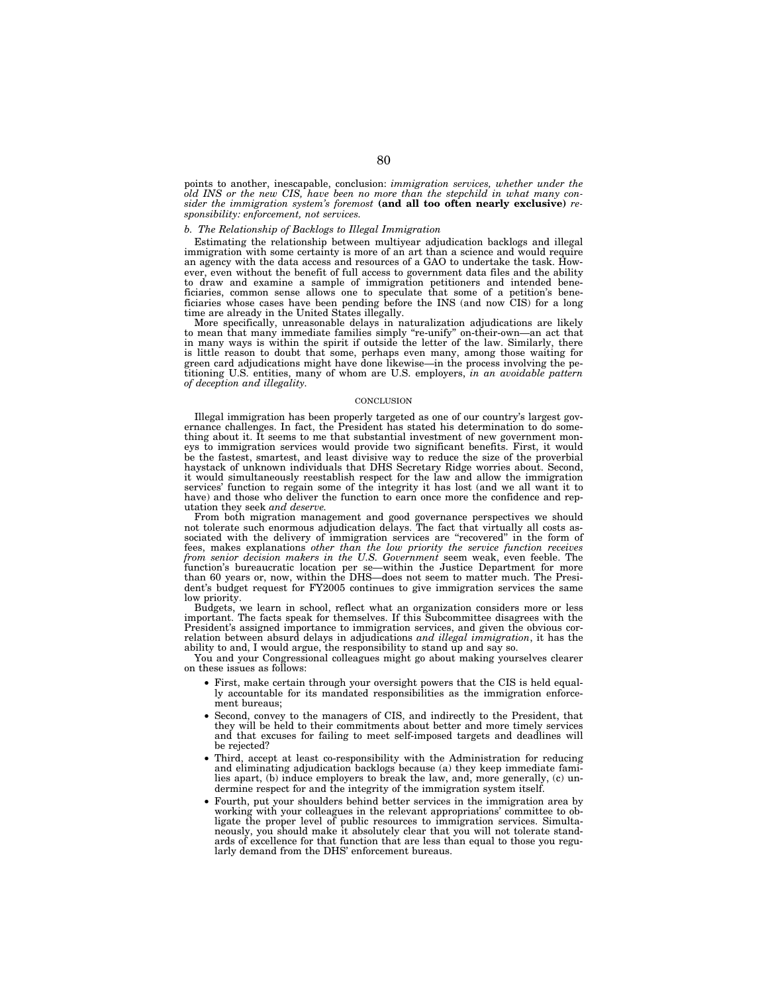points to another, inescapable, conclusion: *immigration services, whether under the old INS or the new CIS, have been no more than the stepchild in what many consider the immigration system's foremost* **(and all too often nearly exclusive)** *responsibility: enforcement, not services.* 

## *b. The Relationship of Backlogs to Illegal Immigration*

Estimating the relationship between multiyear adjudication backlogs and illegal immigration with some certainty is more of an art than a science and would require an agency with the data access and resources of a GAO to undertake the task. However, even without the benefit of full access to government data files and the ability to draw and examine a sample of immigration petitioners and intended beneficiaries, common sense allows one to speculate that some of a petition's beneficiaries whose cases have been pending before the INS (and now CIS) for a long time are already in the United States illegally.

More specifically, unreasonable delays in naturalization adjudications are likely to mean that many immediate families simply ''re-unify'' on-their-own—an act that in many ways is within the spirit if outside the letter of the law. Similarly, there is little reason to doubt that some, perhaps even many, among those waiting for green card adjudications might have done likewise—in the process involving the petitioning U.S. entities, many of whom are U.S. employers, *in an avoidable pattern of deception and illegality.* 

#### **CONCLUSION**

Illegal immigration has been properly targeted as one of our country's largest governance challenges. In fact, the President has stated his determination to do something about it. It seems to me that substantial investment of new government moneys to immigration services would provide two significant benefits. First, it would be the fastest, smartest, and least divisive way to reduce the size of the proverbial haystack of unknown individuals that DHS Secretary Ridge worries about. Second, it would simultaneously reestablish respect for the law and allow the immigration services' function to regain some of the integrity it has lost (and we all want it to have) and those who deliver the function to earn once more the confidence and reputation they seek *and deserve.* 

From both migration management and good governance perspectives we should not tolerate such enormous adjudication delays. The fact that virtually all costs associated with the delivery of immigration services are "recovered" in the form of fees, makes explanations *other than the low priority the service function receives from senior decision makers in the U.S. Government* seem weak, even feeble. The function's bureaucratic location per se—within the Justice Department for more than 60 years or, now, within the DHS—does not seem to matter much. The President's budget request for FY2005 continues to give immigration services the same low priority.

Budgets, we learn in school, reflect what an organization considers more or less important. The facts speak for themselves. If this Subcommittee disagrees with the President's assigned importance to immigration services, and given the obvious correlation between absurd delays in adjudications *and illegal immigration*, it has the ability to and, I would argue, the responsibility to stand up and say so.

You and your Congressional colleagues might go about making yourselves clearer on these issues as follows:

- First, make certain through your oversight powers that the CIS is held equally accountable for its mandated responsibilities as the immigration enforcement bureaus;
- Second, convey to the managers of CIS, and indirectly to the President, that they will be held to their commitments about better and more timely services and that excuses for failing to meet self-imposed targets and deadlines will be rejected?
- Third, accept at least co-responsibility with the Administration for reducing and eliminating adjudication backlogs because (a) they keep immediate families apart, (b) induce employers to break the law, and, more generally, (c) undermine respect for and the integrity of the immigration system itself
- Fourth, put your shoulders behind better services in the immigration area by working with your colleagues in the relevant appropriations' committee to obligate the proper level of public resources to immigration services. Simultaneously, you should make it absolutely clear that you will not tolerate standards of excellence for that function that are less than equal to those you regularly demand from the DHS' enforcement bureaus.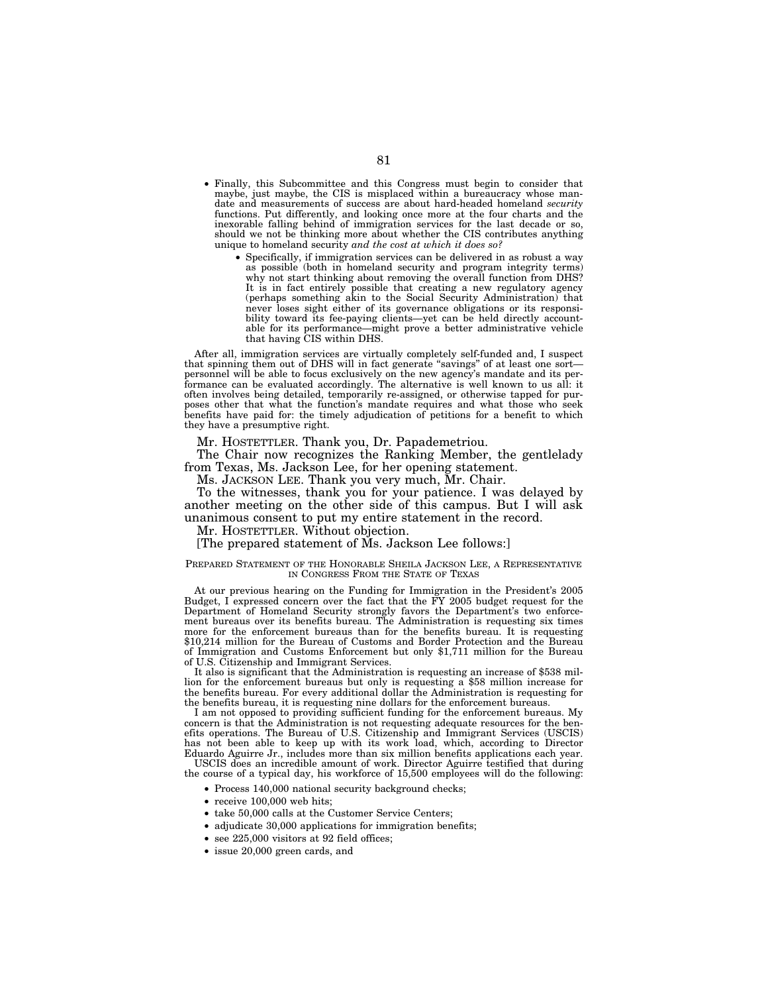- Finally, this Subcommittee and this Congress must begin to consider that maybe, just maybe, the CIS is misplaced within a bureaucracy whose mandate and measurements of success are about hard-headed homeland *security* functions. Put differently, and looking once more at the four charts and the inexorable falling behind of immigration services for the last decade or so, should we not be thinking more about whether the CIS contributes anything unique to homeland security *and the cost at which it does so?*
	- Specifically, if immigration services can be delivered in as robust a way as possible (both in homeland security and program integrity terms) why not start thinking about removing the overall function from DHS? It is in fact entirely possible that creating a new regulatory agency (perhaps something akin to the Social Security Administration) that never loses sight either of its governance obligations or its responsibility toward its fee-paying clients—yet can be held directly accountable for its performance—might prove a better administrative vehicle that having CIS within DHS.

After all, immigration services are virtually completely self-funded and, I suspect that spinning them out of DHS will in fact generate "savings" of at least one sort personnel will be able to focus exclusively on the new agency's mandate and its performance can be evaluated accordingly. The alternative is well known to us all: it often involves being detailed, temporarily re-assigned, or otherwise tapped for purposes other that what the function's mandate requires and what those who seek benefits have paid for: the timely adjudication of petitions for a benefit to which they have a presumptive right.

Mr. HOSTETTLER. Thank you, Dr. Papademetriou.

The Chair now recognizes the Ranking Member, the gentlelady from Texas, Ms. Jackson Lee, for her opening statement.

Ms. JACKSON LEE. Thank you very much, Mr. Chair.

To the witnesses, thank you for your patience. I was delayed by another meeting on the other side of this campus. But I will ask unanimous consent to put my entire statement in the record.

Mr. HOSTETTLER. Without objection.

[The prepared statement of Ms. Jackson Lee follows:]

## PREPARED STATEMENT OF THE HONORABLE SHEILA JACKSON LEE, A REPRESENTATIVE IN CONGRESS FROM THE STATE OF TEXAS

At our previous hearing on the Funding for Immigration in the President's 2005 Budget, I expressed concern over the fact that the FY 2005 budget request for the Department of Homeland Security strongly favors the Department's two enforcement bureaus over its benefits bureau. The Administration is requesting six times more for the enforcement bureaus than for the benefits bureau. It is requesting \$10,214 million for the Bureau of Customs and Border Protection and the Bureau of Immigration and Customs Enforcement but only \$1,711 million for the Bureau of U.S. Citizenship and Immigrant Services.

It also is significant that the Administration is requesting an increase of \$538 million for the enforcement bureaus but only is requesting a \$58 million increase for the benefits bureau. For every additional dollar the Administration is requesting for the benefits bureau, it is requesting nine dollars for the enforcement bureaus.

I am not opposed to providing sufficient funding for the enforcement bureaus. My concern is that the Administration is not requesting adequate resources for the benefits operations. The Bureau of U.S. Citizenship and Immigrant Services (USCIS) has not been able to keep up with its work load, which, according to Director Eduardo Aguirre Jr., includes more than six million benefits applications each year.

USCIS does an incredible amount of work. Director Aguirre testified that during the course of a typical day, his workforce of 15,500 employees will do the following:

- Process 140,000 national security background checks;
- receive 100,000 web hits;
- take 50,000 calls at the Customer Service Centers;
- adjudicate 30,000 applications for immigration benefits;
- see 225,000 visitors at 92 field offices;
- issue 20,000 green cards, and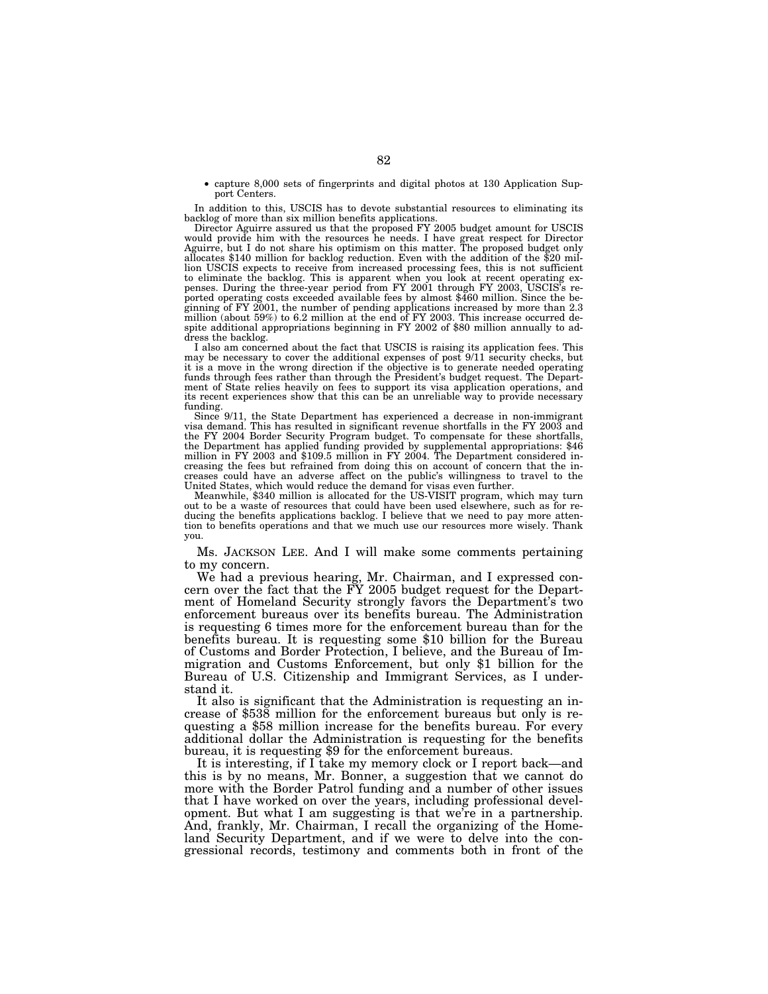• capture 8,000 sets of fingerprints and digital photos at 130 Application Support Centers.

In addition to this, USCIS has to devote substantial resources to eliminating its

backlog of more than six million benefits applications. Director Aguirre assured us that the proposed FY 2005 budget amount for USCIS would provide him with the resources he needs. I have great respect for Director Aguirre, but I do not share his optimism on this matter. The proposed budget only allocates \$140 million for backlog reduction. Even with the addition of the \$20 million USCIS expects to receive from increased processing fees, this is not sufficient to eliminate the backlog. This is apparent when you look at recent operating ex-<br>penses. During the three-year period from FY 2001 through FY 2003, USCIS's repenses. During the three-year period from FY 2001 through FY 2003, USCIS's reported operating costs exceeded available fees by almost \$460 million. Since the beginning of FY 2001, the number of pending applications increas million (about 59%) to 6.2 million at the end of FY 2003. This increase occurred de-spite additional appropriations beginning in FY 2002 of \$80 million annually to address the backlog.

I also am concerned about the fact that USCIS is raising its application fees. This may be necessary to cover the additional expenses of post 9/11 security checks, but it is a move in the wrong direction if the objective is to generate needed operating funds through fees rather than through the President's budget request. The Department of State relies heavily on fees to support its visa application operations, and its recent experiences show that this can be an unreliable way to provide necessary funding.

Since 9/11, the State Department has experienced a decrease in non-immigrant visa demand. This has resulted in significant revenue shortfalls in the FY 2003 and the FY 2004 Border Security Program budget. To compensate for these shortfalls, the Department has applied funding provided by supplemental appropriations: \$46 million in FY 2003 and \$109.5 million in FY 2004. The Department considered increasing the fees but refrained from doing this on account of concern that the increases could have an adverse affect on the public's willingness to travel to the United States, which would reduce the demand for visas even further.

Meanwhile, \$340 million is allocated for the US-VISIT program, which may turn out to be a waste of resources that could have been used elsewhere, such as for reducing the benefits applications backlog. I believe that we need to pay more attention to benefits operations and that we much use our resources more wisely. Thank you.

Ms. JACKSON LEE. And I will make some comments pertaining to my concern.

We had a previous hearing, Mr. Chairman, and I expressed concern over the fact that the FY 2005 budget request for the Department of Homeland Security strongly favors the Department's two enforcement bureaus over its benefits bureau. The Administration is requesting 6 times more for the enforcement bureau than for the benefits bureau. It is requesting some \$10 billion for the Bureau of Customs and Border Protection, I believe, and the Bureau of Immigration and Customs Enforcement, but only \$1 billion for the Bureau of U.S. Citizenship and Immigrant Services, as I under-

stand it.<br>It also is significant that the Administration is requesting an increase of \$538 million for the enforcement bureaus but only is requesting a \$58 million increase for the benefits bureau. For every additional dollar the Administration is requesting for the benefits bureau, it is requesting \$9 for the enforcement bureaus.

It is interesting, if I take my memory clock or I report back—and this is by no means, Mr. Bonner, a suggestion that we cannot do more with the Border Patrol funding and a number of other issues that I have worked on over the years, including professional development. But what I am suggesting is that we're in a partnership. And, frankly, Mr. Chairman, I recall the organizing of the Homeland Security Department, and if we were to delve into the congressional records, testimony and comments both in front of the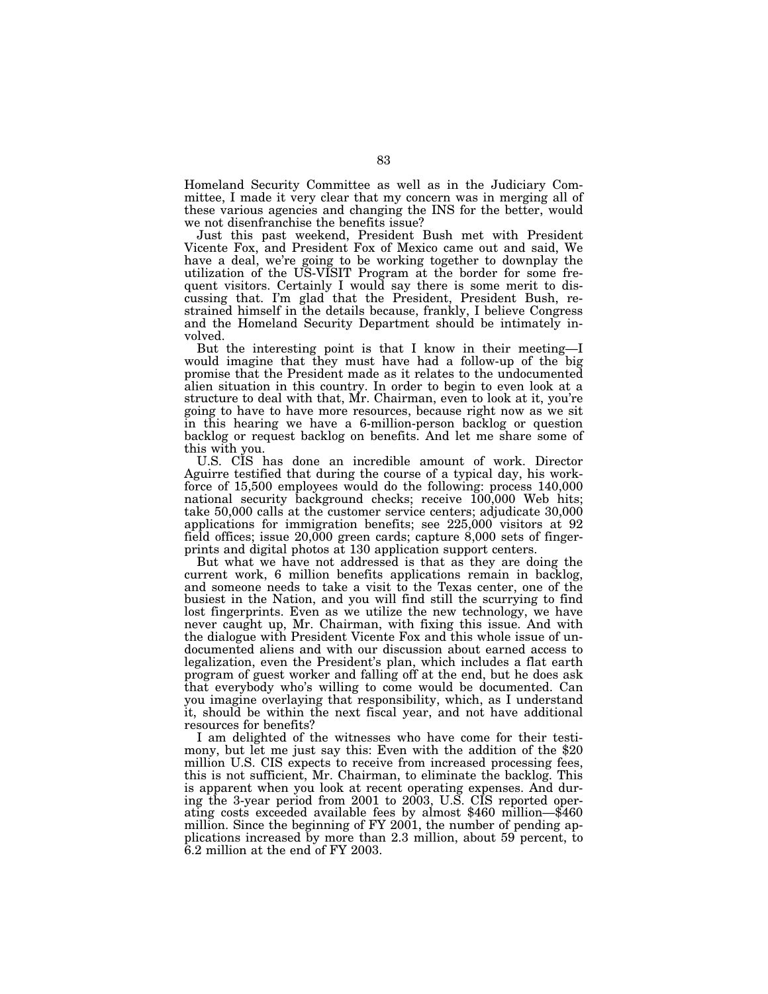Homeland Security Committee as well as in the Judiciary Committee, I made it very clear that my concern was in merging all of these various agencies and changing the INS for the better, would we not disenfranchise the benefits issue?

Just this past weekend, President Bush met with President Vicente Fox, and President Fox of Mexico came out and said, We have a deal, we're going to be working together to downplay the utilization of the US-VISIT Program at the border for some frequent visitors. Certainly I would say there is some merit to discussing that. I'm glad that the President, President Bush, restrained himself in the details because, frankly, I believe Congress and the Homeland Security Department should be intimately involved.

But the interesting point is that I know in their meeting—I would imagine that they must have had a follow-up of the big promise that the President made as it relates to the undocumented alien situation in this country. In order to begin to even look at a structure to deal with that, Mr. Chairman, even to look at it, you're going to have to have more resources, because right now as we sit in this hearing we have a 6-million-person backlog or question backlog or request backlog on benefits. And let me share some of this with you.

U.S. CIS has done an incredible amount of work. Director Aguirre testified that during the course of a typical day, his workforce of 15,500 employees would do the following: process 140,000 national security background checks; receive 100,000 Web hits; take 50,000 calls at the customer service centers; adjudicate 30,000 applications for immigration benefits; see 225,000 visitors at 92 field offices; issue  $20,000$  green cards; capture  $8,000$  sets of fingerprints and digital photos at 130 application support centers.

But what we have not addressed is that as they are doing the current work, 6 million benefits applications remain in backlog, and someone needs to take a visit to the Texas center, one of the busiest in the Nation, and you will find still the scurrying to find lost fingerprints. Even as we utilize the new technology, we have never caught up, Mr. Chairman, with fixing this issue. And with the dialogue with President Vicente Fox and this whole issue of undocumented aliens and with our discussion about earned access to legalization, even the President's plan, which includes a flat earth program of guest worker and falling off at the end, but he does ask that everybody who's willing to come would be documented. Can you imagine overlaying that responsibility, which, as I understand it, should be within the next fiscal year, and not have additional resources for benefits?

I am delighted of the witnesses who have come for their testimony, but let me just say this: Even with the addition of the \$20 million U.S. CIS expects to receive from increased processing fees, this is not sufficient, Mr. Chairman, to eliminate the backlog. This is apparent when you look at recent operating expenses. And during the 3-year period from 2001 to 2003, U.S. CIS reported operating costs exceeded available fees by almost \$460 million—\$460 million. Since the beginning of FY 2001, the number of pending applications increased by more than 2.3 million, about 59 percent, to 6.2 million at the end of FY 2003.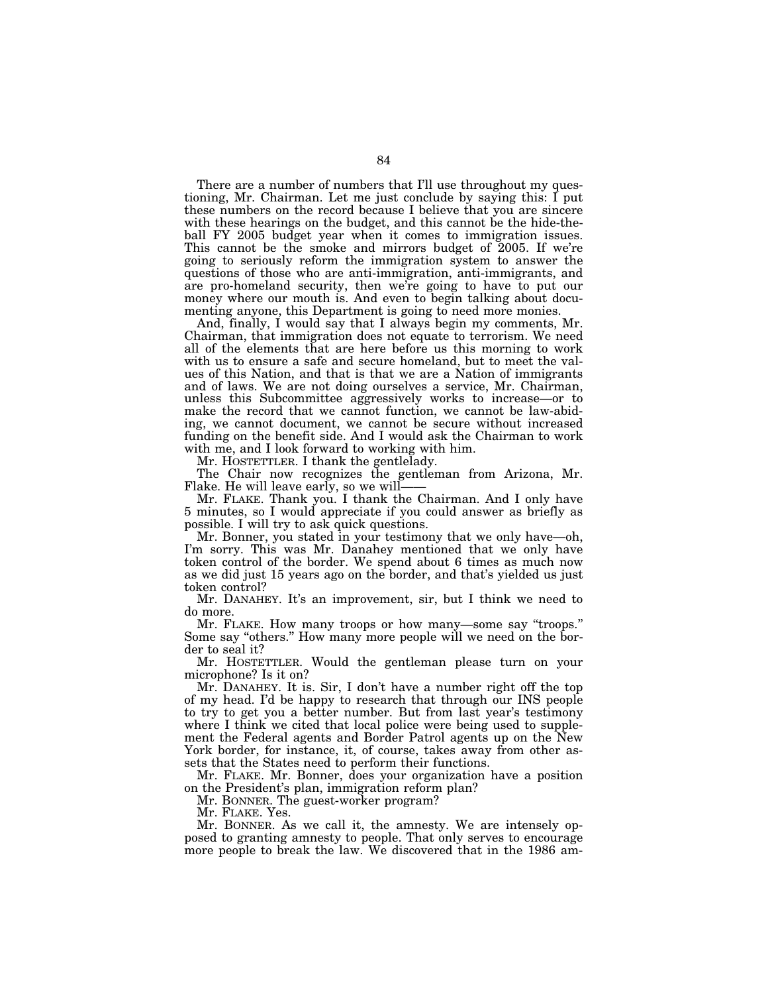There are a number of numbers that I'll use throughout my questioning, Mr. Chairman. Let me just conclude by saying this: I put these numbers on the record because I believe that you are sincere with these hearings on the budget, and this cannot be the hide-theball FY 2005 budget year when it comes to immigration issues. This cannot be the smoke and mirrors budget of 2005. If we're going to seriously reform the immigration system to answer the questions of those who are anti-immigration, anti-immigrants, and are pro-homeland security, then we're going to have to put our money where our mouth is. And even to begin talking about documenting anyone, this Department is going to need more monies.

And, finally, I would say that I always begin my comments, Mr. Chairman, that immigration does not equate to terrorism. We need all of the elements that are here before us this morning to work with us to ensure a safe and secure homeland, but to meet the values of this Nation, and that is that we are a Nation of immigrants and of laws. We are not doing ourselves a service, Mr. Chairman, unless this Subcommittee aggressively works to increase—or to make the record that we cannot function, we cannot be law-abiding, we cannot document, we cannot be secure without increased funding on the benefit side. And I would ask the Chairman to work with me, and I look forward to working with him.

Mr. HOSTETTLER. I thank the gentlelady.

The Chair now recognizes the gentleman from Arizona, Mr.

Flake. He will leave early, so we will——<br>Mr. FLAKE. Thank you. I thank the Chairman. And I only have 5 minutes, so I would appreciate if you could answer as briefly as possible. I will try to ask quick questions.

Mr. Bonner, you stated in your testimony that we only have—oh, I'm sorry. This was Mr. Danahey mentioned that we only have token control of the border. We spend about 6 times as much now as we did just 15 years ago on the border, and that's yielded us just token control?

Mr. DANAHEY. It's an improvement, sir, but I think we need to do more.

Mr. FLAKE. How many troops or how many—some say "troops." Some say "others." How many more people will we need on the border to seal it?

Mr. HOSTETTLER. Would the gentleman please turn on your microphone? Is it on?

Mr. DANAHEY. It is. Sir, I don't have a number right off the top of my head. I'd be happy to research that through our INS people to try to get you a better number. But from last year's testimony where I think we cited that local police were being used to supplement the Federal agents and Border Patrol agents up on the New York border, for instance, it, of course, takes away from other assets that the States need to perform their functions.

Mr. FLAKE. Mr. Bonner, does your organization have a position on the President's plan, immigration reform plan?

Mr. BONNER. The guest-worker program?

Mr. FLAKE. Yes.

Mr. BONNER. As we call it, the amnesty. We are intensely opposed to granting amnesty to people. That only serves to encourage more people to break the law. We discovered that in the 1986 am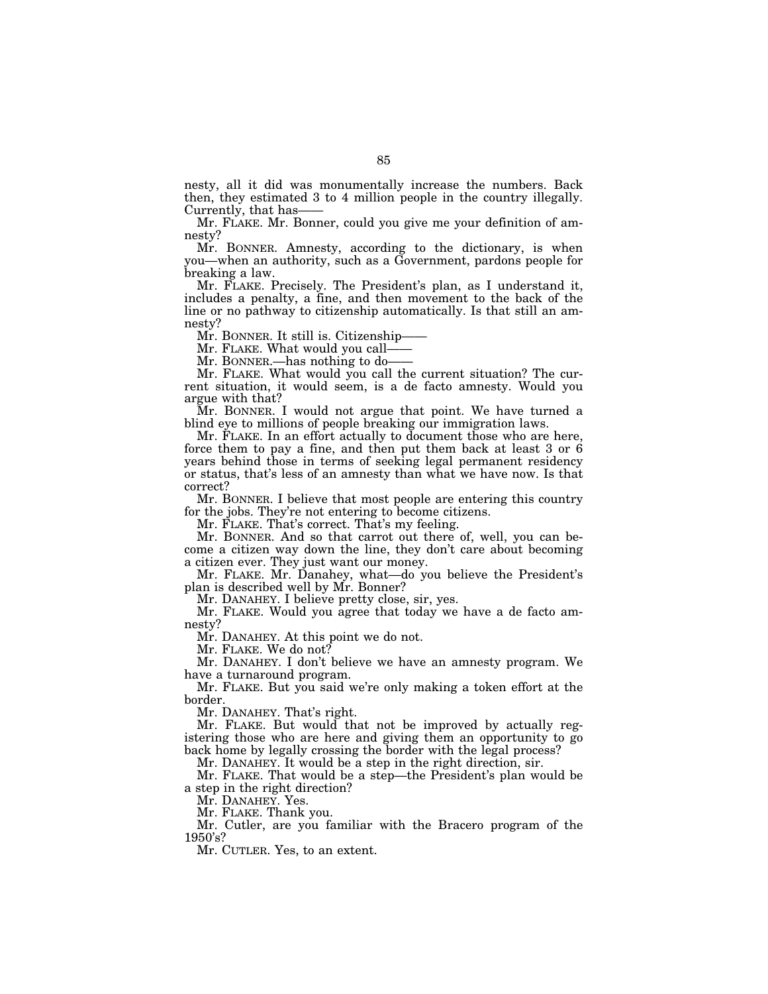nesty, all it did was monumentally increase the numbers. Back then, they estimated 3 to 4 million people in the country illegally.

Mr. FLAKE. Mr. Bonner, could you give me your definition of amnesty?

Mr. BONNER. Amnesty, according to the dictionary, is when you—when an authority, such as a Government, pardons people for breaking a law.

Mr. FLAKE. Precisely. The President's plan, as I understand it, includes a penalty, a fine, and then movement to the back of the line or no pathway to citizenship automatically. Is that still an amnesty?

Mr. BONNER. It still is. Citizenship-

Mr. FLAKE. What would you call-

Mr. BONNER.—has nothing to do-

Mr. FLAKE. What would you call the current situation? The current situation, it would seem, is a de facto amnesty. Would you argue with that?

Mr. BONNER. I would not argue that point. We have turned a blind eye to millions of people breaking our immigration laws.

Mr. FLAKE. In an effort actually to document those who are here, force them to pay a fine, and then put them back at least 3 or 6 years behind those in terms of seeking legal permanent residency or status, that's less of an amnesty than what we have now. Is that correct?

Mr. BONNER. I believe that most people are entering this country for the jobs. They're not entering to become citizens.

Mr. FLAKE. That's correct. That's my feeling.

Mr. BONNER. And so that carrot out there of, well, you can become a citizen way down the line, they don't care about becoming a citizen ever. They just want our money.

Mr. FLAKE. Mr. Danahey, what—do you believe the President's plan is described well by Mr. Bonner?

Mr. DANAHEY. I believe pretty close, sir, yes.

Mr. FLAKE. Would you agree that today we have a de facto amnesty?

Mr. DANAHEY. At this point we do not.

Mr. FLAKE. We do not?

Mr. DANAHEY. I don't believe we have an amnesty program. We have a turnaround program.

Mr. FLAKE. But you said we're only making a token effort at the border.

Mr. DANAHEY. That's right.

Mr. FLAKE. But would that not be improved by actually registering those who are here and giving them an opportunity to go back home by legally crossing the border with the legal process?

Mr. DANAHEY. It would be a step in the right direction, sir.

Mr. FLAKE. That would be a step—the President's plan would be a step in the right direction?

Mr. DANAHEY. Yes.

Mr. FLAKE. Thank you.

Mr. Cutler, are you familiar with the Bracero program of the 1950's?

Mr. CUTLER. Yes, to an extent.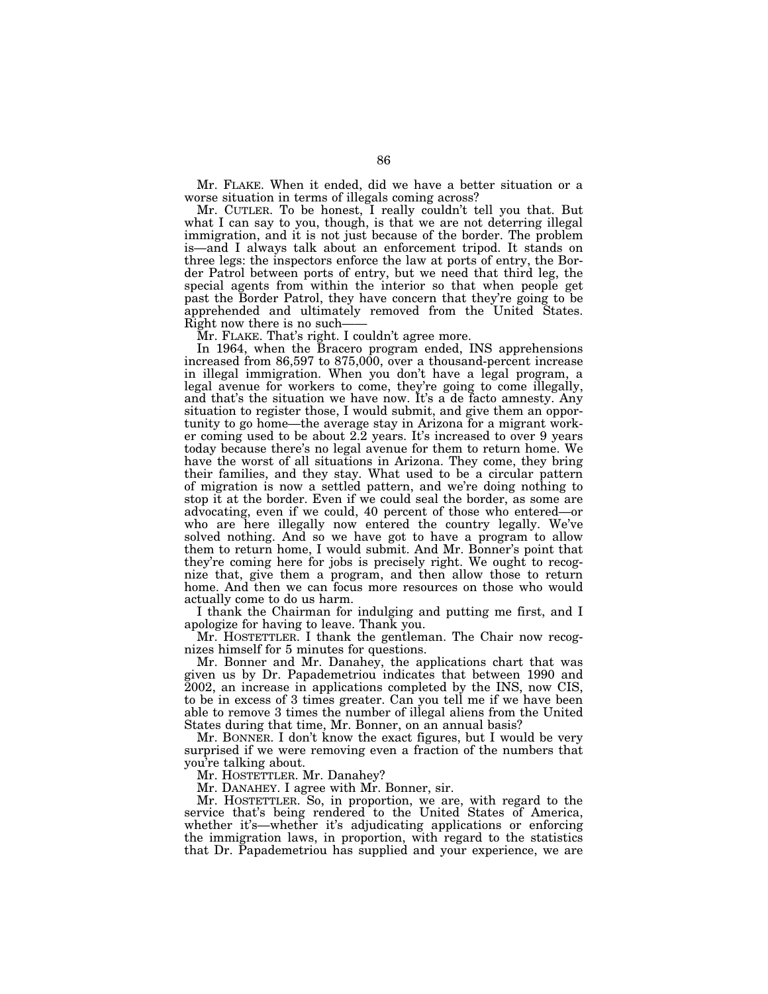Mr. FLAKE. When it ended, did we have a better situation or a worse situation in terms of illegals coming across?

Mr. CUTLER. To be honest, I really couldn't tell you that. But what I can say to you, though, is that we are not deterring illegal immigration, and it is not just because of the border. The problem is—and I always talk about an enforcement tripod. It stands on three legs: the inspectors enforce the law at ports of entry, the Border Patrol between ports of entry, but we need that third leg, the special agents from within the interior so that when people get past the Border Patrol, they have concern that they're going to be apprehended and ultimately removed from the United States. Right now there is no such——<br>Mr. FLAKE. That's right. I couldn't agree more.

In 1964, when the Bracero program ended, INS apprehensions increased from 86,597 to 875,000, over a thousand-percent increase in illegal immigration. When you don't have a legal program, a legal avenue for workers to come, they're going to come illegally, and that's the situation we have now. It's a de facto amnesty. Any situation to register those, I would submit, and give them an opportunity to go home—the average stay in Arizona for a migrant worker coming used to be about 2.2 years. It's increased to over 9 years today because there's no legal avenue for them to return home. We have the worst of all situations in Arizona. They come, they bring their families, and they stay. What used to be a circular pattern of migration is now a settled pattern, and we're doing nothing to stop it at the border. Even if we could seal the border, as some are advocating, even if we could, 40 percent of those who entered—or who are here illegally now entered the country legally. We've solved nothing. And so we have got to have a program to allow them to return home, I would submit. And Mr. Bonner's point that they're coming here for jobs is precisely right. We ought to recognize that, give them a program, and then allow those to return home. And then we can focus more resources on those who would actually come to do us harm.

I thank the Chairman for indulging and putting me first, and I apologize for having to leave. Thank you.

Mr. HOSTETTLER. I thank the gentleman. The Chair now recognizes himself for 5 minutes for questions.

Mr. Bonner and Mr. Danahey, the applications chart that was given us by Dr. Papademetriou indicates that between 1990 and 2002, an increase in applications completed by the INS, now CIS, to be in excess of 3 times greater. Can you tell me if we have been able to remove 3 times the number of illegal aliens from the United States during that time, Mr. Bonner, on an annual basis?

Mr. BONNER. I don't know the exact figures, but I would be very surprised if we were removing even a fraction of the numbers that you're talking about.

Mr. HOSTETTLER. Mr. Danahey?

Mr. DANAHEY. I agree with Mr. Bonner, sir.

Mr. HOSTETTLER. So, in proportion, we are, with regard to the service that's being rendered to the United States of America, whether it's—whether it's adjudicating applications or enforcing the immigration laws, in proportion, with regard to the statistics that Dr. Papademetriou has supplied and your experience, we are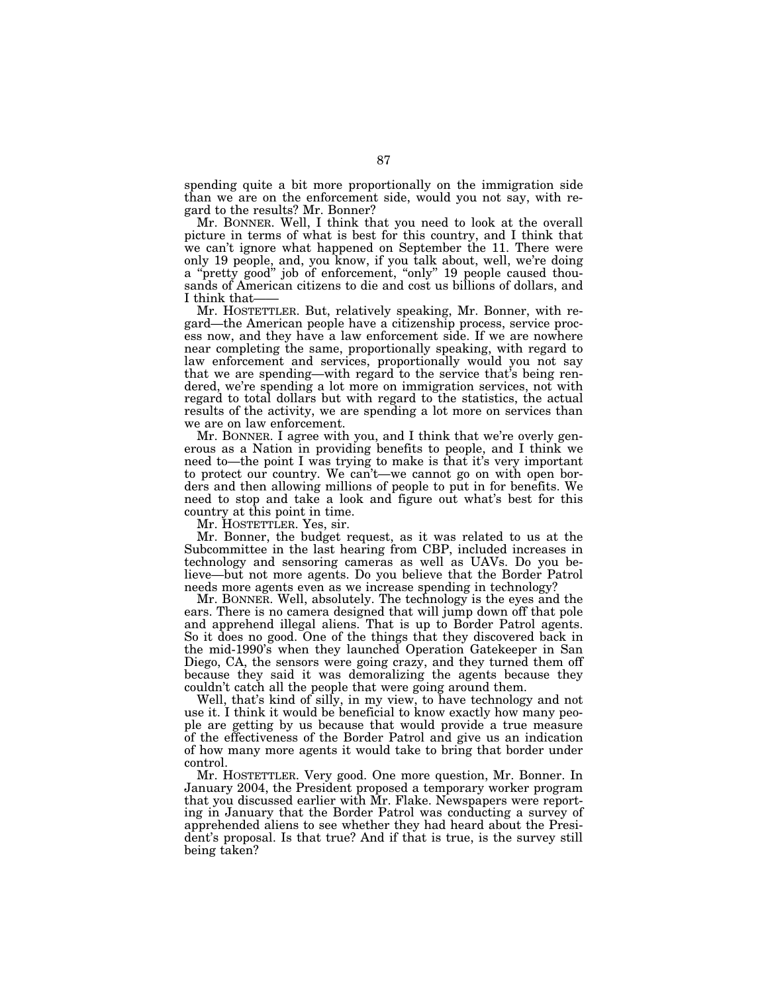spending quite a bit more proportionally on the immigration side than we are on the enforcement side, would you not say, with regard to the results? Mr. Bonner?

Mr. BONNER. Well, I think that you need to look at the overall picture in terms of what is best for this country, and I think that we can't ignore what happened on September the 11. There were only 19 people, and, you know, if you talk about, well, we're doing a "pretty good" job of enforcement, "only" 19 people caused thousands of American citizens to die and cost us billions of dollars, and

I think that——<br>Mr. HOSTETTLER. But, relatively speaking, Mr. Bonner, with regard—the American people have a citizenship process, service process now, and they have a law enforcement side. If we are nowhere near completing the same, proportionally speaking, with regard to law enforcement and services, proportionally would you not say that we are spending—with regard to the service that's being rendered, we're spending a lot more on immigration services, not with regard to total dollars but with regard to the statistics, the actual results of the activity, we are spending a lot more on services than we are on law enforcement.

Mr. BONNER. I agree with you, and I think that we're overly generous as a Nation in providing benefits to people, and I think we need to—the point I was trying to make is that it's very important to protect our country. We can't—we cannot go on with open borders and then allowing millions of people to put in for benefits. We need to stop and take a look and figure out what's best for this country at this point in time.

Mr. HOSTETTLER. Yes, sir.

Mr. Bonner, the budget request, as it was related to us at the Subcommittee in the last hearing from CBP, included increases in technology and sensoring cameras as well as UAVs. Do you believe—but not more agents. Do you believe that the Border Patrol needs more agents even as we increase spending in technology?

Mr. BONNER. Well, absolutely. The technology is the eyes and the ears. There is no camera designed that will jump down off that pole and apprehend illegal aliens. That is up to Border Patrol agents. So it does no good. One of the things that they discovered back in the mid-1990's when they launched Operation Gatekeeper in San Diego, CA, the sensors were going crazy, and they turned them off because they said it was demoralizing the agents because they couldn't catch all the people that were going around them.

Well, that's kind of silly, in my view, to have technology and not use it. I think it would be beneficial to know exactly how many people are getting by us because that would provide a true measure of the effectiveness of the Border Patrol and give us an indication of how many more agents it would take to bring that border under control.

Mr. HOSTETTLER. Very good. One more question, Mr. Bonner. In January 2004, the President proposed a temporary worker program that you discussed earlier with Mr. Flake. Newspapers were reporting in January that the Border Patrol was conducting a survey of apprehended aliens to see whether they had heard about the President's proposal. Is that true? And if that is true, is the survey still being taken?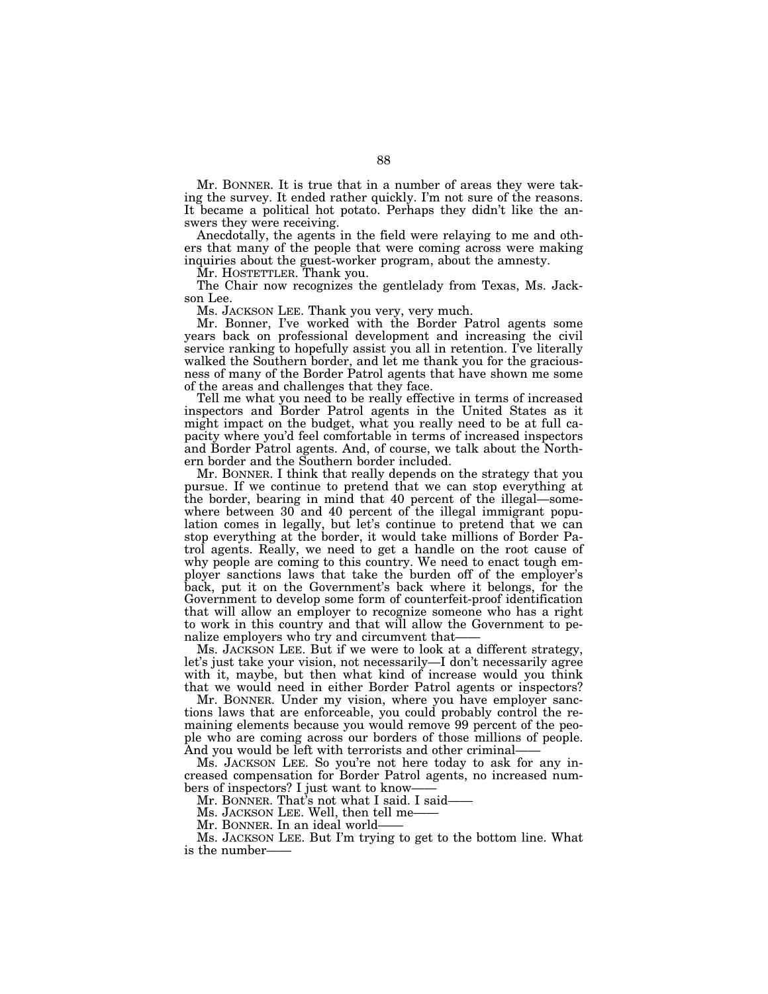Mr. BONNER. It is true that in a number of areas they were taking the survey. It ended rather quickly. I'm not sure of the reasons. It became a political hot potato. Perhaps they didn't like the answers they were receiving.

Anecdotally, the agents in the field were relaying to me and others that many of the people that were coming across were making inquiries about the guest-worker program, about the amnesty.

Mr. HOSTETTLER. Thank you.

The Chair now recognizes the gentlelady from Texas, Ms. Jackson Lee.

Ms. JACKSON LEE. Thank you very, very much.

Mr. Bonner, I've worked with the Border Patrol agents some years back on professional development and increasing the civil service ranking to hopefully assist you all in retention. I've literally walked the Southern border, and let me thank you for the graciousness of many of the Border Patrol agents that have shown me some of the areas and challenges that they face.

Tell me what you need to be really effective in terms of increased inspectors and Border Patrol agents in the United States as it might impact on the budget, what you really need to be at full capacity where you'd feel comfortable in terms of increased inspectors and Border Patrol agents. And, of course, we talk about the Northern border and the Southern border included.

Mr. BONNER. I think that really depends on the strategy that you pursue. If we continue to pretend that we can stop everything at the border, bearing in mind that 40 percent of the illegal—somewhere between 30 and 40 percent of the illegal immigrant population comes in legally, but let's continue to pretend that we can stop everything at the border, it would take millions of Border Patrol agents. Really, we need to get a handle on the root cause of why people are coming to this country. We need to enact tough employer sanctions laws that take the burden off of the employer's back, put it on the Government's back where it belongs, for the Government to develop some form of counterfeit-proof identification that will allow an employer to recognize someone who has a right to work in this country and that will allow the Government to penalize employers who try and circumvent that-

Ms. JACKSON LEE. But if we were to look at a different strategy, let's just take your vision, not necessarily—I don't necessarily agree with it, maybe, but then what kind of increase would you think that we would need in either Border Patrol agents or inspectors?

Mr. BONNER. Under my vision, where you have employer sanctions laws that are enforceable, you could probably control the remaining elements because you would remove 99 percent of the people who are coming across our borders of those millions of people. And you would be left with terrorists and other criminal-

Ms. JACKSON LEE. So you're not here today to ask for any increased compensation for Border Patrol agents, no increased numbers of inspectors? I just want to know——<br>Mr. BONNER. That's not what I said. I said——<br>Ms. JACKSON LEE. Well, then tell me——<br>Ms. JACKSON LEE. But I'm trying to get to the bottom line. What

is the number——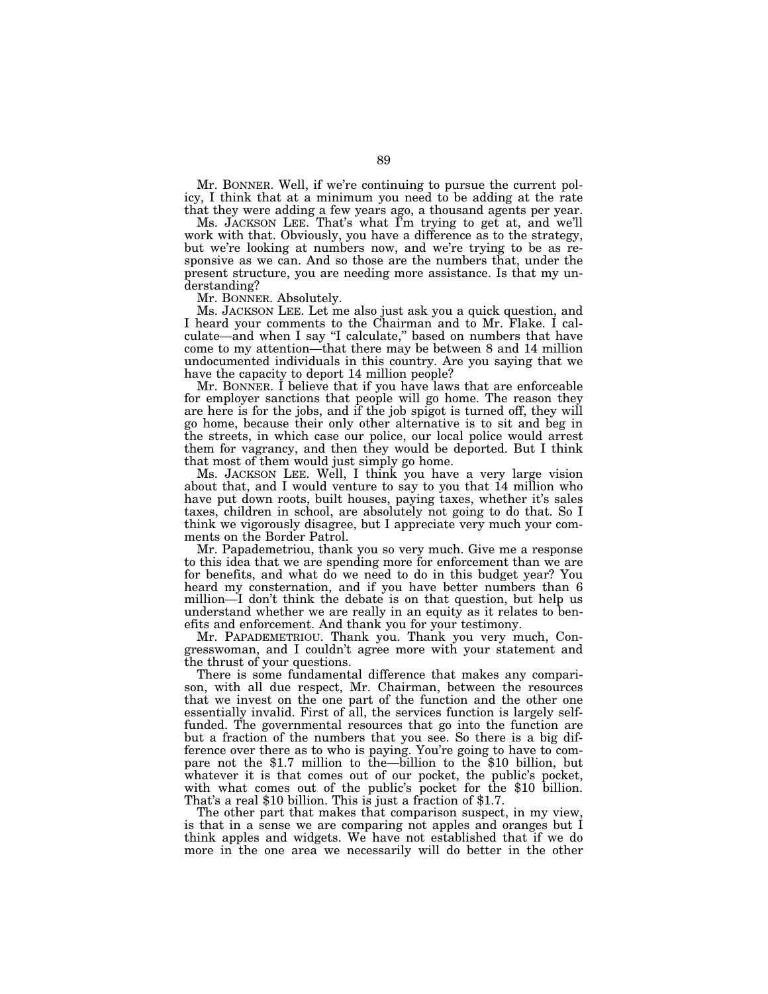Mr. BONNER. Well, if we're continuing to pursue the current policy, I think that at a minimum you need to be adding at the rate that they were adding a few years ago, a thousand agents per year.

Ms. JACKSON LEE. That's what I'm trying to get at, and we'll work with that. Obviously, you have a difference as to the strategy, but we're looking at numbers now, and we're trying to be as responsive as we can. And so those are the numbers that, under the present structure, you are needing more assistance. Is that my understanding?

Mr. BONNER. Absolutely.

Ms. JACKSON LEE. Let me also just ask you a quick question, and I heard your comments to the Chairman and to Mr. Flake. I calculate—and when I say "I calculate," based on numbers that have come to my attention—that there may be between 8 and 14 million undocumented individuals in this country. Are you saying that we have the capacity to deport 14 million people?

Mr. BONNER. I believe that if you have laws that are enforceable for employer sanctions that people will go home. The reason they are here is for the jobs, and if the job spigot is turned off, they will go home, because their only other alternative is to sit and beg in the streets, in which case our police, our local police would arrest them for vagrancy, and then they would be deported. But I think that most of them would just simply go home.

Ms. JACKSON LEE. Well, I think you have a very large vision about that, and I would venture to say to you that 14 million who have put down roots, built houses, paying taxes, whether it's sales taxes, children in school, are absolutely not going to do that. So I think we vigorously disagree, but I appreciate very much your comments on the Border Patrol.

Mr. Papademetriou, thank you so very much. Give me a response to this idea that we are spending more for enforcement than we are for benefits, and what do we need to do in this budget year? You heard my consternation, and if you have better numbers than 6 million—I don't think the debate is on that question, but help us understand whether we are really in an equity as it relates to benefits and enforcement. And thank you for your testimony.

Mr. PAPADEMETRIOU. Thank you. Thank you very much, Congresswoman, and I couldn't agree more with your statement and the thrust of your questions.

There is some fundamental difference that makes any comparison, with all due respect, Mr. Chairman, between the resources that we invest on the one part of the function and the other one essentially invalid. First of all, the services function is largely selffunded. The governmental resources that go into the function are but a fraction of the numbers that you see. So there is a big difference over there as to who is paying. You're going to have to com- pare not the \$1.7 million to the—billion to the \$10 billion, but whatever it is that comes out of our pocket, the public's pocket, with what comes out of the public's pocket for the \$10 billion. That's a real \$10 billion. This is just a fraction of \$1.7.

The other part that makes that comparison suspect, in my view, is that in a sense we are comparing not apples and oranges but I think apples and widgets. We have not established that if we do more in the one area we necessarily will do better in the other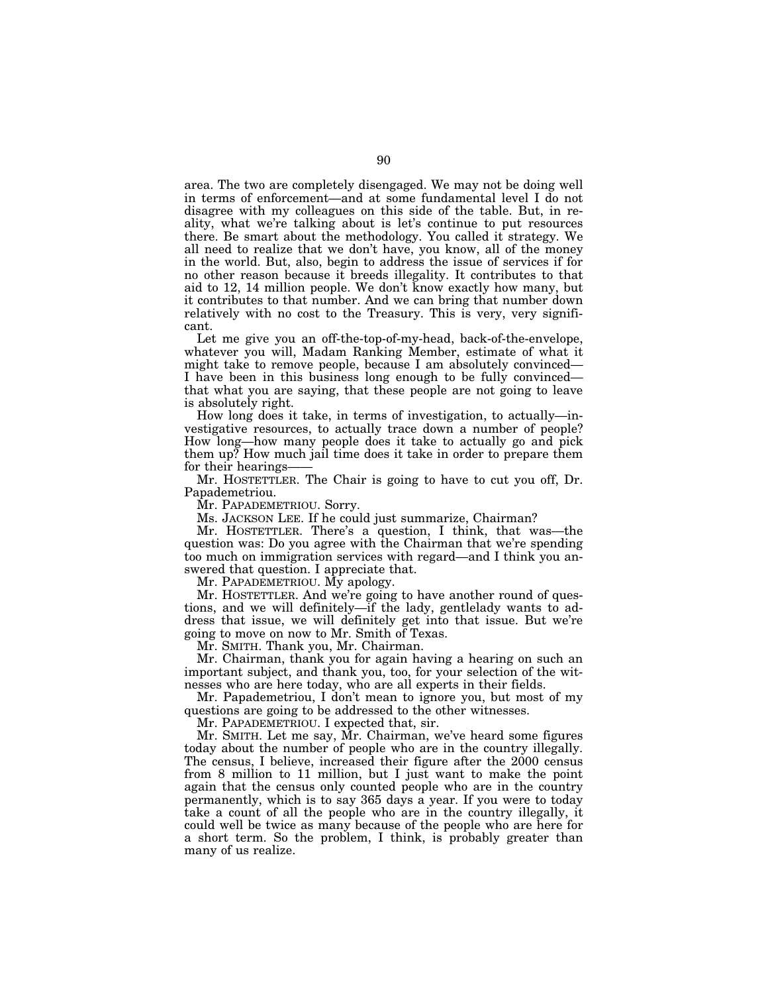area. The two are completely disengaged. We may not be doing well in terms of enforcement—and at some fundamental level I do not disagree with my colleagues on this side of the table. But, in reality, what we're talking about is let's continue to put resources there. Be smart about the methodology. You called it strategy. We all need to realize that we don't have, you know, all of the money in the world. But, also, begin to address the issue of services if for no other reason because it breeds illegality. It contributes to that aid to 12, 14 million people. We don't know exactly how many, but it contributes to that number. And we can bring that number down relatively with no cost to the Treasury. This is very, very significant.

Let me give you an off-the-top-of-my-head, back-of-the-envelope, whatever you will, Madam Ranking Member, estimate of what it might take to remove people, because I am absolutely convinced— I have been in this business long enough to be fully convinced that what you are saying, that these people are not going to leave is absolutely right.

How long does it take, in terms of investigation, to actually—investigative resources, to actually trace down a number of people? How long—how many people does it take to actually go and pick them up? How much jail time does it take in order to prepare them for their hearings-

Mr. HOSTETTLER. The Chair is going to have to cut you off, Dr. Papademetriou.

Mr. PAPADEMETRIOU. Sorry.

Ms. JACKSON LEE. If he could just summarize, Chairman?

Mr. HOSTETTLER. There's a question, I think, that was—the question was: Do you agree with the Chairman that we're spending too much on immigration services with regard—and I think you answered that question. I appreciate that.

Mr. PAPADEMETRIOU. My apology.

Mr. HOSTETTLER. And we're going to have another round of questions, and we will definitely—if the lady, gentlelady wants to address that issue, we will definitely get into that issue. But we're going to move on now to Mr. Smith of Texas.

Mr. SMITH. Thank you, Mr. Chairman.

Mr. Chairman, thank you for again having a hearing on such an important subject, and thank you, too, for your selection of the witnesses who are here today, who are all experts in their fields.

Mr. Papademetriou, I don't mean to ignore you, but most of my questions are going to be addressed to the other witnesses.

Mr. PAPADEMETRIOU. I expected that, sir.

Mr. SMITH. Let me say, Mr. Chairman, we've heard some figures today about the number of people who are in the country illegally. The census, I believe, increased their figure after the 2000 census from 8 million to 11 million, but I just want to make the point again that the census only counted people who are in the country permanently, which is to say 365 days a year. If you were to today take a count of all the people who are in the country illegally, it could well be twice as many because of the people who are here for a short term. So the problem, I think, is probably greater than many of us realize.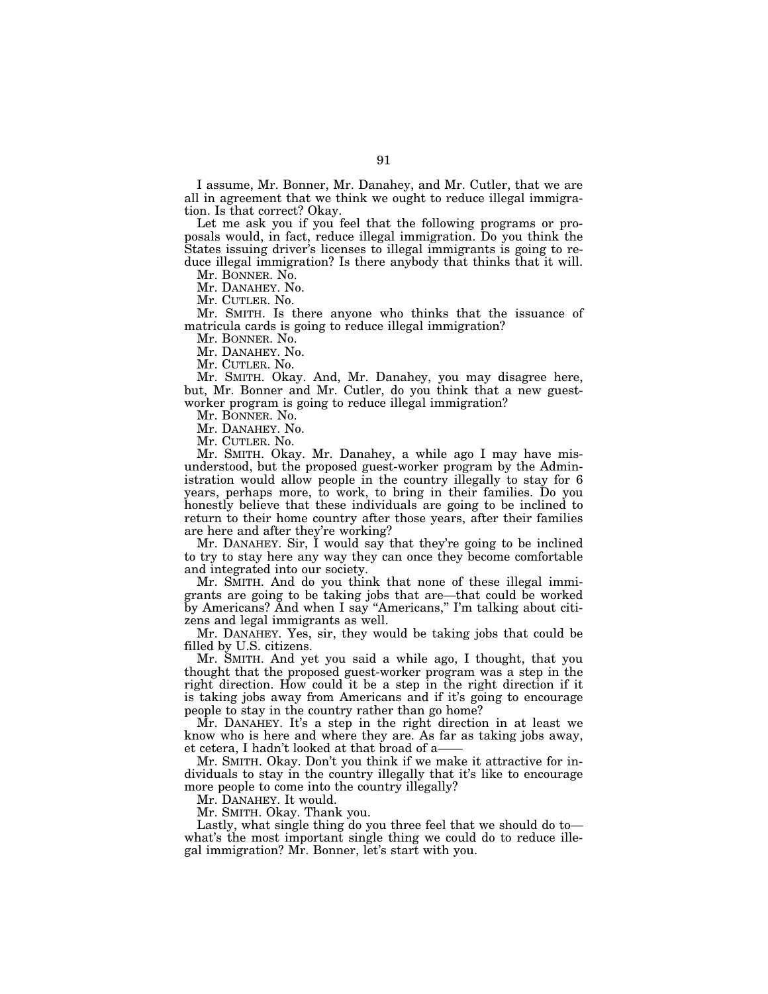I assume, Mr. Bonner, Mr. Danahey, and Mr. Cutler, that we are all in agreement that we think we ought to reduce illegal immigration. Is that correct? Okay.

Let me ask you if you feel that the following programs or proposals would, in fact, reduce illegal immigration. Do you think the States issuing driver's licenses to illegal immigrants is going to reduce illegal immigration? Is there anybody that thinks that it will.

Mr. BONNER. No.

Mr. DANAHEY. No.

Mr. CUTLER. No.

Mr. SMITH. Is there anyone who thinks that the issuance of matricula cards is going to reduce illegal immigration?

Mr. BONNER. No.

Mr. DANAHEY. No.

Mr. CUTLER. No.

Mr. SMITH. Okay. And, Mr. Danahey, you may disagree here, but, Mr. Bonner and Mr. Cutler, do you think that a new guestworker program is going to reduce illegal immigration?

Mr. BONNER. No.

Mr. DANAHEY. No.

Mr. CUTLER. No.

Mr. SMITH. Okay. Mr. Danahey, a while ago I may have misunderstood, but the proposed guest-worker program by the Administration would allow people in the country illegally to stay for 6 years, perhaps more, to work, to bring in their families. Do you honestly believe that these individuals are going to be inclined to return to their home country after those years, after their families are here and after they're working?

Mr. DANAHEY. Sir, I would say that they're going to be inclined to try to stay here any way they can once they become comfortable and integrated into our society.

Mr. SMITH. And do you think that none of these illegal immigrants are going to be taking jobs that are—that could be worked by Americans? And when I say ''Americans,'' I'm talking about citizens and legal immigrants as well.

Mr. DANAHEY. Yes, sir, they would be taking jobs that could be filled by U.S. citizens.

Mr. SMITH. And yet you said a while ago, I thought, that you thought that the proposed guest-worker program was a step in the right direction. How could it be a step in the right direction if it is taking jobs away from Americans and if it's going to encourage people to stay in the country rather than go home?

Mr. DANAHEY. It's a step in the right direction in at least we know who is here and where they are. As far as taking jobs away, et cetera, I hadn't looked at that broad of a——

Mr. SMITH. Okay. Don't you think if we make it attractive for individuals to stay in the country illegally that it's like to encourage more people to come into the country illegally?

Mr. DANAHEY. It would.

Mr. SMITH. Okay. Thank you.

Lastly, what single thing do you three feel that we should do to what's the most important single thing we could do to reduce illegal immigration? Mr. Bonner, let's start with you.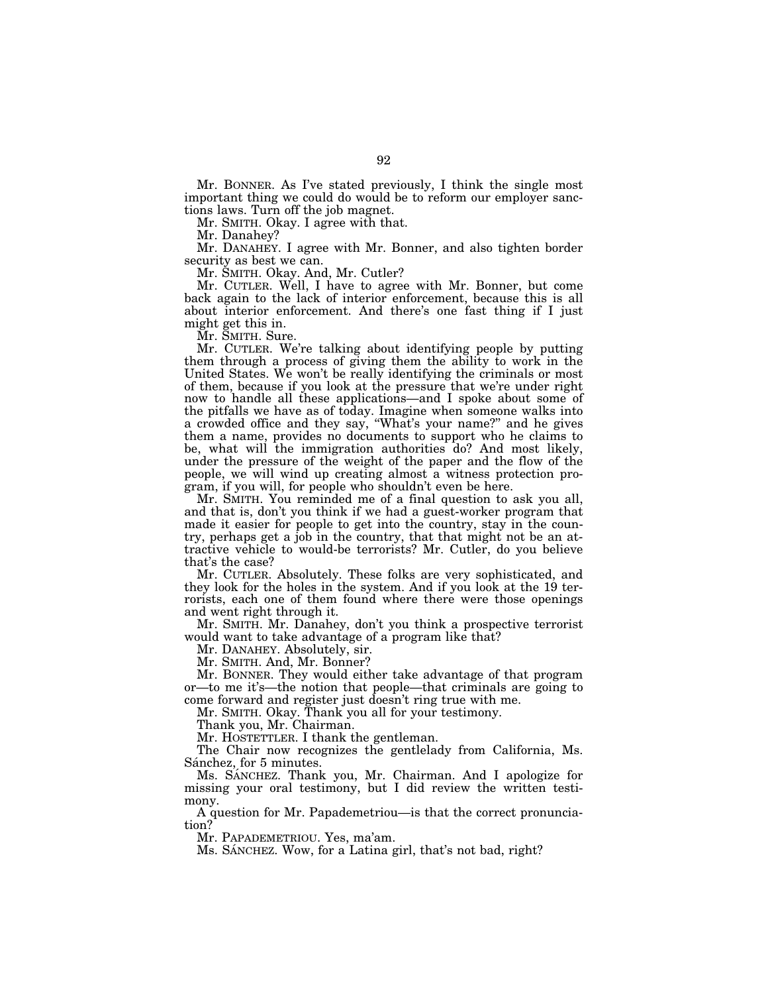Mr. BONNER. As I've stated previously, I think the single most important thing we could do would be to reform our employer sanctions laws. Turn off the job magnet.

Mr. SMITH. Okay. I agree with that.

Mr. Danahey?

Mr. DANAHEY. I agree with Mr. Bonner, and also tighten border security as best we can.

Mr. SMITH. Okay. And, Mr. Cutler?

Mr. CUTLER. Well, I have to agree with Mr. Bonner, but come back again to the lack of interior enforcement, because this is all about interior enforcement. And there's one fast thing if I just might get this in.

Mr. SMITH. Sure.

Mr. CUTLER. We're talking about identifying people by putting them through a process of giving them the ability to work in the United States. We won't be really identifying the criminals or most of them, because if you look at the pressure that we're under right now to handle all these applications—and I spoke about some of the pitfalls we have as of today. Imagine when someone walks into a crowded office and they say, ''What's your name?'' and he gives them a name, provides no documents to support who he claims to be, what will the immigration authorities do? And most likely, under the pressure of the weight of the paper and the flow of the people, we will wind up creating almost a witness protection program, if you will, for people who shouldn't even be here.

Mr. SMITH. You reminded me of a final question to ask you all, and that is, don't you think if we had a guest-worker program that made it easier for people to get into the country, stay in the country, perhaps get a job in the country, that that might not be an attractive vehicle to would-be terrorists? Mr. Cutler, do you believe that's the case?

Mr. CUTLER. Absolutely. These folks are very sophisticated, and they look for the holes in the system. And if you look at the 19 terrorists, each one of them found where there were those openings and went right through it.

Mr. SMITH. Mr. Danahey, don't you think a prospective terrorist would want to take advantage of a program like that?

Mr. DANAHEY. Absolutely, sir.

Mr. SMITH. And, Mr. Bonner?

Mr. BONNER. They would either take advantage of that program or—to me it's—the notion that people—that criminals are going to come forward and register just doesn't ring true with me.

Mr. SMITH. Okay. Thank you all for your testimony.

Thank you, Mr. Chairman.

Mr. HOSTETTLER. I thank the gentleman.

The Chair now recognizes the gentlelady from California, Ms. Sánchez, for 5 minutes.

Ms. SÁNCHEZ. Thank you, Mr. Chairman. And I apologize for missing your oral testimony, but I did review the written testimony.

A question for Mr. Papademetriou—is that the correct pronunciation?

Mr. PAPADEMETRIOU. Yes, ma'am.

Ms. SANCHEZ. Wow, for a Latina girl, that's not bad, right?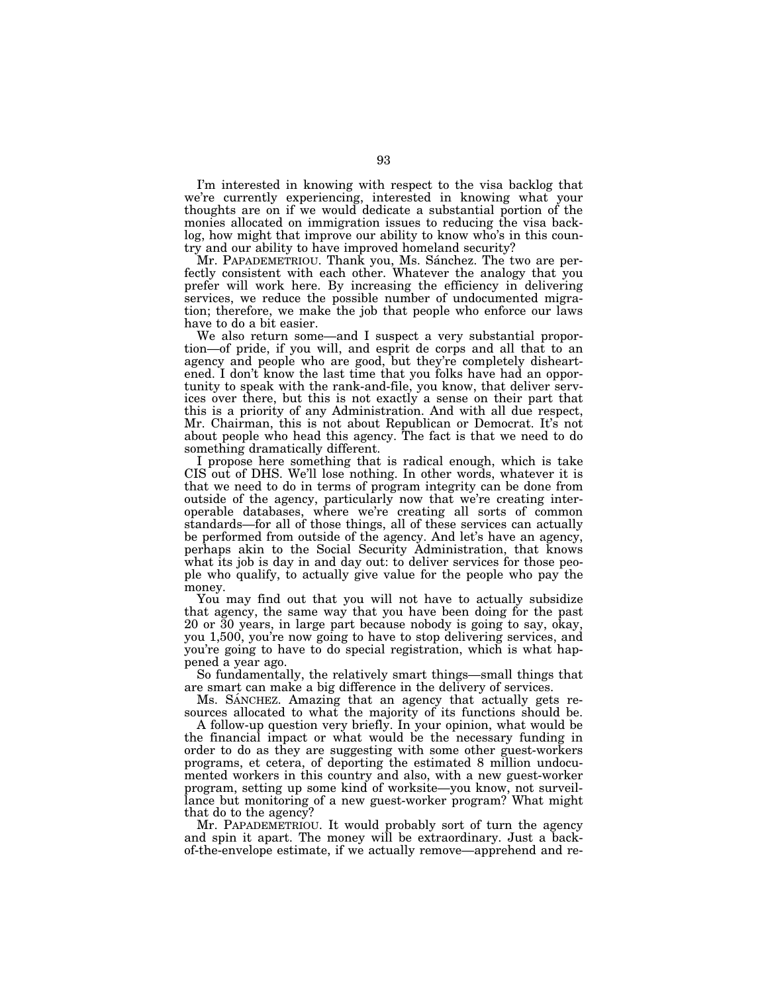I'm interested in knowing with respect to the visa backlog that we're currently experiencing, interested in knowing what your thoughts are on if we would dedicate a substantial portion of the monies allocated on immigration issues to reducing the visa backlog, how might that improve our ability to know who's in this country and our ability to have improved homeland security?

Mr. PAPADEMETRIOU. Thank you, Ms. Sánchez. The two are perfectly consistent with each other. Whatever the analogy that you prefer will work here. By increasing the efficiency in delivering services, we reduce the possible number of undocumented migration; therefore, we make the job that people who enforce our laws have to do a bit easier.

We also return some—and I suspect a very substantial proportion—of pride, if you will, and esprit de corps and all that to an agency and people who are good, but they're completely disheartened. I don't know the last time that you folks have had an opportunity to speak with the rank-and-file, you know, that deliver services over there, but this is not exactly a sense on their part that this is a priority of any Administration. And with all due respect, Mr. Chairman, this is not about Republican or Democrat. It's not about people who head this agency. The fact is that we need to do something dramatically different.

I propose here something that is radical enough, which is take CIS out of DHS. We'll lose nothing. In other words, whatever it is that we need to do in terms of program integrity can be done from outside of the agency, particularly now that we're creating interoperable databases, where we're creating all sorts of common standards—for all of those things, all of these services can actually be performed from outside of the agency. And let's have an agency, perhaps akin to the Social Security Administration, that knows what its job is day in and day out: to deliver services for those people who qualify, to actually give value for the people who pay the money.

You may find out that you will not have to actually subsidize that agency, the same way that you have been doing for the past 20 or 30 years, in large part because nobody is going to say, okay, you 1,500, you're now going to have to stop delivering services, and you're going to have to do special registration, which is what happened a year ago.

So fundamentally, the relatively smart things—small things that are smart can make a big difference in the delivery of services.

Ms. SANCHEZ. Amazing that an agency that actually gets resources allocated to what the majority of its functions should be.

A follow-up question very briefly. In your opinion, what would be the financial impact or what would be the necessary funding in order to do as they are suggesting with some other guest-workers programs, et cetera, of deporting the estimated 8 million undocumented workers in this country and also, with a new guest-worker program, setting up some kind of worksite—you know, not surveillance but monitoring of a new guest-worker program? What might that do to the agency?

Mr. PAPADEMETRIOU. It would probably sort of turn the agency and spin it apart. The money will be extraordinary. Just a backof-the-envelope estimate, if we actually remove—apprehend and re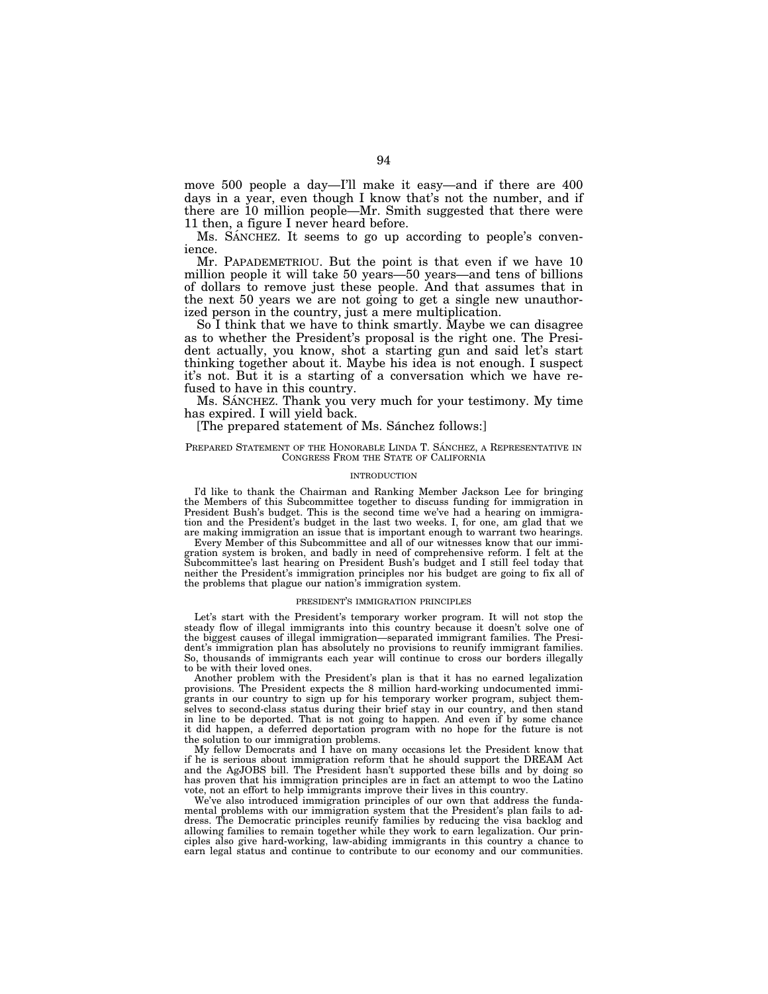move 500 people a day—I'll make it easy—and if there are 400 days in a year, even though I know that's not the number, and if there are 10 million people—Mr. Smith suggested that there were 11 then, a figure I never heard before.

Ms. SANCHEZ. It seems to go up according to people's convenience.

Mr. PAPADEMETRIOU. But the point is that even if we have 10 million people it will take 50 years—50 years—and tens of billions of dollars to remove just these people. And that assumes that in the next 50 years we are not going to get a single new unauthorized person in the country, just a mere multiplication.

So I think that we have to think smartly. Maybe we can disagree as to whether the President's proposal is the right one. The President actually, you know, shot a starting gun and said let's start thinking together about it. Maybe his idea is not enough. I suspect it's not. But it is a starting of a conversation which we have refused to have in this country.

Ms. SÁNCHEZ. Thank you very much for your testimony. My time has expired. I will yield back.

## [The prepared statement of Ms. Sánchez follows:]

### PREPARED STATEMENT OF THE HONORABLE LINDA T. SÁNCHEZ, A REPRESENTATIVE IN CONGRESS FROM THE STATE OF CALIFORNIA

#### INTRODUCTION

I'd like to thank the Chairman and Ranking Member Jackson Lee for bringing the Members of this Subcommittee together to discuss funding for immigration in President Bush's budget. This is the second time we've had a hearing on immigration and the President's budget in the last two weeks. I, for one, am glad that we are making immigration an issue that is important enough to warrant two hearings.

Every Member of this Subcommittee and all of our witnesses know that our immigration system is broken, and badly in need of comprehensive reform. I felt at the Subcommittee's last hearing on President Bush's budget and I still feel today that neither the President's immigration principles nor his budget are going to fix all of the problems that plague our nation's immigration system.

### PRESIDENT'S IMMIGRATION PRINCIPLES

Let's start with the President's temporary worker program. It will not stop the steady flow of illegal immigrants into this country because it doesn't solve one of the biggest causes of illegal immigration—separated immigrant families. The President's immigration plan has absolutely no provisions to reunify immigrant families. So, thousands of immigrants each year will continue to cross our borders illegally to be with their loved ones.

Another problem with the President's plan is that it has no earned legalization provisions. The President expects the 8 million hard-working undocumented immigrants in our country to sign up for his temporary worker program, subject themselves to second-class status during their brief stay in our country, and then stand in line to be deported. That is not going to happen. And even if by some chance it did happen, a deferred deportation program with no hope for the future is not the solution to our immigration problems.

My fellow Democrats and I have on many occasions let the President know that if he is serious about immigration reform that he should support the DREAM Act and the AgJOBS bill. The President hasn't supported these bills and by doing so has proven that his immigration principles are in fact an attempt to woo the Latino vote, not an effort to help immigrants improve their lives in this country.

We've also introduced immigration principles of our own that address the fundamental problems with our immigration system that the President's plan fails to address. The Democratic principles reunify families by reducing the visa backlog and allowing families to remain together while they work to earn legalization. Our principles also give hard-working, law-abiding immigrants in this country a chance to earn legal status and continue to contribute to our economy and our communities.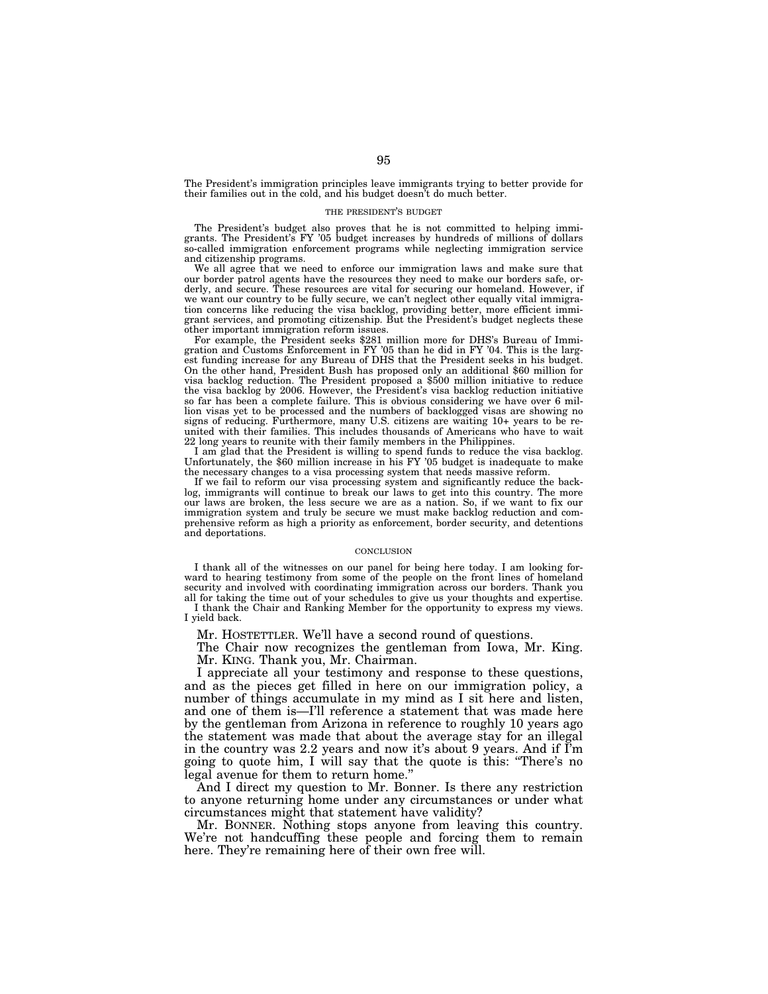The President's immigration principles leave immigrants trying to better provide for their families out in the cold, and his budget doesn't do much better.

### THE PRESIDENT'S BUDGET

The President's budget also proves that he is not committed to helping immigrants. The President's FY '05 budget increases by hundreds of millions of dollars so-called immigration enforcement programs while neglecting immigration service and citizenship programs.

We all agree that we need to enforce our immigration laws and make sure that our border patrol agents have the resources they need to make our borders safe, orderly, and secure. These resources are vital for securing our homeland. However, if we want our country to be fully secure, we can't neglect other equally vital immigration concerns like reducing the visa backlog, providing better, more efficient immigrant services, and promoting citizenship. But the President's budget neglects these other important immigration reform issues.

For example, the President seeks \$281 million more for DHS's Bureau of Immigration and Customs Enforcement in FY '05 than he did in FY '04. This is the largest funding increase for any Bureau of DHS that the President seeks in his budget. On the other hand, President Bush has proposed only an additional \$60 million for visa backlog reduction. The President proposed a \$500 million initiative to reduce the visa backlog by 2006. However, the President's visa backlog reduction initiative so far has been a complete failure. This is obvious considering we have over 6 million visas yet to be processed and the numbers of backlogged visas are showing no signs of reducing. Furthermore, many U.S. citizens are waiting 10+ years to be reunited with their families. This includes thousands of Americans who have to wait 22 long years to reunite with their family members in the Philippines.

I am glad that the President is willing to spend funds to reduce the visa backlog. Unfortunately, the \$60 million increase in his FY '05 budget is inadequate to make the necessary changes to a visa processing system that needs massive reform.

If we fail to reform our visa processing system and significantly reduce the backlog, immigrants will continue to break our laws to get into this country. The more our laws are broken, the less secure we are as a nation. So, if we want to fix our immigration system and truly be secure we must make backlog reduction and comprehensive reform as high a priority as enforcement, border security, and detentions and deportations.

### **CONCLUSION**

I thank all of the witnesses on our panel for being here today. I am looking forward to hearing testimony from some of the people on the front lines of homeland security and involved with coordinating immigration across our borders. Thank you all for taking the time out of your schedules to give us your thoughts and expertise. I thank the Chair and Ranking Member for the opportunity to express my views.

I yield back.

Mr. HOSTETTLER. We'll have a second round of questions.

The Chair now recognizes the gentleman from Iowa, Mr. King. Mr. KING. Thank you, Mr. Chairman.

I appreciate all your testimony and response to these questions, and as the pieces get filled in here on our immigration policy, a number of things accumulate in my mind as I sit here and listen, and one of them is—I'll reference a statement that was made here by the gentleman from Arizona in reference to roughly 10 years ago the statement was made that about the average stay for an illegal in the country was 2.2 years and now it's about 9 years. And if  $\tilde{\Gamma}$ m going to quote him, I will say that the quote is this: ''There's no legal avenue for them to return home.''

And I direct my question to Mr. Bonner. Is there any restriction to anyone returning home under any circumstances or under what circumstances might that statement have validity?

Mr. BONNER. Nothing stops anyone from leaving this country. We're not handcuffing these people and forcing them to remain here. They're remaining here of their own free will.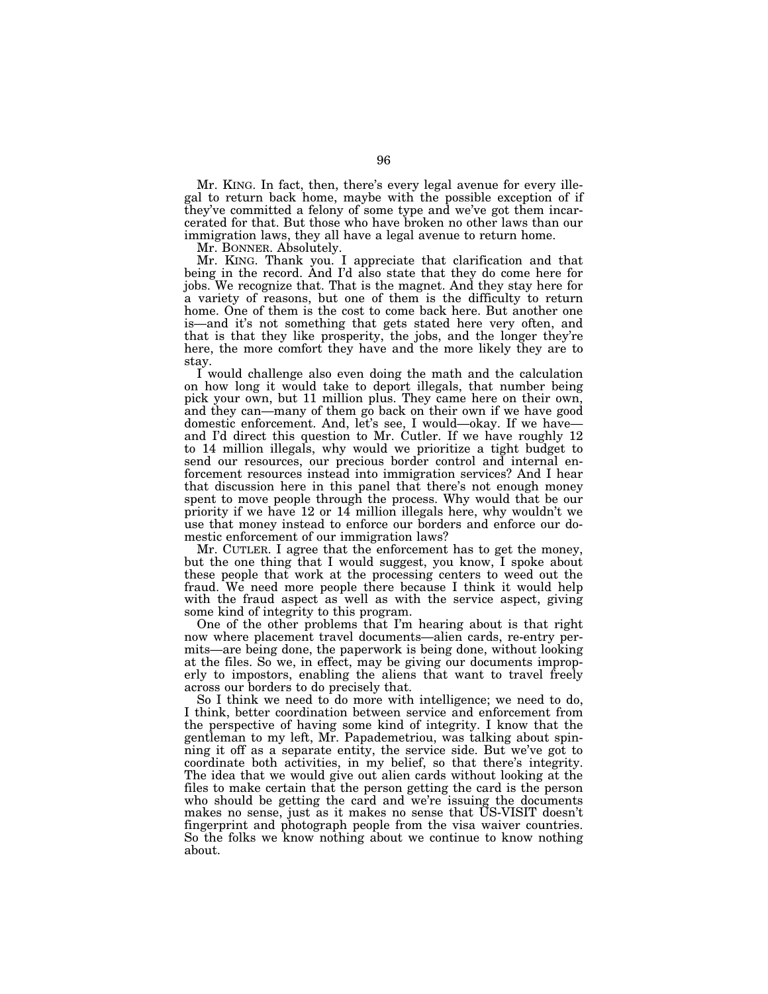Mr. KING. In fact, then, there's every legal avenue for every illegal to return back home, maybe with the possible exception of if they've committed a felony of some type and we've got them incarcerated for that. But those who have broken no other laws than our immigration laws, they all have a legal avenue to return home.

Mr. BONNER. Absolutely.

Mr. KING. Thank you. I appreciate that clarification and that being in the record. And I'd also state that they do come here for jobs. We recognize that. That is the magnet. And they stay here for a variety of reasons, but one of them is the difficulty to return home. One of them is the cost to come back here. But another one is—and it's not something that gets stated here very often, and that is that they like prosperity, the jobs, and the longer they're here, the more comfort they have and the more likely they are to stay.

I would challenge also even doing the math and the calculation on how long it would take to deport illegals, that number being pick your own, but 11 million plus. They came here on their own, and they can—many of them go back on their own if we have good domestic enforcement. And, let's see, I would—okay. If we have— and I'd direct this question to Mr. Cutler. If we have roughly 12 to 14 million illegals, why would we prioritize a tight budget to send our resources, our precious border control and internal enforcement resources instead into immigration services? And I hear that discussion here in this panel that there's not enough money spent to move people through the process. Why would that be our priority if we have 12 or 14 million illegals here, why wouldn't we use that money instead to enforce our borders and enforce our domestic enforcement of our immigration laws?

Mr. CUTLER. I agree that the enforcement has to get the money, but the one thing that I would suggest, you know, I spoke about these people that work at the processing centers to weed out the fraud. We need more people there because I think it would help with the fraud aspect as well as with the service aspect, giving some kind of integrity to this program.

One of the other problems that I'm hearing about is that right now where placement travel documents—alien cards, re-entry permits—are being done, the paperwork is being done, without looking at the files. So we, in effect, may be giving our documents improperly to impostors, enabling the aliens that want to travel freely across our borders to do precisely that.

So I think we need to do more with intelligence; we need to do, I think, better coordination between service and enforcement from the perspective of having some kind of integrity. I know that the gentleman to my left, Mr. Papademetriou, was talking about spinning it off as a separate entity, the service side. But we've got to coordinate both activities, in my belief, so that there's integrity. The idea that we would give out alien cards without looking at the files to make certain that the person getting the card is the person who should be getting the card and we're issuing the documents makes no sense, just as it makes no sense that US-VISIT doesn't fingerprint and photograph people from the visa waiver countries. So the folks we know nothing about we continue to know nothing about.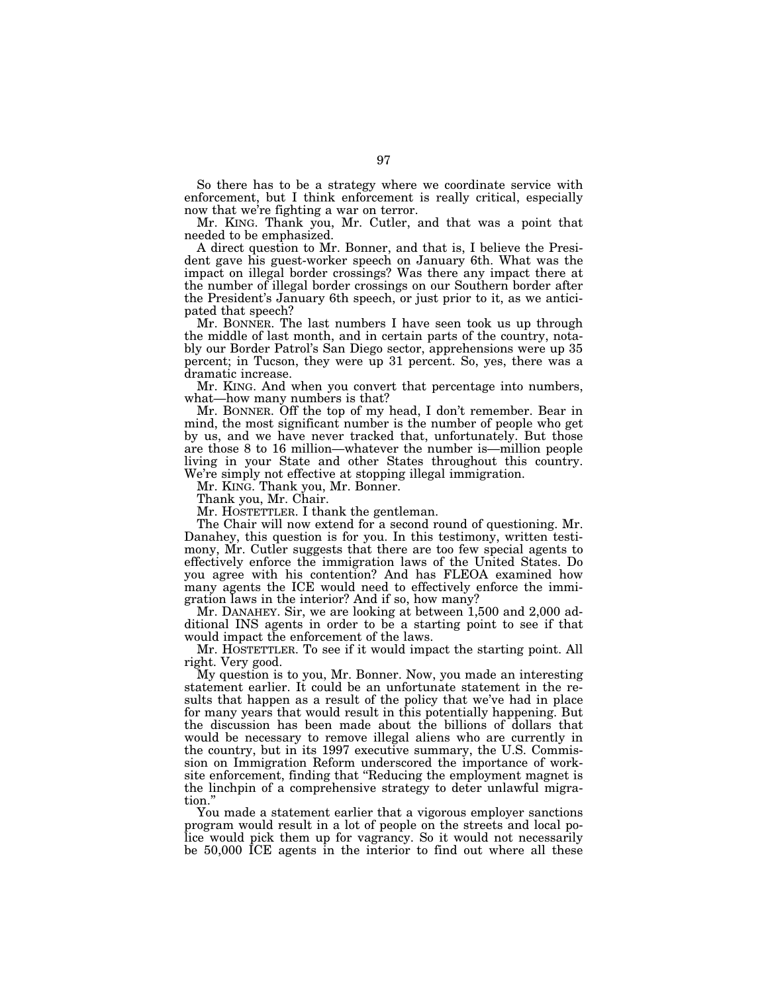So there has to be a strategy where we coordinate service with enforcement, but I think enforcement is really critical, especially now that we're fighting a war on terror.

Mr. KING. Thank you, Mr. Cutler, and that was a point that needed to be emphasized.

A direct question to Mr. Bonner, and that is, I believe the President gave his guest-worker speech on January 6th. What was the impact on illegal border crossings? Was there any impact there at the number of illegal border crossings on our Southern border after the President's January 6th speech, or just prior to it, as we anticipated that speech?

Mr. BONNER. The last numbers I have seen took us up through the middle of last month, and in certain parts of the country, notably our Border Patrol's San Diego sector, apprehensions were up 35 percent; in Tucson, they were up 31 percent. So, yes, there was a dramatic increase.

Mr. KING. And when you convert that percentage into numbers, what—how many numbers is that?

Mr. BONNER. Off the top of my head, I don't remember. Bear in mind, the most significant number is the number of people who get by us, and we have never tracked that, unfortunately. But those are those 8 to 16 million—whatever the number is—million people living in your State and other States throughout this country. We're simply not effective at stopping illegal immigration.

Mr. KING. Thank you, Mr. Bonner.

Thank you, Mr. Chair.

Mr. HOSTETTLER. I thank the gentleman.

The Chair will now extend for a second round of questioning. Mr. Danahey, this question is for you. In this testimony, written testimony, Mr. Cutler suggests that there are too few special agents to effectively enforce the immigration laws of the United States. Do you agree with his contention? And has FLEOA examined how many agents the ICE would need to effectively enforce the immigration laws in the interior? And if so, how many?

Mr. DANAHEY. Sir, we are looking at between 1,500 and 2,000 additional INS agents in order to be a starting point to see if that would impact the enforcement of the laws.

Mr. HOSTETTLER. To see if it would impact the starting point. All right. Very good.

My question is to you, Mr. Bonner. Now, you made an interesting statement earlier. It could be an unfortunate statement in the results that happen as a result of the policy that we've had in place for many years that would result in this potentially happening. But the discussion has been made about the billions of dollars that would be necessary to remove illegal aliens who are currently in the country, but in its 1997 executive summary, the U.S. Commission on Immigration Reform underscored the importance of worksite enforcement, finding that ''Reducing the employment magnet is the linchpin of a comprehensive strategy to deter unlawful migration.''

You made a statement earlier that a vigorous employer sanctions program would result in a lot of people on the streets and local police would pick them up for vagrancy. So it would not necessarily be 50,000 ICE agents in the interior to find out where all these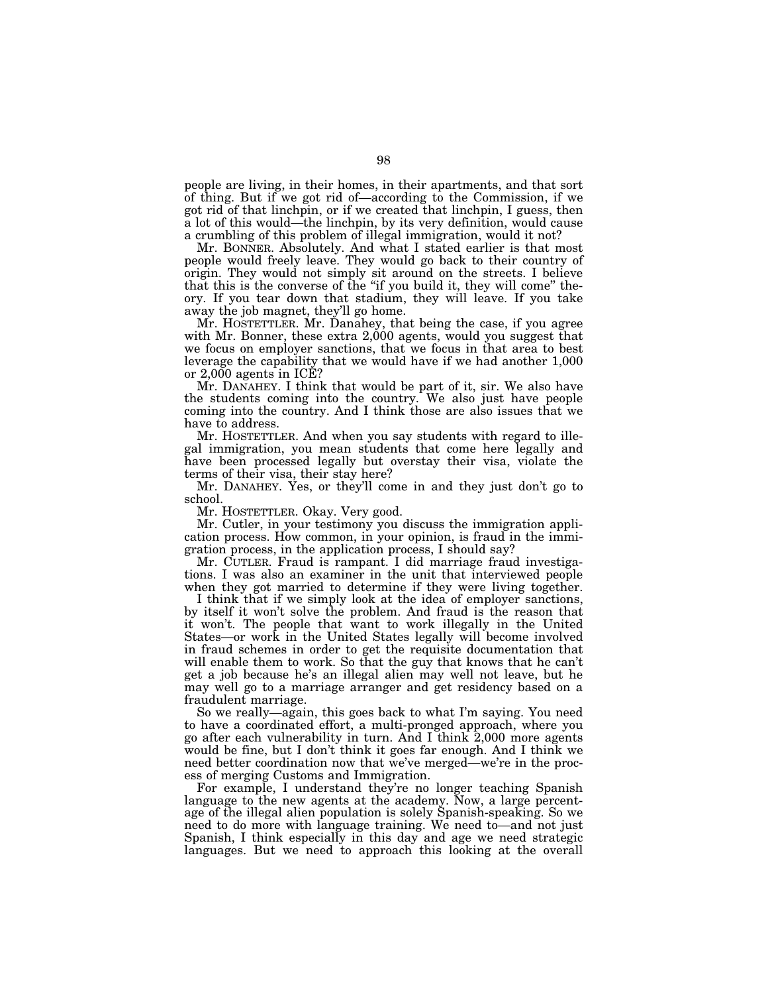people are living, in their homes, in their apartments, and that sort of thing. But if we got rid of—according to the Commission, if we got rid of that linchpin, or if we created that linchpin, I guess, then a lot of this would—the linchpin, by its very definition, would cause a crumbling of this problem of illegal immigration, would it not?

Mr. BONNER. Absolutely. And what I stated earlier is that most people would freely leave. They would go back to their country of origin. They would not simply sit around on the streets. I believe that this is the converse of the ''if you build it, they will come'' theory. If you tear down that stadium, they will leave. If you take away the job magnet, they'll go home.

Mr. HOSTETTLER. Mr. Danahey, that being the case, if you agree with Mr. Bonner, these extra  $2,000$  agents, would you suggest that we focus on employer sanctions, that we focus in that area to best leverage the capability that we would have if we had another 1,000 or 2,000 agents in ICE?

Mr. DANAHEY. I think that would be part of it, sir. We also have the students coming into the country. We also just have people coming into the country. And I think those are also issues that we have to address.

Mr. HOSTETTLER. And when you say students with regard to illegal immigration, you mean students that come here legally and have been processed legally but overstay their visa, violate the terms of their visa, their stay here?

Mr. DANAHEY. Yes, or they'll come in and they just don't go to school.

Mr. HOSTETTLER. Okay. Very good.

Mr. Cutler, in your testimony you discuss the immigration application process. How common, in your opinion, is fraud in the immigration process, in the application process, I should say?

Mr. CUTLER. Fraud is rampant. I did marriage fraud investigations. I was also an examiner in the unit that interviewed people when they got married to determine if they were living together.

I think that if we simply look at the idea of employer sanctions, by itself it won't solve the problem. And fraud is the reason that it won't. The people that want to work illegally in the United States—or work in the United States legally will become involved in fraud schemes in order to get the requisite documentation that will enable them to work. So that the guy that knows that he can't get a job because he's an illegal alien may well not leave, but he may well go to a marriage arranger and get residency based on a fraudulent marriage.

So we really—again, this goes back to what I'm saying. You need to have a coordinated effort, a multi-pronged approach, where you go after each vulnerability in turn. And I think 2,000 more agents would be fine, but I don't think it goes far enough. And I think we need better coordination now that we've merged—we're in the process of merging Customs and Immigration.

For example, I understand they're no longer teaching Spanish language to the new agents at the academy. Now, a large percentage of the illegal alien population is solely Spanish-speaking. So we need to do more with language training. We need to—and not just Spanish, I think especially in this day and age we need strategic languages. But we need to approach this looking at the overall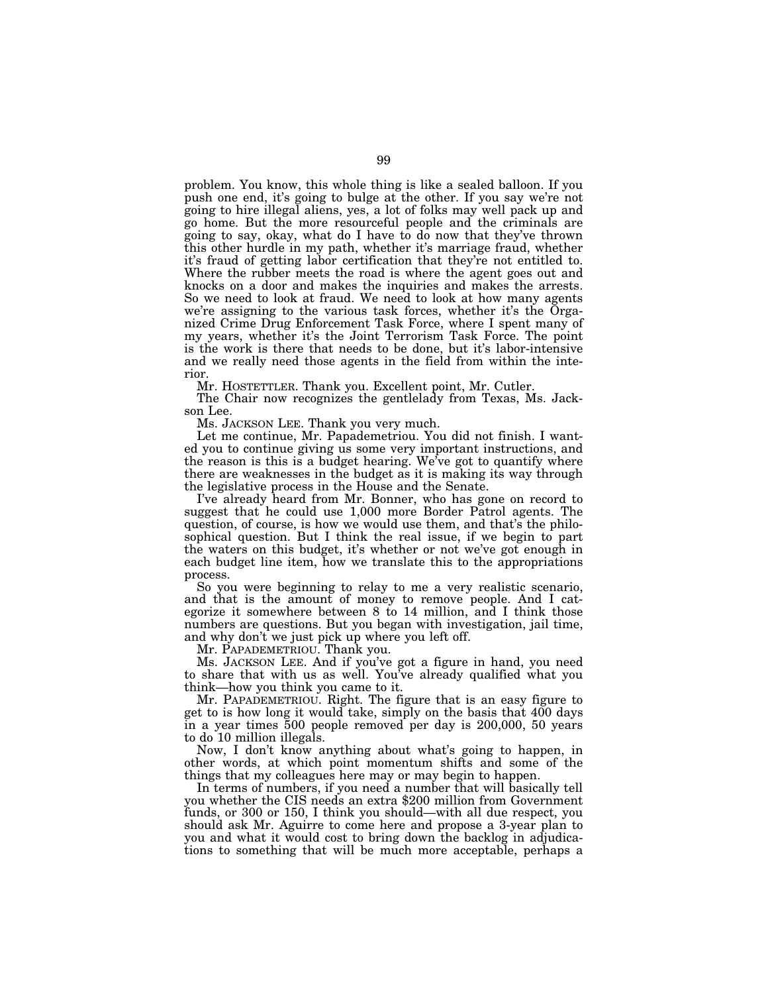problem. You know, this whole thing is like a sealed balloon. If you push one end, it's going to bulge at the other. If you say we're not going to hire illegal aliens, yes, a lot of folks may well pack up and go home. But the more resourceful people and the criminals are going to say, okay, what do I have to do now that they've thrown this other hurdle in my path, whether it's marriage fraud, whether it's fraud of getting labor certification that they're not entitled to. Where the rubber meets the road is where the agent goes out and knocks on a door and makes the inquiries and makes the arrests. So we need to look at fraud. We need to look at how many agents we're assigning to the various task forces, whether it's the Organized Crime Drug Enforcement Task Force, where I spent many of my years, whether it's the Joint Terrorism Task Force. The point is the work is there that needs to be done, but it's labor-intensive and we really need those agents in the field from within the interior.

Mr. HOSTETTLER. Thank you. Excellent point, Mr. Cutler.

The Chair now recognizes the gentlelady from Texas, Ms. Jackson Lee.

Ms. JACKSON LEE. Thank you very much.

Let me continue, Mr. Papademetriou. You did not finish. I wanted you to continue giving us some very important instructions, and the reason is this is a budget hearing. We've got to quantify where there are weaknesses in the budget as it is making its way through the legislative process in the House and the Senate.

I've already heard from Mr. Bonner, who has gone on record to suggest that he could use 1,000 more Border Patrol agents. The question, of course, is how we would use them, and that's the philosophical question. But I think the real issue, if we begin to part the waters on this budget, it's whether or not we've got enough in each budget line item, how we translate this to the appropriations process.

So you were beginning to relay to me a very realistic scenario, and that is the amount of money to remove people. And I categorize it somewhere between 8 to 14 million, and I think those numbers are questions. But you began with investigation, jail time, and why don't we just pick up where you left off.

Mr. PAPADEMETRIOU. Thank you.

Ms. JACKSON LEE. And if you've got a figure in hand, you need to share that with us as well. You've already qualified what you think—how you think you came to it.

Mr. PAPADEMETRIOU. Right. The figure that is an easy figure to get to is how long it would take, simply on the basis that 400 days in a year times 500 people removed per day is 200,000, 50 years to do 10 million illegals.

Now, I don't know anything about what's going to happen, in other words, at which point momentum shifts and some of the things that my colleagues here may or may begin to happen.

In terms of numbers, if you need a number that will basically tell you whether the CIS needs an extra \$200 million from Government funds, or 300 or 150, I think you should—with all due respect, you should ask Mr. Aguirre to come here and propose a 3-year plan to you and what it would cost to bring down the backlog in adjudications to something that will be much more acceptable, perhaps a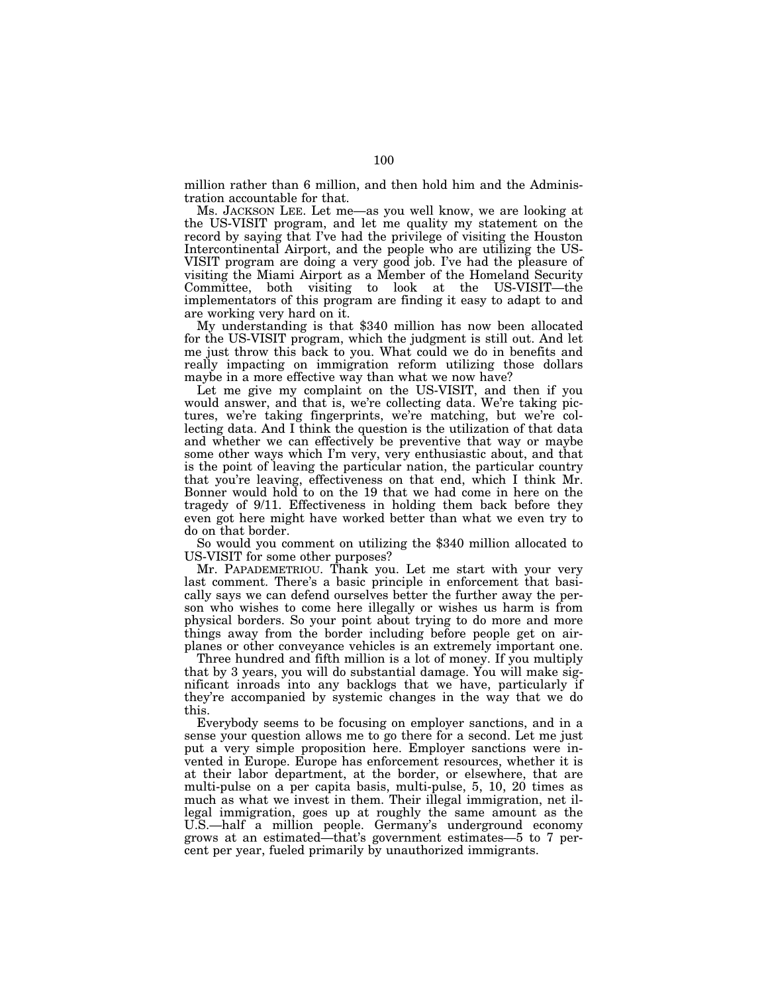million rather than 6 million, and then hold him and the Administration accountable for that.

Ms. JACKSON LEE. Let me—as you well know, we are looking at the US-VISIT program, and let me quality my statement on the record by saying that I've had the privilege of visiting the Houston Intercontinental Airport, and the people who are utilizing the US-VISIT program are doing a very good job. I've had the pleasure of visiting the Miami Airport as a Member of the Homeland Security Committee, both visiting to look at the US-VISIT—the implementators of this program are finding it easy to adapt to and are working very hard on it.

My understanding is that \$340 million has now been allocated for the US-VISIT program, which the judgment is still out. And let me just throw this back to you. What could we do in benefits and really impacting on immigration reform utilizing those dollars maybe in a more effective way than what we now have?

Let me give my complaint on the US-VISIT, and then if you would answer, and that is, we're collecting data. We're taking pictures, we're taking fingerprints, we're matching, but we're collecting data. And I think the question is the utilization of that data and whether we can effectively be preventive that way or maybe some other ways which I'm very, very enthusiastic about, and that is the point of leaving the particular nation, the particular country that you're leaving, effectiveness on that end, which I think Mr. Bonner would hold to on the 19 that we had come in here on the tragedy of 9/11. Effectiveness in holding them back before they even got here might have worked better than what we even try to do on that border.

So would you comment on utilizing the \$340 million allocated to US-VISIT for some other purposes?

Mr. PAPADEMETRIOU. Thank you. Let me start with your very last comment. There's a basic principle in enforcement that basically says we can defend ourselves better the further away the person who wishes to come here illegally or wishes us harm is from physical borders. So your point about trying to do more and more things away from the border including before people get on airplanes or other conveyance vehicles is an extremely important one.

Three hundred and fifth million is a lot of money. If you multiply that by 3 years, you will do substantial damage. You will make significant inroads into any backlogs that we have, particularly if they're accompanied by systemic changes in the way that we do this.

Everybody seems to be focusing on employer sanctions, and in a sense your question allows me to go there for a second. Let me just put a very simple proposition here. Employer sanctions were invented in Europe. Europe has enforcement resources, whether it is at their labor department, at the border, or elsewhere, that are multi-pulse on a per capita basis, multi-pulse, 5, 10, 20 times as much as what we invest in them. Their illegal immigration, net illegal immigration, goes up at roughly the same amount as the U.S.—half a million people. Germany's underground economy grows at an estimated—that's government estimates—5 to 7 percent per year, fueled primarily by unauthorized immigrants.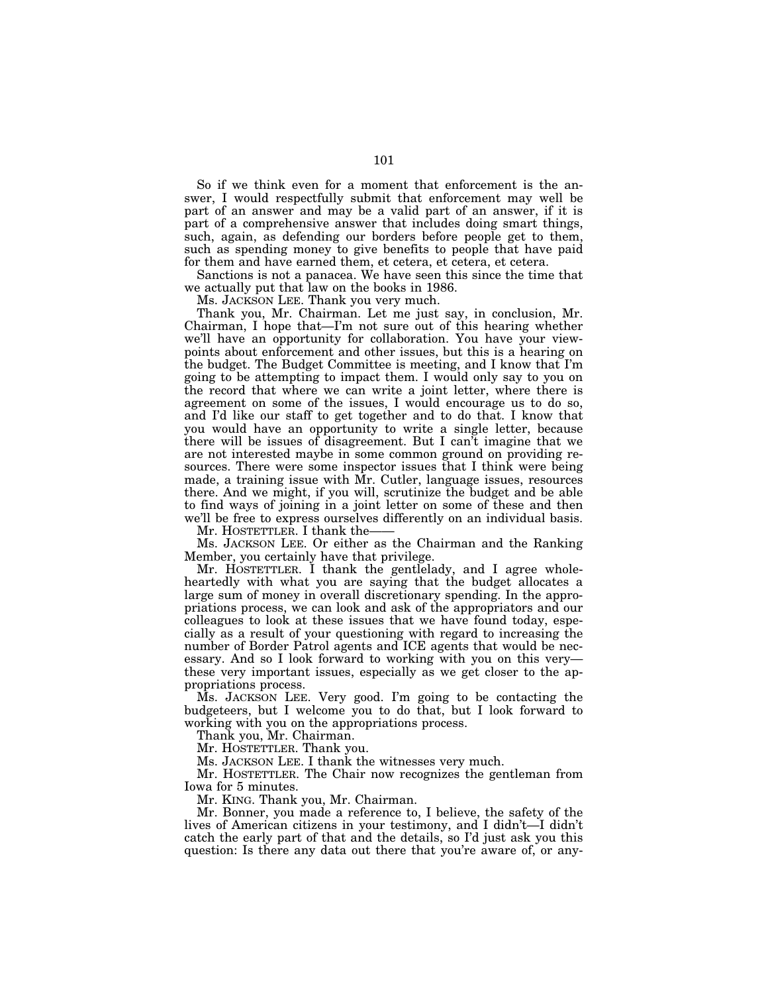So if we think even for a moment that enforcement is the answer, I would respectfully submit that enforcement may well be part of an answer and may be a valid part of an answer, if it is part of a comprehensive answer that includes doing smart things, such, again, as defending our borders before people get to them, such as spending money to give benefits to people that have paid for them and have earned them, et cetera, et cetera, et cetera.

Sanctions is not a panacea. We have seen this since the time that we actually put that law on the books in 1986.

Ms. JACKSON LEE. Thank you very much.

Thank you, Mr. Chairman. Let me just say, in conclusion, Mr. Chairman, I hope that—I'm not sure out of this hearing whether we'll have an opportunity for collaboration. You have your viewpoints about enforcement and other issues, but this is a hearing on the budget. The Budget Committee is meeting, and I know that I'm going to be attempting to impact them. I would only say to you on the record that where we can write a joint letter, where there is agreement on some of the issues, I would encourage us to do so, and I'd like our staff to get together and to do that. I know that you would have an opportunity to write a single letter, because there will be issues of disagreement. But I can't imagine that we are not interested maybe in some common ground on providing resources. There were some inspector issues that I think were being made, a training issue with Mr. Cutler, language issues, resources there. And we might, if you will, scrutinize the budget and be able to find ways of joining in a joint letter on some of these and then we'll be free to express ourselves differently on an individual basis.

Mr. HOSTETTLER. I thank the-

Ms. JACKSON LEE. Or either as the Chairman and the Ranking Member, you certainly have that privilege.

Mr. HOSTETTLER. I thank the gentlelady, and I agree wholeheartedly with what you are saying that the budget allocates a large sum of money in overall discretionary spending. In the appropriations process, we can look and ask of the appropriators and our colleagues to look at these issues that we have found today, especially as a result of your questioning with regard to increasing the number of Border Patrol agents and ICE agents that would be necessary. And so I look forward to working with you on this very these very important issues, especially as we get closer to the appropriations process.

Ms. JACKSON LEE. Very good. I'm going to be contacting the budgeteers, but I welcome you to do that, but I look forward to working with you on the appropriations process.

Thank you, Mr. Chairman.

Mr. HOSTETTLER. Thank you.

Ms. JACKSON LEE. I thank the witnesses very much.

Mr. HOSTETTLER. The Chair now recognizes the gentleman from Iowa for 5 minutes.

Mr. KING. Thank you, Mr. Chairman.

Mr. Bonner, you made a reference to, I believe, the safety of the lives of American citizens in your testimony, and I didn't—I didn't catch the early part of that and the details, so I'd just ask you this question: Is there any data out there that you're aware of, or any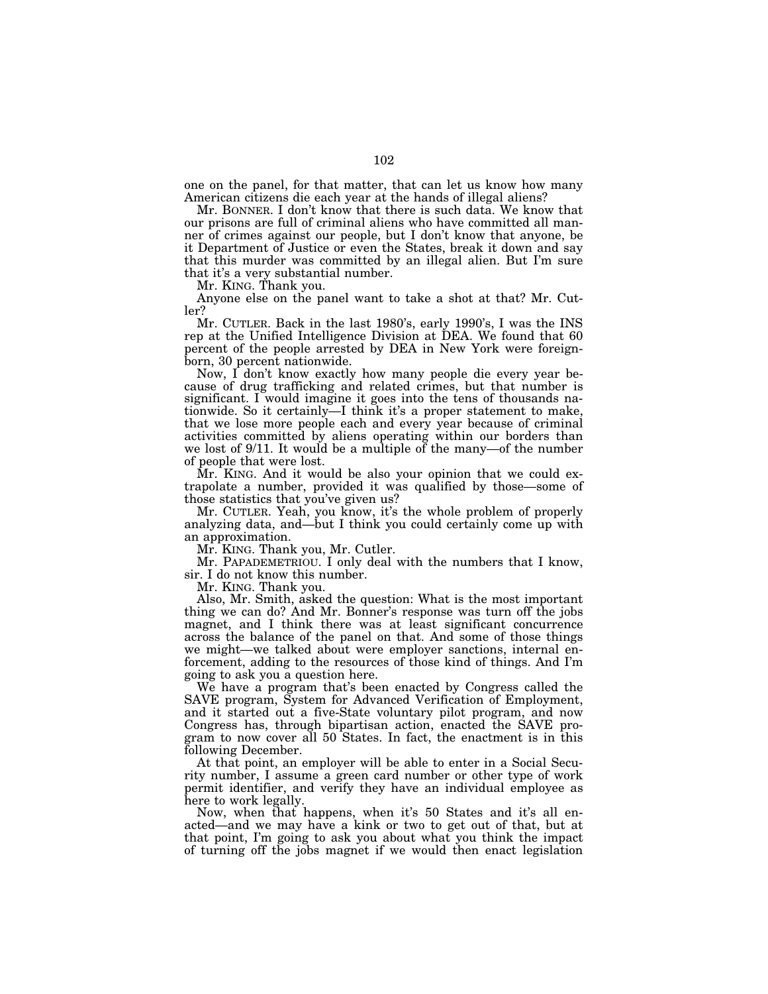one on the panel, for that matter, that can let us know how many American citizens die each year at the hands of illegal aliens?

Mr. BONNER. I don't know that there is such data. We know that our prisons are full of criminal aliens who have committed all manner of crimes against our people, but I don't know that anyone, be it Department of Justice or even the States, break it down and say that this murder was committed by an illegal alien. But I'm sure that it's a very substantial number.

Mr. KING. Thank you.

Anyone else on the panel want to take a shot at that? Mr. Cutler?

Mr. CUTLER. Back in the last 1980's, early 1990's, I was the INS rep at the Unified Intelligence Division at DEA. We found that 60 percent of the people arrested by DEA in New York were foreignborn, 30 percent nationwide.

Now, I don't know exactly how many people die every year because of drug trafficking and related crimes, but that number is significant. I would imagine it goes into the tens of thousands nationwide. So it certainly—I think it's a proper statement to make, that we lose more people each and every year because of criminal activities committed by aliens operating within our borders than we lost of 9/11. It would be a multiple of the many—of the number of people that were lost.

Mr. KING. And it would be also your opinion that we could extrapolate a number, provided it was qualified by those—some of those statistics that you've given us?

Mr. CUTLER. Yeah, you know, it's the whole problem of properly analyzing data, and—but I think you could certainly come up with an approximation.

Mr. KING. Thank you, Mr. Cutler.

Mr. PAPADEMETRIOU. I only deal with the numbers that I know, sir. I do not know this number.

Mr. KING. Thank you.

Also, Mr. Smith, asked the question: What is the most important thing we can do? And Mr. Bonner's response was turn off the jobs magnet, and I think there was at least significant concurrence across the balance of the panel on that. And some of those things we might—we talked about were employer sanctions, internal enforcement, adding to the resources of those kind of things. And I'm going to ask you a question here.

We have a program that's been enacted by Congress called the SAVE program, System for Advanced Verification of Employment, and it started out a five-State voluntary pilot program, and now Congress has, through bipartisan action, enacted the SAVE program to now cover all 50 States. In fact, the enactment is in this following December.

At that point, an employer will be able to enter in a Social Security number, I assume a green card number or other type of work permit identifier, and verify they have an individual employee as here to work legally.

Now, when that happens, when it's 50 States and it's all enacted—and we may have a kink or two to get out of that, but at that point, I'm going to ask you about what you think the impact of turning off the jobs magnet if we would then enact legislation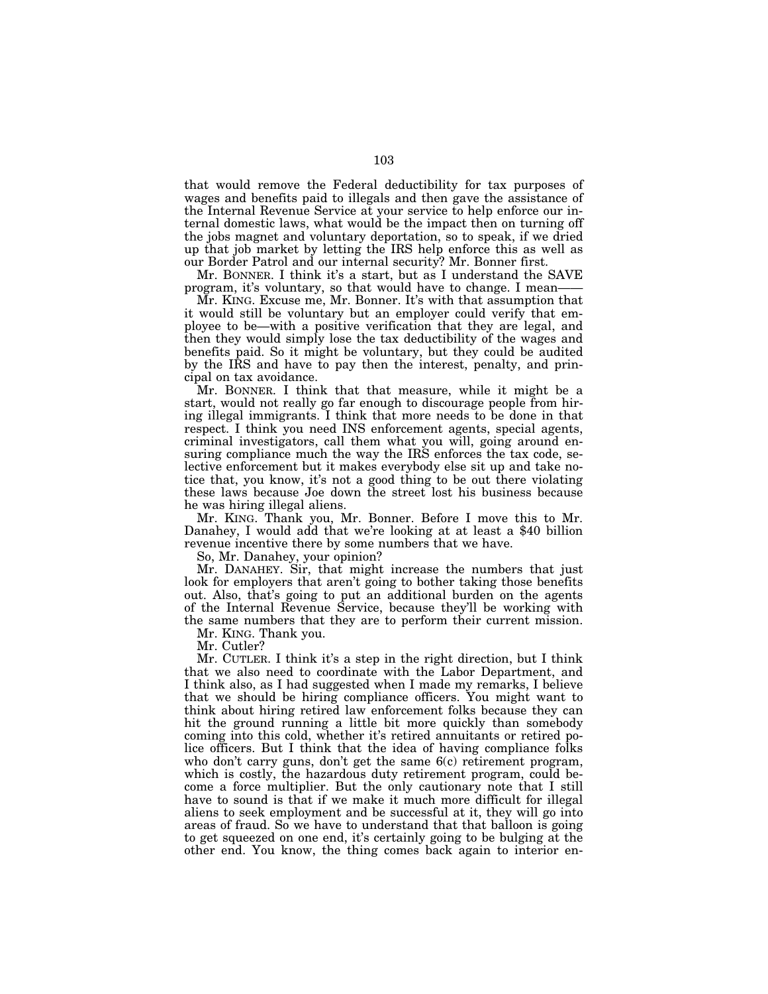that would remove the Federal deductibility for tax purposes of wages and benefits paid to illegals and then gave the assistance of the Internal Revenue Service at your service to help enforce our internal domestic laws, what would be the impact then on turning off the jobs magnet and voluntary deportation, so to speak, if we dried up that job market by letting the IRS help enforce this as well as our Border Patrol and our internal security? Mr. Bonner first.

Mr. BONNER. I think it's a start, but as I understand the SAVE program, it's voluntary, so that would have to change. I mean——

Mr. KING. Excuse me, Mr. Bonner. It's with that assumption that it would still be voluntary but an employer could verify that employee to be—with a positive verification that they are legal, and then they would simply lose the tax deductibility of the wages and benefits paid. So it might be voluntary, but they could be audited by the IRS and have to pay then the interest, penalty, and principal on tax avoidance.

Mr. BONNER. I think that that measure, while it might be a start, would not really go far enough to discourage people from hiring illegal immigrants. I think that more needs to be done in that respect. I think you need INS enforcement agents, special agents, criminal investigators, call them what you will, going around ensuring compliance much the way the IRS enforces the tax code, selective enforcement but it makes everybody else sit up and take notice that, you know, it's not a good thing to be out there violating these laws because Joe down the street lost his business because he was hiring illegal aliens.

Mr. KING. Thank you, Mr. Bonner. Before I move this to Mr. Danahey, I would add that we're looking at at least a \$40 billion revenue incentive there by some numbers that we have.

So, Mr. Danahey, your opinion?

Mr. DANAHEY. Sir, that might increase the numbers that just look for employers that aren't going to bother taking those benefits out. Also, that's going to put an additional burden on the agents of the Internal Revenue Service, because they'll be working with the same numbers that they are to perform their current mission. Mr. KING. Thank you.

Mr. Cutler?

Mr. CUTLER. I think it's a step in the right direction, but I think that we also need to coordinate with the Labor Department, and I think also, as I had suggested when I made my remarks, I believe that we should be hiring compliance officers. You might want to think about hiring retired law enforcement folks because they can hit the ground running a little bit more quickly than somebody coming into this cold, whether it's retired annuitants or retired police officers. But I think that the idea of having compliance folks who don't carry guns, don't get the same 6(c) retirement program, which is costly, the hazardous duty retirement program, could become a force multiplier. But the only cautionary note that I still have to sound is that if we make it much more difficult for illegal aliens to seek employment and be successful at it, they will go into areas of fraud. So we have to understand that that balloon is going to get squeezed on one end, it's certainly going to be bulging at the other end. You know, the thing comes back again to interior en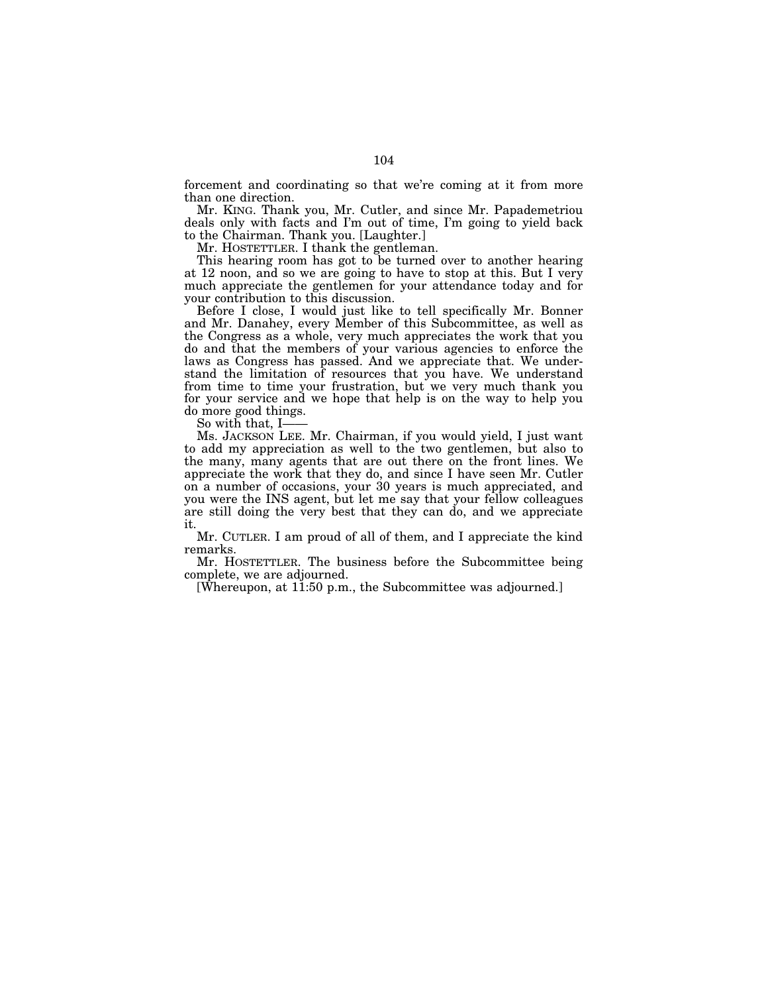forcement and coordinating so that we're coming at it from more than one direction.

Mr. KING. Thank you, Mr. Cutler, and since Mr. Papademetriou deals only with facts and I'm out of time, I'm going to yield back to the Chairman. Thank you. [Laughter.]

Mr. HOSTETTLER. I thank the gentleman.

This hearing room has got to be turned over to another hearing at 12 noon, and so we are going to have to stop at this. But I very much appreciate the gentlemen for your attendance today and for your contribution to this discussion.

Before I close, I would just like to tell specifically Mr. Bonner and Mr. Danahey, every Member of this Subcommittee, as well as the Congress as a whole, very much appreciates the work that you do and that the members of your various agencies to enforce the laws as Congress has passed. And we appreciate that. We understand the limitation of resources that you have. We understand from time to time your frustration, but we very much thank you for your service and we hope that help is on the way to help you do more good things.<br>So with that, I

Ms. JACKSON LEE. Mr. Chairman, if you would yield, I just want to add my appreciation as well to the two gentlemen, but also to the many, many agents that are out there on the front lines. We appreciate the work that they do, and since I have seen Mr. Cutler on a number of occasions, your 30 years is much appreciated, and you were the INS agent, but let me say that your fellow colleagues are still doing the very best that they can do, and we appreciate it.

Mr. CUTLER. I am proud of all of them, and I appreciate the kind remarks.

Mr. HOSTETTLER. The business before the Subcommittee being complete, we are adjourned.

[Whereupon, at 11:50 p.m., the Subcommittee was adjourned.]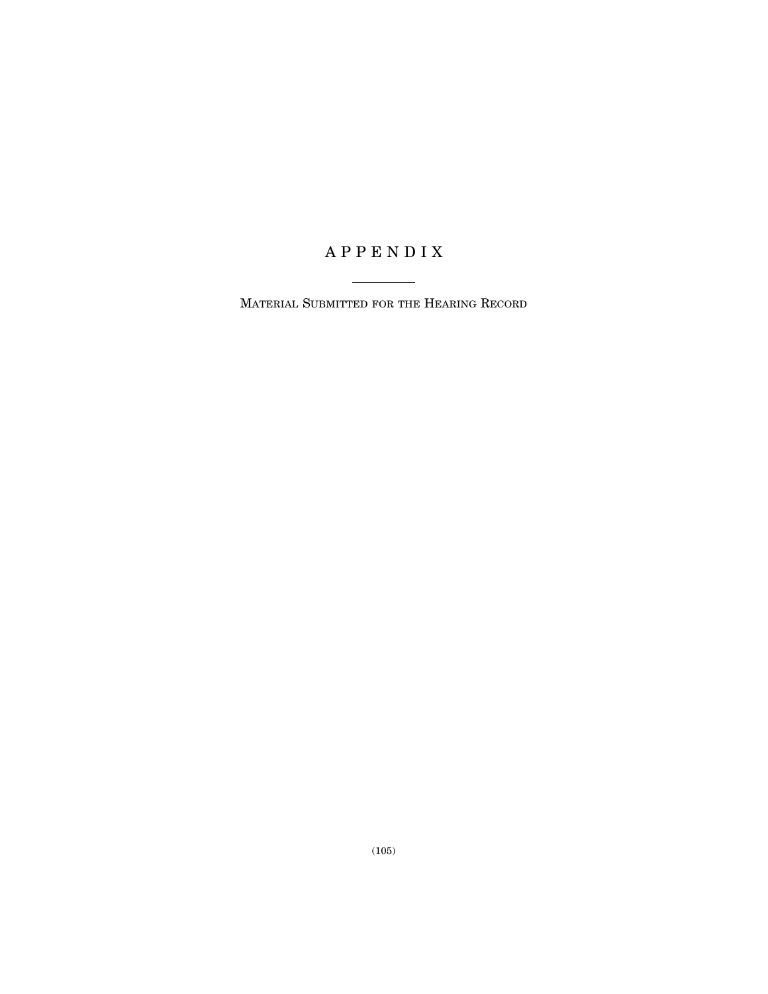# A P P E N D I X

MATERIAL SUBMITTED FOR THE HEARING RECORD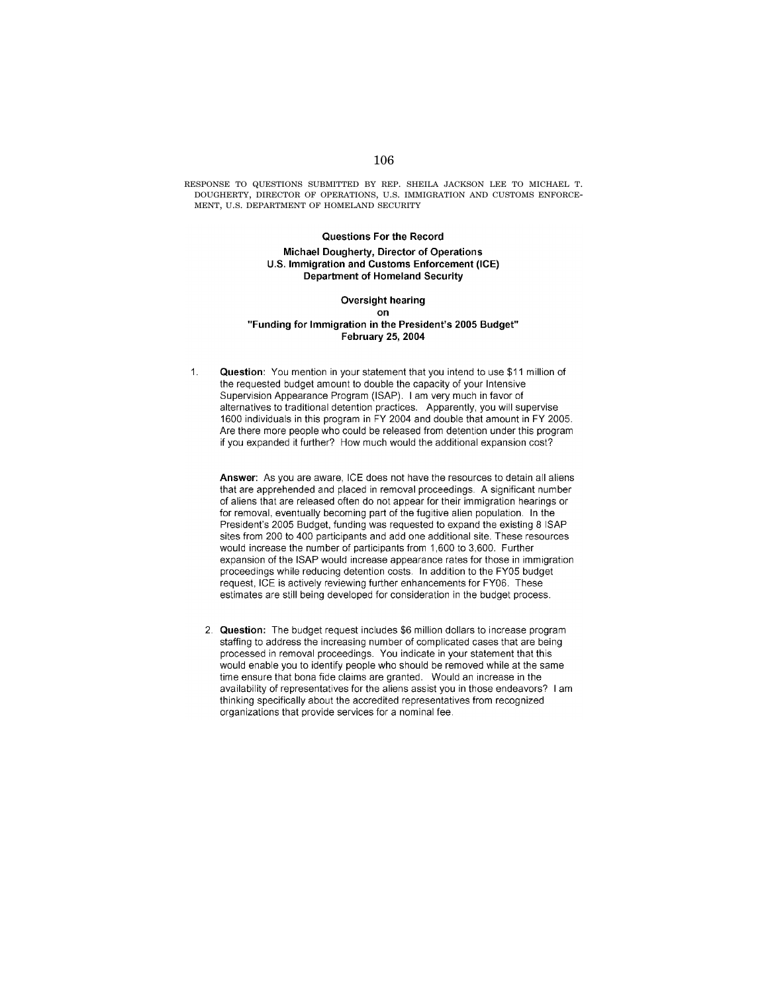RESPONSE TO QUESTIONS SUBMITTED BY REP. SHEILA JACKSON LEE TO MICHAEL T. DOUGHERTY, DIRECTOR OF OPERATIONS, U.S. IMMIGRATION AND CUSTOMS ENFORCE-MENT, U.S. DEPARTMENT OF HOMELAND SECURITY

> Questions For the Record Michael Dougherty, Director of Operations U.S. Immigration and Customs Enforcement (ICE) **Department of Homeland Security**

#### Oversight hearing **on** "Funding for Immigration in the President's 2005 Budget" February 25, 2004

 $\mathbf{1}$ . Question: You mention in your statement that you intend to use \$11 million of the requested budget amount to double the capacity of your Intensive Supervision Appearance Program (ISAP). I am very much in favor of alternatives to traditional detention practices. Apparently, you will supervise 1600 individuals in this program in FY 2004 and double that amount in FY 2005. Are there more people who could be released from detention under this program if you expanded it further? How much would the additional expansion cost?

Answer: As you are aware, ICE does not have the resources to detain all aliens that are apprehended and placed in removal proceedings. A significant number of aliens that are released often do not appear for their immigration hearings or for removal, eventually becoming part of the fugitive alien population. In the President's 2005 Budget, funding was requested to expand the existing 8 ISAP sites from 200 to 400 participants and add one additional site. These resources would increase the number of participants from 1,600 to 3,600. Further expansion of the ISAP would increase appearance rates for those in immigration proceedings while reducing detention costs. In addition to the FY05 budget request, ICE is actively reviewing further enhancements for FY06. These estimates are still being developed for consideration in the budget process.

2. Question: The budget request includes \$6 million dollars to increase program staffing to address the increasing number of complicated cases that are being processed in removal proceedings. You indicate in your statement that this would enable you to identify people who should be removed while at the same time ensure that bona fide claims are granted. Would an increase in the availability of representatives for the aliens assist you in those endeavors? I am thinking specifically about the accredited representatives from recognized organizations that provide services for a nominal fee.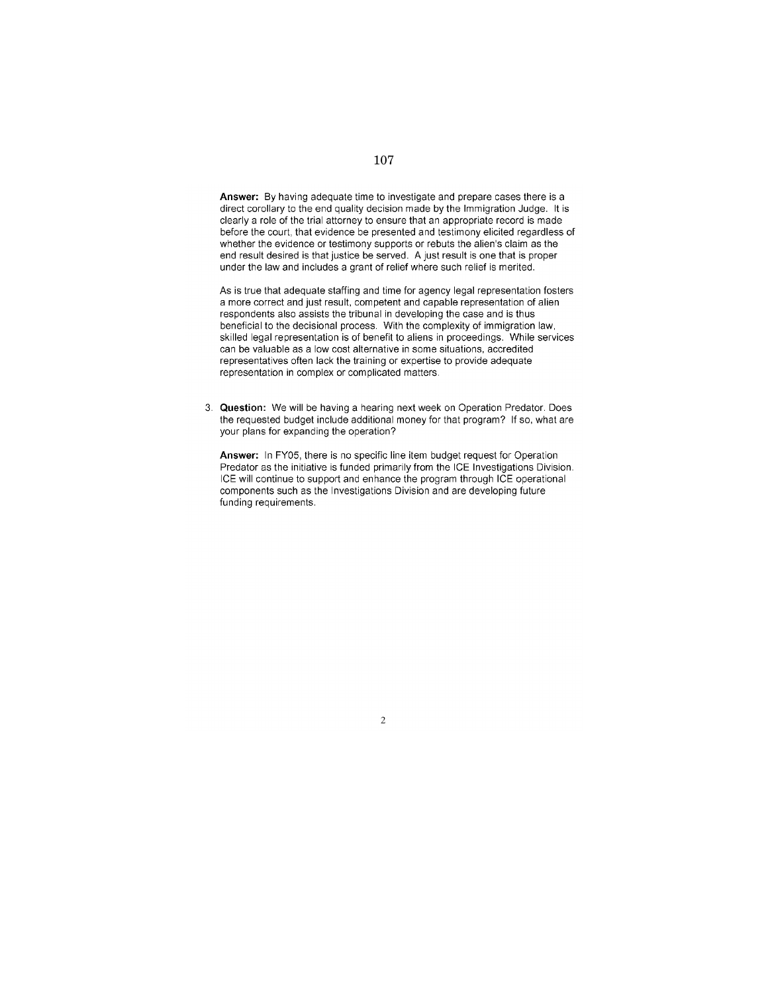Answer: By having adequate time to investigate and prepare cases there is a direct corollary to the end quality decision made by the Immigration Judge. It is clearly a role of the trial attorney to ensure that an appropriate record is made before the court, that evidence be presented and testimony elicited regardless of whether the evidence or testimony supports or rebuts the alien's claim as the end result desired is that justice be served. A just result is one that is proper under the law and includes a grant of relief where such relief is merited.

As is true that adequate staffing and time for agency legal representation fosters a more correct and just result, competent and capable representation of alien respondents also assists the tribunal in developing the case and is thus beneficial to the decisional process. With the complexity of immigration law, skilled legal representation is of benefit to aliens in proceedings. While services can be valuable as a low cost alternative in some situations, accredited representatives often lack the training or expertise to provide adequate representation in complex or complicated matters.

3. Question: We will be having a hearing next week on Operation Predator. Does the requested budget include additional money for that program? If so, what are your plans for expanding the operation?

Answer: In FY05, there is no specific line item budget request for Operation Predator as the initiative is funded primarily from the ICE Investigations Division. ICE will continue to support and enhance the program through ICE operational components such as the Investigations Division and are developing future funding requirements.

 $\overline{2}$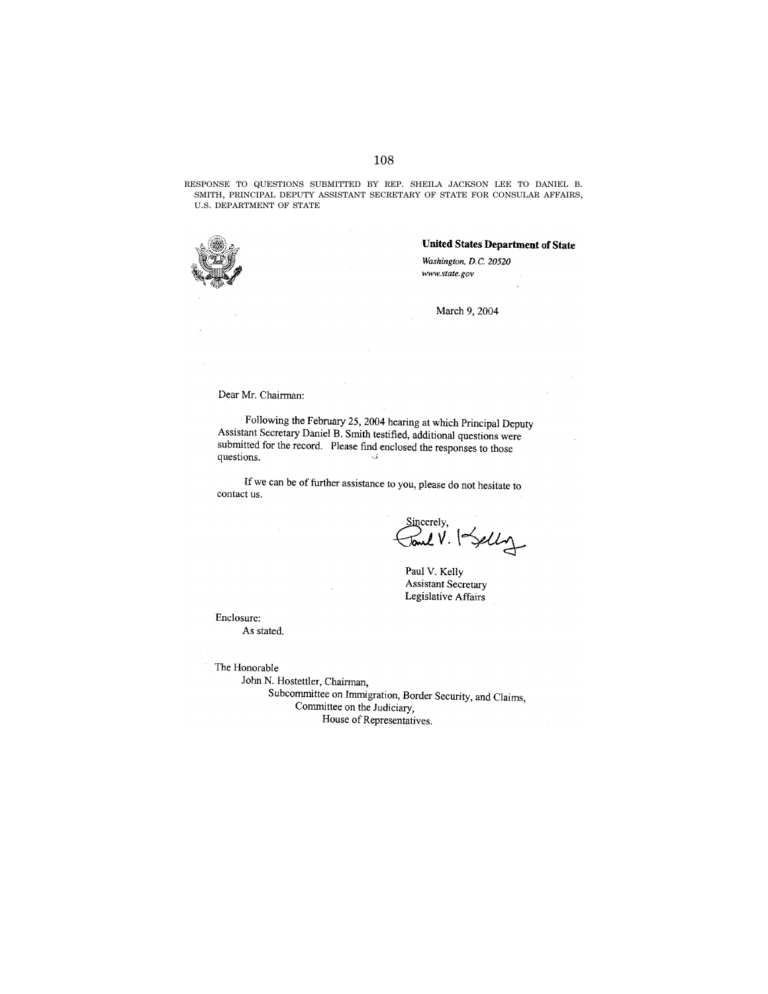RESPONSE TO QUESTIONS SUBMITTED BY REP. SHEILA JACKSON LEE TO DANIEL B. SMITH, PRINCIPAL DEPUTY ASSISTANT SECRETARY OF STATE FOR CONSULAR AFFAIRS, U.S. DEPARTMENT OF STATE



United States Department of State

Washington, D.C. 20520 www.state.gov

March 9, 2004

Dear Mr. Chairman:

Following the February 25, 2004 hearing at which Principal Deputy Assistant Secretary Daniel B. Smith testified, additional questions were submitted for the record. Please find enclosed the responses to those questions. ی.

If we can be of further assistance to you, please do not hesitate to contact us.

Sincerely,<br>J**one V**. Selly

Paul V. Kelly Assistant Secretary Legislative Affairs

Enclosure: As stated.

The Honorable

John N. Hostettler, Chairman,

Subcommittee on Immigration, Border Security, and Claims, Committee on the Judiciary, House of Representatives.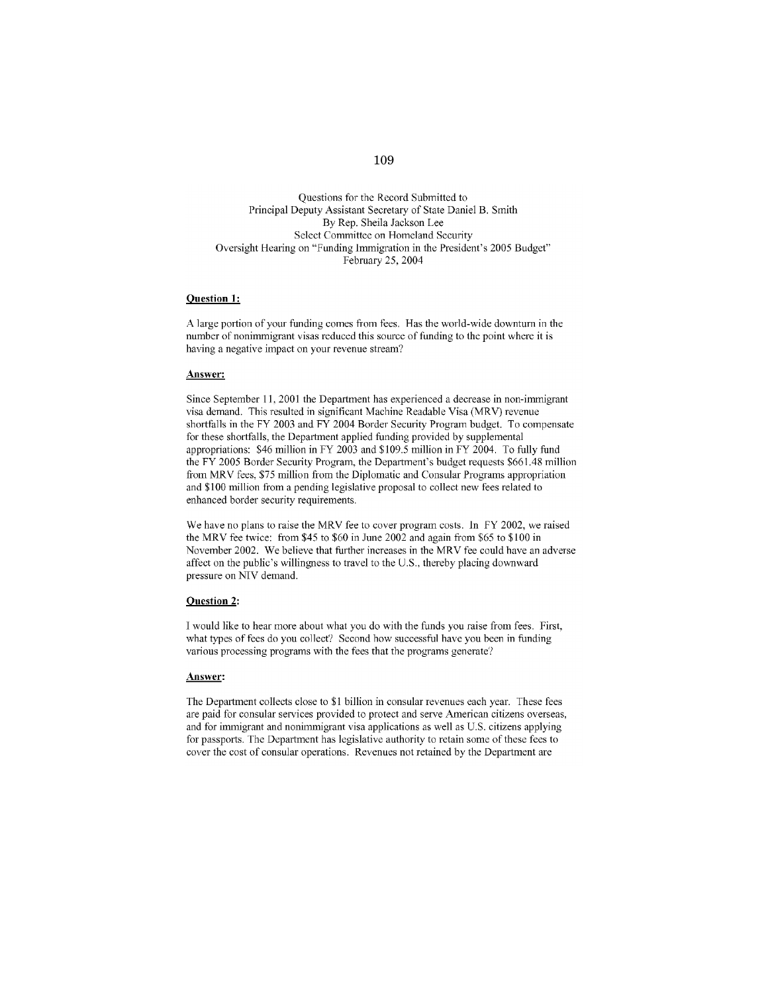#### Questions for the Record Submitted to Principal Deputy Assistant Secretary of State Daniel B. Smith By Rep. Sheila Jackson Lee Select Committee on Homeland Security Oversight Hearing on "Funding Immigration in the President's 2005 Budget" February 25, 2004

#### **Question 1:**

A large portion of your funding comes from fees. Has the world-wide downturn in the number of nonimmigrant visas reduced this source of funding to the point where it is having a negative impact on your revenue stream?

#### Answer:

Since September 11, 2001 the Department has experienced a decrease in non-immigrant visa demand. This resulted in significant Machine Readable Visa (MRV) revenue shortfalls in the FY 2003 and FY 2004 Border Security Program budget. To compensate for these shortfalls, the Department applied funding provided by supplemental appropriations: \$46 million in FY 2003 and \$109.5 million in FY 2004. To fully fund the FY 2005 Border Security Program, the Department's budget requests \$661.48 million from MRV fees, \$75 million from the Diplomatic and Consular Programs appropriation and \$100 million from a pending legislative proposal to collect new fees related to enhanced border security requirements.

We have no plans to raise the MRV fee to cover program costs. In FY 2002, we raised the MRV fee twice: from \$45 to \$60 in June 2002 and again from \$65 to \$100 in November 2002. We believe that further increases in the MRV fee could have an adverse affect on the public's willingness to travel to the U.S., thereby placing downward pressure on NIV demand.

#### **Question 2:**

I would like to hear more about what you do with the funds you raise from fees. First, what types of fees do you collect? Second how successful have you been in funding various processing programs with the fees that the programs generate?

#### Answer:

The Department collects close to \$1 billion in consular revenues each year. These fees are paid for consular services provided to protect and serve American citizens overseas, and for immigrant and nonimmigrant visa applications as well as U.S. citizens applying for passports. The Department has legislative authority to retain some of these fees to cover the cost of consular operations. Revenues not retained by the Department are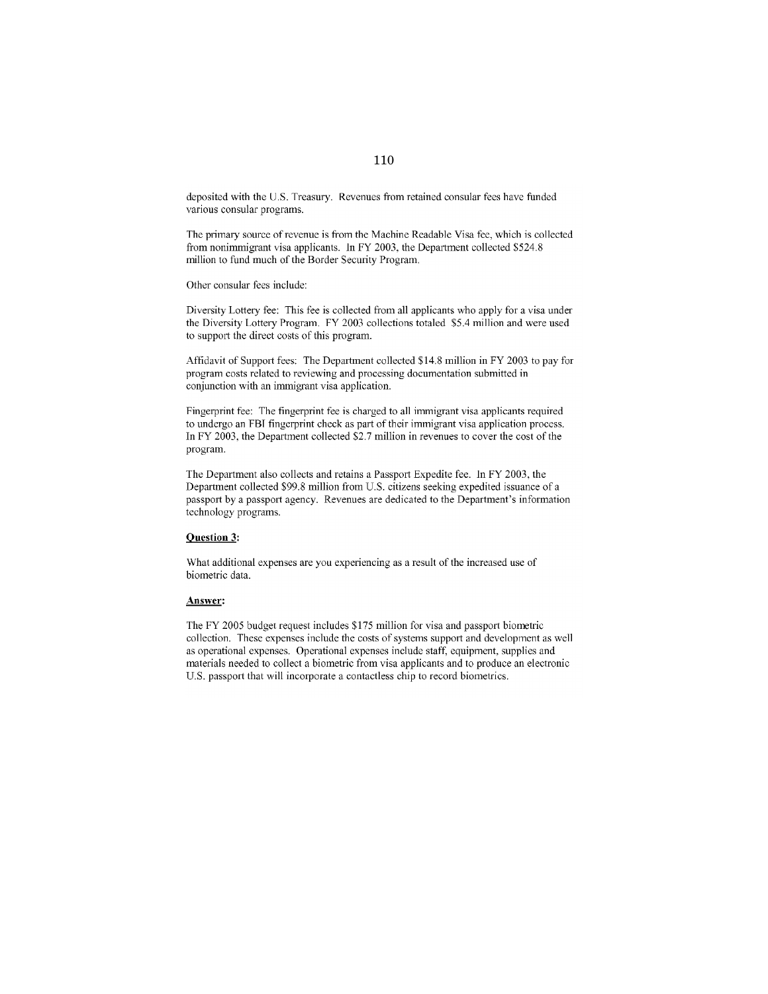deposited with the U.S. Treasury. Revenues from retained consular fees have funded various consular programs.

The primary source of revenue is from the Machine Readable Visa fee, which is collected from nonimmigrant visa applicants. In FY 2003, the Department collected \$524.8 million to fund much of the Border Security Program.

Other consular fees include:

Diversity Lottery fee: This fee is collected from all applicants who apply for a visa under the Diversity Lottery Program. FY 2003 collections totaled \$5.4 million and were used to support the direct costs of this program.

Affidavit of Support fees: The Department collected \$14.8 million in FY 2003 to pay for program costs related to reviewing and processing documentation submitted in conjunction with an immigrant visa application.

Fingerprint fee: The fingerprint fee is charged to all immigrant visa applicants required to undergo an FBI fingerprint check as part of their immigrant visa application process. In FY 2003, the Department collected \$2.7 million in revenues to cover the cost of the program.

The Department also collects and retains a Passport Expedite fee. In FY 2003, the Department collected \$99.8 million from U.S. citizens seeking expedited issuance of a passport by a passport agency. Revenues are dedicated to the Department's information technology programs.

### **Question 3:**

What additional expenses are you experiencing as a result of the increased use of biometric data.

#### Answer:

The FY 2005 budget request includes \$175 million for visa and passport biometric collection. These expenses include the costs of systems support and development as well as operational expenses. Operational expenses include staff, equipment, supplies and materials needed to collect a biometric from visa applicants and to produce an electronic U.S. passport that will incorporate a contactless chip to record biometrics.